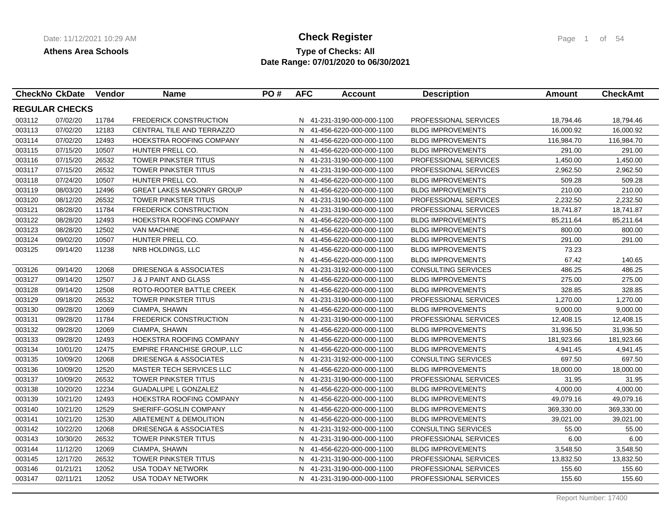## **Type of Checks: All Check Register Check Register Page 1 of 54 Date Range: 07/01/2020 to 06/30/2021**

| <b>CheckNo CkDate</b> |          | <b>Vendor</b> | <b>Name</b>                        | PO# | <b>AFC</b> | <b>Account</b>             | <b>Description</b>           | Amount     | <b>CheckAmt</b> |
|-----------------------|----------|---------------|------------------------------------|-----|------------|----------------------------|------------------------------|------------|-----------------|
| <b>REGULAR CHECKS</b> |          |               |                                    |     |            |                            |                              |            |                 |
| 003112                | 07/02/20 | 11784         | <b>FREDERICK CONSTRUCTION</b>      |     |            | N 41-231-3190-000-000-1100 | <b>PROFESSIONAL SERVICES</b> | 18,794.46  | 18,794.46       |
| 003113                | 07/02/20 | 12183         | CENTRAL TILE AND TERRAZZO          |     | N          | 41-456-6220-000-000-1100   | <b>BLDG IMPROVEMENTS</b>     | 16,000.92  | 16,000.92       |
| 003114                | 07/02/20 | 12493         | HOEKSTRA ROOFING COMPANY           |     |            | N 41-456-6220-000-000-1100 | <b>BLDG IMPROVEMENTS</b>     | 116,984.70 | 116,984.70      |
| 003115                | 07/15/20 | 10507         | HUNTER PRELL CO.                   |     |            | N 41-456-6220-000-000-1100 | <b>BLDG IMPROVEMENTS</b>     | 291.00     | 291.00          |
| 003116                | 07/15/20 | 26532         | <b>TOWER PINKSTER TITUS</b>        |     |            | N 41-231-3190-000-000-1100 | <b>PROFESSIONAL SERVICES</b> | 1,450.00   | 1,450.00        |
| 003117                | 07/15/20 | 26532         | TOWER PINKSTER TITUS               |     |            | N 41-231-3190-000-000-1100 | PROFESSIONAL SERVICES        | 2,962.50   | 2,962.50        |
| 003118                | 07/24/20 | 10507         | HUNTER PRELL CO.                   |     | N.         | 41-456-6220-000-000-1100   | <b>BLDG IMPROVEMENTS</b>     | 509.28     | 509.28          |
| 003119                | 08/03/20 | 12496         | <b>GREAT LAKES MASONRY GROUP</b>   |     | N.         | 41-456-6220-000-000-1100   | <b>BLDG IMPROVEMENTS</b>     | 210.00     | 210.00          |
| 003120                | 08/12/20 | 26532         | TOWER PINKSTER TITUS               |     | N.         | 41-231-3190-000-000-1100   | PROFESSIONAL SERVICES        | 2,232.50   | 2,232.50        |
| 003121                | 08/28/20 | 11784         | <b>FREDERICK CONSTRUCTION</b>      |     | N.         | 41-231-3190-000-000-1100   | PROFESSIONAL SERVICES        | 18,741.87  | 18,741.87       |
| 003122                | 08/28/20 | 12493         | HOEKSTRA ROOFING COMPANY           |     | N.         | 41-456-6220-000-000-1100   | <b>BLDG IMPROVEMENTS</b>     | 85,211.64  | 85,211.64       |
| 003123                | 08/28/20 | 12502         | <b>VAN MACHINE</b>                 |     |            | N 41-456-6220-000-000-1100 | <b>BLDG IMPROVEMENTS</b>     | 800.00     | 800.00          |
| 003124                | 09/02/20 | 10507         | HUNTER PRELL CO.                   |     | N.         | 41-456-6220-000-000-1100   | <b>BLDG IMPROVEMENTS</b>     | 291.00     | 291.00          |
| 003125                | 09/14/20 | 11238         | NRB HOLDINGS, LLC                  |     | N.         | 41-456-6220-000-000-1100   | <b>BLDG IMPROVEMENTS</b>     | 73.23      |                 |
|                       |          |               |                                    |     | N.         | 41-456-6220-000-000-1100   | <b>BLDG IMPROVEMENTS</b>     | 67.42      | 140.65          |
| 003126                | 09/14/20 | 12068         | <b>DRIESENGA &amp; ASSOCIATES</b>  |     |            | N 41-231-3192-000-000-1100 | <b>CONSULTING SERVICES</b>   | 486.25     | 486.25          |
| 003127                | 09/14/20 | 12507         | <b>J &amp; J PAINT AND GLASS</b>   |     |            | N 41-456-6220-000-000-1100 | <b>BLDG IMPROVEMENTS</b>     | 275.00     | 275.00          |
| 003128                | 09/14/20 | 12508         | ROTO-ROOTER BATTLE CREEK           |     |            | N 41-456-6220-000-000-1100 | <b>BLDG IMPROVEMENTS</b>     | 328.85     | 328.85          |
| 003129                | 09/18/20 | 26532         | TOWER PINKSTER TITUS               |     |            | N 41-231-3190-000-000-1100 | <b>PROFESSIONAL SERVICES</b> | 1,270.00   | 1,270.00        |
| 003130                | 09/28/20 | 12069         | CIAMPA, SHAWN                      |     | N.         | 41-456-6220-000-000-1100   | <b>BLDG IMPROVEMENTS</b>     | 9,000.00   | 9,000.00        |
| 003131                | 09/28/20 | 11784         | FREDERICK CONSTRUCTION             |     |            | N 41-231-3190-000-000-1100 | PROFESSIONAL SERVICES        | 12,408.15  | 12,408.15       |
| 003132                | 09/28/20 | 12069         | CIAMPA, SHAWN                      |     |            | N 41-456-6220-000-000-1100 | <b>BLDG IMPROVEMENTS</b>     | 31,936.50  | 31,936.50       |
| 003133                | 09/28/20 | 12493         | HOEKSTRA ROOFING COMPANY           |     |            | N 41-456-6220-000-000-1100 | <b>BLDG IMPROVEMENTS</b>     | 181,923.66 | 181,923.66      |
| 003134                | 10/01/20 | 12475         | <b>EMPIRE FRANCHISE GROUP, LLC</b> |     |            | N 41-456-6220-000-000-1100 | <b>BLDG IMPROVEMENTS</b>     | 4,941.45   | 4,941.45        |
| 003135                | 10/09/20 | 12068         | DRIESENGA & ASSOCIATES             |     |            | N 41-231-3192-000-000-1100 | CONSULTING SERVICES          | 697.50     | 697.50          |
| 003136                | 10/09/20 | 12520         | <b>MASTER TECH SERVICES LLC</b>    |     | N.         | 41-456-6220-000-000-1100   | <b>BLDG IMPROVEMENTS</b>     | 18,000.00  | 18,000.00       |
| 003137                | 10/09/20 | 26532         | <b>TOWER PINKSTER TITUS</b>        |     | N.         | 41-231-3190-000-000-1100   | <b>PROFESSIONAL SERVICES</b> | 31.95      | 31.95           |
| 003138                | 10/20/20 | 12234         | <b>GUADALUPE L GONZALEZ</b>        |     | N.         | 41-456-6220-000-000-1100   | <b>BLDG IMPROVEMENTS</b>     | 4,000.00   | 4,000.00        |
| 003139                | 10/21/20 | 12493         | HOEKSTRA ROOFING COMPANY           |     | N.         | 41-456-6220-000-000-1100   | <b>BLDG IMPROVEMENTS</b>     | 49,079.16  | 49,079.16       |
| 003140                | 10/21/20 | 12529         | SHERIFF-GOSLIN COMPANY             |     |            | N 41-456-6220-000-000-1100 | <b>BLDG IMPROVEMENTS</b>     | 369,330.00 | 369,330.00      |
| 003141                | 10/21/20 | 12530         | ABATEMENT & DEMOLITION             |     | N.         | 41-456-6220-000-000-1100   | <b>BLDG IMPROVEMENTS</b>     | 39,021.00  | 39,021.00       |
| 003142                | 10/22/20 | 12068         | DRIESENGA & ASSOCIATES             |     |            | N 41-231-3192-000-000-1100 | <b>CONSULTING SERVICES</b>   | 55.00      | 55.00           |
| 003143                | 10/30/20 | 26532         | <b>TOWER PINKSTER TITUS</b>        |     |            | N 41-231-3190-000-000-1100 | PROFESSIONAL SERVICES        | 6.00       | 6.00            |
| 003144                | 11/12/20 | 12069         | CIAMPA, SHAWN                      |     |            | N 41-456-6220-000-000-1100 | <b>BLDG IMPROVEMENTS</b>     | 3,548.50   | 3,548.50        |
| 003145                | 12/17/20 | 26532         | TOWER PINKSTER TITUS               |     | N.         | 41-231-3190-000-000-1100   | PROFESSIONAL SERVICES        | 13,832.50  | 13,832.50       |
| 003146                | 01/21/21 | 12052         | <b>USA TODAY NETWORK</b>           |     |            | N 41-231-3190-000-000-1100 | PROFESSIONAL SERVICES        | 155.60     | 155.60          |
| 003147                | 02/11/21 | 12052         | <b>USA TODAY NETWORK</b>           |     |            | N 41-231-3190-000-000-1100 | PROFESSIONAL SERVICES        | 155.60     | 155.60          |
|                       |          |               |                                    |     |            |                            |                              |            |                 |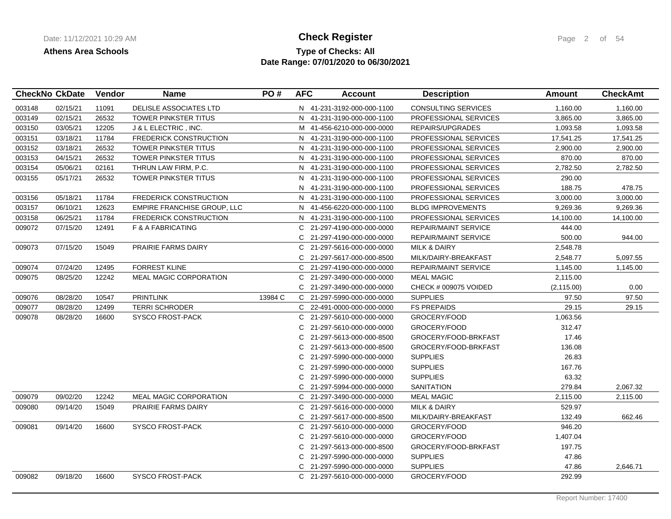## **Type of Checks: All Check Register Check Register Page 2 of 54 Date Range: 07/01/2020 to 06/30/2021**

|        | <b>CheckNo CkDate</b> | Vendor | <b>Name</b>                   | PO#     | <b>AFC</b> | <b>Account</b>             | <b>Description</b>           | Amount      | <b>CheckAmt</b> |
|--------|-----------------------|--------|-------------------------------|---------|------------|----------------------------|------------------------------|-------------|-----------------|
| 003148 | 02/15/21              | 11091  | DELISLE ASSOCIATES LTD        |         |            | N 41-231-3192-000-000-1100 | <b>CONSULTING SERVICES</b>   | 1,160.00    | 1,160.00        |
| 003149 | 02/15/21              | 26532  | TOWER PINKSTER TITUS          |         |            | N 41-231-3190-000-000-1100 | <b>PROFESSIONAL SERVICES</b> | 3,865.00    | 3,865.00        |
| 003150 | 03/05/21              | 12205  | J & L ELECTRIC, INC.          |         |            | M 41-456-6210-000-000-0000 | REPAIRS/UPGRADES             | 1,093.58    | 1,093.58        |
| 003151 | 03/18/21              | 11784  | <b>FREDERICK CONSTRUCTION</b> |         |            | N 41-231-3190-000-000-1100 | PROFESSIONAL SERVICES        | 17,541.25   | 17,541.25       |
| 003152 | 03/18/21              | 26532  | <b>TOWER PINKSTER TITUS</b>   |         |            | N 41-231-3190-000-000-1100 | <b>PROFESSIONAL SERVICES</b> | 2,900.00    | 2,900.00        |
| 003153 | 04/15/21              | 26532  | TOWER PINKSTER TITUS          |         |            | N 41-231-3190-000-000-1100 | PROFESSIONAL SERVICES        | 870.00      | 870.00          |
| 003154 | 05/06/21              | 02161  | THRUN LAW FIRM, P.C.          |         |            | N 41-231-3190-000-000-1100 | PROFESSIONAL SERVICES        | 2,782.50    | 2,782.50        |
| 003155 | 05/17/21              | 26532  | <b>TOWER PINKSTER TITUS</b>   |         |            | N 41-231-3190-000-000-1100 | <b>PROFESSIONAL SERVICES</b> | 290.00      |                 |
|        |                       |        |                               |         |            | N 41-231-3190-000-000-1100 | PROFESSIONAL SERVICES        | 188.75      | 478.75          |
| 003156 | 05/18/21              | 11784  | <b>FREDERICK CONSTRUCTION</b> |         |            | N 41-231-3190-000-000-1100 | PROFESSIONAL SERVICES        | 3,000.00    | 3,000.00        |
| 003157 | 06/10/21              | 12623  | EMPIRE FRANCHISE GROUP, LLC   |         |            | N 41-456-6220-000-000-1100 | <b>BLDG IMPROVEMENTS</b>     | 9,269.36    | 9,269.36        |
| 003158 | 06/25/21              | 11784  | <b>FREDERICK CONSTRUCTION</b> |         |            | N 41-231-3190-000-000-1100 | PROFESSIONAL SERVICES        | 14,100.00   | 14,100.00       |
| 009072 | 07/15/20              | 12491  | F & A FABRICATING             |         | C.         | 21-297-4190-000-000-0000   | <b>REPAIR/MAINT SERVICE</b>  | 444.00      |                 |
|        |                       |        |                               |         | C.         | 21-297-4190-000-000-0000   | <b>REPAIR/MAINT SERVICE</b>  | 500.00      | 944.00          |
| 009073 | 07/15/20              | 15049  | PRAIRIE FARMS DAIRY           |         |            | C 21-297-5616-000-000-0000 | <b>MILK &amp; DAIRY</b>      | 2,548.78    |                 |
|        |                       |        |                               |         | C.         | 21-297-5617-000-000-8500   | MILK/DAIRY-BREAKFAST         | 2,548.77    | 5,097.55        |
| 009074 | 07/24/20              | 12495  | <b>FORREST KLINE</b>          |         |            | C 21-297-4190-000-000-0000 | <b>REPAIR/MAINT SERVICE</b>  | 1,145.00    | 1,145.00        |
| 009075 | 08/25/20              | 12242  | <b>MEAL MAGIC CORPORATION</b> |         | C          | 21-297-3490-000-000-0000   | <b>MEAL MAGIC</b>            | 2,115.00    |                 |
|        |                       |        |                               |         |            | C 21-297-3490-000-000-0000 | CHECK # 009075 VOIDED        | (2, 115.00) | 0.00            |
| 009076 | 08/28/20              | 10547  | <b>PRINTLINK</b>              | 13984 C | C.         | 21-297-5990-000-000-0000   | <b>SUPPLIES</b>              | 97.50       | 97.50           |
| 009077 | 08/28/20              | 12499  | <b>TERRI SCHRODER</b>         |         | C.         | 22-491-0000-000-000-0000   | <b>FS PREPAIDS</b>           | 29.15       | 29.15           |
| 009078 | 08/28/20              | 16600  | <b>SYSCO FROST-PACK</b>       |         | C.         | 21-297-5610-000-000-0000   | GROCERY/FOOD                 | 1,063.56    |                 |
|        |                       |        |                               |         | C.         | 21-297-5610-000-000-0000   | GROCERY/FOOD                 | 312.47      |                 |
|        |                       |        |                               |         | C.         | 21-297-5613-000-000-8500   | GROCERY/FOOD-BRKFAST         | 17.46       |                 |
|        |                       |        |                               |         | C.         | 21-297-5613-000-000-8500   | GROCERY/FOOD-BRKFAST         | 136.08      |                 |
|        |                       |        |                               |         | С          | 21-297-5990-000-000-0000   | <b>SUPPLIES</b>              | 26.83       |                 |
|        |                       |        |                               |         | C.         | 21-297-5990-000-000-0000   | <b>SUPPLIES</b>              | 167.76      |                 |
|        |                       |        |                               |         | C.         | 21-297-5990-000-000-0000   | <b>SUPPLIES</b>              | 63.32       |                 |
|        |                       |        |                               |         | C.         | 21-297-5994-000-000-0000   | <b>SANITATION</b>            | 279.84      | 2,067.32        |
| 009079 | 09/02/20              | 12242  | <b>MEAL MAGIC CORPORATION</b> |         |            | C 21-297-3490-000-000-0000 | <b>MEAL MAGIC</b>            | 2,115.00    | 2,115.00        |
| 009080 | 09/14/20              | 15049  | <b>PRAIRIE FARMS DAIRY</b>    |         | C.         | 21-297-5616-000-000-0000   | <b>MILK &amp; DAIRY</b>      | 529.97      |                 |
|        |                       |        |                               |         | C.         | 21-297-5617-000-000-8500   | MILK/DAIRY-BREAKFAST         | 132.49      | 662.46          |
| 009081 | 09/14/20              | 16600  | <b>SYSCO FROST-PACK</b>       |         | C.         | 21-297-5610-000-000-0000   | GROCERY/FOOD                 | 946.20      |                 |
|        |                       |        |                               |         | C          | 21-297-5610-000-000-0000   | GROCERY/FOOD                 | 1,407.04    |                 |
|        |                       |        |                               |         | C.         | 21-297-5613-000-000-8500   | GROCERY/FOOD-BRKFAST         | 197.75      |                 |
|        |                       |        |                               |         | C.         | 21-297-5990-000-000-0000   | <b>SUPPLIES</b>              | 47.86       |                 |
|        |                       |        |                               |         | C.         | 21-297-5990-000-000-0000   | <b>SUPPLIES</b>              | 47.86       | 2,646.71        |
| 009082 | 09/18/20              | 16600  | <b>SYSCO FROST-PACK</b>       |         |            | C 21-297-5610-000-000-0000 | GROCERY/FOOD                 | 292.99      |                 |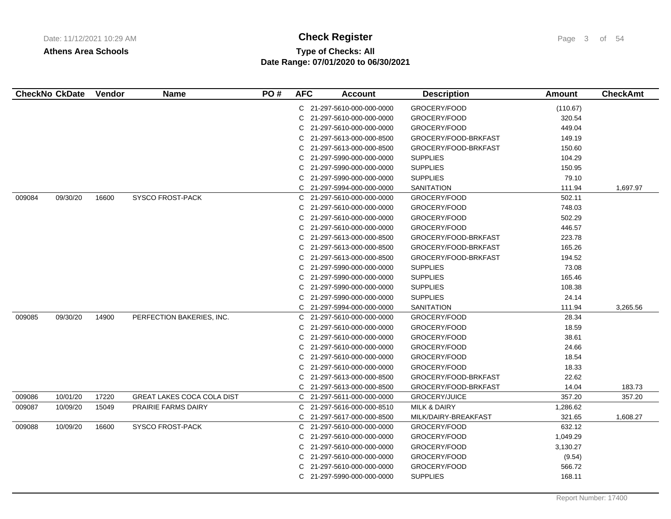# **Type of Checks: All 11/12/2021 10:20:20 AM Check Register** Page 3 of 54 **Date Range: 07/01/2020 to 06/30/2021**

|        | <b>CheckNo CkDate</b> | <b>Vendor</b> | <b>Name</b>                       | PO# | <b>AFC</b> | <b>Account</b>             | <b>Description</b>      | Amount   | <b>CheckAmt</b> |
|--------|-----------------------|---------------|-----------------------------------|-----|------------|----------------------------|-------------------------|----------|-----------------|
|        |                       |               |                                   |     |            | C 21-297-5610-000-000-0000 | GROCERY/FOOD            | (110.67) |                 |
|        |                       |               |                                   |     | C.         | 21-297-5610-000-000-0000   | GROCERY/FOOD            | 320.54   |                 |
|        |                       |               |                                   |     | C.         | 21-297-5610-000-000-0000   | GROCERY/FOOD            | 449.04   |                 |
|        |                       |               |                                   |     | C          | 21-297-5613-000-000-8500   | GROCERY/FOOD-BRKFAST    | 149.19   |                 |
|        |                       |               |                                   |     | C          | 21-297-5613-000-000-8500   | GROCERY/FOOD-BRKFAST    | 150.60   |                 |
|        |                       |               |                                   |     | C.         | 21-297-5990-000-000-0000   | <b>SUPPLIES</b>         | 104.29   |                 |
|        |                       |               |                                   |     | C.         | 21-297-5990-000-000-0000   | <b>SUPPLIES</b>         | 150.95   |                 |
|        |                       |               |                                   |     | C          | 21-297-5990-000-000-0000   | <b>SUPPLIES</b>         | 79.10    |                 |
|        |                       |               |                                   |     | C          | 21-297-5994-000-000-0000   | SANITATION              | 111.94   | 1,697.97        |
| 009084 | 09/30/20              | 16600         | <b>SYSCO FROST-PACK</b>           |     |            | C 21-297-5610-000-000-0000 | GROCERY/FOOD            | 502.11   |                 |
|        |                       |               |                                   |     | C          | 21-297-5610-000-000-0000   | GROCERY/FOOD            | 748.03   |                 |
|        |                       |               |                                   |     | С          | 21-297-5610-000-000-0000   | GROCERY/FOOD            | 502.29   |                 |
|        |                       |               |                                   |     | C.         | 21-297-5610-000-000-0000   | GROCERY/FOOD            | 446.57   |                 |
|        |                       |               |                                   |     | C.         | 21-297-5613-000-000-8500   | GROCERY/FOOD-BRKFAST    | 223.78   |                 |
|        |                       |               |                                   |     | C          | 21-297-5613-000-000-8500   | GROCERY/FOOD-BRKFAST    | 165.26   |                 |
|        |                       |               |                                   |     | C.         | 21-297-5613-000-000-8500   | GROCERY/FOOD-BRKFAST    | 194.52   |                 |
|        |                       |               |                                   |     | C.         | 21-297-5990-000-000-0000   | <b>SUPPLIES</b>         | 73.08    |                 |
|        |                       |               |                                   |     | C          | 21-297-5990-000-000-0000   | <b>SUPPLIES</b>         | 165.46   |                 |
|        |                       |               |                                   |     | С          | 21-297-5990-000-000-0000   | <b>SUPPLIES</b>         | 108.38   |                 |
|        |                       |               |                                   |     | C.         | 21-297-5990-000-000-0000   | <b>SUPPLIES</b>         | 24.14    |                 |
|        |                       |               |                                   |     | C          | 21-297-5994-000-000-0000   | <b>SANITATION</b>       | 111.94   | 3,265.56        |
| 009085 | 09/30/20              | 14900         | PERFECTION BAKERIES, INC.         |     | C          | 21-297-5610-000-000-0000   | GROCERY/FOOD            | 28.34    |                 |
|        |                       |               |                                   |     | С          | 21-297-5610-000-000-0000   | GROCERY/FOOD            | 18.59    |                 |
|        |                       |               |                                   |     | C          | 21-297-5610-000-000-0000   | GROCERY/FOOD            | 38.61    |                 |
|        |                       |               |                                   |     | С          | 21-297-5610-000-000-0000   | GROCERY/FOOD            | 24.66    |                 |
|        |                       |               |                                   |     | С          | 21-297-5610-000-000-0000   | GROCERY/FOOD            | 18.54    |                 |
|        |                       |               |                                   |     | C.         | 21-297-5610-000-000-0000   | GROCERY/FOOD            | 18.33    |                 |
|        |                       |               |                                   |     | С          | 21-297-5613-000-000-8500   | GROCERY/FOOD-BRKFAST    | 22.62    |                 |
|        |                       |               |                                   |     |            | C 21-297-5613-000-000-8500 | GROCERY/FOOD-BRKFAST    | 14.04    | 183.73          |
| 009086 | 10/01/20              | 17220         | <b>GREAT LAKES COCA COLA DIST</b> |     |            | C 21-297-5611-000-000-0000 | GROCERY/JUICE           | 357.20   | 357.20          |
| 009087 | 10/09/20              | 15049         | PRAIRIE FARMS DAIRY               |     | C          | 21-297-5616-000-000-8510   | <b>MILK &amp; DAIRY</b> | 1,286.62 |                 |
|        |                       |               |                                   |     | C          | 21-297-5617-000-000-8500   | MILK/DAIRY-BREAKFAST    | 321.65   | 1,608.27        |
| 009088 | 10/09/20              | 16600         | <b>SYSCO FROST-PACK</b>           |     | C.         | 21-297-5610-000-000-0000   | GROCERY/FOOD            | 632.12   |                 |
|        |                       |               |                                   |     |            | C 21-297-5610-000-000-0000 | GROCERY/FOOD            | 1,049.29 |                 |
|        |                       |               |                                   |     | С          | 21-297-5610-000-000-0000   | GROCERY/FOOD            | 3,130.27 |                 |
|        |                       |               |                                   |     | C.         | 21-297-5610-000-000-0000   | GROCERY/FOOD            | (9.54)   |                 |
|        |                       |               |                                   |     | С          | 21-297-5610-000-000-0000   | GROCERY/FOOD            | 566.72   |                 |
|        |                       |               |                                   |     | C.         | 21-297-5990-000-000-0000   | <b>SUPPLIES</b>         | 168.11   |                 |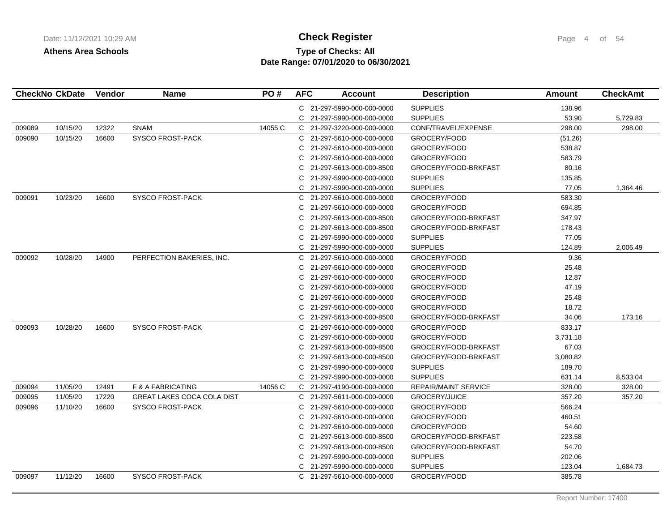# **Type of Checks: All Check Register Check Register Page 4 of 54 Date Range: 07/01/2020 to 06/30/2021**

|        | <b>CheckNo CkDate</b> | <b>Vendor</b> | <b>Name</b>                       | PO#     | <b>AFC</b>   | <b>Account</b>             | <b>Description</b>   | Amount   | <b>CheckAmt</b> |
|--------|-----------------------|---------------|-----------------------------------|---------|--------------|----------------------------|----------------------|----------|-----------------|
|        |                       |               |                                   |         |              | C 21-297-5990-000-000-0000 | <b>SUPPLIES</b>      | 138.96   |                 |
|        |                       |               |                                   |         |              | C 21-297-5990-000-000-0000 | <b>SUPPLIES</b>      | 53.90    | 5,729.83        |
| 009089 | 10/15/20              | 12322         | <b>SNAM</b>                       | 14055 C |              | C 21-297-3220-000-000-0000 | CONF/TRAVEL/EXPENSE  | 298.00   | 298.00          |
| 009090 | 10/15/20              | 16600         | <b>SYSCO FROST-PACK</b>           |         |              | C 21-297-5610-000-000-0000 | GROCERY/FOOD         | (51.26)  |                 |
|        |                       |               |                                   |         |              | C 21-297-5610-000-000-0000 | GROCERY/FOOD         | 538.87   |                 |
|        |                       |               |                                   |         | C.           | 21-297-5610-000-000-0000   | GROCERY/FOOD         | 583.79   |                 |
|        |                       |               |                                   |         | C.           | 21-297-5613-000-000-8500   | GROCERY/FOOD-BRKFAST | 80.16    |                 |
|        |                       |               |                                   |         | C.           | 21-297-5990-000-000-0000   | <b>SUPPLIES</b>      | 135.85   |                 |
|        |                       |               |                                   |         | $\mathsf{C}$ | 21-297-5990-000-000-0000   | <b>SUPPLIES</b>      | 77.05    | 1,364.46        |
| 009091 | 10/23/20              | 16600         | <b>SYSCO FROST-PACK</b>           |         |              | C 21-297-5610-000-000-0000 | GROCERY/FOOD         | 583.30   |                 |
|        |                       |               |                                   |         | C.           | 21-297-5610-000-000-0000   | GROCERY/FOOD         | 694.85   |                 |
|        |                       |               |                                   |         | C.           | 21-297-5613-000-000-8500   | GROCERY/FOOD-BRKFAST | 347.97   |                 |
|        |                       |               |                                   |         | C.           | 21-297-5613-000-000-8500   | GROCERY/FOOD-BRKFAST | 178.43   |                 |
|        |                       |               |                                   |         |              | C 21-297-5990-000-000-0000 | <b>SUPPLIES</b>      | 77.05    |                 |
|        |                       |               |                                   |         |              | C 21-297-5990-000-000-0000 | <b>SUPPLIES</b>      | 124.89   | 2,006.49        |
| 009092 | 10/28/20              | 14900         | PERFECTION BAKERIES, INC.         |         |              | C 21-297-5610-000-000-0000 | GROCERY/FOOD         | 9.36     |                 |
|        |                       |               |                                   |         | C.           | 21-297-5610-000-000-0000   | GROCERY/FOOD         | 25.48    |                 |
|        |                       |               |                                   |         | C.           | 21-297-5610-000-000-0000   | GROCERY/FOOD         | 12.87    |                 |
|        |                       |               |                                   |         | C.           | 21-297-5610-000-000-0000   | GROCERY/FOOD         | 47.19    |                 |
|        |                       |               |                                   |         | C.           | 21-297-5610-000-000-0000   | GROCERY/FOOD         | 25.48    |                 |
|        |                       |               |                                   |         | C.           | 21-297-5610-000-000-0000   | GROCERY/FOOD         | 18.72    |                 |
|        |                       |               |                                   |         |              | C 21-297-5613-000-000-8500 | GROCERY/FOOD-BRKFAST | 34.06    | 173.16          |
| 009093 | 10/28/20              | 16600         | <b>SYSCO FROST-PACK</b>           |         | C.           | 21-297-5610-000-000-0000   | GROCERY/FOOD         | 833.17   |                 |
|        |                       |               |                                   |         |              | C 21-297-5610-000-000-0000 | GROCERY/FOOD         | 3,731.18 |                 |
|        |                       |               |                                   |         | C.           | 21-297-5613-000-000-8500   | GROCERY/FOOD-BRKFAST | 67.03    |                 |
|        |                       |               |                                   |         | C.           | 21-297-5613-000-000-8500   | GROCERY/FOOD-BRKFAST | 3,080.82 |                 |
|        |                       |               |                                   |         | C.           | 21-297-5990-000-000-0000   | <b>SUPPLIES</b>      | 189.70   |                 |
|        |                       |               |                                   |         | C.           | 21-297-5990-000-000-0000   | <b>SUPPLIES</b>      | 631.14   | 8,533.04        |
| 009094 | 11/05/20              | 12491         | F & A FABRICATING                 | 14056 C |              | C 21-297-4190-000-000-0000 | REPAIR/MAINT SERVICE | 328.00   | 328.00          |
| 009095 | 11/05/20              | 17220         | <b>GREAT LAKES COCA COLA DIST</b> |         |              | C 21-297-5611-000-000-0000 | GROCERY/JUICE        | 357.20   | 357.20          |
| 009096 | 11/10/20              | 16600         | SYSCO FROST-PACK                  |         |              | C 21-297-5610-000-000-0000 | GROCERY/FOOD         | 566.24   |                 |
|        |                       |               |                                   |         | C.           | 21-297-5610-000-000-0000   | GROCERY/FOOD         | 460.51   |                 |
|        |                       |               |                                   |         | C.           | 21-297-5610-000-000-0000   | GROCERY/FOOD         | 54.60    |                 |
|        |                       |               |                                   |         | C.           | 21-297-5613-000-000-8500   | GROCERY/FOOD-BRKFAST | 223.58   |                 |
|        |                       |               |                                   |         | C.           | 21-297-5613-000-000-8500   | GROCERY/FOOD-BRKFAST | 54.70    |                 |
|        |                       |               |                                   |         | C.           | 21-297-5990-000-000-0000   | <b>SUPPLIES</b>      | 202.06   |                 |
|        |                       |               |                                   |         |              | C 21-297-5990-000-000-0000 | <b>SUPPLIES</b>      | 123.04   | 1,684.73        |
| 009097 | 11/12/20              | 16600         | SYSCO FROST-PACK                  |         |              | C 21-297-5610-000-000-0000 | GROCERY/FOOD         | 385.78   |                 |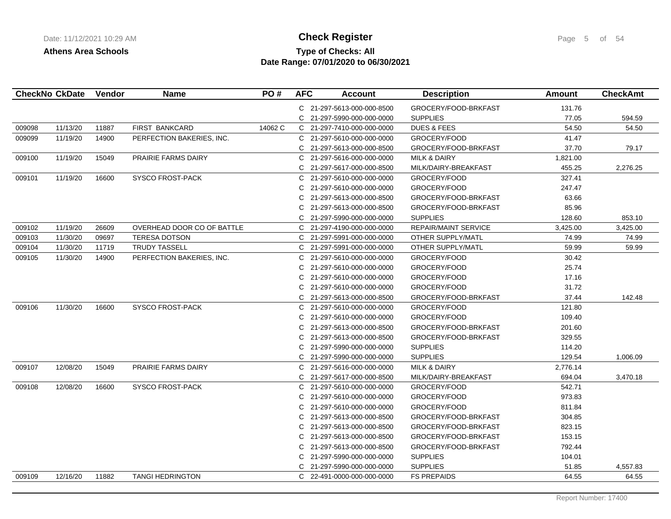# **Type of Checks: All 11/12/2021 10:20:20 AM Check Register** Page 5 of 54 **Date Range: 07/01/2020 to 06/30/2021**

|        |          |       |                            |         |    | C 21-297-5613-000-000-8500 | GROCERY/FOOD-BRKFAST        | 131.76   |          |
|--------|----------|-------|----------------------------|---------|----|----------------------------|-----------------------------|----------|----------|
|        |          |       |                            |         |    | C 21-297-5990-000-000-0000 | <b>SUPPLIES</b>             | 77.05    | 594.59   |
| 009098 | 11/13/20 | 11887 | <b>FIRST BANKCARD</b>      | 14062 C |    | C 21-297-7410-000-000-0000 | <b>DUES &amp; FEES</b>      | 54.50    | 54.50    |
| 009099 | 11/19/20 | 14900 | PERFECTION BAKERIES, INC.  |         |    | C 21-297-5610-000-000-0000 | GROCERY/FOOD                | 41.47    |          |
|        |          |       |                            |         |    | C 21-297-5613-000-000-8500 | GROCERY/FOOD-BRKFAST        | 37.70    | 79.17    |
| 009100 | 11/19/20 | 15049 | <b>PRAIRIE FARMS DAIRY</b> |         |    | C 21-297-5616-000-000-0000 | <b>MILK &amp; DAIRY</b>     | 1,821.00 |          |
|        |          |       |                            |         | C  | 21-297-5617-000-000-8500   | MILK/DAIRY-BREAKFAST        | 455.25   | 2,276.25 |
| 009101 | 11/19/20 | 16600 | <b>SYSCO FROST-PACK</b>    |         | C. | 21-297-5610-000-000-0000   | GROCERY/FOOD                | 327.41   |          |
|        |          |       |                            |         | C  | 21-297-5610-000-000-0000   | GROCERY/FOOD                | 247.47   |          |
|        |          |       |                            |         | C  | 21-297-5613-000-000-8500   | GROCERY/FOOD-BRKFAST        | 63.66    |          |
|        |          |       |                            |         | C  | 21-297-5613-000-000-8500   | GROCERY/FOOD-BRKFAST        | 85.96    |          |
|        |          |       |                            |         | C  | 21-297-5990-000-000-0000   | <b>SUPPLIES</b>             | 128.60   | 853.10   |
| 009102 | 11/19/20 | 26609 | OVERHEAD DOOR CO OF BATTLE |         |    | C 21-297-4190-000-000-0000 | <b>REPAIR/MAINT SERVICE</b> | 3,425.00 | 3,425.00 |
| 009103 | 11/30/20 | 09697 | <b>TERESA DOTSON</b>       |         |    | C 21-297-5991-000-000-0000 | OTHER SUPPLY/MATL           | 74.99    | 74.99    |
| 009104 | 11/30/20 | 11719 | <b>TRUDY TASSELL</b>       |         |    | C 21-297-5991-000-000-0000 | OTHER SUPPLY/MATL           | 59.99    | 59.99    |
| 009105 | 11/30/20 | 14900 | PERFECTION BAKERIES, INC.  |         | C  | 21-297-5610-000-000-0000   | GROCERY/FOOD                | 30.42    |          |
|        |          |       |                            |         | C  | 21-297-5610-000-000-0000   | GROCERY/FOOD                | 25.74    |          |
|        |          |       |                            |         | C  | 21-297-5610-000-000-0000   | GROCERY/FOOD                | 17.16    |          |
|        |          |       |                            |         | C  | 21-297-5610-000-000-0000   | GROCERY/FOOD                | 31.72    |          |
|        |          |       |                            |         |    | C 21-297-5613-000-000-8500 | GROCERY/FOOD-BRKFAST        | 37.44    | 142.48   |
| 009106 | 11/30/20 | 16600 | <b>SYSCO FROST-PACK</b>    |         | C  | 21-297-5610-000-000-0000   | GROCERY/FOOD                | 121.80   |          |
|        |          |       |                            |         | C  | 21-297-5610-000-000-0000   | GROCERY/FOOD                | 109.40   |          |
|        |          |       |                            |         | C  | 21-297-5613-000-000-8500   | GROCERY/FOOD-BRKFAST        | 201.60   |          |
|        |          |       |                            |         | C  | 21-297-5613-000-000-8500   | GROCERY/FOOD-BRKFAST        | 329.55   |          |
|        |          |       |                            |         | C  | 21-297-5990-000-000-0000   | <b>SUPPLIES</b>             | 114.20   |          |
|        |          |       |                            |         | C  | 21-297-5990-000-000-0000   | <b>SUPPLIES</b>             | 129.54   | 1,006.09 |
| 009107 | 12/08/20 | 15049 | PRAIRIE FARMS DAIRY        |         |    | C 21-297-5616-000-000-0000 | <b>MILK &amp; DAIRY</b>     | 2,776.14 |          |
|        |          |       |                            |         | C  | 21-297-5617-000-000-8500   | MILK/DAIRY-BREAKFAST        | 694.04   | 3,470.18 |
| 009108 | 12/08/20 | 16600 | SYSCO FROST-PACK           |         | C  | 21-297-5610-000-000-0000   | GROCERY/FOOD                | 542.71   |          |
|        |          |       |                            |         | C  | 21-297-5610-000-000-0000   | GROCERY/FOOD                | 973.83   |          |
|        |          |       |                            |         | C  | 21-297-5610-000-000-0000   | GROCERY/FOOD                | 811.84   |          |
|        |          |       |                            |         | C  | 21-297-5613-000-000-8500   | GROCERY/FOOD-BRKFAST        | 304.85   |          |
|        |          |       |                            |         | C  | 21-297-5613-000-000-8500   | GROCERY/FOOD-BRKFAST        | 823.15   |          |
|        |          |       |                            |         | C  | 21-297-5613-000-000-8500   | GROCERY/FOOD-BRKFAST        | 153.15   |          |
|        |          |       |                            |         | C  | 21-297-5613-000-000-8500   | GROCERY/FOOD-BRKFAST        | 792.44   |          |
|        |          |       |                            |         | C  | 21-297-5990-000-000-0000   | <b>SUPPLIES</b>             | 104.01   |          |
|        |          |       |                            |         | C  | 21-297-5990-000-000-0000   | <b>SUPPLIES</b>             | 51.85    | 4,557.83 |
| 009109 | 12/16/20 | 11882 | <b>TANGI HEDRINGTON</b>    |         |    | C 22-491-0000-000-000-0000 | <b>FS PREPAIDS</b>          | 64.55    | 64.55    |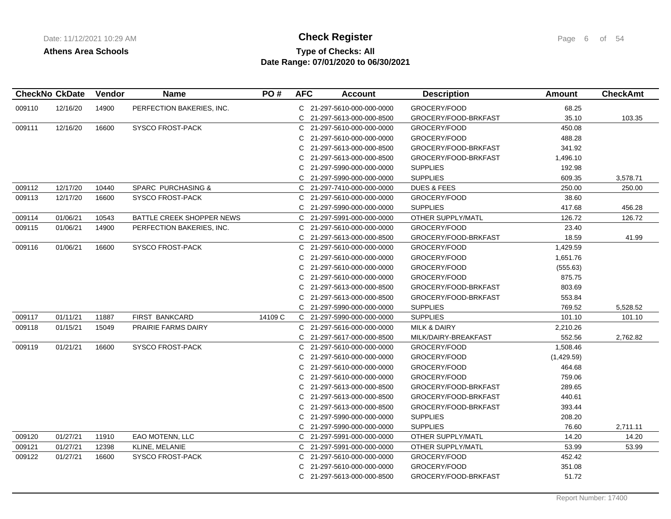# **Type of Checks: All 11/12/2021 10:20:20 AM Check Register** Page 6 of 54 **Date Range: 07/01/2020 to 06/30/2021**

|        | <b>CheckNo CkDate</b> | Vendor | <b>Name</b>               | PO#     | <b>AFC</b> | <b>Account</b>             | <b>Description</b>      | Amount     | <b>CheckAmt</b> |
|--------|-----------------------|--------|---------------------------|---------|------------|----------------------------|-------------------------|------------|-----------------|
| 009110 | 12/16/20              | 14900  | PERFECTION BAKERIES, INC. |         |            | C 21-297-5610-000-000-0000 | GROCERY/FOOD            | 68.25      |                 |
|        |                       |        |                           |         |            | C 21-297-5613-000-000-8500 | GROCERY/FOOD-BRKFAST    | 35.10      | 103.35          |
| 009111 | 12/16/20              | 16600  | SYSCO FROST-PACK          |         |            | C 21-297-5610-000-000-0000 | GROCERY/FOOD            | 450.08     |                 |
|        |                       |        |                           |         |            | C 21-297-5610-000-000-0000 | GROCERY/FOOD            | 488.28     |                 |
|        |                       |        |                           |         | C.         | 21-297-5613-000-000-8500   | GROCERY/FOOD-BRKFAST    | 341.92     |                 |
|        |                       |        |                           |         | C.         | 21-297-5613-000-000-8500   | GROCERY/FOOD-BRKFAST    | 1,496.10   |                 |
|        |                       |        |                           |         | C.         | 21-297-5990-000-000-0000   | <b>SUPPLIES</b>         | 192.98     |                 |
|        |                       |        |                           |         |            | C 21-297-5990-000-000-0000 | <b>SUPPLIES</b>         | 609.35     | 3,578.71        |
| 009112 | 12/17/20              | 10440  | SPARC PURCHASING &        |         | C.         | 21-297-7410-000-000-0000   | <b>DUES &amp; FEES</b>  | 250.00     | 250.00          |
| 009113 | 12/17/20              | 16600  | <b>SYSCO FROST-PACK</b>   |         | C          | 21-297-5610-000-000-0000   | GROCERY/FOOD            | 38.60      |                 |
|        |                       |        |                           |         | C.         | 21-297-5990-000-000-0000   | <b>SUPPLIES</b>         | 417.68     | 456.28          |
| 009114 | 01/06/21              | 10543  | BATTLE CREEK SHOPPER NEWS |         |            | C 21-297-5991-000-000-0000 | OTHER SUPPLY/MATL       | 126.72     | 126.72          |
| 009115 | 01/06/21              | 14900  | PERFECTION BAKERIES, INC. |         | C.         | 21-297-5610-000-000-0000   | GROCERY/FOOD            | 23.40      |                 |
|        |                       |        |                           |         | C.         | 21-297-5613-000-000-8500   | GROCERY/FOOD-BRKFAST    | 18.59      | 41.99           |
| 009116 | 01/06/21              | 16600  | <b>SYSCO FROST-PACK</b>   |         | C.         | 21-297-5610-000-000-0000   | GROCERY/FOOD            | 1,429.59   |                 |
|        |                       |        |                           |         | C          | 21-297-5610-000-000-0000   | GROCERY/FOOD            | 1,651.76   |                 |
|        |                       |        |                           |         | C          | 21-297-5610-000-000-0000   | GROCERY/FOOD            | (555.63)   |                 |
|        |                       |        |                           |         | C          | 21-297-5610-000-000-0000   | GROCERY/FOOD            | 875.75     |                 |
|        |                       |        |                           |         | C          | 21-297-5613-000-000-8500   | GROCERY/FOOD-BRKFAST    | 803.69     |                 |
|        |                       |        |                           |         | C          | 21-297-5613-000-000-8500   | GROCERY/FOOD-BRKFAST    | 553.84     |                 |
|        |                       |        |                           |         |            | C 21-297-5990-000-000-0000 | <b>SUPPLIES</b>         | 769.52     | 5,528.52        |
| 009117 | 01/11/21              | 11887  | <b>FIRST BANKCARD</b>     | 14109 C |            | C 21-297-5990-000-000-0000 | <b>SUPPLIES</b>         | 101.10     | 101.10          |
| 009118 | 01/15/21              | 15049  | PRAIRIE FARMS DAIRY       |         |            | C 21-297-5616-000-000-0000 | <b>MILK &amp; DAIRY</b> | 2,210.26   |                 |
|        |                       |        |                           |         |            | C 21-297-5617-000-000-8500 | MILK/DAIRY-BREAKFAST    | 552.56     | 2,762.82        |
| 009119 | 01/21/21              | 16600  | <b>SYSCO FROST-PACK</b>   |         |            | C 21-297-5610-000-000-0000 | GROCERY/FOOD            | 1,508.46   |                 |
|        |                       |        |                           |         | C.         | 21-297-5610-000-000-0000   | GROCERY/FOOD            | (1,429.59) |                 |
|        |                       |        |                           |         | C.         | 21-297-5610-000-000-0000   | GROCERY/FOOD            | 464.68     |                 |
|        |                       |        |                           |         | C.         | 21-297-5610-000-000-0000   | GROCERY/FOOD            | 759.06     |                 |
|        |                       |        |                           |         |            | C 21-297-5613-000-000-8500 | GROCERY/FOOD-BRKFAST    | 289.65     |                 |
|        |                       |        |                           |         | C          | 21-297-5613-000-000-8500   | GROCERY/FOOD-BRKFAST    | 440.61     |                 |
|        |                       |        |                           |         | C.         | 21-297-5613-000-000-8500   | GROCERY/FOOD-BRKFAST    | 393.44     |                 |
|        |                       |        |                           |         | C          | 21-297-5990-000-000-0000   | <b>SUPPLIES</b>         | 208.20     |                 |
|        |                       |        |                           |         |            | C 21-297-5990-000-000-0000 | <b>SUPPLIES</b>         | 76.60      | 2,711.11        |
| 009120 | 01/27/21              | 11910  | EAO MOTENN, LLC           |         | C.         | 21-297-5991-000-000-0000   | OTHER SUPPLY/MATL       | 14.20      | 14.20           |
| 009121 | 01/27/21              | 12398  | KLINE, MELANIE            |         | C.         | 21-297-5991-000-000-0000   | OTHER SUPPLY/MATL       | 53.99      | 53.99           |
| 009122 | 01/27/21              | 16600  | <b>SYSCO FROST-PACK</b>   |         | C.         | 21-297-5610-000-000-0000   | GROCERY/FOOD            | 452.42     |                 |
|        |                       |        |                           |         | C.         | 21-297-5610-000-000-0000   | GROCERY/FOOD            | 351.08     |                 |
|        |                       |        |                           |         |            | C 21-297-5613-000-000-8500 | GROCERY/FOOD-BRKFAST    | 51.72      |                 |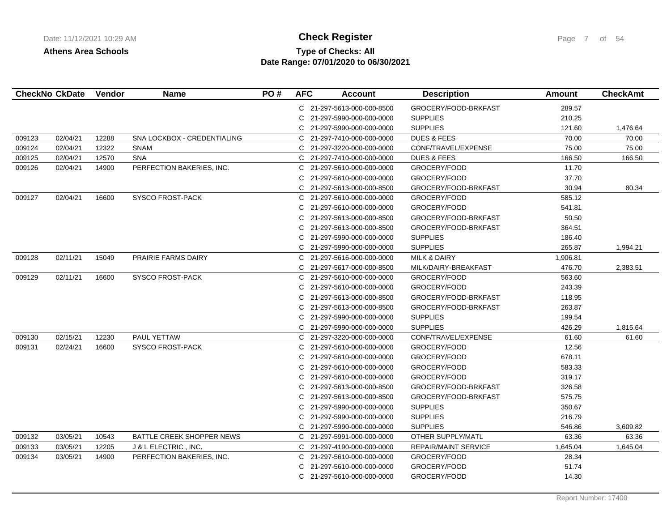# **Type of Checks: All 11/12/2021 10:20:20 AM Check Register** Page 7 of 54 **Date Range: 07/01/2020 to 06/30/2021**

|        | <b>CheckNo CkDate</b> | Vendor | <b>Name</b>                 | PO# | <b>AFC</b>   | <b>Account</b>             | <b>Description</b>      | <b>Amount</b> | <b>CheckAmt</b> |
|--------|-----------------------|--------|-----------------------------|-----|--------------|----------------------------|-------------------------|---------------|-----------------|
|        |                       |        |                             |     |              | C 21-297-5613-000-000-8500 | GROCERY/FOOD-BRKFAST    | 289.57        |                 |
|        |                       |        |                             |     |              | C 21-297-5990-000-000-0000 | <b>SUPPLIES</b>         | 210.25        |                 |
|        |                       |        |                             |     | C            | 21-297-5990-000-000-0000   | <b>SUPPLIES</b>         | 121.60        | 1,476.64        |
| 009123 | 02/04/21              | 12288  | SNA LOCKBOX - CREDENTIALING |     |              | C 21-297-7410-000-000-0000 | <b>DUES &amp; FEES</b>  | 70.00         | 70.00           |
| 009124 | 02/04/21              | 12322  | <b>SNAM</b>                 |     |              | C 21-297-3220-000-000-0000 | CONF/TRAVEL/EXPENSE     | 75.00         | 75.00           |
| 009125 | 02/04/21              | 12570  | <b>SNA</b>                  |     |              | C 21-297-7410-000-000-0000 | <b>DUES &amp; FEES</b>  | 166.50        | 166.50          |
| 009126 | 02/04/21              | 14900  | PERFECTION BAKERIES, INC.   |     | C            | 21-297-5610-000-000-0000   | GROCERY/FOOD            | 11.70         |                 |
|        |                       |        |                             |     | C            | 21-297-5610-000-000-0000   | GROCERY/FOOD            | 37.70         |                 |
|        |                       |        |                             |     |              | C 21-297-5613-000-000-8500 | GROCERY/FOOD-BRKFAST    | 30.94         | 80.34           |
| 009127 | 02/04/21              | 16600  | SYSCO FROST-PACK            |     |              | C 21-297-5610-000-000-0000 | GROCERY/FOOD            | 585.12        |                 |
|        |                       |        |                             |     | C            | 21-297-5610-000-000-0000   | GROCERY/FOOD            | 541.81        |                 |
|        |                       |        |                             |     | C            | 21-297-5613-000-000-8500   | GROCERY/FOOD-BRKFAST    | 50.50         |                 |
|        |                       |        |                             |     | С            | 21-297-5613-000-000-8500   | GROCERY/FOOD-BRKFAST    | 364.51        |                 |
|        |                       |        |                             |     | C.           | 21-297-5990-000-000-0000   | <b>SUPPLIES</b>         | 186.40        |                 |
|        |                       |        |                             |     | C            | 21-297-5990-000-000-0000   | <b>SUPPLIES</b>         | 265.87        | 1,994.21        |
| 009128 | 02/11/21              | 15049  | <b>PRAIRIE FARMS DAIRY</b>  |     | C.           | 21-297-5616-000-000-0000   | <b>MILK &amp; DAIRY</b> | 1,906.81      |                 |
|        |                       |        |                             |     |              | C 21-297-5617-000-000-8500 | MILK/DAIRY-BREAKFAST    | 476.70        | 2,383.51        |
| 009129 | 02/11/21              | 16600  | <b>SYSCO FROST-PACK</b>     |     |              | C 21-297-5610-000-000-0000 | GROCERY/FOOD            | 563.60        |                 |
|        |                       |        |                             |     |              | C 21-297-5610-000-000-0000 | GROCERY/FOOD            | 243.39        |                 |
|        |                       |        |                             |     | C.           | 21-297-5613-000-000-8500   | GROCERY/FOOD-BRKFAST    | 118.95        |                 |
|        |                       |        |                             |     | C            | 21-297-5613-000-000-8500   | GROCERY/FOOD-BRKFAST    | 263.87        |                 |
|        |                       |        |                             |     | C            | 21-297-5990-000-000-0000   | <b>SUPPLIES</b>         | 199.54        |                 |
|        |                       |        |                             |     |              | C 21-297-5990-000-000-0000 | <b>SUPPLIES</b>         | 426.29        | 1,815.64        |
| 009130 | 02/15/21              | 12230  | PAUL YETTAW                 |     | C            | 21-297-3220-000-000-0000   | CONF/TRAVEL/EXPENSE     | 61.60         | 61.60           |
| 009131 | 02/24/21              | 16600  | <b>SYSCO FROST-PACK</b>     |     | C            | 21-297-5610-000-000-0000   | GROCERY/FOOD            | 12.56         |                 |
|        |                       |        |                             |     | C            | 21-297-5610-000-000-0000   | GROCERY/FOOD            | 678.11        |                 |
|        |                       |        |                             |     | C            | 21-297-5610-000-000-0000   | GROCERY/FOOD            | 583.33        |                 |
|        |                       |        |                             |     | C            | 21-297-5610-000-000-0000   | GROCERY/FOOD            | 319.17        |                 |
|        |                       |        |                             |     | C            | 21-297-5613-000-000-8500   | GROCERY/FOOD-BRKFAST    | 326.58        |                 |
|        |                       |        |                             |     | C            | 21-297-5613-000-000-8500   | GROCERY/FOOD-BRKFAST    | 575.75        |                 |
|        |                       |        |                             |     | C            | 21-297-5990-000-000-0000   | <b>SUPPLIES</b>         | 350.67        |                 |
|        |                       |        |                             |     | C            | 21-297-5990-000-000-0000   | <b>SUPPLIES</b>         | 216.79        |                 |
|        |                       |        |                             |     | C            | 21-297-5990-000-000-0000   | <b>SUPPLIES</b>         | 546.86        | 3,609.82        |
| 009132 | 03/05/21              | 10543  | BATTLE CREEK SHOPPER NEWS   |     | $\mathsf{C}$ | 21-297-5991-000-000-0000   | OTHER SUPPLY/MATL       | 63.36         | 63.36           |
| 009133 | 03/05/21              | 12205  | J & L ELECTRIC, INC.        |     |              | C 21-297-4190-000-000-0000 | REPAIR/MAINT SERVICE    | 1,645.04      | 1,645.04        |
| 009134 | 03/05/21              | 14900  | PERFECTION BAKERIES, INC.   |     |              | C 21-297-5610-000-000-0000 | GROCERY/FOOD            | 28.34         |                 |
|        |                       |        |                             |     | C.           | 21-297-5610-000-000-0000   | GROCERY/FOOD            | 51.74         |                 |
|        |                       |        |                             |     |              | C 21-297-5610-000-000-0000 | GROCERY/FOOD            | 14.30         |                 |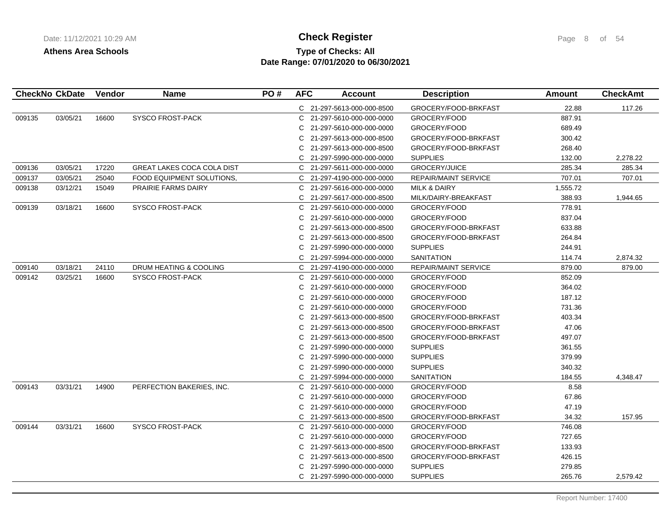# **Type of Checks: All Check Register Check Register Page 8 of 54 Date Range: 07/01/2020 to 06/30/2021**

| <b>CheckNo CkDate</b> |          | <b>Vendor</b> | <b>Name</b>                       | PO# | <b>AFC</b> | <b>Account</b>             | <b>Description</b>          | Amount   | <b>CheckAmt</b> |
|-----------------------|----------|---------------|-----------------------------------|-----|------------|----------------------------|-----------------------------|----------|-----------------|
|                       |          |               |                                   |     |            | C 21-297-5613-000-000-8500 | GROCERY/FOOD-BRKFAST        | 22.88    | 117.26          |
| 009135                | 03/05/21 | 16600         | <b>SYSCO FROST-PACK</b>           |     | C          | 21-297-5610-000-000-0000   | GROCERY/FOOD                | 887.91   |                 |
|                       |          |               |                                   |     | C.         | 21-297-5610-000-000-0000   | GROCERY/FOOD                | 689.49   |                 |
|                       |          |               |                                   |     | C          | 21-297-5613-000-000-8500   | GROCERY/FOOD-BRKFAST        | 300.42   |                 |
|                       |          |               |                                   |     | C          | 21-297-5613-000-000-8500   | GROCERY/FOOD-BRKFAST        | 268.40   |                 |
|                       |          |               |                                   |     |            | 21-297-5990-000-000-0000   | <b>SUPPLIES</b>             | 132.00   | 2,278.22        |
| 009136                | 03/05/21 | 17220         | <b>GREAT LAKES COCA COLA DIST</b> |     |            | C 21-297-5611-000-000-0000 | <b>GROCERY/JUICE</b>        | 285.34   | 285.34          |
| 009137                | 03/05/21 | 25040         | FOOD EQUIPMENT SOLUTIONS.         |     |            | C 21-297-4190-000-000-0000 | <b>REPAIR/MAINT SERVICE</b> | 707.01   | 707.01          |
| 009138                | 03/12/21 | 15049         | <b>PRAIRIE FARMS DAIRY</b>        |     |            | C 21-297-5616-000-000-0000 | <b>MILK &amp; DAIRY</b>     | 1,555.72 |                 |
|                       |          |               |                                   |     |            | C 21-297-5617-000-000-8500 | MILK/DAIRY-BREAKFAST        | 388.93   | 1,944.65        |
| 009139                | 03/18/21 | 16600         | <b>SYSCO FROST-PACK</b>           |     |            | C 21-297-5610-000-000-0000 | GROCERY/FOOD                | 778.91   |                 |
|                       |          |               |                                   |     |            | 21-297-5610-000-000-0000   | GROCERY/FOOD                | 837.04   |                 |
|                       |          |               |                                   |     | C          | 21-297-5613-000-000-8500   | GROCERY/FOOD-BRKFAST        | 633.88   |                 |
|                       |          |               |                                   |     | C          | 21-297-5613-000-000-8500   | GROCERY/FOOD-BRKFAST        | 264.84   |                 |
|                       |          |               |                                   |     | C          | 21-297-5990-000-000-0000   | <b>SUPPLIES</b>             | 244.91   |                 |
|                       |          |               |                                   |     |            | C 21-297-5994-000-000-0000 | <b>SANITATION</b>           | 114.74   | 2,874.32        |
| 009140                | 03/18/21 | 24110         | DRUM HEATING & COOLING            |     |            | C 21-297-4190-000-000-0000 | REPAIR/MAINT SERVICE        | 879.00   | 879.00          |
| 009142                | 03/25/21 | 16600         | <b>SYSCO FROST-PACK</b>           |     | C          | 21-297-5610-000-000-0000   | GROCERY/FOOD                | 852.09   |                 |
|                       |          |               |                                   |     | C          | 21-297-5610-000-000-0000   | GROCERY/FOOD                | 364.02   |                 |
|                       |          |               |                                   |     | C          | 21-297-5610-000-000-0000   | GROCERY/FOOD                | 187.12   |                 |
|                       |          |               |                                   |     | C          | 21-297-5610-000-000-0000   | GROCERY/FOOD                | 731.36   |                 |
|                       |          |               |                                   |     | C          | 21-297-5613-000-000-8500   | GROCERY/FOOD-BRKFAST        | 403.34   |                 |
|                       |          |               |                                   |     |            | 21-297-5613-000-000-8500   | GROCERY/FOOD-BRKFAST        | 47.06    |                 |
|                       |          |               |                                   |     |            | 21-297-5613-000-000-8500   | GROCERY/FOOD-BRKFAST        | 497.07   |                 |
|                       |          |               |                                   |     | C          | 21-297-5990-000-000-0000   | <b>SUPPLIES</b>             | 361.55   |                 |
|                       |          |               |                                   |     | C          | 21-297-5990-000-000-0000   | <b>SUPPLIES</b>             | 379.99   |                 |
|                       |          |               |                                   |     | C          | 21-297-5990-000-000-0000   | <b>SUPPLIES</b>             | 340.32   |                 |
|                       |          |               |                                   |     |            | C 21-297-5994-000-000-0000 | <b>SANITATION</b>           | 184.55   | 4,348.47        |
| 009143                | 03/31/21 | 14900         | PERFECTION BAKERIES, INC.         |     | C          | 21-297-5610-000-000-0000   | GROCERY/FOOD                | 8.58     |                 |
|                       |          |               |                                   |     | C          | 21-297-5610-000-000-0000   | GROCERY/FOOD                | 67.86    |                 |
|                       |          |               |                                   |     | C          | 21-297-5610-000-000-0000   | GROCERY/FOOD                | 47.19    |                 |
|                       |          |               |                                   |     | C          | 21-297-5613-000-000-8500   | GROCERY/FOOD-BRKFAST        | 34.32    | 157.95          |
| 009144                | 03/31/21 | 16600         | <b>SYSCO FROST-PACK</b>           |     |            | C 21-297-5610-000-000-0000 | GROCERY/FOOD                | 746.08   |                 |
|                       |          |               |                                   |     |            | 21-297-5610-000-000-0000   | GROCERY/FOOD                | 727.65   |                 |
|                       |          |               |                                   |     |            | 21-297-5613-000-000-8500   | GROCERY/FOOD-BRKFAST        | 133.93   |                 |
|                       |          |               |                                   |     | C          | 21-297-5613-000-000-8500   | GROCERY/FOOD-BRKFAST        | 426.15   |                 |
|                       |          |               |                                   |     |            | 21-297-5990-000-000-0000   | <b>SUPPLIES</b>             | 279.85   |                 |
|                       |          |               |                                   |     |            | C 21-297-5990-000-000-0000 | <b>SUPPLIES</b>             | 265.76   | 2.579.42        |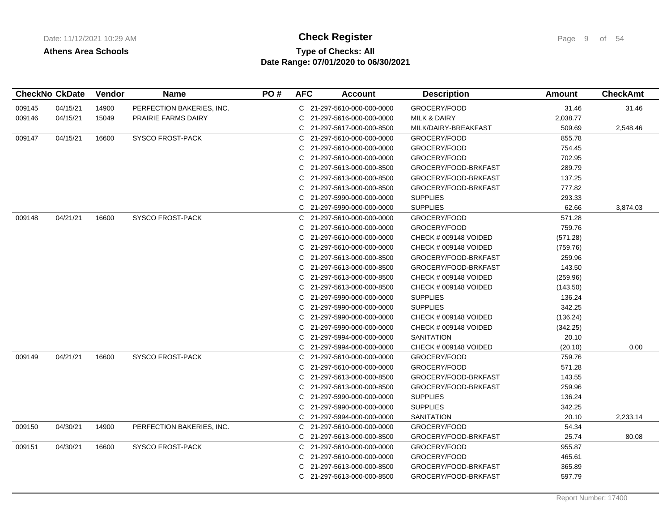# **Type of Checks: All 11/12/2021 10:20:20 AM Check Register** Page 9 of 54 **Date Range: 07/01/2020 to 06/30/2021**

|        | <b>CheckNo CkDate</b> | <b>Vendor</b> | <b>Name</b>                | PO# | <b>AFC</b> | <b>Account</b>             | <b>Description</b>      | Amount   | <b>CheckAmt</b> |
|--------|-----------------------|---------------|----------------------------|-----|------------|----------------------------|-------------------------|----------|-----------------|
| 009145 | 04/15/21              | 14900         | PERFECTION BAKERIES, INC.  |     |            | C 21-297-5610-000-000-0000 | GROCERY/FOOD            | 31.46    | 31.46           |
| 009146 | 04/15/21              | 15049         | <b>PRAIRIE FARMS DAIRY</b> |     | C          | 21-297-5616-000-000-0000   | <b>MILK &amp; DAIRY</b> | 2,038.77 |                 |
|        |                       |               |                            |     |            | C 21-297-5617-000-000-8500 | MILK/DAIRY-BREAKFAST    | 509.69   | 2,548.46        |
| 009147 | 04/15/21              | 16600         | <b>SYSCO FROST-PACK</b>    |     | C.         | 21-297-5610-000-000-0000   | GROCERY/FOOD            | 855.78   |                 |
|        |                       |               |                            |     | C          | 21-297-5610-000-000-0000   | GROCERY/FOOD            | 754.45   |                 |
|        |                       |               |                            |     | C          | 21-297-5610-000-000-0000   | GROCERY/FOOD            | 702.95   |                 |
|        |                       |               |                            |     | C          | 21-297-5613-000-000-8500   | GROCERY/FOOD-BRKFAST    | 289.79   |                 |
|        |                       |               |                            |     |            | 21-297-5613-000-000-8500   | GROCERY/FOOD-BRKFAST    | 137.25   |                 |
|        |                       |               |                            |     | C          | 21-297-5613-000-000-8500   | GROCERY/FOOD-BRKFAST    | 777.82   |                 |
|        |                       |               |                            |     | C          | 21-297-5990-000-000-0000   | <b>SUPPLIES</b>         | 293.33   |                 |
|        |                       |               |                            |     | C          | 21-297-5990-000-000-0000   | <b>SUPPLIES</b>         | 62.66    | 3,874.03        |
| 009148 | 04/21/21              | 16600         | <b>SYSCO FROST-PACK</b>    |     | C          | 21-297-5610-000-000-0000   | GROCERY/FOOD            | 571.28   |                 |
|        |                       |               |                            |     | C          | 21-297-5610-000-000-0000   | GROCERY/FOOD            | 759.76   |                 |
|        |                       |               |                            |     | C          | 21-297-5610-000-000-0000   | CHECK # 009148 VOIDED   | (571.28) |                 |
|        |                       |               |                            |     | C          | 21-297-5610-000-000-0000   | CHECK # 009148 VOIDED   | (759.76) |                 |
|        |                       |               |                            |     | C          | 21-297-5613-000-000-8500   | GROCERY/FOOD-BRKFAST    | 259.96   |                 |
|        |                       |               |                            |     | C          | 21-297-5613-000-000-8500   | GROCERY/FOOD-BRKFAST    | 143.50   |                 |
|        |                       |               |                            |     | C          | 21-297-5613-000-000-8500   | CHECK # 009148 VOIDED   | (259.96) |                 |
|        |                       |               |                            |     | C          | 21-297-5613-000-000-8500   | CHECK # 009148 VOIDED   | (143.50) |                 |
|        |                       |               |                            |     | C          | 21-297-5990-000-000-0000   | <b>SUPPLIES</b>         | 136.24   |                 |
|        |                       |               |                            |     | C.         | 21-297-5990-000-000-0000   | <b>SUPPLIES</b>         | 342.25   |                 |
|        |                       |               |                            |     |            | 21-297-5990-000-000-0000   | CHECK # 009148 VOIDED   | (136.24) |                 |
|        |                       |               |                            |     | C          | 21-297-5990-000-000-0000   | CHECK # 009148 VOIDED   | (342.25) |                 |
|        |                       |               |                            |     | C          | 21-297-5994-000-000-0000   | <b>SANITATION</b>       | 20.10    |                 |
|        |                       |               |                            |     | C          | 21-297-5994-000-000-0000   | CHECK # 009148 VOIDED   | (20.10)  | 0.00            |
| 009149 | 04/21/21              | 16600         | <b>SYSCO FROST-PACK</b>    |     | C.         | 21-297-5610-000-000-0000   | GROCERY/FOOD            | 759.76   |                 |
|        |                       |               |                            |     | C          | 21-297-5610-000-000-0000   | GROCERY/FOOD            | 571.28   |                 |
|        |                       |               |                            |     | C          | 21-297-5613-000-000-8500   | GROCERY/FOOD-BRKFAST    | 143.55   |                 |
|        |                       |               |                            |     | C          | 21-297-5613-000-000-8500   | GROCERY/FOOD-BRKFAST    | 259.96   |                 |
|        |                       |               |                            |     | C.         | 21-297-5990-000-000-0000   | <b>SUPPLIES</b>         | 136.24   |                 |
|        |                       |               |                            |     | C          | 21-297-5990-000-000-0000   | <b>SUPPLIES</b>         | 342.25   |                 |
|        |                       |               |                            |     | C          | 21-297-5994-000-000-0000   | <b>SANITATION</b>       | 20.10    | 2,233.14        |
| 009150 | 04/30/21              | 14900         | PERFECTION BAKERIES, INC.  |     | C.         | 21-297-5610-000-000-0000   | GROCERY/FOOD            | 54.34    |                 |
|        |                       |               |                            |     | C          | 21-297-5613-000-000-8500   | GROCERY/FOOD-BRKFAST    | 25.74    | 80.08           |
| 009151 | 04/30/21              | 16600         | <b>SYSCO FROST-PACK</b>    |     | C          | 21-297-5610-000-000-0000   | GROCERY/FOOD            | 955.87   |                 |
|        |                       |               |                            |     | C          | 21-297-5610-000-000-0000   | GROCERY/FOOD            | 465.61   |                 |
|        |                       |               |                            |     | C          | 21-297-5613-000-000-8500   | GROCERY/FOOD-BRKFAST    | 365.89   |                 |
|        |                       |               |                            |     |            | 21-297-5613-000-000-8500   | GROCERY/FOOD-BRKFAST    | 597.79   |                 |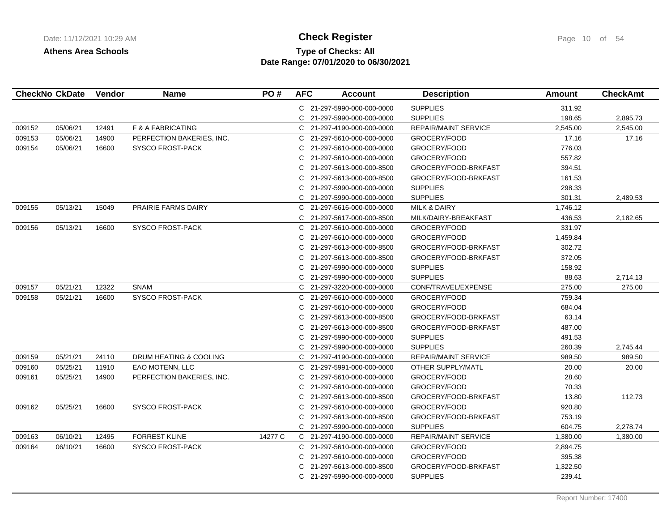# **Type of Checks: All Check Register Check Register Page 10 of 54 Date Range: 07/01/2020 to 06/30/2021**

|        | <b>CheckNo CkDate</b> | Vendor | <b>Name</b>               | PO#     | <b>AFC</b> | <b>Account</b>             | <b>Description</b>          | <b>Amount</b> | <b>CheckAmt</b> |
|--------|-----------------------|--------|---------------------------|---------|------------|----------------------------|-----------------------------|---------------|-----------------|
|        |                       |        |                           |         |            | C 21-297-5990-000-000-0000 | <b>SUPPLIES</b>             | 311.92        |                 |
|        |                       |        |                           |         | C.         | 21-297-5990-000-000-0000   | <b>SUPPLIES</b>             | 198.65        | 2,895.73        |
| 009152 | 05/06/21              | 12491  | F & A FABRICATING         |         | C.         | 21-297-4190-000-000-0000   | <b>REPAIR/MAINT SERVICE</b> | 2,545.00      | 2,545.00        |
| 009153 | 05/06/21              | 14900  | PERFECTION BAKERIES, INC. |         | C.         | 21-297-5610-000-000-0000   | GROCERY/FOOD                | 17.16         | 17.16           |
| 009154 | 05/06/21              | 16600  | <b>SYSCO FROST-PACK</b>   |         | C          | 21-297-5610-000-000-0000   | GROCERY/FOOD                | 776.03        |                 |
|        |                       |        |                           |         | C          | 21-297-5610-000-000-0000   | GROCERY/FOOD                | 557.82        |                 |
|        |                       |        |                           |         | C.         | 21-297-5613-000-000-8500   | GROCERY/FOOD-BRKFAST        | 394.51        |                 |
|        |                       |        |                           |         | C          | 21-297-5613-000-000-8500   | GROCERY/FOOD-BRKFAST        | 161.53        |                 |
|        |                       |        |                           |         | C          | 21-297-5990-000-000-0000   | <b>SUPPLIES</b>             | 298.33        |                 |
|        |                       |        |                           |         | C          | 21-297-5990-000-000-0000   | <b>SUPPLIES</b>             | 301.31        | 2,489.53        |
| 009155 | 05/13/21              | 15049  | PRAIRIE FARMS DAIRY       |         | C          | 21-297-5616-000-000-0000   | <b>MILK &amp; DAIRY</b>     | 1,746.12      |                 |
|        |                       |        |                           |         | C.         | 21-297-5617-000-000-8500   | MILK/DAIRY-BREAKFAST        | 436.53        | 2,182.65        |
| 009156 | 05/13/21              | 16600  | <b>SYSCO FROST-PACK</b>   |         | C.         | 21-297-5610-000-000-0000   | GROCERY/FOOD                | 331.97        |                 |
|        |                       |        |                           |         | C          | 21-297-5610-000-000-0000   | GROCERY/FOOD                | 1,459.84      |                 |
|        |                       |        |                           |         | C          | 21-297-5613-000-000-8500   | GROCERY/FOOD-BRKFAST        | 302.72        |                 |
|        |                       |        |                           |         | C          | 21-297-5613-000-000-8500   | GROCERY/FOOD-BRKFAST        | 372.05        |                 |
|        |                       |        |                           |         | C.         | 21-297-5990-000-000-0000   | <b>SUPPLIES</b>             | 158.92        |                 |
|        |                       |        |                           |         | C.         | 21-297-5990-000-000-0000   | <b>SUPPLIES</b>             | 88.63         | 2,714.13        |
| 009157 | 05/21/21              | 12322  | <b>SNAM</b>               |         | C.         | 21-297-3220-000-000-0000   | CONF/TRAVEL/EXPENSE         | 275.00        | 275.00          |
| 009158 | 05/21/21              | 16600  | <b>SYSCO FROST-PACK</b>   |         | C.         | 21-297-5610-000-000-0000   | GROCERY/FOOD                | 759.34        |                 |
|        |                       |        |                           |         | C.         | 21-297-5610-000-000-0000   | GROCERY/FOOD                | 684.04        |                 |
|        |                       |        |                           |         | C.         | 21-297-5613-000-000-8500   | GROCERY/FOOD-BRKFAST        | 63.14         |                 |
|        |                       |        |                           |         | C.         | 21-297-5613-000-000-8500   | GROCERY/FOOD-BRKFAST        | 487.00        |                 |
|        |                       |        |                           |         | C          | 21-297-5990-000-000-0000   | <b>SUPPLIES</b>             | 491.53        |                 |
|        |                       |        |                           |         | C.         | 21-297-5990-000-000-0000   | <b>SUPPLIES</b>             | 260.39        | 2,745.44        |
| 009159 | 05/21/21              | 24110  | DRUM HEATING & COOLING    |         | C.         | 21-297-4190-000-000-0000   | <b>REPAIR/MAINT SERVICE</b> | 989.50        | 989.50          |
| 009160 | 05/25/21              | 11910  | EAO MOTENN, LLC           |         | C.         | 21-297-5991-000-000-0000   | OTHER SUPPLY/MATL           | 20.00         | 20.00           |
| 009161 | 05/25/21              | 14900  | PERFECTION BAKERIES, INC. |         | C.         | 21-297-5610-000-000-0000   | GROCERY/FOOD                | 28.60         |                 |
|        |                       |        |                           |         | C          | 21-297-5610-000-000-0000   | GROCERY/FOOD                | 70.33         |                 |
|        |                       |        |                           |         | C.         | 21-297-5613-000-000-8500   | GROCERY/FOOD-BRKFAST        | 13.80         | 112.73          |
| 009162 | 05/25/21              | 16600  | <b>SYSCO FROST-PACK</b>   |         | C.         | 21-297-5610-000-000-0000   | GROCERY/FOOD                | 920.80        |                 |
|        |                       |        |                           |         | C          | 21-297-5613-000-000-8500   | GROCERY/FOOD-BRKFAST        | 753.19        |                 |
|        |                       |        |                           |         | C.         | 21-297-5990-000-000-0000   | <b>SUPPLIES</b>             | 604.75        | 2,278.74        |
| 009163 | 06/10/21              | 12495  | <b>FORREST KLINE</b>      | 14277 C |            | C 21-297-4190-000-000-0000 | <b>REPAIR/MAINT SERVICE</b> | 1,380.00      | 1,380.00        |
| 009164 | 06/10/21              | 16600  | <b>SYSCO FROST-PACK</b>   |         | C.         | 21-297-5610-000-000-0000   | GROCERY/FOOD                | 2,894.75      |                 |
|        |                       |        |                           |         | C          | 21-297-5610-000-000-0000   | GROCERY/FOOD                | 395.38        |                 |
|        |                       |        |                           |         | C          | 21-297-5613-000-000-8500   | GROCERY/FOOD-BRKFAST        | 1,322.50      |                 |
|        |                       |        |                           |         | C.         | 21-297-5990-000-000-0000   | <b>SUPPLIES</b>             | 239.41        |                 |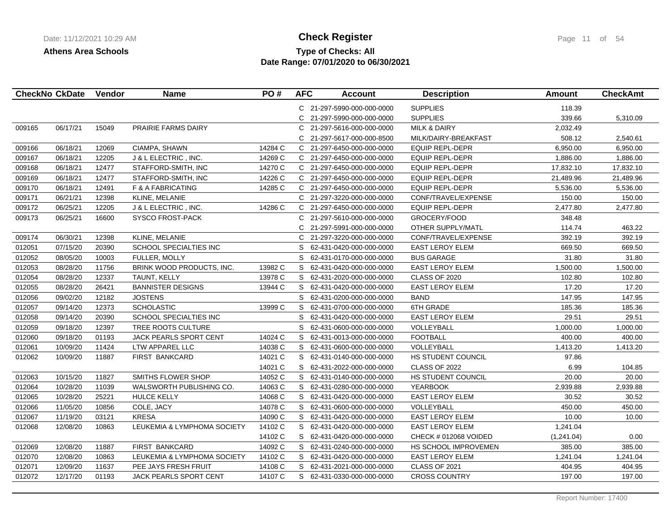# **Type of Checks: All Check Register Check Register Page 11 of 54 Date Range: 07/01/2020 to 06/30/2021**

|        | <b>CheckNo CkDate</b> | Vendor | <b>Name</b>                   | PO#     | <b>AFC</b> | <b>Account</b>             | <b>Description</b>        | Amount     | <b>CheckAmt</b> |
|--------|-----------------------|--------|-------------------------------|---------|------------|----------------------------|---------------------------|------------|-----------------|
|        |                       |        |                               |         |            | C 21-297-5990-000-000-0000 | <b>SUPPLIES</b>           | 118.39     |                 |
|        |                       |        |                               |         | C.         | 21-297-5990-000-000-0000   | <b>SUPPLIES</b>           | 339.66     | 5,310.09        |
| 009165 | 06/17/21              | 15049  | PRAIRIE FARMS DAIRY           |         | C          | 21-297-5616-000-000-0000   | <b>MILK &amp; DAIRY</b>   | 2,032.49   |                 |
|        |                       |        |                               |         | C          | 21-297-5617-000-000-8500   | MILK/DAIRY-BREAKFAST      | 508.12     | 2,540.61        |
| 009166 | 06/18/21              | 12069  | CIAMPA, SHAWN                 | 14284 C |            | C 21-297-6450-000-000-0000 | <b>EQUIP REPL-DEPR</b>    | 6,950.00   | 6,950.00        |
| 009167 | 06/18/21              | 12205  | J & L ELECTRIC, INC.          | 14269 C |            | C 21-297-6450-000-000-0000 | <b>EQUIP REPL-DEPR</b>    | 1,886.00   | 1,886.00        |
| 009168 | 06/18/21              | 12477  | STAFFORD-SMITH, INC           | 14270 C |            | C 21-297-6450-000-000-0000 | <b>EQUIP REPL-DEPR</b>    | 17,832.10  | 17,832.10       |
| 009169 | 06/18/21              | 12477  | STAFFORD-SMITH, INC           | 14226 C | C.         | 21-297-6450-000-000-0000   | <b>EQUIP REPL-DEPR</b>    | 21,489.96  | 21,489.96       |
| 009170 | 06/18/21              | 12491  | F & A FABRICATING             | 14285 C |            | C 21-297-6450-000-000-0000 | <b>EQUIP REPL-DEPR</b>    | 5,536.00   | 5,536.00        |
| 009171 | 06/21/21              | 12398  | KLINE, MELANIE                |         |            | C 21-297-3220-000-000-0000 | CONF/TRAVEL/EXPENSE       | 150.00     | 150.00          |
| 009172 | 06/25/21              | 12205  | J & L ELECTRIC, INC.          | 14286 C |            | C 21-297-6450-000-000-0000 | <b>EQUIP REPL-DEPR</b>    | 2,477.80   | 2,477.80        |
| 009173 | 06/25/21              | 16600  | <b>SYSCO FROST-PACK</b>       |         | C.         | 21-297-5610-000-000-0000   | GROCERY/FOOD              | 348.48     |                 |
|        |                       |        |                               |         | C          | 21-297-5991-000-000-0000   | OTHER SUPPLY/MATL         | 114.74     | 463.22          |
| 009174 | 06/30/21              | 12398  | KLINE, MELANIE                |         |            | C 21-297-3220-000-000-0000 | CONF/TRAVEL/EXPENSE       | 392.19     | 392.19          |
| 012051 | 07/15/20              | 20390  | SCHOOL SPECIALTIES INC        |         | S          | 62-431-0420-000-000-0000   | <b>EAST LEROY ELEM</b>    | 669.50     | 669.50          |
| 012052 | 08/05/20              | 10003  | <b>FULLER, MOLLY</b>          |         | S          | 62-431-0170-000-000-0000   | <b>BUS GARAGE</b>         | 31.80      | 31.80           |
| 012053 | 08/28/20              | 11756  | BRINK WOOD PRODUCTS, INC.     | 13982 C | S          | 62-431-0420-000-000-0000   | <b>EAST LEROY ELEM</b>    | 1,500.00   | 1,500.00        |
| 012054 | 08/28/20              | 12337  | TAUNT, KELLY                  | 13978 C | S          | 62-431-2020-000-000-0000   | CLASS OF 2020             | 102.80     | 102.80          |
| 012055 | 08/28/20              | 26421  | <b>BANNISTER DESIGNS</b>      | 13944 C |            | S 62-431-0420-000-000-0000 | <b>EAST LEROY ELEM</b>    | 17.20      | 17.20           |
| 012056 | 09/02/20              | 12182  | <b>JOSTENS</b>                |         |            | S 62-431-0200-000-000-0000 | <b>BAND</b>               | 147.95     | 147.95          |
| 012057 | 09/14/20              | 12373  | <b>SCHOLASTIC</b>             | 13999 C |            | S 62-431-0700-000-000-0000 | 6TH GRADE                 | 185.36     | 185.36          |
| 012058 | 09/14/20              | 20390  | SCHOOL SPECIALTIES INC        |         | S          | 62-431-0420-000-000-0000   | <b>EAST LEROY ELEM</b>    | 29.51      | 29.51           |
| 012059 | 09/18/20              | 12397  | TREE ROOTS CULTURE            |         | S          | 62-431-0600-000-000-0000   | VOLLEYBALL                | 1,000.00   | 1,000.00        |
| 012060 | 09/18/20              | 01193  | <b>JACK PEARLS SPORT CENT</b> | 14024 C | S.         | 62-431-0013-000-000-0000   | <b>FOOTBALL</b>           | 400.00     | 400.00          |
| 012061 | 10/09/20              | 11424  | LTW APPAREL LLC               | 14038 C | S          | 62-431-0600-000-000-0000   | VOLLEYBALL                | 1,413.20   | 1,413.20        |
| 012062 | 10/09/20              | 11887  | <b>FIRST BANKCARD</b>         | 14021 C | S          | 62-431-0140-000-000-0000   | HS STUDENT COUNCIL        | 97.86      |                 |
|        |                       |        |                               | 14021 C | S.         | 62-431-2022-000-000-0000   | CLASS OF 2022             | 6.99       | 104.85          |
| 012063 | 10/15/20              | 11827  | SMITHS FLOWER SHOP            | 14052 C |            | S 62-431-0140-000-000-0000 | <b>HS STUDENT COUNCIL</b> | 20.00      | 20.00           |
| 012064 | 10/28/20              | 11039  | WALSWORTH PUBLISHING CO.      | 14063 C |            | S 62-431-0280-000-000-0000 | <b>YEARBOOK</b>           | 2,939.88   | 2,939.88        |
| 012065 | 10/28/20              | 25221  | <b>HULCE KELLY</b>            | 14068 C | S.         | 62-431-0420-000-000-0000   | <b>EAST LEROY ELEM</b>    | 30.52      | 30.52           |
| 012066 | 11/05/20              | 10856  | COLE, JACY                    | 14078 C |            | S 62-431-0600-000-000-0000 | VOLLEYBALL                | 450.00     | 450.00          |
| 012067 | 11/19/20              | 03121  | <b>KRESA</b>                  | 14090 C | S          | 62-431-0420-000-000-0000   | <b>EAST LEROY ELEM</b>    | 10.00      | 10.00           |
| 012068 | 12/08/20              | 10863  | LEUKEMIA & LYMPHOMA SOCIETY   | 14102 C | S          | 62-431-0420-000-000-0000   | <b>EAST LEROY ELEM</b>    | 1,241.04   |                 |
|        |                       |        |                               | 14102 C | S          | 62-431-0420-000-000-0000   | CHECK # 012068 VOIDED     | (1,241.04) | 0.00            |
| 012069 | 12/08/20              | 11887  | <b>FIRST BANKCARD</b>         | 14092 C | S          | 62-431-0240-000-000-0000   | HS SCHOOL IMPROVEMEN      | 385.00     | 385.00          |
| 012070 | 12/08/20              | 10863  | LEUKEMIA & LYMPHOMA SOCIETY   | 14102 C |            | S 62-431-0420-000-000-0000 | EAST LEROY ELEM           | 1,241.04   | 1,241.04        |
| 012071 | 12/09/20              | 11637  | PEE JAYS FRESH FRUIT          | 14108 C |            | S 62-431-2021-000-000-0000 | CLASS OF 2021             | 404.95     | 404.95          |
| 012072 | 12/17/20              | 01193  | <b>JACK PEARLS SPORT CENT</b> | 14107 C |            | S 62-431-0330-000-000-0000 | <b>CROSS COUNTRY</b>      | 197.00     | 197.00          |
|        |                       |        |                               |         |            |                            |                           |            |                 |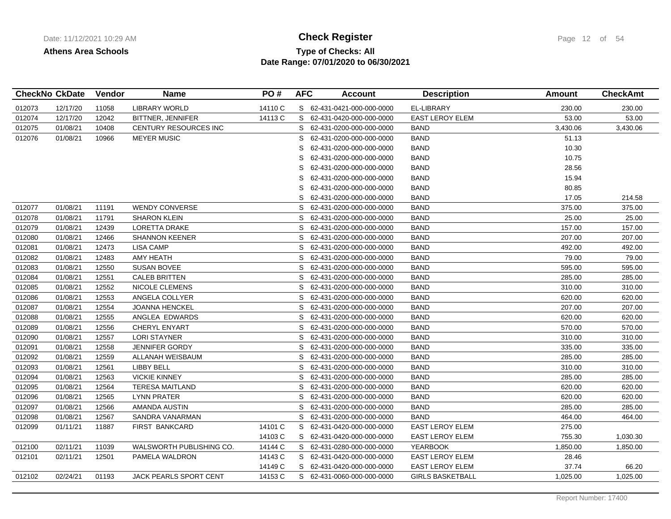# **Type of Checks: All Check Register Check Register Page 12 of 54 Date Range: 07/01/2020 to 06/30/2021**

|        | <b>CheckNo CkDate</b> | <b>Vendor</b> | <b>Name</b>                   | PO#     | <b>AFC</b> | <b>Account</b>             | <b>Description</b>      | Amount   | <b>CheckAmt</b> |
|--------|-----------------------|---------------|-------------------------------|---------|------------|----------------------------|-------------------------|----------|-----------------|
| 012073 | 12/17/20              | 11058         | <b>LIBRARY WORLD</b>          | 14110 C |            | S 62-431-0421-000-000-0000 | EL-LIBRARY              | 230.00   | 230.00          |
| 012074 | 12/17/20              | 12042         | BITTNER, JENNIFER             | 14113 C |            | S 62-431-0420-000-000-0000 | <b>EAST LEROY ELEM</b>  | 53.00    | 53.00           |
| 012075 | 01/08/21              | 10408         | CENTURY RESOURCES INC         |         | S          | 62-431-0200-000-000-0000   | <b>BAND</b>             | 3,430.06 | 3,430.06        |
| 012076 | 01/08/21              | 10966         | <b>MEYER MUSIC</b>            |         | S          | 62-431-0200-000-000-0000   | BAND                    | 51.13    |                 |
|        |                       |               |                               |         | S          | 62-431-0200-000-000-0000   | <b>BAND</b>             | 10.30    |                 |
|        |                       |               |                               |         | S          | 62-431-0200-000-000-0000   | <b>BAND</b>             | 10.75    |                 |
|        |                       |               |                               |         | S          | 62-431-0200-000-000-0000   | <b>BAND</b>             | 28.56    |                 |
|        |                       |               |                               |         | S          | 62-431-0200-000-000-0000   | <b>BAND</b>             | 15.94    |                 |
|        |                       |               |                               |         | S          | 62-431-0200-000-000-0000   | <b>BAND</b>             | 80.85    |                 |
|        |                       |               |                               |         | S          | 62-431-0200-000-000-0000   | <b>BAND</b>             | 17.05    | 214.58          |
| 012077 | 01/08/21              | 11191         | <b>WENDY CONVERSE</b>         |         | S          | 62-431-0200-000-000-0000   | <b>BAND</b>             | 375.00   | 375.00          |
| 012078 | 01/08/21              | 11791         | <b>SHARON KLEIN</b>           |         | S          | 62-431-0200-000-000-0000   | <b>BAND</b>             | 25.00    | 25.00           |
| 012079 | 01/08/21              | 12439         | LORETTA DRAKE                 |         | S          | 62-431-0200-000-000-0000   | <b>BAND</b>             | 157.00   | 157.00          |
| 012080 | 01/08/21              | 12466         | <b>SHANNON KEENER</b>         |         | S          | 62-431-0200-000-000-0000   | <b>BAND</b>             | 207.00   | 207.00          |
| 012081 | 01/08/21              | 12473         | <b>LISA CAMP</b>              |         | S          | 62-431-0200-000-000-0000   | <b>BAND</b>             | 492.00   | 492.00          |
| 012082 | 01/08/21              | 12483         | AMY HEATH                     |         | S          | 62-431-0200-000-000-0000   | <b>BAND</b>             | 79.00    | 79.00           |
| 012083 | 01/08/21              | 12550         | <b>SUSAN BOVEE</b>            |         | S          | 62-431-0200-000-000-0000   | <b>BAND</b>             | 595.00   | 595.00          |
| 012084 | 01/08/21              | 12551         | <b>CALEB BRITTEN</b>          |         | S          | 62-431-0200-000-000-0000   | <b>BAND</b>             | 285.00   | 285.00          |
| 012085 | 01/08/21              | 12552         | NICOLE CLEMENS                |         | S.         | 62-431-0200-000-000-0000   | <b>BAND</b>             | 310.00   | 310.00          |
| 012086 | 01/08/21              | 12553         | ANGELA COLLYER                |         | S.         | 62-431-0200-000-000-0000   | <b>BAND</b>             | 620.00   | 620.00          |
| 012087 | 01/08/21              | 12554         | <b>JOANNA HENCKEL</b>         |         | S          | 62-431-0200-000-000-0000   | <b>BAND</b>             | 207.00   | 207.00          |
| 012088 | 01/08/21              | 12555         | ANGLEA EDWARDS                |         | S          | 62-431-0200-000-000-0000   | BAND                    | 620.00   | 620.00          |
| 012089 | 01/08/21              | 12556         | <b>CHERYL ENYART</b>          |         | S          | 62-431-0200-000-000-0000   | <b>BAND</b>             | 570.00   | 570.00          |
| 012090 | 01/08/21              | 12557         | <b>LORI STAYNER</b>           |         | S          | 62-431-0200-000-000-0000   | <b>BAND</b>             | 310.00   | 310.00          |
| 012091 | 01/08/21              | 12558         | <b>JENNIFER GORDY</b>         |         | S          | 62-431-0200-000-000-0000   | <b>BAND</b>             | 335.00   | 335.00          |
| 012092 | 01/08/21              | 12559         | ALLANAH WEISBAUM              |         | S          | 62-431-0200-000-000-0000   | <b>BAND</b>             | 285.00   | 285.00          |
| 012093 | 01/08/21              | 12561         | LIBBY BELL                    |         | S          | 62-431-0200-000-000-0000   | <b>BAND</b>             | 310.00   | 310.00          |
| 012094 | 01/08/21              | 12563         | <b>VICKIE KINNEY</b>          |         | S          | 62-431-0200-000-000-0000   | BAND                    | 285.00   | 285.00          |
| 012095 | 01/08/21              | 12564         | <b>TERESA MAITLAND</b>        |         | S          | 62-431-0200-000-000-0000   | <b>BAND</b>             | 620.00   | 620.00          |
| 012096 | 01/08/21              | 12565         | <b>LYNN PRATER</b>            |         | S          | 62-431-0200-000-000-0000   | BAND                    | 620.00   | 620.00          |
| 012097 | 01/08/21              | 12566         | AMANDA AUSTIN                 |         | S          | 62-431-0200-000-000-0000   | <b>BAND</b>             | 285.00   | 285.00          |
| 012098 | 01/08/21              | 12567         | SANDRA VANARMAN               |         | S          | 62-431-0200-000-000-0000   | <b>BAND</b>             | 464.00   | 464.00          |
| 012099 | 01/11/21              | 11887         | FIRST BANKCARD                | 14101 C | S          | 62-431-0420-000-000-0000   | <b>EAST LEROY ELEM</b>  | 275.00   |                 |
|        |                       |               |                               | 14103 C | S          | 62-431-0420-000-000-0000   | EAST LEROY ELEM         | 755.30   | 1,030.30        |
| 012100 | 02/11/21              | 11039         | WALSWORTH PUBLISHING CO.      | 14144 C |            | S 62-431-0280-000-000-0000 | <b>YEARBOOK</b>         | 1,850.00 | 1,850.00        |
| 012101 | 02/11/21              | 12501         | PAMELA WALDRON                | 14143 C | S          | 62-431-0420-000-000-0000   | <b>EAST LEROY ELEM</b>  | 28.46    |                 |
|        |                       |               |                               | 14149 C | S.         | 62-431-0420-000-000-0000   | <b>EAST LEROY ELEM</b>  | 37.74    | 66.20           |
| 012102 | 02/24/21              | 01193         | <b>JACK PEARLS SPORT CENT</b> | 14153 C |            | S 62-431-0060-000-000-0000 | <b>GIRLS BASKETBALL</b> | 1,025.00 | 1,025.00        |
|        |                       |               |                               |         |            |                            |                         |          |                 |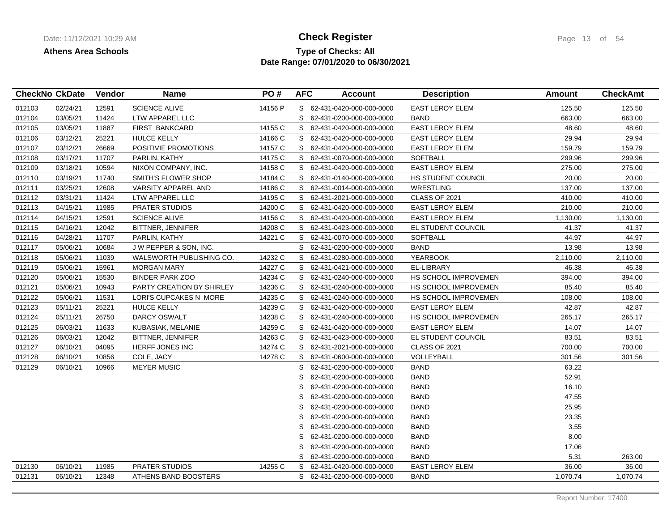## **Type of Checks: All Check Register Check Register Page 13 of 54 Date Range: 07/01/2020 to 06/30/2021**

|        | <b>CheckNo CkDate</b> | Vendor | <b>Name</b>                      | PO#     | <b>AFC</b> | <b>Account</b>             | <b>Description</b>          | Amount   | <b>CheckAmt</b> |
|--------|-----------------------|--------|----------------------------------|---------|------------|----------------------------|-----------------------------|----------|-----------------|
| 012103 | 02/24/21              | 12591  | <b>SCIENCE ALIVE</b>             | 14156 P |            | S 62-431-0420-000-000-0000 | <b>EAST LEROY ELEM</b>      | 125.50   | 125.50          |
| 012104 | 03/05/21              | 11424  | LTW APPAREL LLC                  |         | S.         | 62-431-0200-000-000-0000   | <b>BAND</b>                 | 663.00   | 663.00          |
| 012105 | 03/05/21              | 11887  | <b>FIRST BANKCARD</b>            | 14155 C | S          | 62-431-0420-000-000-0000   | EAST LEROY ELEM             | 48.60    | 48.60           |
| 012106 | 03/12/21              | 25221  | <b>HULCE KELLY</b>               | 14166 C |            | S 62-431-0420-000-000-0000 | <b>EAST LEROY ELEM</b>      | 29.94    | 29.94           |
| 012107 | 03/12/21              | 26669  | POSITIVIE PROMOTIONS             | 14157 C |            | S 62-431-0420-000-000-0000 | <b>EAST LEROY ELEM</b>      | 159.79   | 159.79          |
| 012108 | 03/17/21              | 11707  | PARLIN, KATHY                    | 14175 C | S.         | 62-431-0070-000-000-0000   | <b>SOFTBALL</b>             | 299.96   | 299.96          |
| 012109 | 03/18/21              | 10594  | NIXON COMPANY, INC.              | 14158 C | S          | 62-431-0420-000-000-0000   | <b>EAST LEROY ELEM</b>      | 275.00   | 275.00          |
| 012110 | 03/19/21              | 11740  | SMITH'S FLOWER SHOP              | 14184 C | S          | 62-431-0140-000-000-0000   | HS STUDENT COUNCIL          | 20.00    | 20.00           |
| 012111 | 03/25/21              | 12608  | VARSITY APPAREL AND              | 14186 C |            | S 62-431-0014-000-000-0000 | <b>WRESTLING</b>            | 137.00   | 137.00          |
| 012112 | 03/31/21              | 11424  | LTW APPAREL LLC                  | 14195 C |            | S 62-431-2021-000-000-0000 | CLASS OF 2021               | 410.00   | 410.00          |
| 012113 | 04/15/21              | 11985  | <b>PRATER STUDIOS</b>            | 14200 C | S.         | 62-431-0420-000-000-0000   | <b>EAST LEROY ELEM</b>      | 210.00   | 210.00          |
| 012114 | 04/15/21              | 12591  | <b>SCIENCE ALIVE</b>             | 14156 C | S.         | 62-431-0420-000-000-0000   | <b>EAST LEROY ELEM</b>      | 1,130.00 | 1,130.00        |
| 012115 | 04/16/21              | 12042  | BITTNER, JENNIFER                | 14208 C | S          | 62-431-0423-000-000-0000   | EL STUDENT COUNCIL          | 41.37    | 41.37           |
| 012116 | 04/28/21              | 11707  | PARLIN, KATHY                    | 14221 C | S          | 62-431-0070-000-000-0000   | <b>SOFTBALL</b>             | 44.97    | 44.97           |
| 012117 | 05/06/21              | 10684  | J W PEPPER & SON, INC.           |         | S          | 62-431-0200-000-000-0000   | <b>BAND</b>                 | 13.98    | 13.98           |
| 012118 | 05/06/21              | 11039  | WALSWORTH PUBLISHING CO.         | 14232 C | S          | 62-431-0280-000-000-0000   | <b>YEARBOOK</b>             | 2,110.00 | 2,110.00        |
| 012119 | 05/06/21              | 15961  | <b>MORGAN MARY</b>               | 14227 C |            | S 62-431-0421-000-000-0000 | EL-LIBRARY                  | 46.38    | 46.38           |
| 012120 | 05/06/21              | 15530  | <b>BINDER PARK ZOO</b>           | 14234 C | S.         | 62-431-0240-000-000-0000   | HS SCHOOL IMPROVEMEN        | 394.00   | 394.00          |
| 012121 | 05/06/21              | 10943  | <b>PARTY CREATION BY SHIRLEY</b> | 14236 C | S.         | 62-431-0240-000-000-0000   | HS SCHOOL IMPROVEMEN        | 85.40    | 85.40           |
| 012122 | 05/06/21              | 11531  | LORI'S CUPCAKES N MORE           | 14235 C | S          | 62-431-0240-000-000-0000   | HS SCHOOL IMPROVEMEN        | 108.00   | 108.00          |
| 012123 | 05/11/21              | 25221  | <b>HULCE KELLY</b>               | 14239 C |            | S 62-431-0420-000-000-0000 | <b>EAST LEROY ELEM</b>      | 42.87    | 42.87           |
| 012124 | 05/11/21              | 26750  | DARCY OSWALT                     | 14238 C | S.         | 62-431-0240-000-000-0000   | <b>HS SCHOOL IMPROVEMEN</b> | 265.17   | 265.17          |
| 012125 | 06/03/21              | 11633  | KUBASIAK, MELANIE                | 14259 C | S.         | 62-431-0420-000-000-0000   | <b>EAST LEROY ELEM</b>      | 14.07    | 14.07           |
| 012126 | 06/03/21              | 12042  | BITTNER, JENNIFER                | 14263 C | S          | 62-431-0423-000-000-0000   | EL STUDENT COUNCIL          | 83.51    | 83.51           |
| 012127 | 06/10/21              | 04095  | HERFF JONES INC                  | 14274 C |            | S 62-431-2021-000-000-0000 | CLASS OF 2021               | 700.00   | 700.00          |
| 012128 | 06/10/21              | 10856  | COLE, JACY                       | 14278 C | S          | 62-431-0600-000-000-0000   | VOLLEYBALL                  | 301.56   | 301.56          |
| 012129 | 06/10/21              | 10966  | <b>MEYER MUSIC</b>               |         | S          | 62-431-0200-000-000-0000   | <b>BAND</b>                 | 63.22    |                 |
|        |                       |        |                                  |         | S          | 62-431-0200-000-000-0000   | <b>BAND</b>                 | 52.91    |                 |
|        |                       |        |                                  |         | S          | 62-431-0200-000-000-0000   | <b>BAND</b>                 | 16.10    |                 |
|        |                       |        |                                  |         | S          | 62-431-0200-000-000-0000   | <b>BAND</b>                 | 47.55    |                 |
|        |                       |        |                                  |         | S          | 62-431-0200-000-000-0000   | <b>BAND</b>                 | 25.95    |                 |
|        |                       |        |                                  |         | S          | 62-431-0200-000-000-0000   | <b>BAND</b>                 | 23.35    |                 |
|        |                       |        |                                  |         | S          | 62-431-0200-000-000-0000   | <b>BAND</b>                 | 3.55     |                 |
|        |                       |        |                                  |         | S          | 62-431-0200-000-000-0000   | <b>BAND</b>                 | 8.00     |                 |
|        |                       |        |                                  |         | S          | 62-431-0200-000-000-0000   | <b>BAND</b>                 | 17.06    |                 |
|        |                       |        |                                  |         | S          | 62-431-0200-000-000-0000   | <b>BAND</b>                 | 5.31     | 263.00          |
| 012130 | 06/10/21              | 11985  | <b>PRATER STUDIOS</b>            | 14255 C | S          | 62-431-0420-000-000-0000   | <b>EAST LEROY ELEM</b>      | 36.00    | 36.00           |
| 012131 | 06/10/21              | 12348  | ATHENS BAND BOOSTERS             |         |            | S 62-431-0200-000-000-0000 | <b>BAND</b>                 | 1,070.74 | 1,070.74        |

Report Number: 17400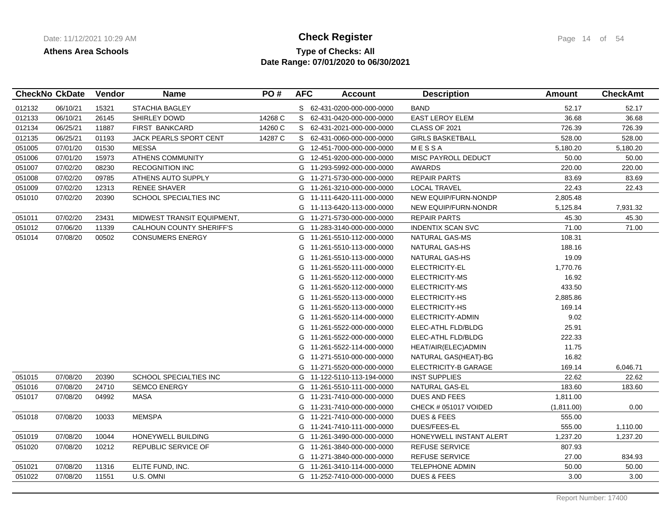## **Type of Checks: All Check Register Check Register Page 14 of 54 Date Range: 07/01/2020 to 06/30/2021**

| <b>CheckNo CkDate</b> |          | <b>Vendor</b> | <b>Name</b>                | PO#     | <b>AFC</b> | <b>Account</b>             | <b>Description</b>          | Amount     | <b>CheckAmt</b> |
|-----------------------|----------|---------------|----------------------------|---------|------------|----------------------------|-----------------------------|------------|-----------------|
| 012132                | 06/10/21 | 15321         | STACHIA BAGLEY             |         |            | S 62-431-0200-000-000-0000 | <b>BAND</b>                 | 52.17      | 52.17           |
| 012133                | 06/10/21 | 26145         | SHIRLEY DOWD               | 14268 C |            | S 62-431-0420-000-000-0000 | <b>EAST LEROY ELEM</b>      | 36.68      | 36.68           |
| 012134                | 06/25/21 | 11887         | <b>FIRST BANKCARD</b>      | 14260 C |            | S 62-431-2021-000-000-0000 | CLASS OF 2021               | 726.39     | 726.39          |
| 012135                | 06/25/21 | 01193         | JACK PEARLS SPORT CENT     | 14287 C | S          | 62-431-0060-000-000-0000   | <b>GIRLS BASKETBALL</b>     | 528.00     | 528.00          |
| 051005                | 07/01/20 | 01530         | <b>MESSA</b>               |         | G          | 12-451-7000-000-000-0000   | MESSA                       | 5,180.20   | 5,180.20        |
| 051006                | 07/01/20 | 15973         | ATHENS COMMUNITY           |         | G          | 12-451-9200-000-000-0000   | MISC PAYROLL DEDUCT         | 50.00      | 50.00           |
| 051007                | 07/02/20 | 08230         | <b>RECOGNITION INC</b>     |         | G          | 11-293-5992-000-000-0000   | <b>AWARDS</b>               | 220.00     | 220.00          |
| 051008                | 07/02/20 | 09785         | ATHENS AUTO SUPPLY         |         | G          | 11-271-5730-000-000-0000   | <b>REPAIR PARTS</b>         | 83.69      | 83.69           |
| 051009                | 07/02/20 | 12313         | <b>RENEE SHAVER</b>        |         | G          | 11-261-3210-000-000-0000   | <b>LOCAL TRAVEL</b>         | 22.43      | 22.43           |
| 051010                | 07/02/20 | 20390         | SCHOOL SPECIALTIES INC     |         | G          | 11-111-6420-111-000-0000   | NEW EQUIP/FURN-NONDP        | 2,805.48   |                 |
|                       |          |               |                            |         | G          | 11-113-6420-113-000-0000   | <b>NEW EQUIP/FURN-NONDR</b> | 5,125.84   | 7,931.32        |
| 051011                | 07/02/20 | 23431         | MIDWEST TRANSIT EQUIPMENT, |         | G          | 11-271-5730-000-000-0000   | <b>REPAIR PARTS</b>         | 45.30      | 45.30           |
| 051012                | 07/06/20 | 11339         | CALHOUN COUNTY SHERIFF'S   |         | G          | 11-283-3140-000-000-0000   | INDENTIX SCAN SVC           | 71.00      | 71.00           |
| 051014                | 07/08/20 | 00502         | <b>CONSUMERS ENERGY</b>    |         | G          | 11-261-5510-112-000-0000   | NATURAL GAS-MS              | 108.31     |                 |
|                       |          |               |                            |         | G          | 11-261-5510-113-000-0000   | NATURAL GAS-HS              | 188.16     |                 |
|                       |          |               |                            |         | G          | 11-261-5510-113-000-0000   | NATURAL GAS-HS              | 19.09      |                 |
|                       |          |               |                            |         | G          | 11-261-5520-111-000-0000   | ELECTRICITY-EL              | 1,770.76   |                 |
|                       |          |               |                            |         | G          | 11-261-5520-112-000-0000   | ELECTRICITY-MS              | 16.92      |                 |
|                       |          |               |                            |         | G          | 11-261-5520-112-000-0000   | ELECTRICITY-MS              | 433.50     |                 |
|                       |          |               |                            |         | G          | 11-261-5520-113-000-0000   | ELECTRICITY-HS              | 2,885.86   |                 |
|                       |          |               |                            |         | G          | 11-261-5520-113-000-0000   | ELECTRICITY-HS              | 169.14     |                 |
|                       |          |               |                            |         | G          | 11-261-5520-114-000-0000   | ELECTRICITY-ADMIN           | 9.02       |                 |
|                       |          |               |                            |         | G          | 11-261-5522-000-000-0000   | ELEC-ATHL FLD/BLDG          | 25.91      |                 |
|                       |          |               |                            |         | G          | 11-261-5522-000-000-0000   | ELEC-ATHL FLD/BLDG          | 222.33     |                 |
|                       |          |               |                            |         | G          | 11-261-5522-114-000-0000   | HEAT/AIR(ELEC)ADMIN         | 11.75      |                 |
|                       |          |               |                            |         | G          | 11-271-5510-000-000-0000   | NATURAL GAS(HEAT)-BG        | 16.82      |                 |
|                       |          |               |                            |         | G          | 11-271-5520-000-000-0000   | ELECTRICITY-B GARAGE        | 169.14     | 6,046.71        |
| 051015                | 07/08/20 | 20390         | SCHOOL SPECIALTIES INC     |         |            | G 11-122-5110-113-194-0000 | <b>INST SUPPLIES</b>        | 22.62      | 22.62           |
| 051016                | 07/08/20 | 24710         | <b>SEMCO ENERGY</b>        |         | G          | 11-261-5510-111-000-0000   | NATURAL GAS-EL              | 183.60     | 183.60          |
| 051017                | 07/08/20 | 04992         | <b>MASA</b>                |         | G          | 11-231-7410-000-000-0000   | <b>DUES AND FEES</b>        | 1,811.00   |                 |
|                       |          |               |                            |         | G          | 11-231-7410-000-000-0000   | CHECK # 051017 VOIDED       | (1,811.00) | 0.00            |
| 051018                | 07/08/20 | 10033         | <b>MEMSPA</b>              |         | G          | 11-221-7410-000-000-0000   | <b>DUES &amp; FEES</b>      | 555.00     |                 |
|                       |          |               |                            |         | G          | 11-241-7410-111-000-0000   | DUES/FEES-EL                | 555.00     | 1,110.00        |
| 051019                | 07/08/20 | 10044         | HONEYWELL BUILDING         |         | G          | 11-261-3490-000-000-0000   | HONEYWELL INSTANT ALERT     | 1,237.20   | 1,237.20        |
| 051020                | 07/08/20 | 10212         | REPUBLIC SERVICE OF        |         | G          | 11-261-3840-000-000-0000   | <b>REFUSE SERVICE</b>       | 807.93     |                 |
|                       |          |               |                            |         | G          | 11-271-3840-000-000-0000   | <b>REFUSE SERVICE</b>       | 27.00      | 834.93          |
| 051021                | 07/08/20 | 11316         | ELITE FUND, INC.           |         | G          | 11-261-3410-114-000-0000   | <b>TELEPHONE ADMIN</b>      | 50.00      | 50.00           |
| 051022                | 07/08/20 | 11551         | U.S. OMNI                  |         |            | G 11-252-7410-000-000-0000 | <b>DUES &amp; FEES</b>      | 3.00       | 3.00            |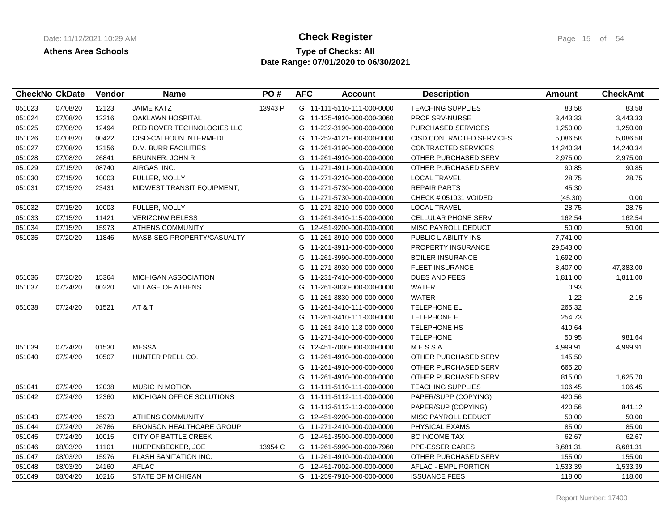## **Type of Checks: All Check Register Check Register Page 15 of 54 Date Range: 07/01/2020 to 06/30/2021**

| <b>CheckNo CkDate</b> | Vendor | <b>Name</b>                     | PO#     | <b>AFC</b> | <b>Account</b> | <b>Description</b>                                                                                                                                                                                                                                                                                                                                                                                                                                                                                                                                                                                                                                                                                                                                                                                                                                                                                                                                                                                                                                                                                                 | Amount    | <b>CheckAmt</b> |
|-----------------------|--------|---------------------------------|---------|------------|----------------|--------------------------------------------------------------------------------------------------------------------------------------------------------------------------------------------------------------------------------------------------------------------------------------------------------------------------------------------------------------------------------------------------------------------------------------------------------------------------------------------------------------------------------------------------------------------------------------------------------------------------------------------------------------------------------------------------------------------------------------------------------------------------------------------------------------------------------------------------------------------------------------------------------------------------------------------------------------------------------------------------------------------------------------------------------------------------------------------------------------------|-----------|-----------------|
| 07/08/20              | 12123  | <b>JAIME KATZ</b>               | 13943 P |            |                | <b>TEACHING SUPPLIES</b>                                                                                                                                                                                                                                                                                                                                                                                                                                                                                                                                                                                                                                                                                                                                                                                                                                                                                                                                                                                                                                                                                           | 83.58     | 83.58           |
| 07/08/20              | 12216  | <b>OAKLAWN HOSPITAL</b>         |         |            |                | <b>PROF SRV-NURSE</b>                                                                                                                                                                                                                                                                                                                                                                                                                                                                                                                                                                                                                                                                                                                                                                                                                                                                                                                                                                                                                                                                                              | 3,443.33  | 3,443.33        |
| 07/08/20              | 12494  | RED ROVER TECHNOLOGIES LLC      |         |            |                | PURCHASED SERVICES                                                                                                                                                                                                                                                                                                                                                                                                                                                                                                                                                                                                                                                                                                                                                                                                                                                                                                                                                                                                                                                                                                 | 1,250.00  | 1,250.00        |
| 07/08/20              | 00422  | CISD-CALHOUN INTERMEDI          |         |            |                | CISD CONTRACTED SERVICES                                                                                                                                                                                                                                                                                                                                                                                                                                                                                                                                                                                                                                                                                                                                                                                                                                                                                                                                                                                                                                                                                           | 5,086.58  | 5,086.58        |
| 07/08/20              | 12156  | <b>D.M. BURR FACILITIES</b>     |         | G          |                | <b>CONTRACTED SERVICES</b>                                                                                                                                                                                                                                                                                                                                                                                                                                                                                                                                                                                                                                                                                                                                                                                                                                                                                                                                                                                                                                                                                         | 14,240.34 | 14,240.34       |
| 07/08/20              | 26841  | BRUNNER, JOHN R                 |         | G          |                | OTHER PURCHASED SERV                                                                                                                                                                                                                                                                                                                                                                                                                                                                                                                                                                                                                                                                                                                                                                                                                                                                                                                                                                                                                                                                                               | 2,975.00  | 2,975.00        |
| 07/15/20              | 08740  | AIRGAS INC.                     |         | G          |                | OTHER PURCHASED SERV                                                                                                                                                                                                                                                                                                                                                                                                                                                                                                                                                                                                                                                                                                                                                                                                                                                                                                                                                                                                                                                                                               | 90.85     | 90.85           |
| 07/15/20              | 10003  | <b>FULLER, MOLLY</b>            |         | G          |                | <b>LOCAL TRAVEL</b>                                                                                                                                                                                                                                                                                                                                                                                                                                                                                                                                                                                                                                                                                                                                                                                                                                                                                                                                                                                                                                                                                                | 28.75     | 28.75           |
| 07/15/20              | 23431  | MIDWEST TRANSIT EQUIPMENT,      |         | G          |                | <b>REPAIR PARTS</b>                                                                                                                                                                                                                                                                                                                                                                                                                                                                                                                                                                                                                                                                                                                                                                                                                                                                                                                                                                                                                                                                                                | 45.30     |                 |
|                       |        |                                 |         | G          |                | CHECK # 051031 VOIDED                                                                                                                                                                                                                                                                                                                                                                                                                                                                                                                                                                                                                                                                                                                                                                                                                                                                                                                                                                                                                                                                                              | (45.30)   | 0.00            |
| 07/15/20              | 10003  | FULLER, MOLLY                   |         |            |                | <b>LOCAL TRAVEL</b>                                                                                                                                                                                                                                                                                                                                                                                                                                                                                                                                                                                                                                                                                                                                                                                                                                                                                                                                                                                                                                                                                                | 28.75     | 28.75           |
| 07/15/20              | 11421  | <b>VERIZONWIRELESS</b>          |         | G          |                | CELLULAR PHONE SERV                                                                                                                                                                                                                                                                                                                                                                                                                                                                                                                                                                                                                                                                                                                                                                                                                                                                                                                                                                                                                                                                                                | 162.54    | 162.54          |
| 07/15/20              | 15973  | <b>ATHENS COMMUNITY</b>         |         | G          |                | MISC PAYROLL DEDUCT                                                                                                                                                                                                                                                                                                                                                                                                                                                                                                                                                                                                                                                                                                                                                                                                                                                                                                                                                                                                                                                                                                | 50.00     | 50.00           |
| 07/20/20              | 11846  | MASB-SEG PROPERTY/CASUALTY      |         | G          |                | PUBLIC LIABILITY INS                                                                                                                                                                                                                                                                                                                                                                                                                                                                                                                                                                                                                                                                                                                                                                                                                                                                                                                                                                                                                                                                                               | 7,741.00  |                 |
|                       |        |                                 |         | G          |                | PROPERTY INSURANCE                                                                                                                                                                                                                                                                                                                                                                                                                                                                                                                                                                                                                                                                                                                                                                                                                                                                                                                                                                                                                                                                                                 | 29,543.00 |                 |
|                       |        |                                 |         | G          |                | <b>BOILER INSURANCE</b>                                                                                                                                                                                                                                                                                                                                                                                                                                                                                                                                                                                                                                                                                                                                                                                                                                                                                                                                                                                                                                                                                            | 1,692.00  |                 |
|                       |        |                                 |         | G          |                | <b>FLEET INSURANCE</b>                                                                                                                                                                                                                                                                                                                                                                                                                                                                                                                                                                                                                                                                                                                                                                                                                                                                                                                                                                                                                                                                                             | 8,407.00  | 47,383.00       |
| 07/20/20              | 15364  | <b>MICHIGAN ASSOCIATION</b>     |         | G          |                | <b>DUES AND FEES</b>                                                                                                                                                                                                                                                                                                                                                                                                                                                                                                                                                                                                                                                                                                                                                                                                                                                                                                                                                                                                                                                                                               | 1,811.00  | 1,811.00        |
| 07/24/20              | 00220  | <b>VILLAGE OF ATHENS</b>        |         | G          |                | <b>WATER</b>                                                                                                                                                                                                                                                                                                                                                                                                                                                                                                                                                                                                                                                                                                                                                                                                                                                                                                                                                                                                                                                                                                       | 0.93      |                 |
|                       |        |                                 |         | G          |                | <b>WATER</b>                                                                                                                                                                                                                                                                                                                                                                                                                                                                                                                                                                                                                                                                                                                                                                                                                                                                                                                                                                                                                                                                                                       | 1.22      | 2.15            |
| 07/24/20              | 01521  | AT&T                            |         | G          |                | TELEPHONE EL                                                                                                                                                                                                                                                                                                                                                                                                                                                                                                                                                                                                                                                                                                                                                                                                                                                                                                                                                                                                                                                                                                       | 265.32    |                 |
|                       |        |                                 |         | G          |                | TELEPHONE EL                                                                                                                                                                                                                                                                                                                                                                                                                                                                                                                                                                                                                                                                                                                                                                                                                                                                                                                                                                                                                                                                                                       | 254.73    |                 |
|                       |        |                                 |         | G          |                | <b>TELEPHONE HS</b>                                                                                                                                                                                                                                                                                                                                                                                                                                                                                                                                                                                                                                                                                                                                                                                                                                                                                                                                                                                                                                                                                                | 410.64    |                 |
|                       |        |                                 |         | G          |                | <b>TELEPHONE</b>                                                                                                                                                                                                                                                                                                                                                                                                                                                                                                                                                                                                                                                                                                                                                                                                                                                                                                                                                                                                                                                                                                   | 50.95     | 981.64          |
| 07/24/20              | 01530  | <b>MESSA</b>                    |         | G          |                | MESSA                                                                                                                                                                                                                                                                                                                                                                                                                                                                                                                                                                                                                                                                                                                                                                                                                                                                                                                                                                                                                                                                                                              | 4,999.91  | 4,999.91        |
| 07/24/20              | 10507  | HUNTER PRELL CO.                |         | G          |                | OTHER PURCHASED SERV                                                                                                                                                                                                                                                                                                                                                                                                                                                                                                                                                                                                                                                                                                                                                                                                                                                                                                                                                                                                                                                                                               | 145.50    |                 |
|                       |        |                                 |         | G          |                | OTHER PURCHASED SERV                                                                                                                                                                                                                                                                                                                                                                                                                                                                                                                                                                                                                                                                                                                                                                                                                                                                                                                                                                                                                                                                                               | 665.20    |                 |
|                       |        |                                 |         | G          |                | OTHER PURCHASED SERV                                                                                                                                                                                                                                                                                                                                                                                                                                                                                                                                                                                                                                                                                                                                                                                                                                                                                                                                                                                                                                                                                               | 815.00    | 1,625.70        |
| 07/24/20              | 12038  | <b>MUSIC IN MOTION</b>          |         | G          |                | <b>TEACHING SUPPLIES</b>                                                                                                                                                                                                                                                                                                                                                                                                                                                                                                                                                                                                                                                                                                                                                                                                                                                                                                                                                                                                                                                                                           | 106.45    | 106.45          |
| 07/24/20              | 12360  | MICHIGAN OFFICE SOLUTIONS       |         | G          |                | PAPER/SUPP (COPYING)                                                                                                                                                                                                                                                                                                                                                                                                                                                                                                                                                                                                                                                                                                                                                                                                                                                                                                                                                                                                                                                                                               | 420.56    |                 |
|                       |        |                                 |         | G          |                | PAPER/SUP (COPYING)                                                                                                                                                                                                                                                                                                                                                                                                                                                                                                                                                                                                                                                                                                                                                                                                                                                                                                                                                                                                                                                                                                | 420.56    | 841.12          |
| 07/24/20              | 15973  | <b>ATHENS COMMUNITY</b>         |         | G          |                | MISC PAYROLL DEDUCT                                                                                                                                                                                                                                                                                                                                                                                                                                                                                                                                                                                                                                                                                                                                                                                                                                                                                                                                                                                                                                                                                                | 50.00     | 50.00           |
| 07/24/20              | 26786  | <b>BRONSON HEALTHCARE GROUP</b> |         | G          |                | PHYSICAL EXAMS                                                                                                                                                                                                                                                                                                                                                                                                                                                                                                                                                                                                                                                                                                                                                                                                                                                                                                                                                                                                                                                                                                     | 85.00     | 85.00           |
| 07/24/20              | 10015  | CITY OF BATTLE CREEK            |         |            |                | BC INCOME TAX                                                                                                                                                                                                                                                                                                                                                                                                                                                                                                                                                                                                                                                                                                                                                                                                                                                                                                                                                                                                                                                                                                      | 62.67     | 62.67           |
| 08/03/20              | 11101  | HUEPENBECKER, JOE               | 13954 C | G          |                | PPE-ESSER CARES                                                                                                                                                                                                                                                                                                                                                                                                                                                                                                                                                                                                                                                                                                                                                                                                                                                                                                                                                                                                                                                                                                    | 8,681.31  | 8,681.31        |
| 08/03/20              | 15976  | FLASH SANITATION INC.           |         | G          |                | OTHER PURCHASED SERV                                                                                                                                                                                                                                                                                                                                                                                                                                                                                                                                                                                                                                                                                                                                                                                                                                                                                                                                                                                                                                                                                               | 155.00    | 155.00          |
| 08/03/20              | 24160  | <b>AFLAC</b>                    |         | G          |                | AFLAC - EMPL PORTION                                                                                                                                                                                                                                                                                                                                                                                                                                                                                                                                                                                                                                                                                                                                                                                                                                                                                                                                                                                                                                                                                               | 1,533.39  | 1,533.39        |
| 08/04/20              | 10216  | <b>STATE OF MICHIGAN</b>        |         |            |                | <b>ISSUANCE FEES</b>                                                                                                                                                                                                                                                                                                                                                                                                                                                                                                                                                                                                                                                                                                                                                                                                                                                                                                                                                                                                                                                                                               | 118.00    | 118.00          |
|                       |        |                                 |         |            |                | G 11-111-5110-111-000-0000<br>G 11-125-4910-000-000-3060<br>G 11-232-3190-000-000-0000<br>G 11-252-4121-000-000-0000<br>11-261-3190-000-000-0000<br>11-261-4910-000-000-0000<br>11-271-4911-000-000-0000<br>11-271-3210-000-000-0000<br>11-271-5730-000-000-0000<br>11-271-5730-000-000-0000<br>G 11-271-3210-000-000-0000<br>11-261-3410-115-000-0000<br>12-451-9200-000-000-0000<br>11-261-3910-000-000-0000<br>11-261-3911-000-000-0000<br>11-261-3990-000-000-0000<br>11-271-3930-000-000-0000<br>11-231-7410-000-000-0000<br>11-261-3830-000-000-0000<br>11-261-3830-000-000-0000<br>11-261-3410-111-000-0000<br>11-261-3410-111-000-0000<br>11-261-3410-113-000-0000<br>11-271-3410-000-000-0000<br>12-451-7000-000-000-0000<br>11-261-4910-000-000-0000<br>11-261-4910-000-000-0000<br>11-261-4910-000-000-0000<br>11-111-5110-111-000-0000<br>11-111-5112-111-000-0000<br>11-113-5112-113-000-0000<br>12-451-9200-000-000-0000<br>11-271-2410-000-000-0000<br>G 12-451-3500-000-000-0000<br>11-261-5990-000-000-7960<br>11-261-4910-000-000-0000<br>12-451-7002-000-000-0000<br>G 11-259-7910-000-000-0000 |           |                 |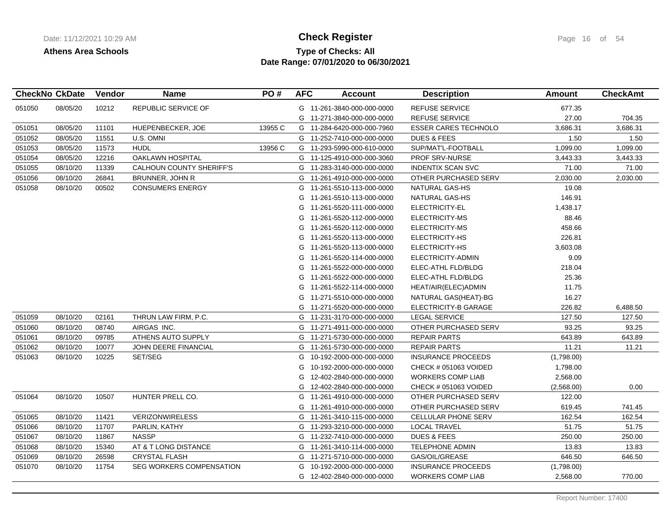# **Type of Checks: All Check Register Check Register Page 16 of 54 Date Range: 07/01/2020 to 06/30/2021**

| <b>CheckNo CkDate</b> |          | Vendor | <b>Name</b>                     | PO#     | <b>AFC</b> | <b>Account</b>             | <b>Description</b>          | Amount     | <b>CheckAmt</b> |
|-----------------------|----------|--------|---------------------------------|---------|------------|----------------------------|-----------------------------|------------|-----------------|
| 051050                | 08/05/20 | 10212  | REPUBLIC SERVICE OF             |         |            | G 11-261-3840-000-000-0000 | <b>REFUSE SERVICE</b>       | 677.35     |                 |
|                       |          |        |                                 |         |            | G 11-271-3840-000-000-0000 | <b>REFUSE SERVICE</b>       | 27.00      | 704.35          |
| 051051                | 08/05/20 | 11101  | HUEPENBECKER, JOE               | 13955 C |            | G 11-284-6420-000-000-7960 | <b>ESSER CARES TECHNOLO</b> | 3,686.31   | 3,686.31        |
| 051052                | 08/05/20 | 11551  | U.S. OMNI                       |         |            | G 11-252-7410-000-000-0000 | <b>DUES &amp; FEES</b>      | 1.50       | 1.50            |
| 051053                | 08/05/20 | 11573  | <b>HUDL</b>                     | 13956 C |            | G 11-293-5990-000-610-0000 | SUP/MAT'L-FOOTBALL          | 1,099.00   | 1,099.00        |
| 051054                | 08/05/20 | 12216  | <b>OAKLAWN HOSPITAL</b>         |         |            | G 11-125-4910-000-000-3060 | <b>PROF SRV-NURSE</b>       | 3,443.33   | 3,443.33        |
| 051055                | 08/10/20 | 11339  | <b>CALHOUN COUNTY SHERIFF'S</b> |         |            | G 11-283-3140-000-000-0000 | <b>INDENTIX SCAN SVC</b>    | 71.00      | 71.00           |
| 051056                | 08/10/20 | 26841  | BRUNNER, JOHN R                 |         | G          | 11-261-4910-000-000-0000   | OTHER PURCHASED SERV        | 2,030.00   | 2,030.00        |
| 051058                | 08/10/20 | 00502  | <b>CONSUMERS ENERGY</b>         |         | G          | 11-261-5510-113-000-0000   | <b>NATURAL GAS-HS</b>       | 19.08      |                 |
|                       |          |        |                                 |         | G          | 11-261-5510-113-000-0000   | NATURAL GAS-HS              | 146.91     |                 |
|                       |          |        |                                 |         | G          | 11-261-5520-111-000-0000   | ELECTRICITY-EL              | 1,438.17   |                 |
|                       |          |        |                                 |         | G          | 11-261-5520-112-000-0000   | ELECTRICITY-MS              | 88.46      |                 |
|                       |          |        |                                 |         | G          | 11-261-5520-112-000-0000   | ELECTRICITY-MS              | 458.66     |                 |
|                       |          |        |                                 |         | G          | 11-261-5520-113-000-0000   | ELECTRICITY-HS              | 226.81     |                 |
|                       |          |        |                                 |         | G          | 11-261-5520-113-000-0000   | ELECTRICITY-HS              | 3,603.08   |                 |
|                       |          |        |                                 |         | G          | 11-261-5520-114-000-0000   | ELECTRICITY-ADMIN           | 9.09       |                 |
|                       |          |        |                                 |         | G          | 11-261-5522-000-000-0000   | ELEC-ATHL FLD/BLDG          | 218.04     |                 |
|                       |          |        |                                 |         | G          | 11-261-5522-000-000-0000   | ELEC-ATHL FLD/BLDG          | 25.36      |                 |
|                       |          |        |                                 |         | G          | 11-261-5522-114-000-0000   | HEAT/AIR(ELEC)ADMIN         | 11.75      |                 |
|                       |          |        |                                 |         | G          | 11-271-5510-000-000-0000   | NATURAL GAS(HEAT)-BG        | 16.27      |                 |
|                       |          |        |                                 |         | G          | 11-271-5520-000-000-0000   | ELECTRICITY-B GARAGE        | 226.82     | 6,488.50        |
| 051059                | 08/10/20 | 02161  | THRUN LAW FIRM, P.C.            |         |            | G 11-231-3170-000-000-0000 | <b>LEGAL SERVICE</b>        | 127.50     | 127.50          |
| 051060                | 08/10/20 | 08740  | AIRGAS INC.                     |         |            | G 11-271-4911-000-000-0000 | OTHER PURCHASED SERV        | 93.25      | 93.25           |
| 051061                | 08/10/20 | 09785  | ATHENS AUTO SUPPLY              |         | G          | 11-271-5730-000-000-0000   | <b>REPAIR PARTS</b>         | 643.89     | 643.89          |
| 051062                | 08/10/20 | 10077  | JOHN DEERE FINANCIAL            |         | G          | 11-261-5730-000-000-0000   | <b>REPAIR PARTS</b>         | 11.21      | 11.21           |
| 051063                | 08/10/20 | 10225  | SET/SEG                         |         | G          | 10-192-2000-000-000-0000   | <b>INSURANCE PROCEEDS</b>   | (1,798.00) |                 |
|                       |          |        |                                 |         | G          | 10-192-2000-000-000-0000   | CHECK # 051063 VOIDED       | 1,798.00   |                 |
|                       |          |        |                                 |         | G          | 12-402-2840-000-000-0000   | <b>WORKERS COMP LIAB</b>    | 2,568.00   |                 |
|                       |          |        |                                 |         | G          | 12-402-2840-000-000-0000   | CHECK # 051063 VOIDED       | (2,568.00) | 0.00            |
| 051064                | 08/10/20 | 10507  | HUNTER PRELL CO.                |         | G          | 11-261-4910-000-000-0000   | OTHER PURCHASED SERV        | 122.00     |                 |
|                       |          |        |                                 |         | G          | 11-261-4910-000-000-0000   | OTHER PURCHASED SERV        | 619.45     | 741.45          |
| 051065                | 08/10/20 | 11421  | <b>VERIZONWIRELESS</b>          |         | G          | 11-261-3410-115-000-0000   | CELLULAR PHONE SERV         | 162.54     | 162.54          |
| 051066                | 08/10/20 | 11707  | PARLIN, KATHY                   |         | G          | 11-293-3210-000-000-0000   | <b>LOCAL TRAVEL</b>         | 51.75      | 51.75           |
| 051067                | 08/10/20 | 11867  | <b>NASSP</b>                    |         | G          | 11-232-7410-000-000-0000   | <b>DUES &amp; FEES</b>      | 250.00     | 250.00          |
| 051068                | 08/10/20 | 15340  | AT & T LONG DISTANCE            |         |            | G 11-261-3410-114-000-0000 | <b>TELEPHONE ADMIN</b>      | 13.83      | 13.83           |
| 051069                | 08/10/20 | 26598  | <b>CRYSTAL FLASH</b>            |         |            | G 11-271-5710-000-000-0000 | GAS/OIL/GREASE              | 646.50     | 646.50          |
| 051070                | 08/10/20 | 11754  | <b>SEG WORKERS COMPENSATION</b> |         | G          | 10-192-2000-000-000-0000   | <b>INSURANCE PROCEEDS</b>   | (1,798.00) |                 |
|                       |          |        |                                 |         |            | G 12-402-2840-000-000-0000 | <b>WORKERS COMP LIAB</b>    | 2,568.00   | 770.00          |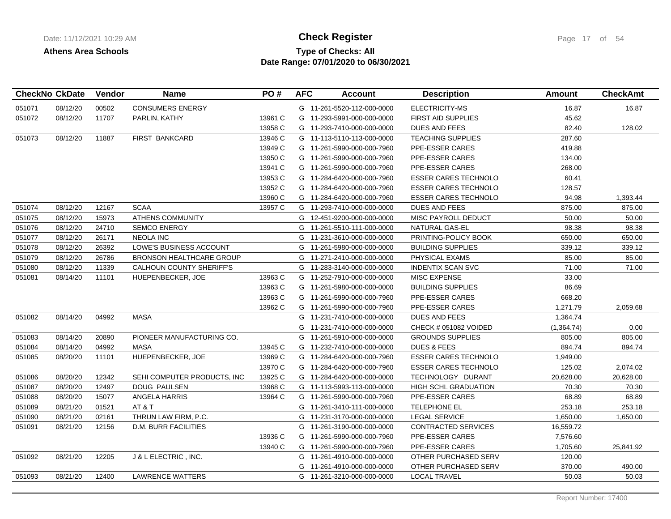# **Type of Checks: All Check Register Check Register Page 17 of 54 Date Range: 07/01/2020 to 06/30/2021**

|        | <b>CheckNo CkDate</b> | Vendor | <b>Name</b>                     | PO#     | <b>AFC</b> | <b>Account</b>             | <b>Description</b>          | Amount     | <b>CheckAmt</b> |
|--------|-----------------------|--------|---------------------------------|---------|------------|----------------------------|-----------------------------|------------|-----------------|
| 051071 | 08/12/20              | 00502  | <b>CONSUMERS ENERGY</b>         |         |            | G 11-261-5520-112-000-0000 | ELECTRICITY-MS              | 16.87      | 16.87           |
| 051072 | 08/12/20              | 11707  | PARLIN, KATHY                   | 13961 C |            | G 11-293-5991-000-000-0000 | <b>FIRST AID SUPPLIES</b>   | 45.62      |                 |
|        |                       |        |                                 | 13958 C |            | G 11-293-7410-000-000-0000 | <b>DUES AND FEES</b>        | 82.40      | 128.02          |
| 051073 | 08/12/20              | 11887  | <b>FIRST BANKCARD</b>           | 13946 C |            | G 11-113-5110-113-000-0000 | <b>TEACHING SUPPLIES</b>    | 287.60     |                 |
|        |                       |        |                                 | 13949 C |            | G 11-261-5990-000-000-7960 | PPE-ESSER CARES             | 419.88     |                 |
|        |                       |        |                                 | 13950 C |            | G 11-261-5990-000-000-7960 | PPE-ESSER CARES             | 134.00     |                 |
|        |                       |        |                                 | 13941 C |            | G 11-261-5990-000-000-7960 | PPE-ESSER CARES             | 268.00     |                 |
|        |                       |        |                                 | 13953 C |            | G 11-284-6420-000-000-7960 | <b>ESSER CARES TECHNOLO</b> | 60.41      |                 |
|        |                       |        |                                 | 13952 C |            | G 11-284-6420-000-000-7960 | <b>ESSER CARES TECHNOLO</b> | 128.57     |                 |
|        |                       |        |                                 | 13960 C |            | G 11-284-6420-000-000-7960 | <b>ESSER CARES TECHNOLO</b> | 94.98      | 1,393.44        |
| 051074 | 08/12/20              | 12167  | <b>SCAA</b>                     | 13957 C |            | G 11-293-7410-000-000-0000 | <b>DUES AND FEES</b>        | 875.00     | 875.00          |
| 051075 | 08/12/20              | 15973  | <b>ATHENS COMMUNITY</b>         |         |            | G 12-451-9200-000-000-0000 | MISC PAYROLL DEDUCT         | 50.00      | 50.00           |
| 051076 | 08/12/20              | 24710  | <b>SEMCO ENERGY</b>             |         |            | G 11-261-5510-111-000-0000 | NATURAL GAS-EL              | 98.38      | 98.38           |
| 051077 | 08/12/20              | 26171  | <b>NEOLA INC</b>                |         |            | G 11-231-3610-000-000-0000 | PRINTING-POLICY BOOK        | 650.00     | 650.00          |
| 051078 | 08/12/20              | 26392  | <b>LOWE'S BUSINESS ACCOUNT</b>  |         |            | G 11-261-5980-000-000-0000 | <b>BUILDING SUPPLIES</b>    | 339.12     | 339.12          |
| 051079 | 08/12/20              | 26786  | <b>BRONSON HEALTHCARE GROUP</b> |         |            | G 11-271-2410-000-000-0000 | PHYSICAL EXAMS              | 85.00      | 85.00           |
| 051080 | 08/12/20              | 11339  | <b>CALHOUN COUNTY SHERIFF'S</b> |         |            | G 11-283-3140-000-000-0000 | <b>INDENTIX SCAN SVC</b>    | 71.00      | 71.00           |
| 051081 | 08/14/20              | 11101  | HUEPENBECKER, JOE               | 13963 C |            | G 11-252-7910-000-000-0000 | <b>MISC EXPENSE</b>         | 33.00      |                 |
|        |                       |        |                                 | 13963 C |            | G 11-261-5980-000-000-0000 | <b>BUILDING SUPPLIES</b>    | 86.69      |                 |
|        |                       |        |                                 | 13963 C |            | G 11-261-5990-000-000-7960 | PPE-ESSER CARES             | 668.20     |                 |
|        |                       |        |                                 | 13962 C |            | G 11-261-5990-000-000-7960 | PPE-ESSER CARES             | 1,271.79   | 2,059.68        |
| 051082 | 08/14/20              | 04992  | <b>MASA</b>                     |         |            | G 11-231-7410-000-000-0000 | <b>DUES AND FEES</b>        | 1,364.74   |                 |
|        |                       |        |                                 |         |            | G 11-231-7410-000-000-0000 | CHECK # 051082 VOIDED       | (1,364.74) | 0.00            |
| 051083 | 08/14/20              | 20890  | PIONEER MANUFACTURING CO.       |         |            | G 11-261-5910-000-000-0000 | <b>GROUNDS SUPPLIES</b>     | 805.00     | 805.00          |
| 051084 | 08/14/20              | 04992  | <b>MASA</b>                     | 13945 C |            | G 11-232-7410-000-000-0000 | <b>DUES &amp; FEES</b>      | 894.74     | 894.74          |
| 051085 | 08/20/20              | 11101  | HUEPENBECKER, JOE               | 13969 C |            | G 11-284-6420-000-000-7960 | <b>ESSER CARES TECHNOLO</b> | 1,949.00   |                 |
|        |                       |        |                                 | 13970 C |            | G 11-284-6420-000-000-7960 | <b>ESSER CARES TECHNOLO</b> | 125.02     | 2,074.02        |
| 051086 | 08/20/20              | 12342  | SEHI COMPUTER PRODUCTS, INC     | 13925 C |            | G 11-284-6420-000-000-0000 | TECHNOLOGY DURANT           | 20,628.00  | 20,628.00       |
| 051087 | 08/20/20              | 12497  | <b>DOUG PAULSEN</b>             | 13968 C |            | G 11-113-5993-113-000-0000 | <b>HIGH SCHL GRADUATION</b> | 70.30      | 70.30           |
| 051088 | 08/20/20              | 15077  | <b>ANGELA HARRIS</b>            | 13964 C |            | G 11-261-5990-000-000-7960 | PPE-ESSER CARES             | 68.89      | 68.89           |
| 051089 | 08/21/20              | 01521  | AT&T                            |         |            | G 11-261-3410-111-000-0000 | <b>TELEPHONE EL</b>         | 253.18     | 253.18          |
| 051090 | 08/21/20              | 02161  | THRUN LAW FIRM, P.C.            |         |            | G 11-231-3170-000-000-0000 | <b>LEGAL SERVICE</b>        | 1,650.00   | 1,650.00        |
| 051091 | 08/21/20              | 12156  | <b>D.M. BURR FACILITIES</b>     |         |            | G 11-261-3190-000-000-0000 | <b>CONTRACTED SERVICES</b>  | 16,559.72  |                 |
|        |                       |        |                                 | 13936 C | G          | 11-261-5990-000-000-7960   | <b>PPE-ESSER CARES</b>      | 7,576.60   |                 |
|        |                       |        |                                 | 13940 C |            | G 11-261-5990-000-000-7960 | PPE-ESSER CARES             | 1,705.60   | 25,841.92       |
| 051092 | 08/21/20              | 12205  | J & L ELECTRIC, INC.            |         |            | G 11-261-4910-000-000-0000 | OTHER PURCHASED SERV        | 120.00     |                 |
|        |                       |        |                                 |         | G          | 11-261-4910-000-000-0000   | OTHER PURCHASED SERV        | 370.00     | 490.00          |
| 051093 | 08/21/20              | 12400  | LAWRENCE WATTERS                |         |            | G 11-261-3210-000-000-0000 | <b>LOCAL TRAVEL</b>         | 50.03      | 50.03           |
|        |                       |        |                                 |         |            |                            |                             |            |                 |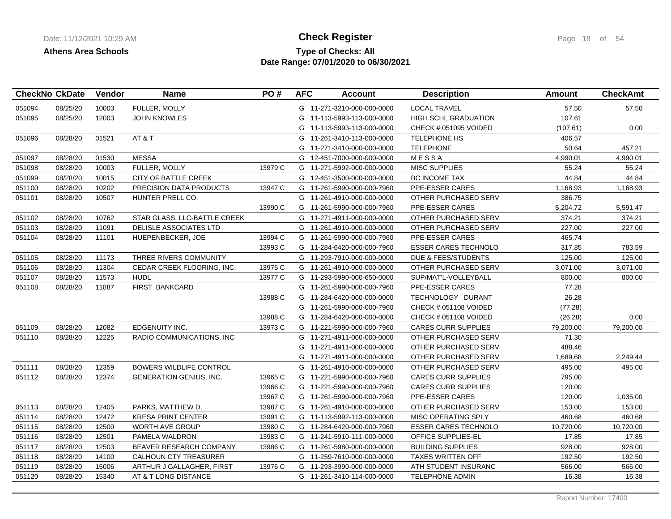# **Type of Checks: All Check Register Check Register Page 18 of 54 Date Range: 07/01/2020 to 06/30/2021**

|        | <b>CheckNo CkDate</b> | Vendor | <b>Name</b>                    | PO#     | <b>AFC</b> | <b>Account</b>             | <b>Description</b>             | <b>Amount</b> | <b>CheckAmt</b> |
|--------|-----------------------|--------|--------------------------------|---------|------------|----------------------------|--------------------------------|---------------|-----------------|
| 051094 | 08/25/20              | 10003  | FULLER, MOLLY                  |         |            | G 11-271-3210-000-000-0000 | <b>LOCAL TRAVEL</b>            | 57.50         | 57.50           |
| 051095 | 08/25/20              | 12003  | <b>JOHN KNOWLES</b>            |         |            | G 11-113-5993-113-000-0000 | HIGH SCHL GRADUATION           | 107.61        |                 |
|        |                       |        |                                |         |            | G 11-113-5993-113-000-0000 | CHECK # 051095 VOIDED          | (107.61)      | 0.00            |
| 051096 | 08/28/20              | 01521  | AT&T                           |         |            | G 11-261-3410-113-000-0000 | <b>TELEPHONE HS</b>            | 406.57        |                 |
|        |                       |        |                                |         |            | G 11-271-3410-000-000-0000 | <b>TELEPHONE</b>               | 50.64         | 457.21          |
| 051097 | 08/28/20              | 01530  | <b>MESSA</b>                   |         |            | G 12-451-7000-000-000-0000 | MESSA                          | 4,990.01      | 4,990.01        |
| 051098 | 08/28/20              | 10003  | <b>FULLER, MOLLY</b>           | 13979 C |            | G 11-271-5992-000-000-0000 | MISC SUPPLIES                  | 55.24         | 55.24           |
| 051099 | 08/28/20              | 10015  | <b>CITY OF BATTLE CREEK</b>    |         |            | G 12-451-3500-000-000-0000 | <b>BC INCOME TAX</b>           | 44.84         | 44.84           |
| 051100 | 08/28/20              | 10202  | <b>PRECISION DATA PRODUCTS</b> | 13947 C |            | G 11-261-5990-000-000-7960 | PPE-ESSER CARES                | 1,168.93      | 1,168.93        |
| 051101 | 08/28/20              | 10507  | HUNTER PRELL CO.               |         |            | G 11-261-4910-000-000-0000 | OTHER PURCHASED SERV           | 386.75        |                 |
|        |                       |        |                                | 13990 C |            | G 11-261-5990-000-000-7960 | PPE-ESSER CARES                | 5,204.72      | 5,591.47        |
| 051102 | 08/28/20              | 10762  | STAR GLASS, LLC-BATTLE CREEK   |         |            | G 11-271-4911-000-000-0000 | OTHER PURCHASED SERV           | 374.21        | 374.21          |
| 051103 | 08/28/20              | 11091  | DELISLE ASSOCIATES LTD         |         |            | G 11-261-4910-000-000-0000 | OTHER PURCHASED SERV           | 227.00        | 227.00          |
| 051104 | 08/28/20              | 11101  | HUEPENBECKER, JOE              | 13994 C |            | G 11-261-5990-000-000-7960 | <b>PPE-ESSER CARES</b>         | 465.74        |                 |
|        |                       |        |                                | 13993 C |            | G 11-284-6420-000-000-7960 | <b>ESSER CARES TECHNOLO</b>    | 317.85        | 783.59          |
| 051105 | 08/28/20              | 11173  | THREE RIVERS COMMUNITY         |         |            | G 11-293-7910-000-000-0000 | <b>DUE &amp; FEES/STUDENTS</b> | 125.00        | 125.00          |
| 051106 | 08/28/20              | 11304  | CEDAR CREEK FLOORING. INC.     | 13975 C |            | G 11-261-4910-000-000-0000 | OTHER PURCHASED SERV           | 3,071.00      | 3,071.00        |
| 051107 | 08/28/20              | 11573  | <b>HUDL</b>                    | 13977 C |            | G 11-293-5990-000-650-0000 | SUP/MAT'L-VOLLEYBALL           | 800.00        | 800.00          |
| 051108 | 08/28/20              | 11887  | <b>FIRST BANKCARD</b>          |         |            | G 11-261-5990-000-000-7960 | <b>PPE-ESSER CARES</b>         | 77.28         |                 |
|        |                       |        |                                | 13988 C |            | G 11-284-6420-000-000-0000 | TECHNOLOGY DURANT              | 26.28         |                 |
|        |                       |        |                                |         | G          | 11-261-5990-000-000-7960   | CHECK # 051108 VOIDED          | (77.28)       |                 |
|        |                       |        |                                | 13988 C |            | G 11-284-6420-000-000-0000 | CHECK # 051108 VOIDED          | (26.28)       | 0.00            |
| 051109 | 08/28/20              | 12082  | <b>EDGENUITY INC.</b>          | 13973 C |            | G 11-221-5990-000-000-7960 | <b>CARES CURR SUPPLIES</b>     | 79,200.00     | 79,200.00       |
| 051110 | 08/28/20              | 12225  | RADIO COMMUNICATIONS, INC.     |         |            | G 11-271-4911-000-000-0000 | OTHER PURCHASED SERV           | 71.30         |                 |
|        |                       |        |                                |         |            | G 11-271-4911-000-000-0000 | OTHER PURCHASED SERV           | 488.46        |                 |
|        |                       |        |                                |         |            | G 11-271-4911-000-000-0000 | OTHER PURCHASED SERV           | 1,689.68      | 2,249.44        |
| 051111 | 08/28/20              | 12359  | <b>BOWERS WILDLIFE CONTROL</b> |         |            | G 11-261-4910-000-000-0000 | OTHER PURCHASED SERV           | 495.00        | 495.00          |
| 051112 | 08/28/20              | 12374  | <b>GENERATION GENIUS, INC.</b> | 13965 C |            | G 11-221-5990-000-000-7960 | <b>CARES CURR SUPPLIES</b>     | 795.00        |                 |
|        |                       |        |                                | 13966 C |            | G 11-221-5990-000-000-7960 | <b>CARES CURR SUPPLIES</b>     | 120.00        |                 |
|        |                       |        |                                | 13967 C |            | G 11-261-5990-000-000-7960 | PPE-ESSER CARES                | 120.00        | 1,035.00        |
| 051113 | 08/28/20              | 12405  | PARKS, MATTHEW D.              | 13987 C |            | G 11-261-4910-000-000-0000 | OTHER PURCHASED SERV           | 153.00        | 153.00          |
| 051114 | 08/28/20              | 12472  | <b>KRESA PRINT CENTER</b>      | 13991 C |            | G 11-113-5992-113-000-0000 | MISC OPERATING SPLY            | 460.68        | 460.68          |
| 051115 | 08/28/20              | 12500  | <b>WORTH AVE GROUP</b>         | 13980 C |            | G 11-284-6420-000-000-7960 | <b>ESSER CARES TECHNOLO</b>    | 10,720.00     | 10,720.00       |
| 051116 | 08/28/20              | 12501  | PAMELA WALDRON                 | 13983 C |            | G 11-241-5910-111-000-0000 | OFFICE SUPPLIES-EL             | 17.85         | 17.85           |
| 051117 | 08/28/20              | 12503  | BEAVER RESEARCH COMPANY        | 13986 C |            | G 11-261-5980-000-000-0000 | <b>BUILDING SUPPLIES</b>       | 928.00        | 928.00          |
| 051118 | 08/28/20              | 14100  | <b>CALHOUN CTY TREASURER</b>   |         |            | G 11-259-7610-000-000-0000 | <b>TAXES WRITTEN OFF</b>       | 192.50        | 192.50          |
| 051119 | 08/28/20              | 15006  | ARTHUR J GALLAGHER, FIRST      | 13976 C |            | G 11-293-3990-000-000-0000 | ATH STUDENT INSURANC           | 566.00        | 566.00          |
| 051120 | 08/28/20              | 15340  | AT & T LONG DISTANCE           |         |            | G 11-261-3410-114-000-0000 | <b>TELEPHONE ADMIN</b>         | 16.38         | 16.38           |
|        |                       |        |                                |         |            |                            |                                |               |                 |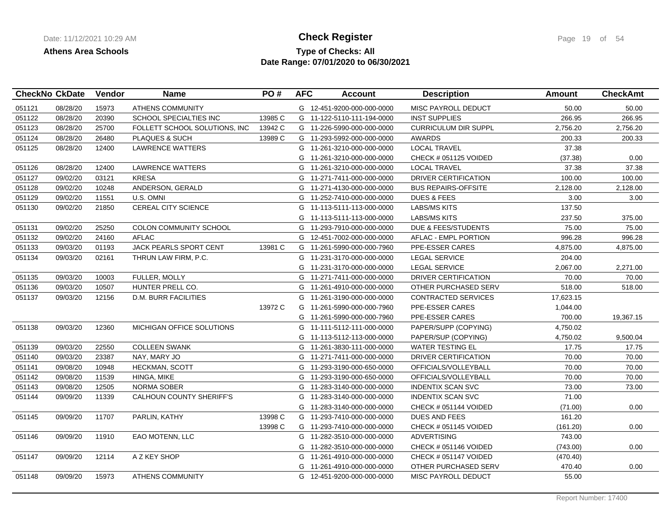## **Type of Checks: All Check Register Check Register Page 19 of 54 Date Range: 07/01/2020 to 06/30/2021**

|        | <b>CheckNo CkDate</b> | Vendor | <b>Name</b>                   | PO#     | <b>AFC</b> | <b>Account</b>             | <b>Description</b>          | <b>Amount</b> | <b>CheckAmt</b> |
|--------|-----------------------|--------|-------------------------------|---------|------------|----------------------------|-----------------------------|---------------|-----------------|
| 051121 | 08/28/20              | 15973  | ATHENS COMMUNITY              |         |            | G 12-451-9200-000-000-0000 | <b>MISC PAYROLL DEDUCT</b>  | 50.00         | 50.00           |
| 051122 | 08/28/20              | 20390  | SCHOOL SPECIALTIES INC        | 13985 C |            | G 11-122-5110-111-194-0000 | <b>INST SUPPLIES</b>        | 266.95        | 266.95          |
| 051123 | 08/28/20              | 25700  | FOLLETT SCHOOL SOLUTIONS, INC | 13942 C |            | G 11-226-5990-000-000-0000 | <b>CURRICULUM DIR SUPPL</b> | 2,756.20      | 2,756.20        |
| 051124 | 08/28/20              | 26480  | PLAQUES & SUCH                | 13989 C |            | G 11-293-5992-000-000-0000 | <b>AWARDS</b>               | 200.33        | 200.33          |
| 051125 | 08/28/20              | 12400  | <b>LAWRENCE WATTERS</b>       |         |            | G 11-261-3210-000-000-0000 | <b>LOCAL TRAVEL</b>         | 37.38         |                 |
|        |                       |        |                               |         |            | G 11-261-3210-000-000-0000 | CHECK # 051125 VOIDED       | (37.38)       | 0.00            |
| 051126 | 08/28/20              | 12400  | <b>LAWRENCE WATTERS</b>       |         |            | G 11-261-3210-000-000-0000 | <b>LOCAL TRAVEL</b>         | 37.38         | 37.38           |
| 051127 | 09/02/20              | 03121  | <b>KRESA</b>                  |         |            | G 11-271-7411-000-000-0000 | DRIVER CERTIFICATION        | 100.00        | 100.00          |
| 051128 | 09/02/20              | 10248  | ANDERSON, GERALD              |         |            | G 11-271-4130-000-000-0000 | <b>BUS REPAIRS-OFFSITE</b>  | 2,128.00      | 2,128.00        |
| 051129 | 09/02/20              | 11551  | U.S. OMNI                     |         |            | G 11-252-7410-000-000-0000 | <b>DUES &amp; FEES</b>      | 3.00          | 3.00            |
| 051130 | 09/02/20              | 21850  | <b>CEREAL CITY SCIENCE</b>    |         |            | G 11-113-5111-113-000-0000 | LABS/MS KITS                | 137.50        |                 |
|        |                       |        |                               |         |            | G 11-113-5111-113-000-0000 | <b>LABS/MS KITS</b>         | 237.50        | 375.00          |
| 051131 | 09/02/20              | 25250  | <b>COLON COMMUNITY SCHOOL</b> |         |            | G 11-293-7910-000-000-0000 | DUE & FEES/STUDENTS         | 75.00         | 75.00           |
| 051132 | 09/02/20              | 24160  | <b>AFLAC</b>                  |         |            | G 12-451-7002-000-000-0000 | AFLAC - EMPL PORTION        | 996.28        | 996.28          |
| 051133 | 09/03/20              | 01193  | JACK PEARLS SPORT CENT        | 13981 C |            | G 11-261-5990-000-000-7960 | PPE-ESSER CARES             | 4,875.00      | 4,875.00        |
| 051134 | 09/03/20              | 02161  | THRUN LAW FIRM, P.C.          |         |            | G 11-231-3170-000-000-0000 | <b>LEGAL SERVICE</b>        | 204.00        |                 |
|        |                       |        |                               |         |            | G 11-231-3170-000-000-0000 | <b>LEGAL SERVICE</b>        | 2,067.00      | 2,271.00        |
| 051135 | 09/03/20              | 10003  | <b>FULLER, MOLLY</b>          |         |            | G 11-271-7411-000-000-0000 | DRIVER CERTIFICATION        | 70.00         | 70.00           |
| 051136 | 09/03/20              | 10507  | HUNTER PRELL CO.              |         |            | G 11-261-4910-000-000-0000 | OTHER PURCHASED SERV        | 518.00        | 518.00          |
| 051137 | 09/03/20              | 12156  | <b>D.M. BURR FACILITIES</b>   |         |            | G 11-261-3190-000-000-0000 | <b>CONTRACTED SERVICES</b>  | 17,623.15     |                 |
|        |                       |        |                               | 13972 C |            | G 11-261-5990-000-000-7960 | PPE-ESSER CARES             | 1,044.00      |                 |
|        |                       |        |                               |         |            | G 11-261-5990-000-000-7960 | PPE-ESSER CARES             | 700.00        | 19,367.15       |
| 051138 | 09/03/20              | 12360  | MICHIGAN OFFICE SOLUTIONS     |         |            | G 11-111-5112-111-000-0000 | PAPER/SUPP (COPYING)        | 4,750.02      |                 |
|        |                       |        |                               |         |            | G 11-113-5112-113-000-0000 | PAPER/SUP (COPYING)         | 4,750.02      | 9,500.04        |
| 051139 | 09/03/20              | 22550  | <b>COLLEEN SWANK</b>          |         |            | G 11-261-3830-111-000-0000 | <b>WATER TESTING EL</b>     | 17.75         | 17.75           |
| 051140 | 09/03/20              | 23387  | NAY, MARY JO                  |         |            | G 11-271-7411-000-000-0000 | DRIVER CERTIFICATION        | 70.00         | 70.00           |
| 051141 | 09/08/20              | 10948  | <b>HECKMAN, SCOTT</b>         |         |            | G 11-293-3190-000-650-0000 | OFFICIALS/VOLLEYBALL        | 70.00         | 70.00           |
| 051142 | 09/08/20              | 11539  | HINGA, MIKE                   |         |            | G 11-293-3190-000-650-0000 | OFFICIALS/VOLLEYBALL        | 70.00         | 70.00           |
| 051143 | 09/08/20              | 12505  | <b>NORMA SOBER</b>            |         |            | G 11-283-3140-000-000-0000 | <b>INDENTIX SCAN SVC</b>    | 73.00         | 73.00           |
| 051144 | 09/09/20              | 11339  | CALHOUN COUNTY SHERIFF'S      |         |            | G 11-283-3140-000-000-0000 | <b>INDENTIX SCAN SVC</b>    | 71.00         |                 |
|        |                       |        |                               |         |            | G 11-283-3140-000-000-0000 | CHECK # 051144 VOIDED       | (71.00)       | 0.00            |
| 051145 | 09/09/20              | 11707  | PARLIN, KATHY                 | 13998 C |            | G 11-293-7410-000-000-0000 | <b>DUES AND FEES</b>        | 161.20        |                 |
|        |                       |        |                               | 13998 C |            | G 11-293-7410-000-000-0000 | CHECK # 051145 VOIDED       | (161.20)      | 0.00            |
| 051146 | 09/09/20              | 11910  | EAO MOTENN, LLC               |         |            | G 11-282-3510-000-000-0000 | <b>ADVERTISING</b>          | 743.00        |                 |
|        |                       |        |                               |         |            | G 11-282-3510-000-000-0000 | CHECK # 051146 VOIDED       | (743.00)      | 0.00            |
| 051147 | 09/09/20              | 12114  | A Z KEY SHOP                  |         |            | G 11-261-4910-000-000-0000 | CHECK # 051147 VOIDED       | (470.40)      |                 |
|        |                       |        |                               |         |            | G 11-261-4910-000-000-0000 | OTHER PURCHASED SERV        | 470.40        | 0.00            |
| 051148 | 09/09/20              | 15973  | <b>ATHENS COMMUNITY</b>       |         |            | G 12-451-9200-000-000-0000 | MISC PAYROLL DEDUCT         | 55.00         |                 |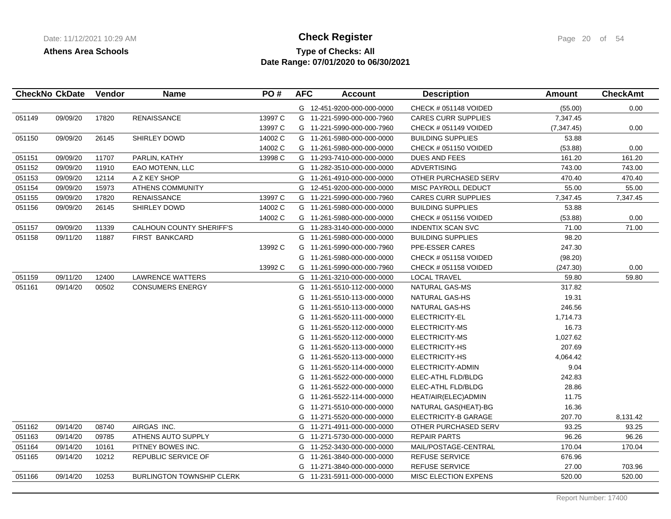# **Type of Checks: All Check Register Check Register Page 20 of 54 Date Range: 07/01/2020 to 06/30/2021**

| <b>CheckNo CkDate</b> |          | Vendor | <b>Name</b>                      | PO#     | <b>AFC</b> | <b>Account</b>             | <b>Description</b>          | Amount      | <b>CheckAmt</b> |
|-----------------------|----------|--------|----------------------------------|---------|------------|----------------------------|-----------------------------|-------------|-----------------|
|                       |          |        |                                  |         |            | G 12-451-9200-000-000-0000 | CHECK # 051148 VOIDED       | (55.00)     | 0.00            |
| 051149                | 09/09/20 | 17820  | <b>RENAISSANCE</b>               | 13997 C |            | G 11-221-5990-000-000-7960 | <b>CARES CURR SUPPLIES</b>  | 7,347.45    |                 |
|                       |          |        |                                  | 13997 C |            | G 11-221-5990-000-000-7960 | CHECK # 051149 VOIDED       | (7, 347.45) | 0.00            |
| 051150                | 09/09/20 | 26145  | SHIRLEY DOWD                     | 14002 C |            | G 11-261-5980-000-000-0000 | <b>BUILDING SUPPLIES</b>    | 53.88       |                 |
|                       |          |        |                                  | 14002 C |            | G 11-261-5980-000-000-0000 | CHECK # 051150 VOIDED       | (53.88)     | 0.00            |
| 051151                | 09/09/20 | 11707  | PARLIN, KATHY                    | 13998 C |            | G 11-293-7410-000-000-0000 | DUES AND FEES               | 161.20      | 161.20          |
| 051152                | 09/09/20 | 11910  | EAO MOTENN, LLC                  |         |            | G 11-282-3510-000-000-0000 | <b>ADVERTISING</b>          | 743.00      | 743.00          |
| 051153                | 09/09/20 | 12114  | A Z KEY SHOP                     |         | G          | 11-261-4910-000-000-0000   | OTHER PURCHASED SERV        | 470.40      | 470.40          |
| 051154                | 09/09/20 | 15973  | <b>ATHENS COMMUNITY</b>          |         | G          | 12-451-9200-000-000-0000   | MISC PAYROLL DEDUCT         | 55.00       | 55.00           |
| 051155                | 09/09/20 | 17820  | <b>RENAISSANCE</b>               | 13997 C |            | G 11-221-5990-000-000-7960 | <b>CARES CURR SUPPLIES</b>  | 7,347.45    | 7,347.45        |
| 051156                | 09/09/20 | 26145  | <b>SHIRLEY DOWD</b>              | 14002 C |            | G 11-261-5980-000-000-0000 | <b>BUILDING SUPPLIES</b>    | 53.88       |                 |
|                       |          |        |                                  | 14002 C |            | G 11-261-5980-000-000-0000 | CHECK # 051156 VOIDED       | (53.88)     | 0.00            |
| 051157                | 09/09/20 | 11339  | CALHOUN COUNTY SHERIFF'S         |         |            | G 11-283-3140-000-000-0000 | <b>INDENTIX SCAN SVC</b>    | 71.00       | 71.00           |
| 051158                | 09/11/20 | 11887  | <b>FIRST BANKCARD</b>            |         | G          | 11-261-5980-000-000-0000   | <b>BUILDING SUPPLIES</b>    | 98.20       |                 |
|                       |          |        |                                  | 13992 C | G          | 11-261-5990-000-000-7960   | PPE-ESSER CARES             | 247.30      |                 |
|                       |          |        |                                  |         | G          | 11-261-5980-000-000-0000   | CHECK # 051158 VOIDED       | (98.20)     |                 |
|                       |          |        |                                  | 13992 C | G          | 11-261-5990-000-000-7960   | CHECK # 051158 VOIDED       | (247.30)    | 0.00            |
| 051159                | 09/11/20 | 12400  | <b>LAWRENCE WATTERS</b>          |         |            | G 11-261-3210-000-000-0000 | <b>LOCAL TRAVEL</b>         | 59.80       | 59.80           |
| 051161                | 09/14/20 | 00502  | <b>CONSUMERS ENERGY</b>          |         | G          | 11-261-5510-112-000-0000   | NATURAL GAS-MS              | 317.82      |                 |
|                       |          |        |                                  |         | G          | 11-261-5510-113-000-0000   | NATURAL GAS-HS              | 19.31       |                 |
|                       |          |        |                                  |         | G          | 11-261-5510-113-000-0000   | NATURAL GAS-HS              | 246.56      |                 |
|                       |          |        |                                  |         | G          | 11-261-5520-111-000-0000   | ELECTRICITY-EL              | 1,714.73    |                 |
|                       |          |        |                                  |         | G          | 11-261-5520-112-000-0000   | ELECTRICITY-MS              | 16.73       |                 |
|                       |          |        |                                  |         | G          | 11-261-5520-112-000-0000   | ELECTRICITY-MS              | 1,027.62    |                 |
|                       |          |        |                                  |         | G          | 11-261-5520-113-000-0000   | ELECTRICITY-HS              | 207.69      |                 |
|                       |          |        |                                  |         | G          | 11-261-5520-113-000-0000   | ELECTRICITY-HS              | 4,064.42    |                 |
|                       |          |        |                                  |         | G          | 11-261-5520-114-000-0000   | ELECTRICITY-ADMIN           | 9.04        |                 |
|                       |          |        |                                  |         | G          | 11-261-5522-000-000-0000   | ELEC-ATHL FLD/BLDG          | 242.83      |                 |
|                       |          |        |                                  |         | G          | 11-261-5522-000-000-0000   | ELEC-ATHL FLD/BLDG          | 28.86       |                 |
|                       |          |        |                                  |         | G          | 11-261-5522-114-000-0000   | HEAT/AIR(ELEC)ADMIN         | 11.75       |                 |
|                       |          |        |                                  |         | G          | 11-271-5510-000-000-0000   | NATURAL GAS(HEAT)-BG        | 16.36       |                 |
|                       |          |        |                                  |         | G          | 11-271-5520-000-000-0000   | <b>ELECTRICITY-B GARAGE</b> | 207.70      | 8,131.42        |
| 051162                | 09/14/20 | 08740  | AIRGAS INC.                      |         |            | G 11-271-4911-000-000-0000 | OTHER PURCHASED SERV        | 93.25       | 93.25           |
| 051163                | 09/14/20 | 09785  | ATHENS AUTO SUPPLY               |         |            | G 11-271-5730-000-000-0000 | <b>REPAIR PARTS</b>         | 96.26       | 96.26           |
| 051164                | 09/14/20 | 10161  | PITNEY BOWES INC.                |         | G          | 11-252-3430-000-000-0000   | MAIL/POSTAGE-CENTRAL        | 170.04      | 170.04          |
| 051165                | 09/14/20 | 10212  | REPUBLIC SERVICE OF              |         | G          | 11-261-3840-000-000-0000   | <b>REFUSE SERVICE</b>       | 676.96      |                 |
|                       |          |        |                                  |         | G          | 11-271-3840-000-000-0000   | <b>REFUSE SERVICE</b>       | 27.00       | 703.96          |
| 051166                | 09/14/20 | 10253  | <b>BURLINGTON TOWNSHIP CLERK</b> |         | G          | 11-231-5911-000-000-0000   | MISC ELECTION EXPENS        | 520.00      | 520.00          |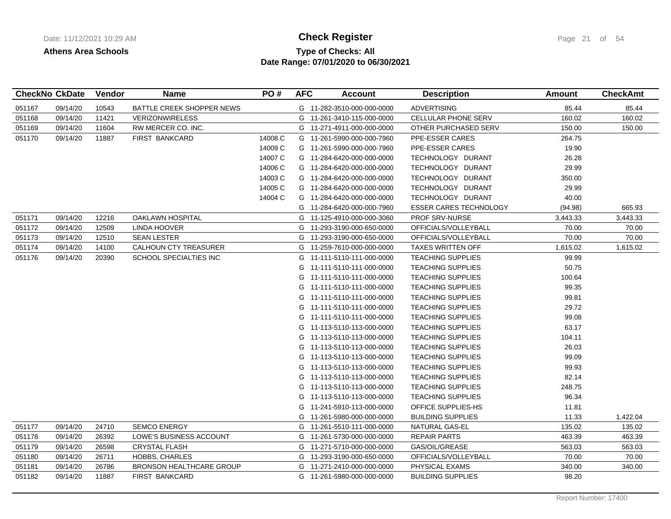# **Type of Checks: All Check Register Check Register Page 21 of 54 Date Range: 07/01/2020 to 06/30/2021**

|        | <b>CheckNo CkDate</b> | <b>Vendor</b> | <b>Name</b>                     | PO#     | <b>AFC</b> | <b>Account</b>             | <b>Description</b>            | Amount   | <b>CheckAmt</b> |
|--------|-----------------------|---------------|---------------------------------|---------|------------|----------------------------|-------------------------------|----------|-----------------|
| 051167 | 09/14/20              | 10543         | BATTLE CREEK SHOPPER NEWS       |         |            | G 11-282-3510-000-000-0000 | <b>ADVERTISING</b>            | 85.44    | 85.44           |
| 051168 | 09/14/20              | 11421         | <b>VERIZONWIRELESS</b>          |         |            | G 11-261-3410-115-000-0000 | CELLULAR PHONE SERV           | 160.02   | 160.02          |
| 051169 | 09/14/20              | 11604         | RW MERCER CO. INC.              |         |            | G 11-271-4911-000-000-0000 | OTHER PURCHASED SERV          | 150.00   | 150.00          |
| 051170 | 09/14/20              | 11887         | <b>FIRST BANKCARD</b>           | 14008 C |            | G 11-261-5990-000-000-7960 | PPE-ESSER CARES               | 264.75   |                 |
|        |                       |               |                                 | 14009 C |            | G 11-261-5990-000-000-7960 | PPE-ESSER CARES               | 19.90    |                 |
|        |                       |               |                                 | 14007 C |            | G 11-284-6420-000-000-0000 | TECHNOLOGY DURANT             | 26.28    |                 |
|        |                       |               |                                 | 14006 C |            | G 11-284-6420-000-000-0000 | TECHNOLOGY DURANT             | 29.99    |                 |
|        |                       |               |                                 | 14003 C | G          | 11-284-6420-000-000-0000   | TECHNOLOGY DURANT             | 350.00   |                 |
|        |                       |               |                                 | 14005 C |            | G 11-284-6420-000-000-0000 | TECHNOLOGY DURANT             | 29.99    |                 |
|        |                       |               |                                 | 14004 C | G          | 11-284-6420-000-000-0000   | TECHNOLOGY DURANT             | 40.00    |                 |
|        |                       |               |                                 |         |            | G 11-284-6420-000-000-7960 | <b>ESSER CARES TECHNOLOGY</b> | (94.98)  | 665.93          |
| 051171 | 09/14/20              | 12216         | OAKLAWN HOSPITAL                |         |            | G 11-125-4910-000-000-3060 | <b>PROF SRV-NURSE</b>         | 3,443.33 | 3,443.33        |
| 051172 | 09/14/20              | 12509         | LINDA HOOVER                    |         | G          | 11-293-3190-000-650-0000   | OFFICIALS/VOLLEYBALL          | 70.00    | 70.00           |
| 051173 | 09/14/20              | 12510         | <b>SEAN LESTER</b>              |         |            | G 11-293-3190-000-650-0000 | OFFICIALS/VOLLEYBALL          | 70.00    | 70.00           |
| 051174 | 09/14/20              | 14100         | CALHOUN CTY TREASURER           |         |            | G 11-259-7610-000-000-0000 | <b>TAXES WRITTEN OFF</b>      | 1,615.02 | 1,615.02        |
| 051176 | 09/14/20              | 20390         | SCHOOL SPECIALTIES INC          |         |            | G 11-111-5110-111-000-0000 | <b>TEACHING SUPPLIES</b>      | 99.99    |                 |
|        |                       |               |                                 |         |            | G 11-111-5110-111-000-0000 | <b>TEACHING SUPPLIES</b>      | 50.75    |                 |
|        |                       |               |                                 |         | G          | 11-111-5110-111-000-0000   | <b>TEACHING SUPPLIES</b>      | 100.64   |                 |
|        |                       |               |                                 |         |            | G 11-111-5110-111-000-0000 | <b>TEACHING SUPPLIES</b>      | 99.35    |                 |
|        |                       |               |                                 |         | G          | 11-111-5110-111-000-0000   | <b>TEACHING SUPPLIES</b>      | 99.81    |                 |
|        |                       |               |                                 |         |            | G 11-111-5110-111-000-0000 | <b>TEACHING SUPPLIES</b>      | 29.72    |                 |
|        |                       |               |                                 |         |            | G 11-111-5110-111-000-0000 | <b>TEACHING SUPPLIES</b>      | 99.08    |                 |
|        |                       |               |                                 |         | G          | 11-113-5110-113-000-0000   | <b>TEACHING SUPPLIES</b>      | 63.17    |                 |
|        |                       |               |                                 |         |            | G 11-113-5110-113-000-0000 | <b>TEACHING SUPPLIES</b>      | 104.11   |                 |
|        |                       |               |                                 |         |            | G 11-113-5110-113-000-0000 | <b>TEACHING SUPPLIES</b>      | 26.03    |                 |
|        |                       |               |                                 |         |            | G 11-113-5110-113-000-0000 | <b>TEACHING SUPPLIES</b>      | 99.09    |                 |
|        |                       |               |                                 |         | G          | 11-113-5110-113-000-0000   | <b>TEACHING SUPPLIES</b>      | 99.93    |                 |
|        |                       |               |                                 |         | G          | 11-113-5110-113-000-0000   | <b>TEACHING SUPPLIES</b>      | 82.14    |                 |
|        |                       |               |                                 |         | G          | 11-113-5110-113-000-0000   | <b>TEACHING SUPPLIES</b>      | 248.75   |                 |
|        |                       |               |                                 |         | G          | 11-113-5110-113-000-0000   | <b>TEACHING SUPPLIES</b>      | 96.34    |                 |
|        |                       |               |                                 |         | G          | 11-241-5910-113-000-0000   | OFFICE SUPPLIES-HS            | 11.81    |                 |
|        |                       |               |                                 |         | G          | 11-261-5980-000-000-0000   | <b>BUILDING SUPPLIES</b>      | 11.33    | 1,422.04        |
| 051177 | 09/14/20              | 24710         | <b>SEMCO ENERGY</b>             |         | G          | 11-261-5510-111-000-0000   | NATURAL GAS-EL                | 135.02   | 135.02          |
| 051178 | 09/14/20              | 26392         | LOWE'S BUSINESS ACCOUNT         |         |            | G 11-261-5730-000-000-0000 | <b>REPAIR PARTS</b>           | 463.39   | 463.39          |
| 051179 | 09/14/20              | 26598         | <b>CRYSTAL FLASH</b>            |         |            | G 11-271-5710-000-000-0000 | GAS/OIL/GREASE                | 563.03   | 563.03          |
| 051180 | 09/14/20              | 26711         | <b>HOBBS, CHARLES</b>           |         |            | G 11-293-3190-000-650-0000 | OFFICIALS/VOLLEYBALL          | 70.00    | 70.00           |
| 051181 | 09/14/20              | 26786         | <b>BRONSON HEALTHCARE GROUP</b> |         | G          | 11-271-2410-000-000-0000   | PHYSICAL EXAMS                | 340.00   | 340.00          |
| 051182 | 09/14/20              | 11887         | <b>FIRST BANKCARD</b>           |         |            | G 11-261-5980-000-000-0000 | <b>BUILDING SUPPLIES</b>      | 98.20    |                 |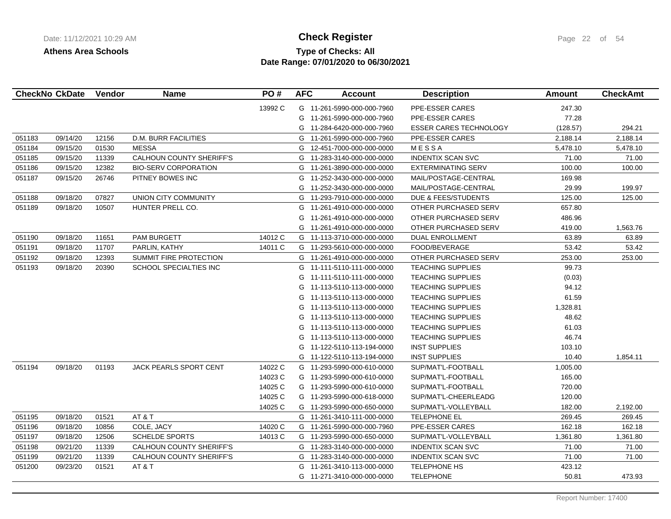# **Type of Checks: All Check Register Check Register Page 22 of 54 Date Range: 07/01/2020 to 06/30/2021**

| <b>CheckNo CkDate</b> |          | Vendor | <b>Name</b>                     | PO#     | <b>AFC</b> | <b>Account</b>             | <b>Description</b>            | Amount   | <b>CheckAmt</b> |
|-----------------------|----------|--------|---------------------------------|---------|------------|----------------------------|-------------------------------|----------|-----------------|
|                       |          |        |                                 | 13992 C |            | G 11-261-5990-000-000-7960 | PPE-ESSER CARES               | 247.30   |                 |
|                       |          |        |                                 |         |            | G 11-261-5990-000-000-7960 | PPE-ESSER CARES               | 77.28    |                 |
|                       |          |        |                                 |         |            | G 11-284-6420-000-000-7960 | <b>ESSER CARES TECHNOLOGY</b> | (128.57) | 294.21          |
| 051183                | 09/14/20 | 12156  | <b>D.M. BURR FACILITIES</b>     |         | G          | 11-261-5990-000-000-7960   | PPE-ESSER CARES               | 2,188.14 | 2,188.14        |
| 051184                | 09/15/20 | 01530  | <b>MESSA</b>                    |         | G          | 12-451-7000-000-000-0000   | MESSA                         | 5,478.10 | 5,478.10        |
| 051185                | 09/15/20 | 11339  | <b>CALHOUN COUNTY SHERIFF'S</b> |         |            | G 11-283-3140-000-000-0000 | <b>INDENTIX SCAN SVC</b>      | 71.00    | 71.00           |
| 051186                | 09/15/20 | 12382  | <b>BIO-SERV CORPORATION</b>     |         |            | G 11-261-3890-000-000-0000 | <b>EXTERMINATING SERV</b>     | 100.00   | 100.00          |
| 051187                | 09/15/20 | 26746  | PITNEY BOWES INC                |         | G          | 11-252-3430-000-000-0000   | MAIL/POSTAGE-CENTRAL          | 169.98   |                 |
|                       |          |        |                                 |         |            | G 11-252-3430-000-000-0000 | MAIL/POSTAGE-CENTRAL          | 29.99    | 199.97          |
| 051188                | 09/18/20 | 07827  | UNION CITY COMMUNITY            |         |            | G 11-293-7910-000-000-0000 | DUE & FEES/STUDENTS           | 125.00   | 125.00          |
| 051189                | 09/18/20 | 10507  | HUNTER PRELL CO.                |         |            | G 11-261-4910-000-000-0000 | OTHER PURCHASED SERV          | 657.80   |                 |
|                       |          |        |                                 |         | G          | 11-261-4910-000-000-0000   | OTHER PURCHASED SERV          | 486.96   |                 |
|                       |          |        |                                 |         |            | G 11-261-4910-000-000-0000 | OTHER PURCHASED SERV          | 419.00   | 1,563.76        |
| 051190                | 09/18/20 | 11651  | PAM BURGETT                     | 14012 C |            | G 11-113-3710-000-000-0000 | <b>DUAL ENROLLMENT</b>        | 63.89    | 63.89           |
| 051191                | 09/18/20 | 11707  | PARLIN, KATHY                   | 14011 C |            | G 11-293-5610-000-000-0000 | FOOD/BEVERAGE                 | 53.42    | 53.42           |
| 051192                | 09/18/20 | 12393  | SUMMIT FIRE PROTECTION          |         |            | G 11-261-4910-000-000-0000 | OTHER PURCHASED SERV          | 253.00   | 253.00          |
| 051193                | 09/18/20 | 20390  | SCHOOL SPECIALTIES INC          |         |            | G 11-111-5110-111-000-0000 | <b>TEACHING SUPPLIES</b>      | 99.73    |                 |
|                       |          |        |                                 |         |            | G 11-111-5110-111-000-0000 | <b>TEACHING SUPPLIES</b>      | (0.03)   |                 |
|                       |          |        |                                 |         |            | G 11-113-5110-113-000-0000 | <b>TEACHING SUPPLIES</b>      | 94.12    |                 |
|                       |          |        |                                 |         | G          | 11-113-5110-113-000-0000   | <b>TEACHING SUPPLIES</b>      | 61.59    |                 |
|                       |          |        |                                 |         |            | G 11-113-5110-113-000-0000 | <b>TEACHING SUPPLIES</b>      | 1,328.81 |                 |
|                       |          |        |                                 |         |            | G 11-113-5110-113-000-0000 | <b>TEACHING SUPPLIES</b>      | 48.62    |                 |
|                       |          |        |                                 |         |            | G 11-113-5110-113-000-0000 | <b>TEACHING SUPPLIES</b>      | 61.03    |                 |
|                       |          |        |                                 |         |            | G 11-113-5110-113-000-0000 | <b>TEACHING SUPPLIES</b>      | 46.74    |                 |
|                       |          |        |                                 |         |            | G 11-122-5110-113-194-0000 | <b>INST SUPPLIES</b>          | 103.10   |                 |
|                       |          |        |                                 |         |            | G 11-122-5110-113-194-0000 | <b>INST SUPPLIES</b>          | 10.40    | 1,854.11        |
| 051194                | 09/18/20 | 01193  | <b>JACK PEARLS SPORT CENT</b>   | 14022 C |            | G 11-293-5990-000-610-0000 | SUP/MAT'L-FOOTBALL            | 1,005.00 |                 |
|                       |          |        |                                 | 14023 C |            | G 11-293-5990-000-610-0000 | SUP/MAT'L-FOOTBALL            | 165.00   |                 |
|                       |          |        |                                 | 14025 C |            | G 11-293-5990-000-610-0000 | SUP/MAT'L-FOOTBALL            | 720.00   |                 |
|                       |          |        |                                 | 14025 C |            | G 11-293-5990-000-618-0000 | SUP/MAT'L-CHEERLEADG          | 120.00   |                 |
|                       |          |        |                                 | 14025 C |            | G 11-293-5990-000-650-0000 | SUP/MAT'L-VOLLEYBALL          | 182.00   | 2,192.00        |
| 051195                | 09/18/20 | 01521  | AT&T                            |         |            | G 11-261-3410-111-000-0000 | TELEPHONE EL                  | 269.45   | 269.45          |
| 051196                | 09/18/20 | 10856  | COLE, JACY                      | 14020 C |            | G 11-261-5990-000-000-7960 | PPE-ESSER CARES               | 162.18   | 162.18          |
| 051197                | 09/18/20 | 12506  | <b>SCHELDE SPORTS</b>           | 14013 C |            | G 11-293-5990-000-650-0000 | SUP/MAT'L-VOLLEYBALL          | 1,361.80 | 1,361.80        |
| 051198                | 09/21/20 | 11339  | CALHOUN COUNTY SHERIFF'S        |         |            | G 11-283-3140-000-000-0000 | <b>INDENTIX SCAN SVC</b>      | 71.00    | 71.00           |
| 051199                | 09/21/20 | 11339  | <b>CALHOUN COUNTY SHERIFF'S</b> |         |            | G 11-283-3140-000-000-0000 | <b>INDENTIX SCAN SVC</b>      | 71.00    | 71.00           |
| 051200                | 09/23/20 | 01521  | AT & T                          |         | G          | 11-261-3410-113-000-0000   | <b>TELEPHONE HS</b>           | 423.12   |                 |
|                       |          |        |                                 |         |            | G 11-271-3410-000-000-0000 | <b>TELEPHONE</b>              | 50.81    | 473.93          |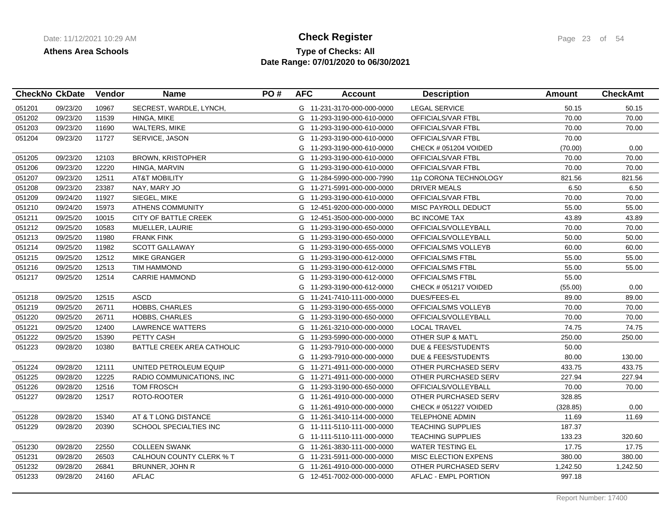## **Type of Checks: All Check Register Check Register Page 23 of 54 Date Range: 07/01/2020 to 06/30/2021**

|        | <b>CheckNo CkDate</b> | Vendor | <b>Name</b>                | PO# | <b>AFC</b> | <b>Account</b>             | <b>Description</b>             | <b>Amount</b> | <b>CheckAmt</b> |
|--------|-----------------------|--------|----------------------------|-----|------------|----------------------------|--------------------------------|---------------|-----------------|
| 051201 | 09/23/20              | 10967  | SECREST, WARDLE, LYNCH,    |     |            | G 11-231-3170-000-000-0000 | <b>LEGAL SERVICE</b>           | 50.15         | 50.15           |
| 051202 | 09/23/20              | 11539  | HINGA, MIKE                |     |            | G 11-293-3190-000-610-0000 | OFFICIALS/VAR FTBL             | 70.00         | 70.00           |
| 051203 | 09/23/20              | 11690  | <b>WALTERS, MIKE</b>       |     |            | G 11-293-3190-000-610-0000 | OFFICIALS/VAR FTBL             | 70.00         | 70.00           |
| 051204 | 09/23/20              | 11727  | SERVICE, JASON             |     |            | G 11-293-3190-000-610-0000 | OFFICIALS/VAR FTBL             | 70.00         |                 |
|        |                       |        |                            |     |            | G 11-293-3190-000-610-0000 | CHECK # 051204 VOIDED          | (70.00)       | 0.00            |
| 051205 | 09/23/20              | 12103  | <b>BROWN, KRISTOPHER</b>   |     |            | G 11-293-3190-000-610-0000 | OFFICIALS/VAR FTBL             | 70.00         | 70.00           |
| 051206 | 09/23/20              | 12220  | HINGA, MARVIN              |     |            | G 11-293-3190-000-610-0000 | OFFICIALS/VAR FTBL             | 70.00         | 70.00           |
| 051207 | 09/23/20              | 12511  | <b>AT&amp;T MOBILITY</b>   |     |            | G 11-284-5990-000-000-7990 | 11p CORONA TECHNOLOGY          | 821.56        | 821.56          |
| 051208 | 09/23/20              | 23387  | NAY, MARY JO               |     |            | G 11-271-5991-000-000-0000 | <b>DRIVER MEALS</b>            | 6.50          | 6.50            |
| 051209 | 09/24/20              | 11927  | SIEGEL, MIKE               |     |            | G 11-293-3190-000-610-0000 | OFFICIALS/VAR FTBL             | 70.00         | 70.00           |
| 051210 | 09/24/20              | 15973  | <b>ATHENS COMMUNITY</b>    |     |            | G 12-451-9200-000-000-0000 | MISC PAYROLL DEDUCT            | 55.00         | 55.00           |
| 051211 | 09/25/20              | 10015  | CITY OF BATTLE CREEK       |     |            | G 12-451-3500-000-000-0000 | <b>BC INCOME TAX</b>           | 43.89         | 43.89           |
| 051212 | 09/25/20              | 10583  | MUELLER, LAURIE            |     |            | G 11-293-3190-000-650-0000 | OFFICIALS/VOLLEYBALL           | 70.00         | 70.00           |
| 051213 | 09/25/20              | 11980  | <b>FRANK FINK</b>          |     |            | G 11-293-3190-000-650-0000 | OFFICIALS/VOLLEYBALL           | 50.00         | 50.00           |
| 051214 | 09/25/20              | 11982  | <b>SCOTT GALLAWAY</b>      |     |            | G 11-293-3190-000-655-0000 | OFFICIALS/MS VOLLEYB           | 60.00         | 60.00           |
| 051215 | 09/25/20              | 12512  | <b>MIKE GRANGER</b>        |     |            | G 11-293-3190-000-612-0000 | OFFICIALS/MS FTBL              | 55.00         | 55.00           |
| 051216 | 09/25/20              | 12513  | <b>TIM HAMMOND</b>         |     |            | G 11-293-3190-000-612-0000 | OFFICIALS/MS FTBL              | 55.00         | 55.00           |
| 051217 | 09/25/20              | 12514  | <b>CARRIE HAMMOND</b>      |     |            | G 11-293-3190-000-612-0000 | OFFICIALS/MS FTBL              | 55.00         |                 |
|        |                       |        |                            |     |            | G 11-293-3190-000-612-0000 | CHECK # 051217 VOIDED          | (55.00)       | 0.00            |
| 051218 | 09/25/20              | 12515  | <b>ASCD</b>                |     |            | G 11-241-7410-111-000-0000 | DUES/FEES-EL                   | 89.00         | 89.00           |
| 051219 | 09/25/20              | 26711  | HOBBS, CHARLES             |     |            | G 11-293-3190-000-655-0000 | OFFICIALS/MS VOLLEYB           | 70.00         | 70.00           |
| 051220 | 09/25/20              | 26711  | <b>HOBBS, CHARLES</b>      |     |            | G 11-293-3190-000-650-0000 | OFFICIALS/VOLLEYBALL           | 70.00         | 70.00           |
| 051221 | 09/25/20              | 12400  | <b>LAWRENCE WATTERS</b>    |     |            | G 11-261-3210-000-000-0000 | <b>LOCAL TRAVEL</b>            | 74.75         | 74.75           |
| 051222 | 09/25/20              | 15390  | PETTY CASH                 |     |            | G 11-293-5990-000-000-0000 | OTHER SUP & MAT'L              | 250.00        | 250.00          |
| 051223 | 09/28/20              | 10380  | BATTLE CREEK AREA CATHOLIC |     |            | G 11-293-7910-000-000-0000 | <b>DUE &amp; FEES/STUDENTS</b> | 50.00         |                 |
|        |                       |        |                            |     |            | G 11-293-7910-000-000-0000 | DUE & FEES/STUDENTS            | 80.00         | 130.00          |
| 051224 | 09/28/20              | 12111  | UNITED PETROLEUM EQUIP     |     |            | G 11-271-4911-000-000-0000 | OTHER PURCHASED SERV           | 433.75        | 433.75          |
| 051225 | 09/28/20              | 12225  | RADIO COMMUNICATIONS. INC  |     |            | G 11-271-4911-000-000-0000 | OTHER PURCHASED SERV           | 227.94        | 227.94          |
| 051226 | 09/28/20              | 12516  | <b>TOM FROSCH</b>          |     |            | G 11-293-3190-000-650-0000 | OFFICIALS/VOLLEYBALL           | 70.00         | 70.00           |
| 051227 | 09/28/20              | 12517  | ROTO-ROOTER                |     | G          | 11-261-4910-000-000-0000   | OTHER PURCHASED SERV           | 328.85        |                 |
|        |                       |        |                            |     |            | G 11-261-4910-000-000-0000 | CHECK # 051227 VOIDED          | (328.85)      | 0.00            |
| 051228 | 09/28/20              | 15340  | AT & T LONG DISTANCE       |     |            | G 11-261-3410-114-000-0000 | <b>TELEPHONE ADMIN</b>         | 11.69         | 11.69           |
| 051229 | 09/28/20              | 20390  | SCHOOL SPECIALTIES INC     |     |            | G 11-111-5110-111-000-0000 | <b>TEACHING SUPPLIES</b>       | 187.37        |                 |
|        |                       |        |                            |     |            | G 11-111-5110-111-000-0000 | <b>TEACHING SUPPLIES</b>       | 133.23        | 320.60          |
| 051230 | 09/28/20              | 22550  | <b>COLLEEN SWANK</b>       |     |            | G 11-261-3830-111-000-0000 | <b>WATER TESTING EL</b>        | 17.75         | 17.75           |
| 051231 | 09/28/20              | 26503  | CALHOUN COUNTY CLERK % T   |     |            | G 11-231-5911-000-000-0000 | MISC ELECTION EXPENS           | 380.00        | 380.00          |
| 051232 | 09/28/20              | 26841  | BRUNNER, JOHN R            |     |            | G 11-261-4910-000-000-0000 | OTHER PURCHASED SERV           | 1,242.50      | 1,242.50        |
| 051233 | 09/28/20              | 24160  | <b>AFLAC</b>               |     |            | G 12-451-7002-000-000-0000 | AFLAC - EMPL PORTION           | 997.18        |                 |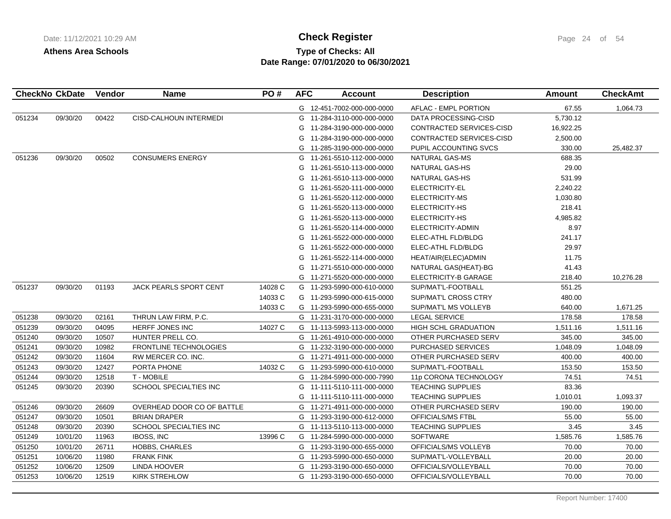# **Type of Checks: All Check Register Check Register Page 24 of 54 Date Range: 07/01/2020 to 06/30/2021**

| <b>CheckNo CkDate</b> |          | <b>Vendor</b> | <b>Name</b>                   | PO#     | <b>AFC</b> | <b>Account</b>             | <b>Description</b>          | Amount    | <b>CheckAmt</b> |
|-----------------------|----------|---------------|-------------------------------|---------|------------|----------------------------|-----------------------------|-----------|-----------------|
|                       |          |               |                               |         |            | G 12-451-7002-000-000-0000 | AFLAC - EMPL PORTION        | 67.55     | 1,064.73        |
| 051234                | 09/30/20 | 00422         | CISD-CALHOUN INTERMEDI        |         |            | G 11-284-3110-000-000-0000 | DATA PROCESSING-CISD        | 5,730.12  |                 |
|                       |          |               |                               |         | G          | 11-284-3190-000-000-0000   | CONTRACTED SERVICES-CISD    | 16,922.25 |                 |
|                       |          |               |                               |         | G          | 11-284-3190-000-000-0000   | CONTRACTED SERVICES-CISD    | 2,500.00  |                 |
|                       |          |               |                               |         |            | G 11-285-3190-000-000-0000 | PUPIL ACCOUNTING SVCS       | 330.00    | 25,482.37       |
| 051236                | 09/30/20 | 00502         | <b>CONSUMERS ENERGY</b>       |         |            | G 11-261-5510-112-000-0000 | NATURAL GAS-MS              | 688.35    |                 |
|                       |          |               |                               |         |            | G 11-261-5510-113-000-0000 | NATURAL GAS-HS              | 29.00     |                 |
|                       |          |               |                               |         |            | G 11-261-5510-113-000-0000 | NATURAL GAS-HS              | 531.99    |                 |
|                       |          |               |                               |         | G          | 11-261-5520-111-000-0000   | ELECTRICITY-EL              | 2,240.22  |                 |
|                       |          |               |                               |         |            | G 11-261-5520-112-000-0000 | ELECTRICITY-MS              | 1,030.80  |                 |
|                       |          |               |                               |         |            | G 11-261-5520-113-000-0000 | ELECTRICITY-HS              | 218.41    |                 |
|                       |          |               |                               |         |            | G 11-261-5520-113-000-0000 | ELECTRICITY-HS              | 4,985.82  |                 |
|                       |          |               |                               |         |            | G 11-261-5520-114-000-0000 | ELECTRICITY-ADMIN           | 8.97      |                 |
|                       |          |               |                               |         |            | G 11-261-5522-000-000-0000 | ELEC-ATHL FLD/BLDG          | 241.17    |                 |
|                       |          |               |                               |         | G          | 11-261-5522-000-000-0000   | ELEC-ATHL FLD/BLDG          | 29.97     |                 |
|                       |          |               |                               |         | G          | 11-261-5522-114-000-0000   | HEAT/AIR(ELEC)ADMIN         | 11.75     |                 |
|                       |          |               |                               |         |            | G 11-271-5510-000-000-0000 | NATURAL GAS(HEAT)-BG        | 41.43     |                 |
|                       |          |               |                               |         |            | G 11-271-5520-000-000-0000 | ELECTRICITY-B GARAGE        | 218.40    | 10,276.28       |
| 051237                | 09/30/20 | 01193         | JACK PEARLS SPORT CENT        | 14028 C |            | G 11-293-5990-000-610-0000 | SUP/MAT'L-FOOTBALL          | 551.25    |                 |
|                       |          |               |                               | 14033 C |            | G 11-293-5990-000-615-0000 | SUP/MAT'L CROSS CTRY        | 480.00    |                 |
|                       |          |               |                               | 14033 C |            | G 11-293-5990-000-655-0000 | SUP/MAT'L MS VOLLEYB        | 640.00    | 1,671.25        |
| 051238                | 09/30/20 | 02161         | THRUN LAW FIRM, P.C.          |         |            | G 11-231-3170-000-000-0000 | <b>LEGAL SERVICE</b>        | 178.58    | 178.58          |
| 051239                | 09/30/20 | 04095         | HERFF JONES INC               | 14027 C |            | G 11-113-5993-113-000-0000 | <b>HIGH SCHL GRADUATION</b> | 1,511.16  | 1,511.16        |
| 051240                | 09/30/20 | 10507         | HUNTER PRELL CO.              |         |            | G 11-261-4910-000-000-0000 | OTHER PURCHASED SERV        | 345.00    | 345.00          |
| 051241                | 09/30/20 | 10982         | <b>FRONTLINE TECHNOLOGIES</b> |         |            | G 11-232-3190-000-000-0000 | PURCHASED SERVICES          | 1,048.09  | 1,048.09        |
| 051242                | 09/30/20 | 11604         | RW MERCER CO. INC.            |         |            | G 11-271-4911-000-000-0000 | OTHER PURCHASED SERV        | 400.00    | 400.00          |
| 051243                | 09/30/20 | 12427         | PORTA PHONE                   | 14032 C |            | G 11-293-5990-000-610-0000 | SUP/MAT'L-FOOTBALL          | 153.50    | 153.50          |
| 051244                | 09/30/20 | 12518         | T - MOBILE                    |         |            | G 11-284-5990-000-000-7990 | 11p CORONA TECHNOLOGY       | 74.51     | 74.51           |
| 051245                | 09/30/20 | 20390         | SCHOOL SPECIALTIES INC        |         |            | G 11-111-5110-111-000-0000 | <b>TEACHING SUPPLIES</b>    | 83.36     |                 |
|                       |          |               |                               |         |            | G 11-111-5110-111-000-0000 | <b>TEACHING SUPPLIES</b>    | 1,010.01  | 1,093.37        |
| 051246                | 09/30/20 | 26609         | OVERHEAD DOOR CO OF BATTLE    |         |            | G 11-271-4911-000-000-0000 | OTHER PURCHASED SERV        | 190.00    | 190.00          |
| 051247                | 09/30/20 | 10501         | <b>BRIAN DRAPER</b>           |         |            | G 11-293-3190-000-612-0000 | OFFICIALS/MS FTBL           | 55.00     | 55.00           |
| 051248                | 09/30/20 | 20390         | SCHOOL SPECIALTIES INC        |         |            | G 11-113-5110-113-000-0000 | <b>TEACHING SUPPLIES</b>    | 3.45      | 3.45            |
| 051249                | 10/01/20 | 11963         | <b>IBOSS, INC</b>             | 13996 C |            | G 11-284-5990-000-000-0000 | <b>SOFTWARE</b>             | 1,585.76  | 1,585.76        |
| 051250                | 10/01/20 | 26711         | <b>HOBBS, CHARLES</b>         |         |            | G 11-293-3190-000-655-0000 | OFFICIALS/MS VOLLEYB        | 70.00     | 70.00           |
| 051251                | 10/06/20 | 11980         | <b>FRANK FINK</b>             |         |            | G 11-293-5990-000-650-0000 | SUP/MAT'L-VOLLEYBALL        | 20.00     | 20.00           |
| 051252                | 10/06/20 | 12509         | LINDA HOOVER                  |         |            | G 11-293-3190-000-650-0000 | OFFICIALS/VOLLEYBALL        | 70.00     | 70.00           |
| 051253                | 10/06/20 | 12519         | <b>KIRK STREHLOW</b>          |         |            | G 11-293-3190-000-650-0000 | OFFICIALS/VOLLEYBALL        | 70.00     | 70.00           |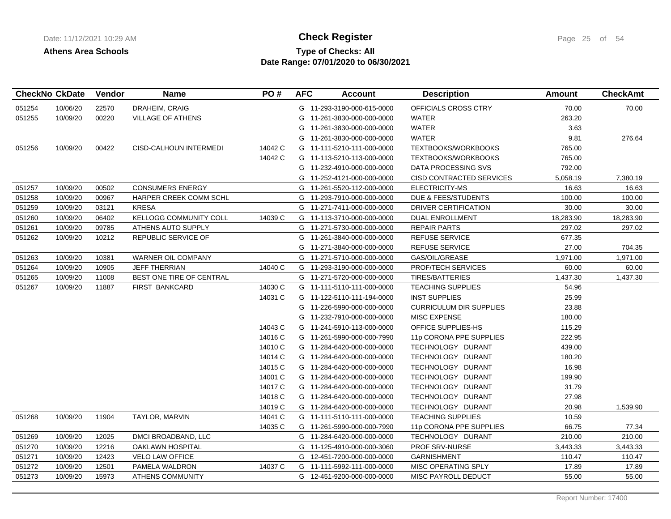# **Type of Checks: All Check Register Check Register Page 25 of 54 Date Range: 07/01/2020 to 06/30/2021**

| 22570<br>DRAHEIM, CRAIG<br>10/06/20<br>G 11-293-3190-000-615-0000<br>OFFICIALS CROSS CTRY<br>70.00<br>051254<br>00220<br>051255<br>10/09/20<br><b>VILLAGE OF ATHENS</b><br>11-261-3830-000-000-0000<br><b>WATER</b><br>263.20<br>G<br><b>WATER</b><br>3.63<br>G<br>11-261-3830-000-000-0000<br><b>WATER</b><br>9.81<br>G 11-261-3830-000-000-0000<br>10/09/20<br>00422<br>CISD-CALHOUN INTERMEDI<br>14042 C<br><b>TEXTBOOKS/WORKBOOKS</b><br>765.00<br>051256<br>G 11-111-5210-111-000-0000<br>14042 C<br>765.00<br>G 11-113-5210-113-000-0000<br><b>TEXTBOOKS/WORKBOOKS</b> |           |
|------------------------------------------------------------------------------------------------------------------------------------------------------------------------------------------------------------------------------------------------------------------------------------------------------------------------------------------------------------------------------------------------------------------------------------------------------------------------------------------------------------------------------------------------------------------------------|-----------|
|                                                                                                                                                                                                                                                                                                                                                                                                                                                                                                                                                                              | 70.00     |
|                                                                                                                                                                                                                                                                                                                                                                                                                                                                                                                                                                              |           |
|                                                                                                                                                                                                                                                                                                                                                                                                                                                                                                                                                                              |           |
|                                                                                                                                                                                                                                                                                                                                                                                                                                                                                                                                                                              | 276.64    |
|                                                                                                                                                                                                                                                                                                                                                                                                                                                                                                                                                                              |           |
|                                                                                                                                                                                                                                                                                                                                                                                                                                                                                                                                                                              |           |
| DATA PROCESSING SVS<br>792.00<br>G 11-232-4910-000-000-0000                                                                                                                                                                                                                                                                                                                                                                                                                                                                                                                  |           |
| 5,058.19<br>G 11-252-4121-000-000-0000<br>CISD CONTRACTED SERVICES                                                                                                                                                                                                                                                                                                                                                                                                                                                                                                           | 7,380.19  |
| <b>CONSUMERS ENERGY</b><br>16.63<br>051257<br>10/09/20<br>00502<br>G 11-261-5520-112-000-0000<br>ELECTRICITY-MS                                                                                                                                                                                                                                                                                                                                                                                                                                                              | 16.63     |
| 00967<br>051258<br>10/09/20<br>HARPER CREEK COMM SCHL<br>G 11-293-7910-000-000-0000<br><b>DUE &amp; FEES/STUDENTS</b><br>100.00                                                                                                                                                                                                                                                                                                                                                                                                                                              | 100.00    |
| <b>KRESA</b><br>30.00<br>051259<br>10/09/20<br>03121<br>G 11-271-7411-000-000-0000<br>DRIVER CERTIFICATION                                                                                                                                                                                                                                                                                                                                                                                                                                                                   | 30.00     |
| 051260<br>10/09/20<br>06402<br>KELLOGG COMMUNITY COLL<br>14039 C<br>18,283.90<br>G 11-113-3710-000-000-0000<br>DUAL ENROLLMENT                                                                                                                                                                                                                                                                                                                                                                                                                                               | 18,283.90 |
| 10/09/20<br>09785<br><b>REPAIR PARTS</b><br>297.02<br>051261<br>ATHENS AUTO SUPPLY<br>G 11-271-5730-000-000-0000                                                                                                                                                                                                                                                                                                                                                                                                                                                             | 297.02    |
| 10/09/20<br>REPUBLIC SERVICE OF<br>677.35<br>051262<br>10212<br>G 11-261-3840-000-000-0000<br><b>REFUSE SERVICE</b>                                                                                                                                                                                                                                                                                                                                                                                                                                                          |           |
| G 11-271-3840-000-000-0000<br><b>REFUSE SERVICE</b><br>27.00                                                                                                                                                                                                                                                                                                                                                                                                                                                                                                                 | 704.35    |
| 10/09/20<br>10381<br><b>WARNER OIL COMPANY</b><br>GAS/OIL/GREASE<br>1,971.00<br>051263<br>G 11-271-5710-000-000-0000                                                                                                                                                                                                                                                                                                                                                                                                                                                         | 1,971.00  |
| 051264<br>10/09/20<br>10905<br><b>JEFF THERRIAN</b><br>14040 C<br>G 11-293-3190-000-000-0000<br>PROF/TECH SERVICES<br>60.00                                                                                                                                                                                                                                                                                                                                                                                                                                                  | 60.00     |
| 10/09/20<br>11008<br>BEST ONE TIRE OF CENTRAL<br>1,437.30<br>051265<br>G 11-271-5720-000-000-0000<br><b>TIRES/BATTERIES</b>                                                                                                                                                                                                                                                                                                                                                                                                                                                  | 1,437.30  |
| 14030 C<br>051267<br>10/09/20<br>11887<br><b>FIRST BANKCARD</b><br>G 11-111-5110-111-000-0000<br><b>TEACHING SUPPLIES</b><br>54.96                                                                                                                                                                                                                                                                                                                                                                                                                                           |           |
| 14031 C<br><b>INST SUPPLIES</b><br>25.99<br>G 11-122-5110-111-194-0000                                                                                                                                                                                                                                                                                                                                                                                                                                                                                                       |           |
| 23.88<br>G 11-226-5990-000-000-0000<br><b>CURRICULUM DIR SUPPLIES</b>                                                                                                                                                                                                                                                                                                                                                                                                                                                                                                        |           |
| 180.00<br>G 11-232-7910-000-000-0000<br><b>MISC EXPENSE</b>                                                                                                                                                                                                                                                                                                                                                                                                                                                                                                                  |           |
| 14043 C<br>G 11-241-5910-113-000-0000<br>OFFICE SUPPLIES-HS<br>115.29                                                                                                                                                                                                                                                                                                                                                                                                                                                                                                        |           |
| 14016 C<br>G 11-261-5990-000-000-7990<br>11p CORONA PPE SUPPLIES<br>222.95                                                                                                                                                                                                                                                                                                                                                                                                                                                                                                   |           |
| 14010 C<br>G 11-284-6420-000-000-0000<br>TECHNOLOGY DURANT<br>439.00                                                                                                                                                                                                                                                                                                                                                                                                                                                                                                         |           |
| 14014 C<br>TECHNOLOGY DURANT<br>180.20<br>G 11-284-6420-000-000-0000                                                                                                                                                                                                                                                                                                                                                                                                                                                                                                         |           |
| 14015 C<br>G 11-284-6420-000-000-0000<br>TECHNOLOGY DURANT<br>16.98                                                                                                                                                                                                                                                                                                                                                                                                                                                                                                          |           |
| 14001 C<br>TECHNOLOGY DURANT<br>199.90<br>G 11-284-6420-000-000-0000                                                                                                                                                                                                                                                                                                                                                                                                                                                                                                         |           |
| 14017 C<br>TECHNOLOGY DURANT<br>31.79<br>G 11-284-6420-000-000-0000                                                                                                                                                                                                                                                                                                                                                                                                                                                                                                          |           |
| 14018 C<br>TECHNOLOGY DURANT<br>27.98<br>G 11-284-6420-000-000-0000                                                                                                                                                                                                                                                                                                                                                                                                                                                                                                          |           |
| 14019 C<br>G 11-284-6420-000-000-0000<br>TECHNOLOGY DURANT<br>20.98                                                                                                                                                                                                                                                                                                                                                                                                                                                                                                          | 1,539.90  |
| 10/09/20<br>11904<br>TAYLOR, MARVIN<br>14041 C<br>G 11-111-5110-111-000-0000<br><b>TEACHING SUPPLIES</b><br>10.59<br>051268                                                                                                                                                                                                                                                                                                                                                                                                                                                  |           |
| 14035 C<br>66.75<br>G 11-261-5990-000-000-7990<br>11p CORONA PPE SUPPLIES                                                                                                                                                                                                                                                                                                                                                                                                                                                                                                    | 77.34     |
| 12025<br>210.00<br>051269<br>10/09/20<br>DMCI BROADBAND, LLC<br>G 11-284-6420-000-000-0000<br>TECHNOLOGY DURANT                                                                                                                                                                                                                                                                                                                                                                                                                                                              | 210.00    |
| 12216<br>051270<br>10/09/20<br><b>OAKLAWN HOSPITAL</b><br>11-125-4910-000-000-3060<br>PROF SRV-NURSE<br>3,443.33<br>G                                                                                                                                                                                                                                                                                                                                                                                                                                                        | 3,443.33  |
| 051271<br><b>VELO LAW OFFICE</b><br>G 12-451-7200-000-000-0000<br><b>GARNISHMENT</b><br>110.47<br>10/09/20<br>12423                                                                                                                                                                                                                                                                                                                                                                                                                                                          | 110.47    |
| 14037 C<br>051272<br>10/09/20<br>12501<br>PAMELA WALDRON<br>G 11-111-5992-111-000-0000<br>MISC OPERATING SPLY<br>17.89                                                                                                                                                                                                                                                                                                                                                                                                                                                       | 17.89     |
| 051273<br>10/09/20<br><b>ATHENS COMMUNITY</b><br>15973<br>G 12-451-9200-000-000-0000<br>MISC PAYROLL DEDUCT<br>55.00                                                                                                                                                                                                                                                                                                                                                                                                                                                         | 55.00     |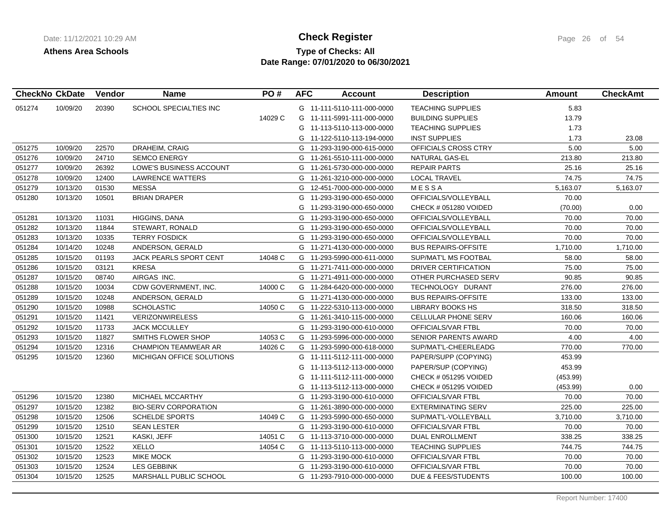# **Type of Checks: All Check Register Check Register Page 26 of 54 Date Range: 07/01/2020 to 06/30/2021**

|        | <b>CheckNo CkDate</b> | Vendor | <b>Name</b>                 | PO#     | <b>AFC</b> | <b>Account</b>             | <b>Description</b>           | Amount   | <b>CheckAmt</b> |
|--------|-----------------------|--------|-----------------------------|---------|------------|----------------------------|------------------------------|----------|-----------------|
| 051274 | 10/09/20              | 20390  | SCHOOL SPECIALTIES INC      |         |            | G 11-111-5110-111-000-0000 | <b>TEACHING SUPPLIES</b>     | 5.83     |                 |
|        |                       |        |                             | 14029 C | G          | 11-111-5991-111-000-0000   | <b>BUILDING SUPPLIES</b>     | 13.79    |                 |
|        |                       |        |                             |         | G          | 11-113-5110-113-000-0000   | <b>TEACHING SUPPLIES</b>     | 1.73     |                 |
|        |                       |        |                             |         | G          | 11-122-5110-113-194-0000   | <b>INST SUPPLIES</b>         | 1.73     | 23.08           |
| 051275 | 10/09/20              | 22570  | DRAHEIM, CRAIG              |         | G          | 11-293-3190-000-615-0000   | OFFICIALS CROSS CTRY         | 5.00     | 5.00            |
| 051276 | 10/09/20              | 24710  | <b>SEMCO ENERGY</b>         |         | G          | 11-261-5510-111-000-0000   | NATURAL GAS-EL               | 213.80   | 213.80          |
| 051277 | 10/09/20              | 26392  | LOWE'S BUSINESS ACCOUNT     |         | G          | 11-261-5730-000-000-0000   | <b>REPAIR PARTS</b>          | 25.16    | 25.16           |
| 051278 | 10/09/20              | 12400  | <b>LAWRENCE WATTERS</b>     |         | G          | 11-261-3210-000-000-0000   | <b>LOCAL TRAVEL</b>          | 74.75    | 74.75           |
| 051279 | 10/13/20              | 01530  | <b>MESSA</b>                |         | G          | 12-451-7000-000-000-0000   | MESSA                        | 5,163.07 | 5,163.07        |
| 051280 | 10/13/20              | 10501  | <b>BRIAN DRAPER</b>         |         | G          | 11-293-3190-000-650-0000   | OFFICIALS/VOLLEYBALL         | 70.00    |                 |
|        |                       |        |                             |         | G          | 11-293-3190-000-650-0000   | CHECK # 051280 VOIDED        | (70.00)  | 0.00            |
| 051281 | 10/13/20              | 11031  | HIGGINS, DANA               |         | G          | 11-293-3190-000-650-0000   | OFFICIALS/VOLLEYBALL         | 70.00    | 70.00           |
| 051282 | 10/13/20              | 11844  | STEWART, RONALD             |         | G          | 11-293-3190-000-650-0000   | OFFICIALS/VOLLEYBALL         | 70.00    | 70.00           |
| 051283 | 10/13/20              | 10335  | <b>TERRY FOSDICK</b>        |         | G          | 11-293-3190-000-650-0000   | OFFICIALS/VOLLEYBALL         | 70.00    | 70.00           |
| 051284 | 10/14/20              | 10248  | ANDERSON, GERALD            |         | G          | 11-271-4130-000-000-0000   | <b>BUS REPAIRS-OFFSITE</b>   | 1,710.00 | 1,710.00        |
| 051285 | 10/15/20              | 01193  | JACK PEARLS SPORT CENT      | 14048 C |            | G 11-293-5990-000-611-0000 | SUP/MAT'L MS FOOTBAL         | 58.00    | 58.00           |
| 051286 | 10/15/20              | 03121  | <b>KRESA</b>                |         | G          | 11-271-7411-000-000-0000   | <b>DRIVER CERTIFICATION</b>  | 75.00    | 75.00           |
| 051287 | 10/15/20              | 08740  | AIRGAS INC.                 |         | G          | 11-271-4911-000-000-0000   | OTHER PURCHASED SERV         | 90.85    | 90.85           |
| 051288 | 10/15/20              | 10034  | CDW GOVERNMENT, INC.        | 14000 C | G          | 11-284-6420-000-000-0000   | TECHNOLOGY DURANT            | 276.00   | 276.00          |
| 051289 | 10/15/20              | 10248  | ANDERSON, GERALD            |         |            | G 11-271-4130-000-000-0000 | <b>BUS REPAIRS-OFFSITE</b>   | 133.00   | 133.00          |
| 051290 | 10/15/20              | 10988  | <b>SCHOLASTIC</b>           | 14050 C |            | G 11-222-5310-113-000-0000 | LIBRARY BOOKS HS             | 318.50   | 318.50          |
| 051291 | 10/15/20              | 11421  | <b>VERIZONWIRELESS</b>      |         | G          | 11-261-3410-115-000-0000   | CELLULAR PHONE SERV          | 160.06   | 160.06          |
| 051292 | 10/15/20              | 11733  | <b>JACK MCCULLEY</b>        |         | G          | 11-293-3190-000-610-0000   | OFFICIALS/VAR FTBL           | 70.00    | 70.00           |
| 051293 | 10/15/20              | 11827  | SMITHS FLOWER SHOP          | 14053 C | G          | 11-293-5996-000-000-0000   | <b>SENIOR PARENTS AWARD</b>  | 4.00     | 4.00            |
| 051294 | 10/15/20              | 12316  | <b>CHAMPION TEAMWEAR AR</b> | 14026 C |            | G 11-293-5990-000-618-0000 | SUP/MAT'L-CHEERLEADG         | 770.00   | 770.00          |
| 051295 | 10/15/20              | 12360  | MICHIGAN OFFICE SOLUTIONS   |         | G          | 11-111-5112-111-000-0000   | PAPER/SUPP (COPYING)         | 453.99   |                 |
|        |                       |        |                             |         | G          | 11-113-5112-113-000-0000   | PAPER/SUP (COPYING)          | 453.99   |                 |
|        |                       |        |                             |         | G          | 11-111-5112-111-000-0000   | CHECK # 051295 VOIDED        | (453.99) |                 |
|        |                       |        |                             |         | G          | 11-113-5112-113-000-0000   | <b>CHECK # 051295 VOIDED</b> | (453.99) | 0.00            |
| 051296 | 10/15/20              | 12380  | MICHAEL MCCARTHY            |         | G          | 11-293-3190-000-610-0000   | OFFICIALS/VAR FTBL           | 70.00    | 70.00           |
| 051297 | 10/15/20              | 12382  | <b>BIO-SERV CORPORATION</b> |         | G          | 11-261-3890-000-000-0000   | <b>EXTERMINATING SERV</b>    | 225.00   | 225.00          |
| 051298 | 10/15/20              | 12506  | <b>SCHELDE SPORTS</b>       | 14049 C |            | G 11-293-5990-000-650-0000 | SUP/MAT'L-VOLLEYBALL         | 3,710.00 | 3,710.00        |
| 051299 | 10/15/20              | 12510  | <b>SEAN LESTER</b>          |         |            | G 11-293-3190-000-610-0000 | OFFICIALS/VAR FTBL           | 70.00    | 70.00           |
| 051300 | 10/15/20              | 12521  | KASKI, JEFF                 | 14051 C |            | G 11-113-3710-000-000-0000 | DUAL ENROLLMENT              | 338.25   | 338.25          |
| 051301 | 10/15/20              | 12522  | <b>XELLO</b>                | 14054 C | G          | 11-113-5110-113-000-0000   | <b>TEACHING SUPPLIES</b>     | 744.75   | 744.75          |
| 051302 | 10/15/20              | 12523  | MIKE MOCK                   |         | G          | 11-293-3190-000-610-0000   | OFFICIALS/VAR FTBL           | 70.00    | 70.00           |
| 051303 | 10/15/20              | 12524  | <b>LES GEBBINK</b>          |         | G          | 11-293-3190-000-610-0000   | OFFICIALS/VAR FTBL           | 70.00    | 70.00           |
| 051304 | 10/15/20              | 12525  | MARSHALL PUBLIC SCHOOL      |         | G          | 11-293-7910-000-000-0000   | DUE & FEES/STUDENTS          | 100.00   | 100.00          |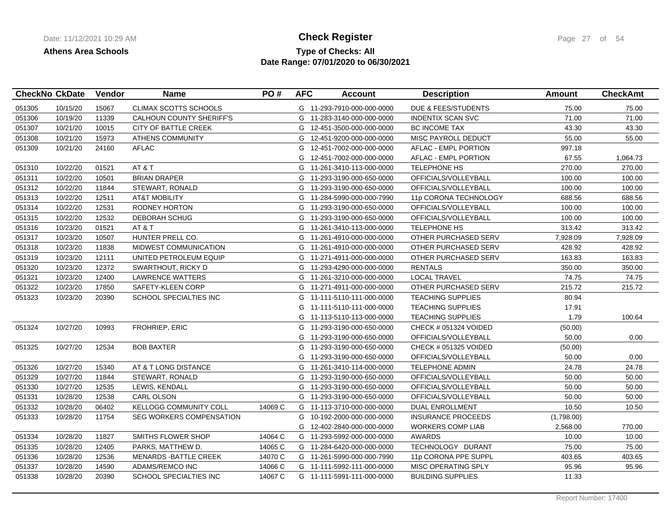## **Type of Checks: All 11/12/2021 10:20:20 AM Check Register** Page 27 of 54 **Date Range: 07/01/2020 to 06/30/2021**

|        | <b>CheckNo CkDate</b> | Vendor | <b>Name</b>                     | PO#     | <b>AFC</b> | <b>Account</b>             | <b>Description</b>          | Amount     | <b>CheckAmt</b> |
|--------|-----------------------|--------|---------------------------------|---------|------------|----------------------------|-----------------------------|------------|-----------------|
| 051305 | 10/15/20              | 15067  | <b>CLIMAX SCOTTS SCHOOLS</b>    |         |            | G 11-293-7910-000-000-0000 | DUE & FEES/STUDENTS         | 75.00      | 75.00           |
| 051306 | 10/19/20              | 11339  | <b>CALHOUN COUNTY SHERIFF'S</b> |         |            | G 11-283-3140-000-000-0000 | <b>INDENTIX SCAN SVC</b>    | 71.00      | 71.00           |
| 051307 | 10/21/20              | 10015  | CITY OF BATTLE CREEK            |         |            | G 12-451-3500-000-000-0000 | <b>BC INCOME TAX</b>        | 43.30      | 43.30           |
| 051308 | 10/21/20              | 15973  | <b>ATHENS COMMUNITY</b>         |         | G          | 12-451-9200-000-000-0000   | MISC PAYROLL DEDUCT         | 55.00      | 55.00           |
| 051309 | 10/21/20              | 24160  | <b>AFLAC</b>                    |         | G          | 12-451-7002-000-000-0000   | <b>AFLAC - EMPL PORTION</b> | 997.18     |                 |
|        |                       |        |                                 |         | G          | 12-451-7002-000-000-0000   | AFLAC - EMPL PORTION        | 67.55      | 1,064.73        |
| 051310 | 10/22/20              | 01521  | AT&T                            |         | G          | 11-261-3410-113-000-0000   | <b>TELEPHONE HS</b>         | 270.00     | 270.00          |
| 051311 | 10/22/20              | 10501  | <b>BRIAN DRAPER</b>             |         | G          | 11-293-3190-000-650-0000   | OFFICIALS/VOLLEYBALL        | 100.00     | 100.00          |
| 051312 | 10/22/20              | 11844  | STEWART, RONALD                 |         |            | G 11-293-3190-000-650-0000 | OFFICIALS/VOLLEYBALL        | 100.00     | 100.00          |
| 051313 | 10/22/20              | 12511  | <b>AT&amp;T MOBILITY</b>        |         |            | G 11-284-5990-000-000-7990 | 11p CORONA TECHNOLOGY       | 688.56     | 688.56          |
| 051314 | 10/22/20              | 12531  | <b>RODNEY HORTON</b>            |         |            | G 11-293-3190-000-650-0000 | OFFICIALS/VOLLEYBALL        | 100.00     | 100.00          |
| 051315 | 10/22/20              | 12532  | DEBORAH SCHUG                   |         | G          | 11-293-3190-000-650-0000   | OFFICIALS/VOLLEYBALL        | 100.00     | 100.00          |
| 051316 | 10/23/20              | 01521  | AT&T                            |         | G          | 11-261-3410-113-000-0000   | <b>TELEPHONE HS</b>         | 313.42     | 313.42          |
| 051317 | 10/23/20              | 10507  | HUNTER PRELL CO.                |         | G          | 11-261-4910-000-000-0000   | OTHER PURCHASED SERV        | 7,928.09   | 7,928.09        |
| 051318 | 10/23/20              | 11838  | MIDWEST COMMUNICATION           |         |            | G 11-261-4910-000-000-0000 | OTHER PURCHASED SERV        | 428.92     | 428.92          |
| 051319 | 10/23/20              | 12111  | UNITED PETROLEUM EQUIP          |         | G          | 11-271-4911-000-000-0000   | OTHER PURCHASED SERV        | 163.83     | 163.83          |
| 051320 | 10/23/20              | 12372  | SWARTHOUT, RICKY D              |         |            | G 11-293-4290-000-000-0000 | <b>RENTALS</b>              | 350.00     | 350.00          |
| 051321 | 10/23/20              | 12400  | LAWRENCE WATTERS                |         |            | G 11-261-3210-000-000-0000 | <b>LOCAL TRAVEL</b>         | 74.75      | 74.75           |
| 051322 | 10/23/20              | 17850  | SAFETY-KLEEN CORP               |         |            | G 11-271-4911-000-000-0000 | OTHER PURCHASED SERV        | 215.72     | 215.72          |
| 051323 | 10/23/20              | 20390  | <b>SCHOOL SPECIALTIES INC</b>   |         |            | G 11-111-5110-111-000-0000 | <b>TEACHING SUPPLIES</b>    | 80.94      |                 |
|        |                       |        |                                 |         | G          | 11-111-5110-111-000-0000   | <b>TEACHING SUPPLIES</b>    | 17.91      |                 |
|        |                       |        |                                 |         |            | G 11-113-5110-113-000-0000 | <b>TEACHING SUPPLIES</b>    | 1.79       | 100.64          |
| 051324 | 10/27/20              | 10993  | FROHRIEP, ERIC                  |         |            | G 11-293-3190-000-650-0000 | CHECK # 051324 VOIDED       | (50.00)    |                 |
|        |                       |        |                                 |         |            | G 11-293-3190-000-650-0000 | OFFICIALS/VOLLEYBALL        | 50.00      | 0.00            |
| 051325 | 10/27/20              | 12534  | <b>BOB BAXTER</b>               |         |            | G 11-293-3190-000-650-0000 | CHECK # 051325 VOIDED       | (50.00)    |                 |
|        |                       |        |                                 |         |            | G 11-293-3190-000-650-0000 | OFFICIALS/VOLLEYBALL        | 50.00      | 0.00            |
| 051326 | 10/27/20              | 15340  | AT & T LONG DISTANCE            |         |            | G 11-261-3410-114-000-0000 | <b>TELEPHONE ADMIN</b>      | 24.78      | 24.78           |
| 051329 | 10/27/20              | 11844  | STEWART, RONALD                 |         |            | G 11-293-3190-000-650-0000 | OFFICIALS/VOLLEYBALL        | 50.00      | 50.00           |
| 051330 | 10/27/20              | 12535  | LEWIS, KENDALL                  |         |            | G 11-293-3190-000-650-0000 | OFFICIALS/VOLLEYBALL        | 50.00      | 50.00           |
| 051331 | 10/28/20              | 12538  | <b>CARL OLSON</b>               |         |            | G 11-293-3190-000-650-0000 | OFFICIALS/VOLLEYBALL        | 50.00      | 50.00           |
| 051332 | 10/28/20              | 06402  | KELLOGG COMMUNITY COLL          | 14069 C |            | G 11-113-3710-000-000-0000 | <b>DUAL ENROLLMENT</b>      | 10.50      | 10.50           |
| 051333 | 10/28/20              | 11754  | <b>SEG WORKERS COMPENSATION</b> |         |            | G 10-192-2000-000-000-0000 | <b>INSURANCE PROCEEDS</b>   | (1,798.00) |                 |
|        |                       |        |                                 |         |            | G 12-402-2840-000-000-0000 | <b>WORKERS COMP LIAB</b>    | 2,568.00   | 770.00          |
| 051334 | 10/28/20              | 11827  | SMITHS FLOWER SHOP              | 14064 C |            | G 11-293-5992-000-000-0000 | <b>AWARDS</b>               | 10.00      | 10.00           |
| 051335 | 10/28/20              | 12405  | PARKS, MATTHEW D.               | 14065 C |            | G 11-284-6420-000-000-0000 | TECHNOLOGY DURANT           | 75.00      | 75.00           |
| 051336 | 10/28/20              | 12536  | <b>MENARDS - BATTLE CREEK</b>   | 14070 C |            | G 11-261-5990-000-000-7990 | 11p CORONA PPE SUPPL        | 403.65     | 403.65          |
| 051337 | 10/28/20              | 14590  | ADAMS/REMCO INC                 | 14066 C |            | G 11-111-5992-111-000-0000 | MISC OPERATING SPLY         | 95.96      | 95.96           |
| 051338 | 10/28/20              | 20390  | SCHOOL SPECIALTIES INC          | 14067 C |            | G 11-111-5991-111-000-0000 | <b>BUILDING SUPPLIES</b>    | 11.33      |                 |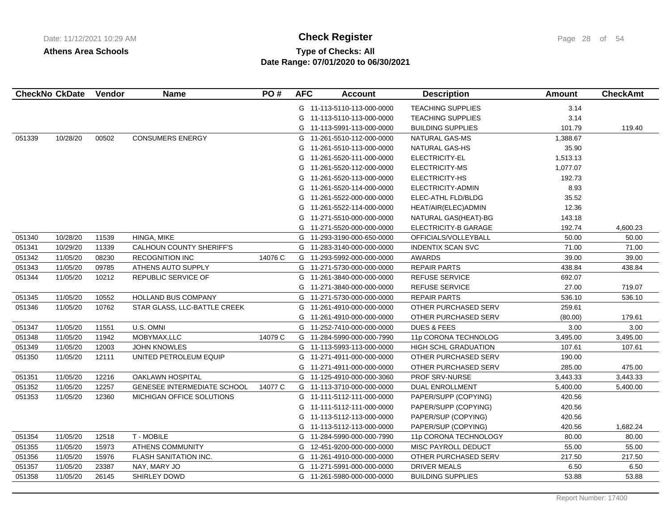# **Type of Checks: All Check Register Check Register Page 28 of 54 Date Range: 07/01/2020 to 06/30/2021**

|        | <b>CheckNo CkDate</b> | Vendor | <b>Name</b>                        | PO#     | <b>AFC</b> | <b>Account</b>             | <b>Description</b>       | <b>Amount</b> | <b>CheckAmt</b> |
|--------|-----------------------|--------|------------------------------------|---------|------------|----------------------------|--------------------------|---------------|-----------------|
|        |                       |        |                                    |         |            | G 11-113-5110-113-000-0000 | <b>TEACHING SUPPLIES</b> | 3.14          |                 |
|        |                       |        |                                    |         | G          | 11-113-5110-113-000-0000   | <b>TEACHING SUPPLIES</b> | 3.14          |                 |
|        |                       |        |                                    |         |            | G 11-113-5991-113-000-0000 | <b>BUILDING SUPPLIES</b> | 101.79        | 119.40          |
| 051339 | 10/28/20              | 00502  | <b>CONSUMERS ENERGY</b>            |         | G          | 11-261-5510-112-000-0000   | NATURAL GAS-MS           | 1,388.67      |                 |
|        |                       |        |                                    |         | G          | 11-261-5510-113-000-0000   | <b>NATURAL GAS-HS</b>    | 35.90         |                 |
|        |                       |        |                                    |         | G          | 11-261-5520-111-000-0000   | ELECTRICITY-EL           | 1,513.13      |                 |
|        |                       |        |                                    |         | G          | 11-261-5520-112-000-0000   | ELECTRICITY-MS           | 1,077.07      |                 |
|        |                       |        |                                    |         | G          | 11-261-5520-113-000-0000   | ELECTRICITY-HS           | 192.73        |                 |
|        |                       |        |                                    |         | G          | 11-261-5520-114-000-0000   | ELECTRICITY-ADMIN        | 8.93          |                 |
|        |                       |        |                                    |         | G          | 11-261-5522-000-000-0000   | ELEC-ATHL FLD/BLDG       | 35.52         |                 |
|        |                       |        |                                    |         | G          | 11-261-5522-114-000-0000   | HEAT/AIR(ELEC)ADMIN      | 12.36         |                 |
|        |                       |        |                                    |         | G          | 11-271-5510-000-000-0000   | NATURAL GAS(HEAT)-BG     | 143.18        |                 |
|        |                       |        |                                    |         | G          | 11-271-5520-000-000-0000   | ELECTRICITY-B GARAGE     | 192.74        | 4,600.23        |
| 051340 | 10/28/20              | 11539  | HINGA, MIKE                        |         |            | G 11-293-3190-000-650-0000 | OFFICIALS/VOLLEYBALL     | 50.00         | 50.00           |
| 051341 | 10/29/20              | 11339  | <b>CALHOUN COUNTY SHERIFF'S</b>    |         |            | G 11-283-3140-000-000-0000 | <b>INDENTIX SCAN SVC</b> | 71.00         | 71.00           |
| 051342 | 11/05/20              | 08230  | <b>RECOGNITION INC</b>             | 14076 C |            | G 11-293-5992-000-000-0000 | AWARDS                   | 39.00         | 39.00           |
| 051343 | 11/05/20              | 09785  | ATHENS AUTO SUPPLY                 |         |            | G 11-271-5730-000-000-0000 | <b>REPAIR PARTS</b>      | 438.84        | 438.84          |
| 051344 | 11/05/20              | 10212  | REPUBLIC SERVICE OF                |         | G          | 11-261-3840-000-000-0000   | <b>REFUSE SERVICE</b>    | 692.07        |                 |
|        |                       |        |                                    |         | G          | 11-271-3840-000-000-0000   | REFUSE SERVICE           | 27.00         | 719.07          |
| 051345 | 11/05/20              | 10552  | <b>HOLLAND BUS COMPANY</b>         |         |            | G 11-271-5730-000-000-0000 | <b>REPAIR PARTS</b>      | 536.10        | 536.10          |
| 051346 | 11/05/20              | 10762  | STAR GLASS, LLC-BATTLE CREEK       |         | G          | 11-261-4910-000-000-0000   | OTHER PURCHASED SERV     | 259.61        |                 |
|        |                       |        |                                    |         | G          | 11-261-4910-000-000-0000   | OTHER PURCHASED SERV     | (80.00)       | 179.61          |
| 051347 | 11/05/20              | 11551  | U.S. OMNI                          |         | G          | 11-252-7410-000-000-0000   | <b>DUES &amp; FEES</b>   | 3.00          | 3.00            |
| 051348 | 11/05/20              | 11942  | MOBYMAX, LLC                       | 14079 C |            | G 11-284-5990-000-000-7990 | 11p CORONA TECHNOLOG     | 3,495.00      | 3,495.00        |
| 051349 | 11/05/20              | 12003  | <b>JOHN KNOWLES</b>                |         |            | G 11-113-5993-113-000-0000 | HIGH SCHL GRADUATION     | 107.61        | 107.61          |
| 051350 | 11/05/20              | 12111  | UNITED PETROLEUM EQUIP             |         | G          | 11-271-4911-000-000-0000   | OTHER PURCHASED SERV     | 190.00        |                 |
|        |                       |        |                                    |         | G          | 11-271-4911-000-000-0000   | OTHER PURCHASED SERV     | 285.00        | 475.00          |
| 051351 | 11/05/20              | 12216  | <b>OAKLAWN HOSPITAL</b>            |         |            | G 11-125-4910-000-000-3060 | <b>PROF SRV-NURSE</b>    | 3,443.33      | 3,443.33        |
| 051352 | 11/05/20              | 12257  | <b>GENESEE INTERMEDIATE SCHOOL</b> | 14077 C |            | G 11-113-3710-000-000-0000 | <b>DUAL ENROLLMENT</b>   | 5,400.00      | 5,400.00        |
| 051353 | 11/05/20              | 12360  | MICHIGAN OFFICE SOLUTIONS          |         |            | G 11-111-5112-111-000-0000 | PAPER/SUPP (COPYING)     | 420.56        |                 |
|        |                       |        |                                    |         | G          | 11-111-5112-111-000-0000   | PAPER/SUPP (COPYING)     | 420.56        |                 |
|        |                       |        |                                    |         | G          | 11-113-5112-113-000-0000   | PAPER/SUP (COPYING)      | 420.56        |                 |
|        |                       |        |                                    |         |            | G 11-113-5112-113-000-0000 | PAPER/SUP (COPYING)      | 420.56        | 1,682.24        |
| 051354 | 11/05/20              | 12518  | <b>T-MOBILE</b>                    |         |            | G 11-284-5990-000-000-7990 | 11p CORONA TECHNOLOGY    | 80.00         | 80.00           |
| 051355 | 11/05/20              | 15973  | <b>ATHENS COMMUNITY</b>            |         | G          | 12-451-9200-000-000-0000   | MISC PAYROLL DEDUCT      | 55.00         | 55.00           |
| 051356 | 11/05/20              | 15976  | FLASH SANITATION INC.              |         |            | G 11-261-4910-000-000-0000 | OTHER PURCHASED SERV     | 217.50        | 217.50          |
| 051357 | 11/05/20              | 23387  | NAY, MARY JO                       |         |            | G 11-271-5991-000-000-0000 | DRIVER MEALS             | 6.50          | 6.50            |
| 051358 | 11/05/20              | 26145  | SHIRLEY DOWD                       |         |            | G 11-261-5980-000-000-0000 | <b>BUILDING SUPPLIES</b> | 53.88         | 53.88           |
|        |                       |        |                                    |         |            |                            |                          |               |                 |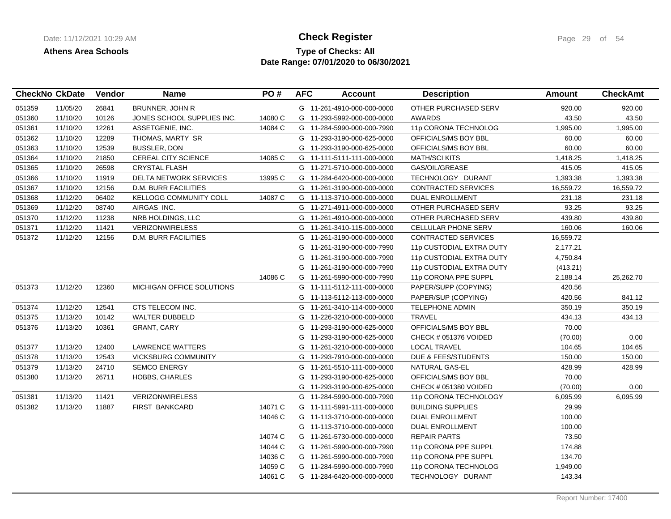## **Type of Checks: All Check Register Check Register Page 29 of 54 Date Range: 07/01/2020 to 06/30/2021**

|        | <b>CheckNo CkDate</b> | Vendor | <b>Name</b>                 | PO#     | <b>AFC</b> | <b>Account</b>             | <b>Description</b>             | <b>Amount</b> | <b>CheckAmt</b> |
|--------|-----------------------|--------|-----------------------------|---------|------------|----------------------------|--------------------------------|---------------|-----------------|
| 051359 | 11/05/20              | 26841  | BRUNNER, JOHN R             |         |            | G 11-261-4910-000-000-0000 | OTHER PURCHASED SERV           | 920.00        | 920.00          |
| 051360 | 11/10/20              | 10126  | JONES SCHOOL SUPPLIES INC.  | 14080 C |            | G 11-293-5992-000-000-0000 | <b>AWARDS</b>                  | 43.50         | 43.50           |
| 051361 | 11/10/20              | 12261  | ASSETGENIE, INC.            | 14084 C |            | G 11-284-5990-000-000-7990 | 11p CORONA TECHNOLOG           | 1,995.00      | 1,995.00        |
| 051362 | 11/10/20              | 12289  | THOMAS, MARTY SR            |         |            | G 11-293-3190-000-625-0000 | OFFICIALS/MS BOY BBL           | 60.00         | 60.00           |
| 051363 | 11/10/20              | 12539  | <b>BUSSLER, DON</b>         |         |            | G 11-293-3190-000-625-0000 | OFFICIALS/MS BOY BBL           | 60.00         | 60.00           |
| 051364 | 11/10/20              | 21850  | <b>CEREAL CITY SCIENCE</b>  | 14085 C |            | G 11-111-5111-111-000-0000 | <b>MATH/SCI KITS</b>           | 1,418.25      | 1,418.25        |
| 051365 | 11/10/20              | 26598  | <b>CRYSTAL FLASH</b>        |         |            | G 11-271-5710-000-000-0000 | GAS/OIL/GREASE                 | 415.05        | 415.05          |
| 051366 | 11/10/20              | 11919  | DELTA NETWORK SERVICES      | 13995 C |            | G 11-284-6420-000-000-0000 | TECHNOLOGY DURANT              | 1,393.38      | 1,393.38        |
| 051367 | 11/10/20              | 12156  | <b>D.M. BURR FACILITIES</b> |         |            | G 11-261-3190-000-000-0000 | <b>CONTRACTED SERVICES</b>     | 16,559.72     | 16,559.72       |
| 051368 | 11/12/20              | 06402  | KELLOGG COMMUNITY COLL      | 14087 C |            | G 11-113-3710-000-000-0000 | <b>DUAL ENROLLMENT</b>         | 231.18        | 231.18          |
| 051369 | 11/12/20              | 08740  | AIRGAS INC.                 |         |            | G 11-271-4911-000-000-0000 | OTHER PURCHASED SERV           | 93.25         | 93.25           |
| 051370 | 11/12/20              | 11238  | NRB HOLDINGS, LLC           |         |            | G 11-261-4910-000-000-0000 | OTHER PURCHASED SERV           | 439.80        | 439.80          |
| 051371 | 11/12/20              | 11421  | VERIZONWIRELESS             |         | G          | 11-261-3410-115-000-0000   | CELLULAR PHONE SERV            | 160.06        | 160.06          |
| 051372 | 11/12/20              | 12156  | <b>D.M. BURR FACILITIES</b> |         | G          | 11-261-3190-000-000-0000   | <b>CONTRACTED SERVICES</b>     | 16,559.72     |                 |
|        |                       |        |                             |         | G          | 11-261-3190-000-000-7990   | 11p CUSTODIAL EXTRA DUTY       | 2,177.21      |                 |
|        |                       |        |                             |         | G          | 11-261-3190-000-000-7990   | 11p CUSTODIAL EXTRA DUTY       | 4,750.84      |                 |
|        |                       |        |                             |         | G          | 11-261-3190-000-000-7990   | 11p CUSTODIAL EXTRA DUTY       | (413.21)      |                 |
|        |                       |        |                             | 14086 C | G          | 11-261-5990-000-000-7990   | 11p CORONA PPE SUPPL           | 2,188.14      | 25,262.70       |
| 051373 | 11/12/20              | 12360  | MICHIGAN OFFICE SOLUTIONS   |         |            | G 11-111-5112-111-000-0000 | PAPER/SUPP (COPYING)           | 420.56        |                 |
|        |                       |        |                             |         |            | G 11-113-5112-113-000-0000 | PAPER/SUP (COPYING)            | 420.56        | 841.12          |
| 051374 | 11/12/20              | 12541  | CTS TELECOM INC.            |         | G.         | 11-261-3410-114-000-0000   | TELEPHONE ADMIN                | 350.19        | 350.19          |
| 051375 | 11/13/20              | 10142  | <b>WALTER DUBBELD</b>       |         | G          | 11-226-3210-000-000-0000   | <b>TRAVEL</b>                  | 434.13        | 434.13          |
| 051376 | 11/13/20              | 10361  | <b>GRANT, CARY</b>          |         | G          | 11-293-3190-000-625-0000   | OFFICIALS/MS BOY BBL           | 70.00         |                 |
|        |                       |        |                             |         | G          | 11-293-3190-000-625-0000   | CHECK # 051376 VOIDED          | (70.00)       | 0.00            |
| 051377 | 11/13/20              | 12400  | <b>LAWRENCE WATTERS</b>     |         | G          | 11-261-3210-000-000-0000   | <b>LOCAL TRAVEL</b>            | 104.65        | 104.65          |
| 051378 | 11/13/20              | 12543  | <b>VICKSBURG COMMUNITY</b>  |         | G          | 11-293-7910-000-000-0000   | <b>DUE &amp; FEES/STUDENTS</b> | 150.00        | 150.00          |
| 051379 | 11/13/20              | 24710  | SEMCO ENERGY                |         | G          | 11-261-5510-111-000-0000   | NATURAL GAS-EL                 | 428.99        | 428.99          |
| 051380 | 11/13/20              | 26711  | HOBBS, CHARLES              |         | G          | 11-293-3190-000-625-0000   | OFFICIALS/MS BOY BBL           | 70.00         |                 |
|        |                       |        |                             |         | G          | 11-293-3190-000-625-0000   | CHECK # 051380 VOIDED          | (70.00)       | 0.00            |
| 051381 | 11/13/20              | 11421  | <b>VERIZONWIRELESS</b>      |         |            | G 11-284-5990-000-000-7990 | 11p CORONA TECHNOLOGY          | 6,095.99      | 6,095.99        |
| 051382 | 11/13/20              | 11887  | <b>FIRST BANKCARD</b>       | 14071 C |            | G 11-111-5991-111-000-0000 | <b>BUILDING SUPPLIES</b>       | 29.99         |                 |
|        |                       |        |                             | 14046 C |            | G 11-113-3710-000-000-0000 | DUAL ENROLLMENT                | 100.00        |                 |
|        |                       |        |                             |         |            | G 11-113-3710-000-000-0000 | DUAL ENROLLMENT                | 100.00        |                 |
|        |                       |        |                             | 14074 C | G          | 11-261-5730-000-000-0000   | <b>REPAIR PARTS</b>            | 73.50         |                 |
|        |                       |        |                             | 14044 C |            | G 11-261-5990-000-000-7990 | 11p CORONA PPE SUPPL           | 174.88        |                 |
|        |                       |        |                             | 14036 C |            | G 11-261-5990-000-000-7990 | 11p CORONA PPE SUPPL           | 134.70        |                 |
|        |                       |        |                             | 14059 C |            | G 11-284-5990-000-000-7990 | 11p CORONA TECHNOLOG           | 1,949.00      |                 |
|        |                       |        |                             | 14061 C |            | G 11-284-6420-000-000-0000 | TECHNOLOGY DURANT              | 143.34        |                 |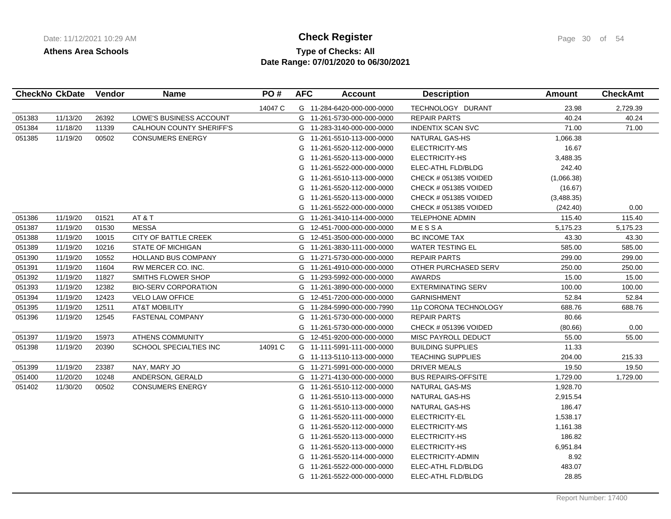# **Type of Checks: All Check Register Check Register Page 30 of 54 Date Range: 07/01/2020 to 06/30/2021**

| <b>CheckNo CkDate</b> |          | Vendor | <b>Name</b>                 | PO#     | <b>AFC</b> | <b>Account</b>             | <b>Description</b>         | Amount     | <b>CheckAmt</b> |
|-----------------------|----------|--------|-----------------------------|---------|------------|----------------------------|----------------------------|------------|-----------------|
|                       |          |        |                             | 14047 C |            | G 11-284-6420-000-000-0000 | TECHNOLOGY DURANT          | 23.98      | 2,729.39        |
| 051383                | 11/13/20 | 26392  | LOWE'S BUSINESS ACCOUNT     |         |            | G 11-261-5730-000-000-0000 | <b>REPAIR PARTS</b>        | 40.24      | 40.24           |
| 051384                | 11/18/20 | 11339  | CALHOUN COUNTY SHERIFF'S    |         |            | G 11-283-3140-000-000-0000 | <b>INDENTIX SCAN SVC</b>   | 71.00      | 71.00           |
| 051385                | 11/19/20 | 00502  | <b>CONSUMERS ENERGY</b>     |         | G          | 11-261-5510-113-000-0000   | NATURAL GAS-HS             | 1,066.38   |                 |
|                       |          |        |                             |         | G          | 11-261-5520-112-000-0000   | ELECTRICITY-MS             | 16.67      |                 |
|                       |          |        |                             |         | G          | 11-261-5520-113-000-0000   | ELECTRICITY-HS             | 3,488.35   |                 |
|                       |          |        |                             |         | G          | 11-261-5522-000-000-0000   | ELEC-ATHL FLD/BLDG         | 242.40     |                 |
|                       |          |        |                             |         | G          | 11-261-5510-113-000-0000   | CHECK # 051385 VOIDED      | (1,066.38) |                 |
|                       |          |        |                             |         | G          | 11-261-5520-112-000-0000   | CHECK # 051385 VOIDED      | (16.67)    |                 |
|                       |          |        |                             |         | G          | 11-261-5520-113-000-0000   | CHECK # 051385 VOIDED      | (3,488.35) |                 |
|                       |          |        |                             |         | G          | 11-261-5522-000-000-0000   | CHECK # 051385 VOIDED      | (242.40)   | 0.00            |
| 051386                | 11/19/20 | 01521  | AT&T                        |         |            | G 11-261-3410-114-000-0000 | <b>TELEPHONE ADMIN</b>     | 115.40     | 115.40          |
| 051387                | 11/19/20 | 01530  | <b>MESSA</b>                |         | G          | 12-451-7000-000-000-0000   | MESSA                      | 5,175.23   | 5,175.23        |
| 051388                | 11/19/20 | 10015  | CITY OF BATTLE CREEK        |         | G          | 12-451-3500-000-000-0000   | <b>BC INCOME TAX</b>       | 43.30      | 43.30           |
| 051389                | 11/19/20 | 10216  | <b>STATE OF MICHIGAN</b>    |         |            | G 11-261-3830-111-000-0000 | <b>WATER TESTING EL</b>    | 585.00     | 585.00          |
| 051390                | 11/19/20 | 10552  | <b>HOLLAND BUS COMPANY</b>  |         |            | G 11-271-5730-000-000-0000 | <b>REPAIR PARTS</b>        | 299.00     | 299.00          |
| 051391                | 11/19/20 | 11604  | RW MERCER CO. INC.          |         |            | G 11-261-4910-000-000-0000 | OTHER PURCHASED SERV       | 250.00     | 250.00          |
| 051392                | 11/19/20 | 11827  | SMITHS FLOWER SHOP          |         | G          | 11-293-5992-000-000-0000   | AWARDS                     | 15.00      | 15.00           |
| 051393                | 11/19/20 | 12382  | <b>BIO-SERV CORPORATION</b> |         |            | G 11-261-3890-000-000-0000 | <b>EXTERMINATING SERV</b>  | 100.00     | 100.00          |
| 051394                | 11/19/20 | 12423  | VELO LAW OFFICE             |         | G          | 12-451-7200-000-000-0000   | <b>GARNISHMENT</b>         | 52.84      | 52.84           |
| 051395                | 11/19/20 | 12511  | <b>AT&amp;T MOBILITY</b>    |         |            | G 11-284-5990-000-000-7990 | 11p CORONA TECHNOLOGY      | 688.76     | 688.76          |
| 051396                | 11/19/20 | 12545  | FASTENAL COMPANY            |         |            | G 11-261-5730-000-000-0000 | <b>REPAIR PARTS</b>        | 80.66      |                 |
|                       |          |        |                             |         | G          | 11-261-5730-000-000-0000   | CHECK # 051396 VOIDED      | (80.66)    | 0.00            |
| 051397                | 11/19/20 | 15973  | <b>ATHENS COMMUNITY</b>     |         |            | G 12-451-9200-000-000-0000 | MISC PAYROLL DEDUCT        | 55.00      | 55.00           |
| 051398                | 11/19/20 | 20390  | SCHOOL SPECIALTIES INC      | 14091 C |            | G 11-111-5991-111-000-0000 | <b>BUILDING SUPPLIES</b>   | 11.33      |                 |
|                       |          |        |                             |         |            | G 11-113-5110-113-000-0000 | <b>TEACHING SUPPLIES</b>   | 204.00     | 215.33          |
| 051399                | 11/19/20 | 23387  | NAY, MARY JO                |         |            | G 11-271-5991-000-000-0000 | <b>DRIVER MEALS</b>        | 19.50      | 19.50           |
| 051400                | 11/20/20 | 10248  | ANDERSON, GERALD            |         | G          | 11-271-4130-000-000-0000   | <b>BUS REPAIRS-OFFSITE</b> | 1,729.00   | 1,729.00        |
| 051402                | 11/30/20 | 00502  | <b>CONSUMERS ENERGY</b>     |         | G          | 11-261-5510-112-000-0000   | NATURAL GAS-MS             | 1,928.70   |                 |
|                       |          |        |                             |         | G          | 11-261-5510-113-000-0000   | NATURAL GAS-HS             | 2,915.54   |                 |
|                       |          |        |                             |         | G          | 11-261-5510-113-000-0000   | NATURAL GAS-HS             | 186.47     |                 |
|                       |          |        |                             |         | G          | 11-261-5520-111-000-0000   | ELECTRICITY-EL             | 1,538.17   |                 |
|                       |          |        |                             |         | G          | 11-261-5520-112-000-0000   | ELECTRICITY-MS             | 1,161.38   |                 |
|                       |          |        |                             |         | G          | 11-261-5520-113-000-0000   | ELECTRICITY-HS             | 186.82     |                 |
|                       |          |        |                             |         | G          | 11-261-5520-113-000-0000   | ELECTRICITY-HS             | 6,951.84   |                 |
|                       |          |        |                             |         | G          | 11-261-5520-114-000-0000   | ELECTRICITY-ADMIN          | 8.92       |                 |
|                       |          |        |                             |         | G          | 11-261-5522-000-000-0000   | ELEC-ATHL FLD/BLDG         | 483.07     |                 |
|                       |          |        |                             |         |            | G 11-261-5522-000-000-0000 | ELEC-ATHL FLD/BLDG         | 28.85      |                 |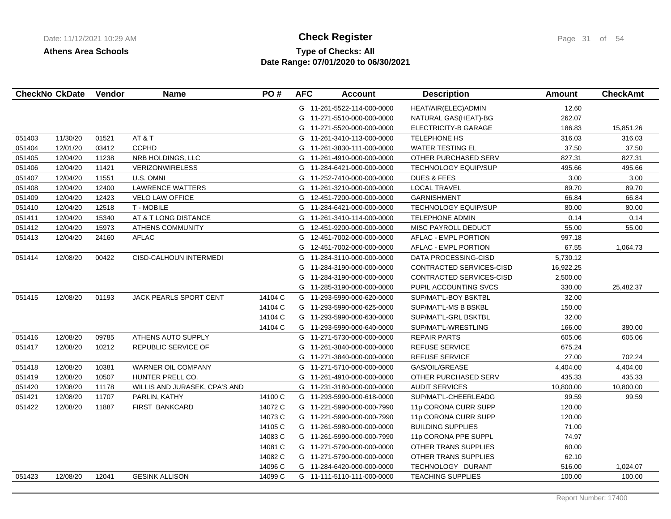# **Type of Checks: All Check Register Check Register Page 31 of 54 Date Range: 07/01/2020 to 06/30/2021**

|        | <b>CheckNo CkDate</b> | Vendor | <b>Name</b>                   | PO#     | <b>AFC</b> | <b>Account</b>             | <b>Description</b>          | <b>Amount</b> | <b>CheckAmt</b> |
|--------|-----------------------|--------|-------------------------------|---------|------------|----------------------------|-----------------------------|---------------|-----------------|
|        |                       |        |                               |         |            | G 11-261-5522-114-000-0000 | HEAT/AIR(ELEC)ADMIN         | 12.60         |                 |
|        |                       |        |                               |         | G          | 11-271-5510-000-000-0000   | NATURAL GAS(HEAT)-BG        | 262.07        |                 |
|        |                       |        |                               |         | G          | 11-271-5520-000-000-0000   | <b>ELECTRICITY-B GARAGE</b> | 186.83        | 15,851.26       |
| 051403 | 11/30/20              | 01521  | AT&T                          |         | G          | 11-261-3410-113-000-0000   | <b>TELEPHONE HS</b>         | 316.03        | 316.03          |
| 051404 | 12/01/20              | 03412  | <b>CCPHD</b>                  |         | G          | 11-261-3830-111-000-0000   | <b>WATER TESTING EL</b>     | 37.50         | 37.50           |
| 051405 | 12/04/20              | 11238  | NRB HOLDINGS, LLC             |         | G          | 11-261-4910-000-000-0000   | OTHER PURCHASED SERV        | 827.31        | 827.31          |
| 051406 | 12/04/20              | 11421  | <b>VERIZONWIRELESS</b>        |         | G          | 11-284-6421-000-000-0000   | <b>TECHNOLOGY EQUIP/SUP</b> | 495.66        | 495.66          |
| 051407 | 12/04/20              | 11551  | U.S. OMNI                     |         | G          | 11-252-7410-000-000-0000   | <b>DUES &amp; FEES</b>      | 3.00          | 3.00            |
| 051408 | 12/04/20              | 12400  | <b>LAWRENCE WATTERS</b>       |         | G          | 11-261-3210-000-000-0000   | <b>LOCAL TRAVEL</b>         | 89.70         | 89.70           |
| 051409 | 12/04/20              | 12423  | <b>VELO LAW OFFICE</b>        |         | G          | 12-451-7200-000-000-0000   | <b>GARNISHMENT</b>          | 66.84         | 66.84           |
| 051410 | 12/04/20              | 12518  | <b>T-MOBILE</b>               |         | G          | 11-284-6421-000-000-0000   | <b>TECHNOLOGY EQUIP/SUP</b> | 80.00         | 80.00           |
| 051411 | 12/04/20              | 15340  | AT & T LONG DISTANCE          |         | G          | 11-261-3410-114-000-0000   | <b>TELEPHONE ADMIN</b>      | 0.14          | 0.14            |
| 051412 | 12/04/20              | 15973  | <b>ATHENS COMMUNITY</b>       |         | G          | 12-451-9200-000-000-0000   | MISC PAYROLL DEDUCT         | 55.00         | 55.00           |
| 051413 | 12/04/20              | 24160  | <b>AFLAC</b>                  |         | G          | 12-451-7002-000-000-0000   | <b>AFLAC - EMPL PORTION</b> | 997.18        |                 |
|        |                       |        |                               |         | G          | 12-451-7002-000-000-0000   | AFLAC - EMPL PORTION        | 67.55         | 1,064.73        |
| 051414 | 12/08/20              | 00422  | CISD-CALHOUN INTERMEDI        |         | G          | 11-284-3110-000-000-0000   | DATA PROCESSING-CISD        | 5,730.12      |                 |
|        |                       |        |                               |         | G          | 11-284-3190-000-000-0000   | CONTRACTED SERVICES-CISD    | 16,922.25     |                 |
|        |                       |        |                               |         | G          | 11-284-3190-000-000-0000   | CONTRACTED SERVICES-CISD    | 2,500.00      |                 |
|        |                       |        |                               |         | G          | 11-285-3190-000-000-0000   | PUPIL ACCOUNTING SVCS       | 330.00        | 25,482.37       |
| 051415 | 12/08/20              | 01193  | JACK PEARLS SPORT CENT        | 14104 C | G          | 11-293-5990-000-620-0000   | SUP/MAT'L-BOY BSKTBL        | 32.00         |                 |
|        |                       |        |                               | 14104 C | G          | 11-293-5990-000-625-0000   | SUP/MAT'L-MS B BSKBL        | 150.00        |                 |
|        |                       |        |                               | 14104 C | G          | 11-293-5990-000-630-0000   | SUP/MAT'L-GRL BSKTBL        | 32.00         |                 |
|        |                       |        |                               | 14104 C |            | G 11-293-5990-000-640-0000 | SUP/MAT'L-WRESTLING         | 166.00        | 380.00          |
| 051416 | 12/08/20              | 09785  | ATHENS AUTO SUPPLY            |         |            | G 11-271-5730-000-000-0000 | <b>REPAIR PARTS</b>         | 605.06        | 605.06          |
| 051417 | 12/08/20              | 10212  | REPUBLIC SERVICE OF           |         | G          | 11-261-3840-000-000-0000   | <b>REFUSE SERVICE</b>       | 675.24        |                 |
|        |                       |        |                               |         | G          | 11-271-3840-000-000-0000   | <b>REFUSE SERVICE</b>       | 27.00         | 702.24          |
| 051418 | 12/08/20              | 10381  | WARNER OIL COMPANY            |         | G          | 11-271-5710-000-000-0000   | GAS/OIL/GREASE              | 4,404.00      | 4,404.00        |
| 051419 | 12/08/20              | 10507  | HUNTER PRELL CO.              |         | G          | 11-261-4910-000-000-0000   | OTHER PURCHASED SERV        | 435.33        | 435.33          |
| 051420 | 12/08/20              | 11178  | WILLIS AND JURASEK, CPA'S AND |         |            | G 11-231-3180-000-000-0000 | <b>AUDIT SERVICES</b>       | 10,800.00     | 10,800.00       |
| 051421 | 12/08/20              | 11707  | PARLIN, KATHY                 | 14100 C |            | G 11-293-5990-000-618-0000 | SUP/MAT'L-CHEERLEADG        | 99.59         | 99.59           |
| 051422 | 12/08/20              | 11887  | <b>FIRST BANKCARD</b>         | 14072 C |            | G 11-221-5990-000-000-7990 | 11p CORONA CURR SUPP        | 120.00        |                 |
|        |                       |        |                               | 14073 C |            | G 11-221-5990-000-000-7990 | 11p CORONA CURR SUPP        | 120.00        |                 |
|        |                       |        |                               | 14105 C |            | G 11-261-5980-000-000-0000 | <b>BUILDING SUPPLIES</b>    | 71.00         |                 |
|        |                       |        |                               | 14083 C |            | G 11-261-5990-000-000-7990 | 11p CORONA PPE SUPPL        | 74.97         |                 |
|        |                       |        |                               | 14081 C |            | G 11-271-5790-000-000-0000 | OTHER TRANS SUPPLIES        | 60.00         |                 |
|        |                       |        |                               | 14082 C |            | G 11-271-5790-000-000-0000 | OTHER TRANS SUPPLIES        | 62.10         |                 |
|        |                       |        |                               | 14096 C |            | G 11-284-6420-000-000-0000 | TECHNOLOGY DURANT           | 516.00        | 1,024.07        |
| 051423 | 12/08/20              | 12041  | <b>GESINK ALLISON</b>         | 14099 C |            | G 11-111-5110-111-000-0000 | <b>TEACHING SUPPLIES</b>    | 100.00        | 100.00          |
|        |                       |        |                               |         |            |                            |                             |               |                 |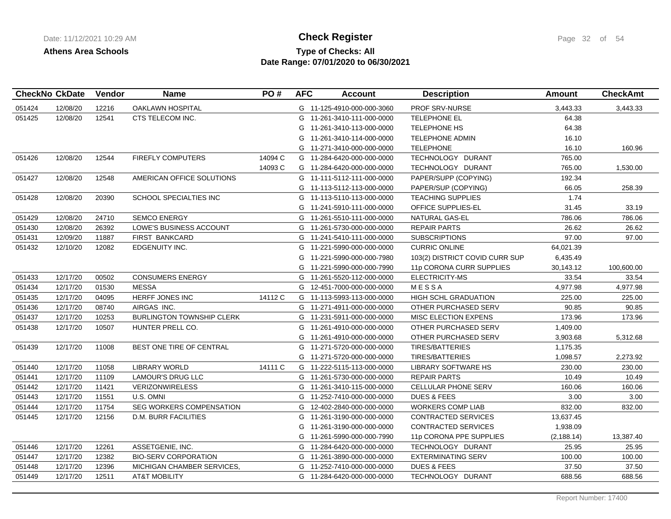# **Type of Checks: All Check Register Check Register Page 32 of 54 Date Range: 07/01/2020 to 06/30/2021**

| OAKLAWN HOSPITAL<br>051424<br>12/08/20<br>12216<br>G 11-125-4910-000-000-3060<br><b>PROF SRV-NURSE</b><br>3,443.33<br>3,443.33<br>12541<br>051425<br>12/08/20<br>CTS TELECOM INC.<br>TELEPHONE EL<br>64.38<br>G 11-261-3410-111-000-0000<br>64.38<br><b>TELEPHONE HS</b><br>G<br>11-261-3410-113-000-0000<br>G 11-261-3410-114-000-0000<br><b>TELEPHONE ADMIN</b><br>16.10<br><b>TELEPHONE</b><br>16.10<br>160.96<br>G 11-271-3410-000-000-0000<br>051426<br>12/08/20<br>12544<br><b>FIREFLY COMPUTERS</b><br>14094 C<br>TECHNOLOGY DURANT<br>765.00<br>G 11-284-6420-000-000-0000<br>14093 C<br>TECHNOLOGY DURANT<br>765.00<br>1,530.00<br>G 11-284-6420-000-000-0000<br>12/08/20<br>AMERICAN OFFICE SOLUTIONS<br>PAPER/SUPP (COPYING)<br>192.34<br>051427<br>12548<br>G 11-111-5112-111-000-0000<br>PAPER/SUP (COPYING)<br>66.05<br>258.39<br>G 11-113-5112-113-000-0000<br>SCHOOL SPECIALTIES INC<br>1.74<br>051428<br>12/08/20<br>20390<br><b>TEACHING SUPPLIES</b><br>G 11-113-5110-113-000-0000<br>OFFICE SUPPLIES-EL<br>31.45<br>33.19<br>G 11-241-5910-111-000-0000<br><b>SEMCO ENERGY</b><br>786.06<br>786.06<br>051429<br>12/08/20<br>24710<br>G 11-261-5510-111-000-0000<br>NATURAL GAS-EL<br>051430<br><b>REPAIR PARTS</b><br>26.62<br>26.62<br>12/08/20<br>26392<br>LOWE'S BUSINESS ACCOUNT<br>G 11-261-5730-000-000-0000<br>97.00<br>051431<br>12/09/20<br>11887<br><b>FIRST BANKCARD</b><br>G 11-241-5410-111-000-0000<br><b>SUBSCRIPTIONS</b><br>97.00<br>64,021.39<br>051432<br>12/10/20<br>12082<br>EDGENUITY INC.<br>G 11-221-5990-000-000-0000<br><b>CURRIC ONLINE</b><br>G 11-221-5990-000-000-7980<br>103(2) DISTRICT COVID CURR SUP<br>6,435.49<br>30,143.12<br>100,600.00<br>G 11-221-5990-000-000-7990<br>11p CORONA CURR SUPPLIES<br>051433<br>12/17/20<br>00502<br><b>CONSUMERS ENERGY</b><br>G 11-261-5520-112-000-0000<br>ELECTRICITY-MS<br>33.54<br>33.54<br><b>MESSA</b><br>051434<br>12/17/20<br>01530<br>G 12-451-7000-000-000-0000<br>MESSA<br>4,977.98<br>4,977.98<br><b>HERFF JONES INC</b><br>14112 C<br>HIGH SCHL GRADUATION<br>225.00<br>051435<br>12/17/20<br>04095<br>G 11-113-5993-113-000-0000<br>225.00<br>051436<br>12/17/20<br>08740<br>AIRGAS INC.<br>OTHER PURCHASED SERV<br>90.85<br>90.85<br>G 11-271-4911-000-000-0000<br>173.96<br>051437<br>12/17/20<br>10253<br><b>BURLINGTON TOWNSHIP CLERK</b><br>MISC ELECTION EXPENS<br>173.96<br>G 11-231-5911-000-000-0000<br>051438<br>12/17/20<br>10507<br>HUNTER PRELL CO.<br>G 11-261-4910-000-000-0000<br>OTHER PURCHASED SERV<br>1,409.00<br>OTHER PURCHASED SERV<br>3,903.68<br>G 11-261-4910-000-000-0000<br>5,312.68<br>12/17/20<br>051439<br>11008<br>BEST ONE TIRE OF CENTRAL<br>G 11-271-5720-000-000-0000<br>TIRES/BATTERIES<br>1,175.35<br>1,098.57<br>G 11-271-5720-000-000-0000<br>TIRES/BATTERIES<br>2,273.92<br>11058<br><b>LIBRARY WORLD</b><br>14111 C<br>230.00<br>230.00<br>051440<br>12/17/20<br>G 11-222-5115-113-000-0000<br><b>LIBRARY SOFTWARE HS</b><br><b>REPAIR PARTS</b><br>10.49<br>051441<br>12/17/20<br>11109<br>LAMOUR'S DRUG LLC<br>G 11-261-5730-000-000-0000<br>10.49<br>160.06<br>051442<br>12/17/20<br>11421<br><b>VERIZONWIRELESS</b><br>G 11-261-3410-115-000-0000<br>CELLULAR PHONE SERV<br>160.06<br>12/17/20<br>U.S. OMNI<br><b>DUES &amp; FEES</b><br>3.00<br>3.00<br>051443<br>11551<br>G 11-252-7410-000-000-0000<br>051444<br>12/17/20<br>11754<br><b>SEG WORKERS COMPENSATION</b><br>G 12-402-2840-000-000-0000<br><b>WORKERS COMP LIAB</b><br>832.00<br>832.00<br>12/17/20<br>051445<br>12156<br><b>D.M. BURR FACILITIES</b><br>G 11-261-3190-000-000-0000<br>CONTRACTED SERVICES<br>13,637.45<br><b>CONTRACTED SERVICES</b><br>1,938.09<br>G 11-261-3190-000-000-0000<br>11p CORONA PPE SUPPLIES<br>(2, 188.14)<br>13,387.40<br>G 11-261-5990-000-000-7990<br>12/17/20<br>12261<br>ASSETGENIE, INC.<br>G 11-284-6420-000-000-0000<br>TECHNOLOGY DURANT<br>25.95<br>25.95<br>051446<br>051447<br>12/17/20<br>12382<br><b>BIO-SERV CORPORATION</b><br><b>EXTERMINATING SERV</b><br>100.00<br>100.00<br>G 11-261-3890-000-000-0000<br>37.50<br>37.50<br>051448<br>12/17/20<br>12396<br>MICHIGAN CHAMBER SERVICES,<br>G 11-252-7410-000-000-0000<br><b>DUES &amp; FEES</b><br>688.56<br>051449<br>12/17/20<br>12511<br><b>AT&amp;T MOBILITY</b><br>TECHNOLOGY DURANT<br>688.56<br>G 11-284-6420-000-000-0000 | <b>CheckNo CkDate</b> | Vendor | <b>Name</b> | PO# | <b>AFC</b> | <b>Account</b> | <b>Description</b> | <b>Amount</b> | <b>CheckAmt</b> |
|----------------------------------------------------------------------------------------------------------------------------------------------------------------------------------------------------------------------------------------------------------------------------------------------------------------------------------------------------------------------------------------------------------------------------------------------------------------------------------------------------------------------------------------------------------------------------------------------------------------------------------------------------------------------------------------------------------------------------------------------------------------------------------------------------------------------------------------------------------------------------------------------------------------------------------------------------------------------------------------------------------------------------------------------------------------------------------------------------------------------------------------------------------------------------------------------------------------------------------------------------------------------------------------------------------------------------------------------------------------------------------------------------------------------------------------------------------------------------------------------------------------------------------------------------------------------------------------------------------------------------------------------------------------------------------------------------------------------------------------------------------------------------------------------------------------------------------------------------------------------------------------------------------------------------------------------------------------------------------------------------------------------------------------------------------------------------------------------------------------------------------------------------------------------------------------------------------------------------------------------------------------------------------------------------------------------------------------------------------------------------------------------------------------------------------------------------------------------------------------------------------------------------------------------------------------------------------------------------------------------------------------------------------------------------------------------------------------------------------------------------------------------------------------------------------------------------------------------------------------------------------------------------------------------------------------------------------------------------------------------------------------------------------------------------------------------------------------------------------------------------------------------------------------------------------------------------------------------------------------------------------------------------------------------------------------------------------------------------------------------------------------------------------------------------------------------------------------------------------------------------------------------------------------------------------------------------------------------------------------------------------------------------------------------------------------------------------------------------------------------------------------------------------------------------------------------------------------------------------------------------------------------------------------------------------------------------------------------------------------------------------------------------------------------------------------------------------------------------------------------------------------------------------------------------------------------------------------------------------------------------------------------------------------------------------------------------------------------------------|-----------------------|--------|-------------|-----|------------|----------------|--------------------|---------------|-----------------|
|                                                                                                                                                                                                                                                                                                                                                                                                                                                                                                                                                                                                                                                                                                                                                                                                                                                                                                                                                                                                                                                                                                                                                                                                                                                                                                                                                                                                                                                                                                                                                                                                                                                                                                                                                                                                                                                                                                                                                                                                                                                                                                                                                                                                                                                                                                                                                                                                                                                                                                                                                                                                                                                                                                                                                                                                                                                                                                                                                                                                                                                                                                                                                                                                                                                                                                                                                                                                                                                                                                                                                                                                                                                                                                                                                                                                                                                                                                                                                                                                                                                                                                                                                                                                                                                                                                                                                          |                       |        |             |     |            |                |                    |               |                 |
|                                                                                                                                                                                                                                                                                                                                                                                                                                                                                                                                                                                                                                                                                                                                                                                                                                                                                                                                                                                                                                                                                                                                                                                                                                                                                                                                                                                                                                                                                                                                                                                                                                                                                                                                                                                                                                                                                                                                                                                                                                                                                                                                                                                                                                                                                                                                                                                                                                                                                                                                                                                                                                                                                                                                                                                                                                                                                                                                                                                                                                                                                                                                                                                                                                                                                                                                                                                                                                                                                                                                                                                                                                                                                                                                                                                                                                                                                                                                                                                                                                                                                                                                                                                                                                                                                                                                                          |                       |        |             |     |            |                |                    |               |                 |
|                                                                                                                                                                                                                                                                                                                                                                                                                                                                                                                                                                                                                                                                                                                                                                                                                                                                                                                                                                                                                                                                                                                                                                                                                                                                                                                                                                                                                                                                                                                                                                                                                                                                                                                                                                                                                                                                                                                                                                                                                                                                                                                                                                                                                                                                                                                                                                                                                                                                                                                                                                                                                                                                                                                                                                                                                                                                                                                                                                                                                                                                                                                                                                                                                                                                                                                                                                                                                                                                                                                                                                                                                                                                                                                                                                                                                                                                                                                                                                                                                                                                                                                                                                                                                                                                                                                                                          |                       |        |             |     |            |                |                    |               |                 |
|                                                                                                                                                                                                                                                                                                                                                                                                                                                                                                                                                                                                                                                                                                                                                                                                                                                                                                                                                                                                                                                                                                                                                                                                                                                                                                                                                                                                                                                                                                                                                                                                                                                                                                                                                                                                                                                                                                                                                                                                                                                                                                                                                                                                                                                                                                                                                                                                                                                                                                                                                                                                                                                                                                                                                                                                                                                                                                                                                                                                                                                                                                                                                                                                                                                                                                                                                                                                                                                                                                                                                                                                                                                                                                                                                                                                                                                                                                                                                                                                                                                                                                                                                                                                                                                                                                                                                          |                       |        |             |     |            |                |                    |               |                 |
|                                                                                                                                                                                                                                                                                                                                                                                                                                                                                                                                                                                                                                                                                                                                                                                                                                                                                                                                                                                                                                                                                                                                                                                                                                                                                                                                                                                                                                                                                                                                                                                                                                                                                                                                                                                                                                                                                                                                                                                                                                                                                                                                                                                                                                                                                                                                                                                                                                                                                                                                                                                                                                                                                                                                                                                                                                                                                                                                                                                                                                                                                                                                                                                                                                                                                                                                                                                                                                                                                                                                                                                                                                                                                                                                                                                                                                                                                                                                                                                                                                                                                                                                                                                                                                                                                                                                                          |                       |        |             |     |            |                |                    |               |                 |
|                                                                                                                                                                                                                                                                                                                                                                                                                                                                                                                                                                                                                                                                                                                                                                                                                                                                                                                                                                                                                                                                                                                                                                                                                                                                                                                                                                                                                                                                                                                                                                                                                                                                                                                                                                                                                                                                                                                                                                                                                                                                                                                                                                                                                                                                                                                                                                                                                                                                                                                                                                                                                                                                                                                                                                                                                                                                                                                                                                                                                                                                                                                                                                                                                                                                                                                                                                                                                                                                                                                                                                                                                                                                                                                                                                                                                                                                                                                                                                                                                                                                                                                                                                                                                                                                                                                                                          |                       |        |             |     |            |                |                    |               |                 |
|                                                                                                                                                                                                                                                                                                                                                                                                                                                                                                                                                                                                                                                                                                                                                                                                                                                                                                                                                                                                                                                                                                                                                                                                                                                                                                                                                                                                                                                                                                                                                                                                                                                                                                                                                                                                                                                                                                                                                                                                                                                                                                                                                                                                                                                                                                                                                                                                                                                                                                                                                                                                                                                                                                                                                                                                                                                                                                                                                                                                                                                                                                                                                                                                                                                                                                                                                                                                                                                                                                                                                                                                                                                                                                                                                                                                                                                                                                                                                                                                                                                                                                                                                                                                                                                                                                                                                          |                       |        |             |     |            |                |                    |               |                 |
|                                                                                                                                                                                                                                                                                                                                                                                                                                                                                                                                                                                                                                                                                                                                                                                                                                                                                                                                                                                                                                                                                                                                                                                                                                                                                                                                                                                                                                                                                                                                                                                                                                                                                                                                                                                                                                                                                                                                                                                                                                                                                                                                                                                                                                                                                                                                                                                                                                                                                                                                                                                                                                                                                                                                                                                                                                                                                                                                                                                                                                                                                                                                                                                                                                                                                                                                                                                                                                                                                                                                                                                                                                                                                                                                                                                                                                                                                                                                                                                                                                                                                                                                                                                                                                                                                                                                                          |                       |        |             |     |            |                |                    |               |                 |
|                                                                                                                                                                                                                                                                                                                                                                                                                                                                                                                                                                                                                                                                                                                                                                                                                                                                                                                                                                                                                                                                                                                                                                                                                                                                                                                                                                                                                                                                                                                                                                                                                                                                                                                                                                                                                                                                                                                                                                                                                                                                                                                                                                                                                                                                                                                                                                                                                                                                                                                                                                                                                                                                                                                                                                                                                                                                                                                                                                                                                                                                                                                                                                                                                                                                                                                                                                                                                                                                                                                                                                                                                                                                                                                                                                                                                                                                                                                                                                                                                                                                                                                                                                                                                                                                                                                                                          |                       |        |             |     |            |                |                    |               |                 |
|                                                                                                                                                                                                                                                                                                                                                                                                                                                                                                                                                                                                                                                                                                                                                                                                                                                                                                                                                                                                                                                                                                                                                                                                                                                                                                                                                                                                                                                                                                                                                                                                                                                                                                                                                                                                                                                                                                                                                                                                                                                                                                                                                                                                                                                                                                                                                                                                                                                                                                                                                                                                                                                                                                                                                                                                                                                                                                                                                                                                                                                                                                                                                                                                                                                                                                                                                                                                                                                                                                                                                                                                                                                                                                                                                                                                                                                                                                                                                                                                                                                                                                                                                                                                                                                                                                                                                          |                       |        |             |     |            |                |                    |               |                 |
|                                                                                                                                                                                                                                                                                                                                                                                                                                                                                                                                                                                                                                                                                                                                                                                                                                                                                                                                                                                                                                                                                                                                                                                                                                                                                                                                                                                                                                                                                                                                                                                                                                                                                                                                                                                                                                                                                                                                                                                                                                                                                                                                                                                                                                                                                                                                                                                                                                                                                                                                                                                                                                                                                                                                                                                                                                                                                                                                                                                                                                                                                                                                                                                                                                                                                                                                                                                                                                                                                                                                                                                                                                                                                                                                                                                                                                                                                                                                                                                                                                                                                                                                                                                                                                                                                                                                                          |                       |        |             |     |            |                |                    |               |                 |
|                                                                                                                                                                                                                                                                                                                                                                                                                                                                                                                                                                                                                                                                                                                                                                                                                                                                                                                                                                                                                                                                                                                                                                                                                                                                                                                                                                                                                                                                                                                                                                                                                                                                                                                                                                                                                                                                                                                                                                                                                                                                                                                                                                                                                                                                                                                                                                                                                                                                                                                                                                                                                                                                                                                                                                                                                                                                                                                                                                                                                                                                                                                                                                                                                                                                                                                                                                                                                                                                                                                                                                                                                                                                                                                                                                                                                                                                                                                                                                                                                                                                                                                                                                                                                                                                                                                                                          |                       |        |             |     |            |                |                    |               |                 |
|                                                                                                                                                                                                                                                                                                                                                                                                                                                                                                                                                                                                                                                                                                                                                                                                                                                                                                                                                                                                                                                                                                                                                                                                                                                                                                                                                                                                                                                                                                                                                                                                                                                                                                                                                                                                                                                                                                                                                                                                                                                                                                                                                                                                                                                                                                                                                                                                                                                                                                                                                                                                                                                                                                                                                                                                                                                                                                                                                                                                                                                                                                                                                                                                                                                                                                                                                                                                                                                                                                                                                                                                                                                                                                                                                                                                                                                                                                                                                                                                                                                                                                                                                                                                                                                                                                                                                          |                       |        |             |     |            |                |                    |               |                 |
|                                                                                                                                                                                                                                                                                                                                                                                                                                                                                                                                                                                                                                                                                                                                                                                                                                                                                                                                                                                                                                                                                                                                                                                                                                                                                                                                                                                                                                                                                                                                                                                                                                                                                                                                                                                                                                                                                                                                                                                                                                                                                                                                                                                                                                                                                                                                                                                                                                                                                                                                                                                                                                                                                                                                                                                                                                                                                                                                                                                                                                                                                                                                                                                                                                                                                                                                                                                                                                                                                                                                                                                                                                                                                                                                                                                                                                                                                                                                                                                                                                                                                                                                                                                                                                                                                                                                                          |                       |        |             |     |            |                |                    |               |                 |
|                                                                                                                                                                                                                                                                                                                                                                                                                                                                                                                                                                                                                                                                                                                                                                                                                                                                                                                                                                                                                                                                                                                                                                                                                                                                                                                                                                                                                                                                                                                                                                                                                                                                                                                                                                                                                                                                                                                                                                                                                                                                                                                                                                                                                                                                                                                                                                                                                                                                                                                                                                                                                                                                                                                                                                                                                                                                                                                                                                                                                                                                                                                                                                                                                                                                                                                                                                                                                                                                                                                                                                                                                                                                                                                                                                                                                                                                                                                                                                                                                                                                                                                                                                                                                                                                                                                                                          |                       |        |             |     |            |                |                    |               |                 |
|                                                                                                                                                                                                                                                                                                                                                                                                                                                                                                                                                                                                                                                                                                                                                                                                                                                                                                                                                                                                                                                                                                                                                                                                                                                                                                                                                                                                                                                                                                                                                                                                                                                                                                                                                                                                                                                                                                                                                                                                                                                                                                                                                                                                                                                                                                                                                                                                                                                                                                                                                                                                                                                                                                                                                                                                                                                                                                                                                                                                                                                                                                                                                                                                                                                                                                                                                                                                                                                                                                                                                                                                                                                                                                                                                                                                                                                                                                                                                                                                                                                                                                                                                                                                                                                                                                                                                          |                       |        |             |     |            |                |                    |               |                 |
|                                                                                                                                                                                                                                                                                                                                                                                                                                                                                                                                                                                                                                                                                                                                                                                                                                                                                                                                                                                                                                                                                                                                                                                                                                                                                                                                                                                                                                                                                                                                                                                                                                                                                                                                                                                                                                                                                                                                                                                                                                                                                                                                                                                                                                                                                                                                                                                                                                                                                                                                                                                                                                                                                                                                                                                                                                                                                                                                                                                                                                                                                                                                                                                                                                                                                                                                                                                                                                                                                                                                                                                                                                                                                                                                                                                                                                                                                                                                                                                                                                                                                                                                                                                                                                                                                                                                                          |                       |        |             |     |            |                |                    |               |                 |
|                                                                                                                                                                                                                                                                                                                                                                                                                                                                                                                                                                                                                                                                                                                                                                                                                                                                                                                                                                                                                                                                                                                                                                                                                                                                                                                                                                                                                                                                                                                                                                                                                                                                                                                                                                                                                                                                                                                                                                                                                                                                                                                                                                                                                                                                                                                                                                                                                                                                                                                                                                                                                                                                                                                                                                                                                                                                                                                                                                                                                                                                                                                                                                                                                                                                                                                                                                                                                                                                                                                                                                                                                                                                                                                                                                                                                                                                                                                                                                                                                                                                                                                                                                                                                                                                                                                                                          |                       |        |             |     |            |                |                    |               |                 |
|                                                                                                                                                                                                                                                                                                                                                                                                                                                                                                                                                                                                                                                                                                                                                                                                                                                                                                                                                                                                                                                                                                                                                                                                                                                                                                                                                                                                                                                                                                                                                                                                                                                                                                                                                                                                                                                                                                                                                                                                                                                                                                                                                                                                                                                                                                                                                                                                                                                                                                                                                                                                                                                                                                                                                                                                                                                                                                                                                                                                                                                                                                                                                                                                                                                                                                                                                                                                                                                                                                                                                                                                                                                                                                                                                                                                                                                                                                                                                                                                                                                                                                                                                                                                                                                                                                                                                          |                       |        |             |     |            |                |                    |               |                 |
|                                                                                                                                                                                                                                                                                                                                                                                                                                                                                                                                                                                                                                                                                                                                                                                                                                                                                                                                                                                                                                                                                                                                                                                                                                                                                                                                                                                                                                                                                                                                                                                                                                                                                                                                                                                                                                                                                                                                                                                                                                                                                                                                                                                                                                                                                                                                                                                                                                                                                                                                                                                                                                                                                                                                                                                                                                                                                                                                                                                                                                                                                                                                                                                                                                                                                                                                                                                                                                                                                                                                                                                                                                                                                                                                                                                                                                                                                                                                                                                                                                                                                                                                                                                                                                                                                                                                                          |                       |        |             |     |            |                |                    |               |                 |
|                                                                                                                                                                                                                                                                                                                                                                                                                                                                                                                                                                                                                                                                                                                                                                                                                                                                                                                                                                                                                                                                                                                                                                                                                                                                                                                                                                                                                                                                                                                                                                                                                                                                                                                                                                                                                                                                                                                                                                                                                                                                                                                                                                                                                                                                                                                                                                                                                                                                                                                                                                                                                                                                                                                                                                                                                                                                                                                                                                                                                                                                                                                                                                                                                                                                                                                                                                                                                                                                                                                                                                                                                                                                                                                                                                                                                                                                                                                                                                                                                                                                                                                                                                                                                                                                                                                                                          |                       |        |             |     |            |                |                    |               |                 |
|                                                                                                                                                                                                                                                                                                                                                                                                                                                                                                                                                                                                                                                                                                                                                                                                                                                                                                                                                                                                                                                                                                                                                                                                                                                                                                                                                                                                                                                                                                                                                                                                                                                                                                                                                                                                                                                                                                                                                                                                                                                                                                                                                                                                                                                                                                                                                                                                                                                                                                                                                                                                                                                                                                                                                                                                                                                                                                                                                                                                                                                                                                                                                                                                                                                                                                                                                                                                                                                                                                                                                                                                                                                                                                                                                                                                                                                                                                                                                                                                                                                                                                                                                                                                                                                                                                                                                          |                       |        |             |     |            |                |                    |               |                 |
|                                                                                                                                                                                                                                                                                                                                                                                                                                                                                                                                                                                                                                                                                                                                                                                                                                                                                                                                                                                                                                                                                                                                                                                                                                                                                                                                                                                                                                                                                                                                                                                                                                                                                                                                                                                                                                                                                                                                                                                                                                                                                                                                                                                                                                                                                                                                                                                                                                                                                                                                                                                                                                                                                                                                                                                                                                                                                                                                                                                                                                                                                                                                                                                                                                                                                                                                                                                                                                                                                                                                                                                                                                                                                                                                                                                                                                                                                                                                                                                                                                                                                                                                                                                                                                                                                                                                                          |                       |        |             |     |            |                |                    |               |                 |
|                                                                                                                                                                                                                                                                                                                                                                                                                                                                                                                                                                                                                                                                                                                                                                                                                                                                                                                                                                                                                                                                                                                                                                                                                                                                                                                                                                                                                                                                                                                                                                                                                                                                                                                                                                                                                                                                                                                                                                                                                                                                                                                                                                                                                                                                                                                                                                                                                                                                                                                                                                                                                                                                                                                                                                                                                                                                                                                                                                                                                                                                                                                                                                                                                                                                                                                                                                                                                                                                                                                                                                                                                                                                                                                                                                                                                                                                                                                                                                                                                                                                                                                                                                                                                                                                                                                                                          |                       |        |             |     |            |                |                    |               |                 |
|                                                                                                                                                                                                                                                                                                                                                                                                                                                                                                                                                                                                                                                                                                                                                                                                                                                                                                                                                                                                                                                                                                                                                                                                                                                                                                                                                                                                                                                                                                                                                                                                                                                                                                                                                                                                                                                                                                                                                                                                                                                                                                                                                                                                                                                                                                                                                                                                                                                                                                                                                                                                                                                                                                                                                                                                                                                                                                                                                                                                                                                                                                                                                                                                                                                                                                                                                                                                                                                                                                                                                                                                                                                                                                                                                                                                                                                                                                                                                                                                                                                                                                                                                                                                                                                                                                                                                          |                       |        |             |     |            |                |                    |               |                 |
|                                                                                                                                                                                                                                                                                                                                                                                                                                                                                                                                                                                                                                                                                                                                                                                                                                                                                                                                                                                                                                                                                                                                                                                                                                                                                                                                                                                                                                                                                                                                                                                                                                                                                                                                                                                                                                                                                                                                                                                                                                                                                                                                                                                                                                                                                                                                                                                                                                                                                                                                                                                                                                                                                                                                                                                                                                                                                                                                                                                                                                                                                                                                                                                                                                                                                                                                                                                                                                                                                                                                                                                                                                                                                                                                                                                                                                                                                                                                                                                                                                                                                                                                                                                                                                                                                                                                                          |                       |        |             |     |            |                |                    |               |                 |
|                                                                                                                                                                                                                                                                                                                                                                                                                                                                                                                                                                                                                                                                                                                                                                                                                                                                                                                                                                                                                                                                                                                                                                                                                                                                                                                                                                                                                                                                                                                                                                                                                                                                                                                                                                                                                                                                                                                                                                                                                                                                                                                                                                                                                                                                                                                                                                                                                                                                                                                                                                                                                                                                                                                                                                                                                                                                                                                                                                                                                                                                                                                                                                                                                                                                                                                                                                                                                                                                                                                                                                                                                                                                                                                                                                                                                                                                                                                                                                                                                                                                                                                                                                                                                                                                                                                                                          |                       |        |             |     |            |                |                    |               |                 |
|                                                                                                                                                                                                                                                                                                                                                                                                                                                                                                                                                                                                                                                                                                                                                                                                                                                                                                                                                                                                                                                                                                                                                                                                                                                                                                                                                                                                                                                                                                                                                                                                                                                                                                                                                                                                                                                                                                                                                                                                                                                                                                                                                                                                                                                                                                                                                                                                                                                                                                                                                                                                                                                                                                                                                                                                                                                                                                                                                                                                                                                                                                                                                                                                                                                                                                                                                                                                                                                                                                                                                                                                                                                                                                                                                                                                                                                                                                                                                                                                                                                                                                                                                                                                                                                                                                                                                          |                       |        |             |     |            |                |                    |               |                 |
|                                                                                                                                                                                                                                                                                                                                                                                                                                                                                                                                                                                                                                                                                                                                                                                                                                                                                                                                                                                                                                                                                                                                                                                                                                                                                                                                                                                                                                                                                                                                                                                                                                                                                                                                                                                                                                                                                                                                                                                                                                                                                                                                                                                                                                                                                                                                                                                                                                                                                                                                                                                                                                                                                                                                                                                                                                                                                                                                                                                                                                                                                                                                                                                                                                                                                                                                                                                                                                                                                                                                                                                                                                                                                                                                                                                                                                                                                                                                                                                                                                                                                                                                                                                                                                                                                                                                                          |                       |        |             |     |            |                |                    |               |                 |
|                                                                                                                                                                                                                                                                                                                                                                                                                                                                                                                                                                                                                                                                                                                                                                                                                                                                                                                                                                                                                                                                                                                                                                                                                                                                                                                                                                                                                                                                                                                                                                                                                                                                                                                                                                                                                                                                                                                                                                                                                                                                                                                                                                                                                                                                                                                                                                                                                                                                                                                                                                                                                                                                                                                                                                                                                                                                                                                                                                                                                                                                                                                                                                                                                                                                                                                                                                                                                                                                                                                                                                                                                                                                                                                                                                                                                                                                                                                                                                                                                                                                                                                                                                                                                                                                                                                                                          |                       |        |             |     |            |                |                    |               |                 |
|                                                                                                                                                                                                                                                                                                                                                                                                                                                                                                                                                                                                                                                                                                                                                                                                                                                                                                                                                                                                                                                                                                                                                                                                                                                                                                                                                                                                                                                                                                                                                                                                                                                                                                                                                                                                                                                                                                                                                                                                                                                                                                                                                                                                                                                                                                                                                                                                                                                                                                                                                                                                                                                                                                                                                                                                                                                                                                                                                                                                                                                                                                                                                                                                                                                                                                                                                                                                                                                                                                                                                                                                                                                                                                                                                                                                                                                                                                                                                                                                                                                                                                                                                                                                                                                                                                                                                          |                       |        |             |     |            |                |                    |               |                 |
|                                                                                                                                                                                                                                                                                                                                                                                                                                                                                                                                                                                                                                                                                                                                                                                                                                                                                                                                                                                                                                                                                                                                                                                                                                                                                                                                                                                                                                                                                                                                                                                                                                                                                                                                                                                                                                                                                                                                                                                                                                                                                                                                                                                                                                                                                                                                                                                                                                                                                                                                                                                                                                                                                                                                                                                                                                                                                                                                                                                                                                                                                                                                                                                                                                                                                                                                                                                                                                                                                                                                                                                                                                                                                                                                                                                                                                                                                                                                                                                                                                                                                                                                                                                                                                                                                                                                                          |                       |        |             |     |            |                |                    |               |                 |
|                                                                                                                                                                                                                                                                                                                                                                                                                                                                                                                                                                                                                                                                                                                                                                                                                                                                                                                                                                                                                                                                                                                                                                                                                                                                                                                                                                                                                                                                                                                                                                                                                                                                                                                                                                                                                                                                                                                                                                                                                                                                                                                                                                                                                                                                                                                                                                                                                                                                                                                                                                                                                                                                                                                                                                                                                                                                                                                                                                                                                                                                                                                                                                                                                                                                                                                                                                                                                                                                                                                                                                                                                                                                                                                                                                                                                                                                                                                                                                                                                                                                                                                                                                                                                                                                                                                                                          |                       |        |             |     |            |                |                    |               |                 |
|                                                                                                                                                                                                                                                                                                                                                                                                                                                                                                                                                                                                                                                                                                                                                                                                                                                                                                                                                                                                                                                                                                                                                                                                                                                                                                                                                                                                                                                                                                                                                                                                                                                                                                                                                                                                                                                                                                                                                                                                                                                                                                                                                                                                                                                                                                                                                                                                                                                                                                                                                                                                                                                                                                                                                                                                                                                                                                                                                                                                                                                                                                                                                                                                                                                                                                                                                                                                                                                                                                                                                                                                                                                                                                                                                                                                                                                                                                                                                                                                                                                                                                                                                                                                                                                                                                                                                          |                       |        |             |     |            |                |                    |               |                 |
|                                                                                                                                                                                                                                                                                                                                                                                                                                                                                                                                                                                                                                                                                                                                                                                                                                                                                                                                                                                                                                                                                                                                                                                                                                                                                                                                                                                                                                                                                                                                                                                                                                                                                                                                                                                                                                                                                                                                                                                                                                                                                                                                                                                                                                                                                                                                                                                                                                                                                                                                                                                                                                                                                                                                                                                                                                                                                                                                                                                                                                                                                                                                                                                                                                                                                                                                                                                                                                                                                                                                                                                                                                                                                                                                                                                                                                                                                                                                                                                                                                                                                                                                                                                                                                                                                                                                                          |                       |        |             |     |            |                |                    |               |                 |
|                                                                                                                                                                                                                                                                                                                                                                                                                                                                                                                                                                                                                                                                                                                                                                                                                                                                                                                                                                                                                                                                                                                                                                                                                                                                                                                                                                                                                                                                                                                                                                                                                                                                                                                                                                                                                                                                                                                                                                                                                                                                                                                                                                                                                                                                                                                                                                                                                                                                                                                                                                                                                                                                                                                                                                                                                                                                                                                                                                                                                                                                                                                                                                                                                                                                                                                                                                                                                                                                                                                                                                                                                                                                                                                                                                                                                                                                                                                                                                                                                                                                                                                                                                                                                                                                                                                                                          |                       |        |             |     |            |                |                    |               |                 |
|                                                                                                                                                                                                                                                                                                                                                                                                                                                                                                                                                                                                                                                                                                                                                                                                                                                                                                                                                                                                                                                                                                                                                                                                                                                                                                                                                                                                                                                                                                                                                                                                                                                                                                                                                                                                                                                                                                                                                                                                                                                                                                                                                                                                                                                                                                                                                                                                                                                                                                                                                                                                                                                                                                                                                                                                                                                                                                                                                                                                                                                                                                                                                                                                                                                                                                                                                                                                                                                                                                                                                                                                                                                                                                                                                                                                                                                                                                                                                                                                                                                                                                                                                                                                                                                                                                                                                          |                       |        |             |     |            |                |                    |               |                 |
|                                                                                                                                                                                                                                                                                                                                                                                                                                                                                                                                                                                                                                                                                                                                                                                                                                                                                                                                                                                                                                                                                                                                                                                                                                                                                                                                                                                                                                                                                                                                                                                                                                                                                                                                                                                                                                                                                                                                                                                                                                                                                                                                                                                                                                                                                                                                                                                                                                                                                                                                                                                                                                                                                                                                                                                                                                                                                                                                                                                                                                                                                                                                                                                                                                                                                                                                                                                                                                                                                                                                                                                                                                                                                                                                                                                                                                                                                                                                                                                                                                                                                                                                                                                                                                                                                                                                                          |                       |        |             |     |            |                |                    |               |                 |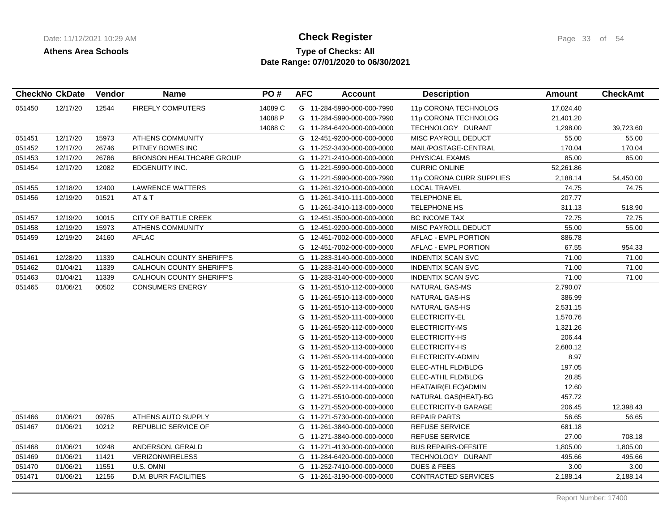## **Type of Checks: All Check Register Check Register Page 33 of 54 Date Range: 07/01/2020 to 06/30/2021**

| <b>CheckNo CkDate</b> |          | Vendor | <b>Name</b>                     | PO#     | <b>AFC</b> | <b>Account</b>             | <b>Description</b>         | <b>Amount</b> | <b>CheckAmt</b> |
|-----------------------|----------|--------|---------------------------------|---------|------------|----------------------------|----------------------------|---------------|-----------------|
| 051450                | 12/17/20 | 12544  | <b>FIREFLY COMPUTERS</b>        | 14089 C |            | G 11-284-5990-000-000-7990 | 11p CORONA TECHNOLOG       | 17,024.40     |                 |
|                       |          |        |                                 | 14088 P |            | G 11-284-5990-000-000-7990 | 11p CORONA TECHNOLOG       | 21,401.20     |                 |
|                       |          |        |                                 | 14088 C |            | G 11-284-6420-000-000-0000 | TECHNOLOGY DURANT          | 1,298.00      | 39,723.60       |
| 051451                | 12/17/20 | 15973  | <b>ATHENS COMMUNITY</b>         |         |            | G 12-451-9200-000-000-0000 | MISC PAYROLL DEDUCT        | 55.00         | 55.00           |
| 051452                | 12/17/20 | 26746  | PITNEY BOWES INC                |         |            | G 11-252-3430-000-000-0000 | MAIL/POSTAGE-CENTRAL       | 170.04        | 170.04          |
| 051453                | 12/17/20 | 26786  | <b>BRONSON HEALTHCARE GROUP</b> |         |            | G 11-271-2410-000-000-0000 | PHYSICAL EXAMS             | 85.00         | 85.00           |
| 051454                | 12/17/20 | 12082  | EDGENUITY INC.                  |         |            | G 11-221-5990-000-000-0000 | <b>CURRIC ONLINE</b>       | 52,261.86     |                 |
|                       |          |        |                                 |         |            | G 11-221-5990-000-000-7990 | 11p CORONA CURR SUPPLIES   | 2,188.14      | 54,450.00       |
| 051455                | 12/18/20 | 12400  | <b>LAWRENCE WATTERS</b>         |         |            | G 11-261-3210-000-000-0000 | <b>LOCAL TRAVEL</b>        | 74.75         | 74.75           |
| 051456                | 12/19/20 | 01521  | AT&T                            |         |            | G 11-261-3410-111-000-0000 | TELEPHONE EL               | 207.77        |                 |
|                       |          |        |                                 |         |            | G 11-261-3410-113-000-0000 | <b>TELEPHONE HS</b>        | 311.13        | 518.90          |
| 051457                | 12/19/20 | 10015  | CITY OF BATTLE CREEK            |         |            | G 12-451-3500-000-000-0000 | <b>BC INCOME TAX</b>       | 72.75         | 72.75           |
| 051458                | 12/19/20 | 15973  | <b>ATHENS COMMUNITY</b>         |         |            | G 12-451-9200-000-000-0000 | MISC PAYROLL DEDUCT        | 55.00         | 55.00           |
| 051459                | 12/19/20 | 24160  | <b>AFLAC</b>                    |         |            | G 12-451-7002-000-000-0000 | AFLAC - EMPL PORTION       | 886.78        |                 |
|                       |          |        |                                 |         | G          | 12-451-7002-000-000-0000   | AFLAC - EMPL PORTION       | 67.55         | 954.33          |
| 051461                | 12/28/20 | 11339  | <b>CALHOUN COUNTY SHERIFF'S</b> |         |            | G 11-283-3140-000-000-0000 | <b>INDENTIX SCAN SVC</b>   | 71.00         | 71.00           |
| 051462                | 01/04/21 | 11339  | CALHOUN COUNTY SHERIFF'S        |         |            | G 11-283-3140-000-000-0000 | <b>INDENTIX SCAN SVC</b>   | 71.00         | 71.00           |
| 051463                | 01/04/21 | 11339  | <b>CALHOUN COUNTY SHERIFF'S</b> |         |            | G 11-283-3140-000-000-0000 | <b>INDENTIX SCAN SVC</b>   | 71.00         | 71.00           |
| 051465                | 01/06/21 | 00502  | <b>CONSUMERS ENERGY</b>         |         |            | G 11-261-5510-112-000-0000 | NATURAL GAS-MS             | 2,790.07      |                 |
|                       |          |        |                                 |         |            | G 11-261-5510-113-000-0000 | NATURAL GAS-HS             | 386.99        |                 |
|                       |          |        |                                 |         |            | G 11-261-5510-113-000-0000 | NATURAL GAS-HS             | 2,531.15      |                 |
|                       |          |        |                                 |         |            | G 11-261-5520-111-000-0000 | ELECTRICITY-EL             | 1,570.76      |                 |
|                       |          |        |                                 |         |            | G 11-261-5520-112-000-0000 | ELECTRICITY-MS             | 1,321.26      |                 |
|                       |          |        |                                 |         |            | G 11-261-5520-113-000-0000 | ELECTRICITY-HS             | 206.44        |                 |
|                       |          |        |                                 |         |            | G 11-261-5520-113-000-0000 | ELECTRICITY-HS             | 2,680.12      |                 |
|                       |          |        |                                 |         | G          | 11-261-5520-114-000-0000   | ELECTRICITY-ADMIN          | 8.97          |                 |
|                       |          |        |                                 |         |            | G 11-261-5522-000-000-0000 | ELEC-ATHL FLD/BLDG         | 197.05        |                 |
|                       |          |        |                                 |         | G          | 11-261-5522-000-000-0000   | ELEC-ATHL FLD/BLDG         | 28.85         |                 |
|                       |          |        |                                 |         |            | G 11-261-5522-114-000-0000 | HEAT/AIR(ELEC)ADMIN        | 12.60         |                 |
|                       |          |        |                                 |         |            | G 11-271-5510-000-000-0000 | NATURAL GAS(HEAT)-BG       | 457.72        |                 |
|                       |          |        |                                 |         |            | G 11-271-5520-000-000-0000 | ELECTRICITY-B GARAGE       | 206.45        | 12,398.43       |
| 051466                | 01/06/21 | 09785  | ATHENS AUTO SUPPLY              |         |            | G 11-271-5730-000-000-0000 | <b>REPAIR PARTS</b>        | 56.65         | 56.65           |
| 051467                | 01/06/21 | 10212  | REPUBLIC SERVICE OF             |         |            | G 11-261-3840-000-000-0000 | <b>REFUSE SERVICE</b>      | 681.18        |                 |
|                       |          |        |                                 |         |            | G 11-271-3840-000-000-0000 | REFUSE SERVICE             | 27.00         | 708.18          |
| 051468                | 01/06/21 | 10248  | ANDERSON, GERALD                |         |            | G 11-271-4130-000-000-0000 | <b>BUS REPAIRS-OFFSITE</b> | 1,805.00      | 1,805.00        |
| 051469                | 01/06/21 | 11421  | <b>VERIZONWIRELESS</b>          |         |            | G 11-284-6420-000-000-0000 | TECHNOLOGY DURANT          | 495.66        | 495.66          |
| 051470                | 01/06/21 | 11551  | U.S. OMNI                       |         |            | G 11-252-7410-000-000-0000 | <b>DUES &amp; FEES</b>     | 3.00          | 3.00            |
| 051471                | 01/06/21 | 12156  | <b>D.M. BURR FACILITIES</b>     |         |            | G 11-261-3190-000-000-0000 | <b>CONTRACTED SERVICES</b> | 2,188.14      | 2,188.14        |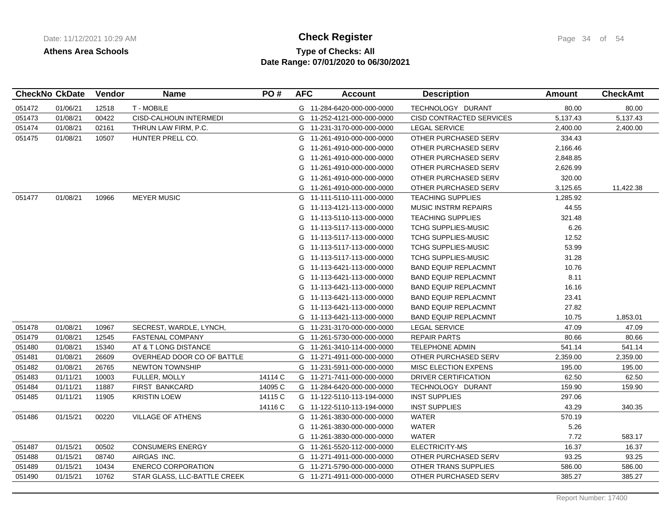# **Type of Checks: All Check Register Check Register Page 34 of 54 Date Range: 07/01/2020 to 06/30/2021**

|        | <b>CheckNo CkDate</b> | Vendor | <b>Name</b>                  | PO#     | <b>AFC</b> | Account                    | <b>Description</b>              | <b>Amount</b> | <b>CheckAmt</b> |
|--------|-----------------------|--------|------------------------------|---------|------------|----------------------------|---------------------------------|---------------|-----------------|
| 051472 | 01/06/21              | 12518  | T - MOBILE                   |         |            | G 11-284-6420-000-000-0000 | TECHNOLOGY DURANT               | 80.00         | 80.00           |
| 051473 | 01/08/21              | 00422  | CISD-CALHOUN INTERMEDI       |         | G          | 11-252-4121-000-000-0000   | <b>CISD CONTRACTED SERVICES</b> | 5,137.43      | 5,137.43        |
| 051474 | 01/08/21              | 02161  | THRUN LAW FIRM, P.C.         |         |            | G 11-231-3170-000-000-0000 | <b>LEGAL SERVICE</b>            | 2,400.00      | 2,400.00        |
| 051475 | 01/08/21              | 10507  | HUNTER PRELL CO.             |         | G          | 11-261-4910-000-000-0000   | OTHER PURCHASED SERV            | 334.43        |                 |
|        |                       |        |                              |         | G          | 11-261-4910-000-000-0000   | OTHER PURCHASED SERV            | 2,166.46      |                 |
|        |                       |        |                              |         | G          | 11-261-4910-000-000-0000   | OTHER PURCHASED SERV            | 2,848.85      |                 |
|        |                       |        |                              |         | G          | 11-261-4910-000-000-0000   | OTHER PURCHASED SERV            | 2,626.99      |                 |
|        |                       |        |                              |         | G          | 11-261-4910-000-000-0000   | OTHER PURCHASED SERV            | 320.00        |                 |
|        |                       |        |                              |         | G          | 11-261-4910-000-000-0000   | OTHER PURCHASED SERV            | 3,125.65      | 11,422.38       |
| 051477 | 01/08/21              | 10966  | <b>MEYER MUSIC</b>           |         | G          | 11-111-5110-111-000-0000   | <b>TEACHING SUPPLIES</b>        | 1,285.92      |                 |
|        |                       |        |                              |         | G          | 11-113-4121-113-000-0000   | <b>MUSIC INSTRM REPAIRS</b>     | 44.55         |                 |
|        |                       |        |                              |         | G          | 11-113-5110-113-000-0000   | <b>TEACHING SUPPLIES</b>        | 321.48        |                 |
|        |                       |        |                              |         | G.         | 11-113-5117-113-000-0000   | <b>TCHG SUPPLIES-MUSIC</b>      | 6.26          |                 |
|        |                       |        |                              |         | G          | 11-113-5117-113-000-0000   | <b>TCHG SUPPLIES-MUSIC</b>      | 12.52         |                 |
|        |                       |        |                              |         | G          | 11-113-5117-113-000-0000   | TCHG SUPPLIES-MUSIC             | 53.99         |                 |
|        |                       |        |                              |         | G          | 11-113-5117-113-000-0000   | <b>TCHG SUPPLIES-MUSIC</b>      | 31.28         |                 |
|        |                       |        |                              |         | G          | 11-113-6421-113-000-0000   | <b>BAND EQUIP REPLACMNT</b>     | 10.76         |                 |
|        |                       |        |                              |         | G          | 11-113-6421-113-000-0000   | <b>BAND EQUIP REPLACMNT</b>     | 8.11          |                 |
|        |                       |        |                              |         | G          | 11-113-6421-113-000-0000   | <b>BAND EQUIP REPLACMNT</b>     | 16.16         |                 |
|        |                       |        |                              |         | G          | 11-113-6421-113-000-0000   | <b>BAND EQUIP REPLACMNT</b>     | 23.41         |                 |
|        |                       |        |                              |         | G          | 11-113-6421-113-000-0000   | <b>BAND EQUIP REPLACMNT</b>     | 27.82         |                 |
|        |                       |        |                              |         | G          | 11-113-6421-113-000-0000   | <b>BAND EQUIP REPLACMNT</b>     | 10.75         | 1,853.01        |
| 051478 | 01/08/21              | 10967  | SECREST, WARDLE, LYNCH,      |         | G          | 11-231-3170-000-000-0000   | <b>LEGAL SERVICE</b>            | 47.09         | 47.09           |
| 051479 | 01/08/21              | 12545  | <b>FASTENAL COMPANY</b>      |         | G          | 11-261-5730-000-000-0000   | <b>REPAIR PARTS</b>             | 80.66         | 80.66           |
| 051480 | 01/08/21              | 15340  | AT & T LONG DISTANCE         |         | G          | 11-261-3410-114-000-0000   | <b>TELEPHONE ADMIN</b>          | 541.14        | 541.14          |
| 051481 | 01/08/21              | 26609  | OVERHEAD DOOR CO OF BATTLE   |         | G          | 11-271-4911-000-000-0000   | OTHER PURCHASED SERV            | 2,359.00      | 2,359.00        |
| 051482 | 01/08/21              | 26765  | <b>NEWTON TOWNSHIP</b>       |         |            | G 11-231-5911-000-000-0000 | <b>MISC ELECTION EXPENS</b>     | 195.00        | 195.00          |
| 051483 | 01/11/21              | 10003  | FULLER, MOLLY                | 14114 C |            | G 11-271-7411-000-000-0000 | DRIVER CERTIFICATION            | 62.50         | 62.50           |
| 051484 | 01/11/21              | 11887  | <b>FIRST BANKCARD</b>        | 14095 C |            | G 11-284-6420-000-000-0000 | TECHNOLOGY DURANT               | 159.90        | 159.90          |
| 051485 | 01/11/21              | 11905  | <b>KRISTIN LOEW</b>          | 14115 C |            | G 11-122-5110-113-194-0000 | <b>INST SUPPLIES</b>            | 297.06        |                 |
|        |                       |        |                              | 14116 C |            | G 11-122-5110-113-194-0000 | <b>INST SUPPLIES</b>            | 43.29         | 340.35          |
| 051486 | 01/15/21              | 00220  | <b>VILLAGE OF ATHENS</b>     |         |            | G 11-261-3830-000-000-0000 | <b>WATER</b>                    | 570.19        |                 |
|        |                       |        |                              |         | G          | 11-261-3830-000-000-0000   | <b>WATER</b>                    | 5.26          |                 |
|        |                       |        |                              |         | G          | 11-261-3830-000-000-0000   | <b>WATER</b>                    | 7.72          | 583.17          |
| 051487 | 01/15/21              | 00502  | <b>CONSUMERS ENERGY</b>      |         | G          | 11-261-5520-112-000-0000   | ELECTRICITY-MS                  | 16.37         | 16.37           |
| 051488 | 01/15/21              | 08740  | AIRGAS INC.                  |         |            | G 11-271-4911-000-000-0000 | OTHER PURCHASED SERV            | 93.25         | 93.25           |
| 051489 | 01/15/21              | 10434  | <b>ENERCO CORPORATION</b>    |         |            | G 11-271-5790-000-000-0000 | OTHER TRANS SUPPLIES            | 586.00        | 586.00          |
| 051490 | 01/15/21              | 10762  | STAR GLASS, LLC-BATTLE CREEK |         |            | G 11-271-4911-000-000-0000 | OTHER PURCHASED SERV            | 385.27        | 385.27          |
|        |                       |        |                              |         |            |                            |                                 |               |                 |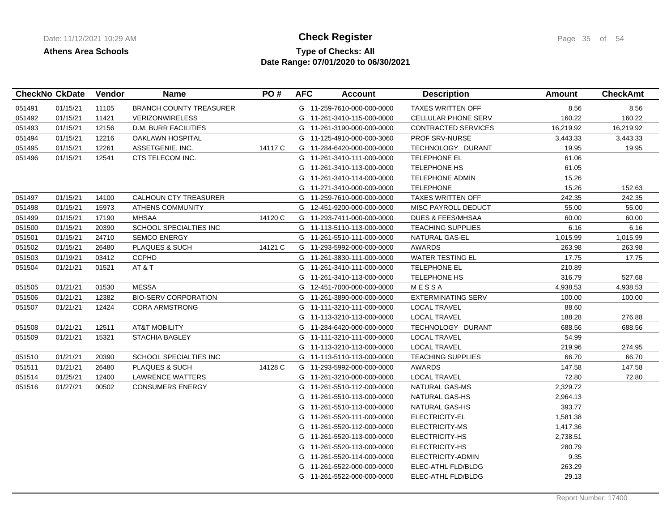## **Type of Checks: All Check Register Check Register Page 35 of 54 Date Range: 07/01/2020 to 06/30/2021**

|        | <b>CheckNo CkDate</b> | Vendor | <b>Name</b>                    | PO#     | <b>AFC</b> | <b>Account</b>             | <b>Description</b>           | Amount    | <b>CheckAmt</b> |
|--------|-----------------------|--------|--------------------------------|---------|------------|----------------------------|------------------------------|-----------|-----------------|
| 051491 | 01/15/21              | 11105  | <b>BRANCH COUNTY TREASURER</b> |         |            | G 11-259-7610-000-000-0000 | <b>TAXES WRITTEN OFF</b>     | 8.56      | 8.56            |
| 051492 | 01/15/21              | 11421  | <b>VERIZONWIRELESS</b>         |         |            | G 11-261-3410-115-000-0000 | CELLULAR PHONE SERV          | 160.22    | 160.22          |
| 051493 | 01/15/21              | 12156  | D.M. BURR FACILITIES           |         |            | G 11-261-3190-000-000-0000 | CONTRACTED SERVICES          | 16,219.92 | 16,219.92       |
| 051494 | 01/15/21              | 12216  | OAKLAWN HOSPITAL               |         |            | G 11-125-4910-000-000-3060 | PROF SRV-NURSE               | 3,443.33  | 3,443.33        |
| 051495 | 01/15/21              | 12261  | ASSETGENIE, INC.               | 14117 C |            | G 11-284-6420-000-000-0000 | TECHNOLOGY DURANT            | 19.95     | 19.95           |
| 051496 | 01/15/21              | 12541  | CTS TELECOM INC.               |         |            | G 11-261-3410-111-000-0000 | <b>TELEPHONE EL</b>          | 61.06     |                 |
|        |                       |        |                                |         |            | G 11-261-3410-113-000-0000 | <b>TELEPHONE HS</b>          | 61.05     |                 |
|        |                       |        |                                |         |            | G 11-261-3410-114-000-0000 | <b>TELEPHONE ADMIN</b>       | 15.26     |                 |
|        |                       |        |                                |         |            | G 11-271-3410-000-000-0000 | <b>TELEPHONE</b>             | 15.26     | 152.63          |
| 051497 | 01/15/21              | 14100  | CALHOUN CTY TREASURER          |         |            | G 11-259-7610-000-000-0000 | <b>TAXES WRITTEN OFF</b>     | 242.35    | 242.35          |
| 051498 | 01/15/21              | 15973  | <b>ATHENS COMMUNITY</b>        |         |            | G 12-451-9200-000-000-0000 | MISC PAYROLL DEDUCT          | 55.00     | 55.00           |
| 051499 | 01/15/21              | 17190  | <b>MHSAA</b>                   | 14120 C |            | G 11-293-7411-000-000-0000 | <b>DUES &amp; FEES/MHSAA</b> | 60.00     | 60.00           |
| 051500 | 01/15/21              | 20390  | SCHOOL SPECIALTIES INC         |         |            | G 11-113-5110-113-000-0000 | <b>TEACHING SUPPLIES</b>     | 6.16      | 6.16            |
| 051501 | 01/15/21              | 24710  | <b>SEMCO ENERGY</b>            |         |            | G 11-261-5510-111-000-0000 | NATURAL GAS-EL               | 1,015.99  | 1,015.99        |
| 051502 | 01/15/21              | 26480  | PLAQUES & SUCH                 | 14121 C |            | G 11-293-5992-000-000-0000 | <b>AWARDS</b>                | 263.98    | 263.98          |
| 051503 | 01/19/21              | 03412  | <b>CCPHD</b>                   |         |            | G 11-261-3830-111-000-0000 | <b>WATER TESTING EL</b>      | 17.75     | 17.75           |
| 051504 | 01/21/21              | 01521  | AT & T                         |         |            | G 11-261-3410-111-000-0000 | <b>TELEPHONE EL</b>          | 210.89    |                 |
|        |                       |        |                                |         |            | G 11-261-3410-113-000-0000 | <b>TELEPHONE HS</b>          | 316.79    | 527.68          |
| 051505 | 01/21/21              | 01530  | MESSA                          |         |            | G 12-451-7000-000-000-0000 | MESSA                        | 4,938.53  | 4,938.53        |
| 051506 | 01/21/21              | 12382  | <b>BIO-SERV CORPORATION</b>    |         |            | G 11-261-3890-000-000-0000 | <b>EXTERMINATING SERV</b>    | 100.00    | 100.00          |
| 051507 | 01/21/21              | 12424  | <b>CORA ARMSTRONG</b>          |         |            | G 11-111-3210-111-000-0000 | <b>LOCAL TRAVEL</b>          | 88.60     |                 |
|        |                       |        |                                |         |            | G 11-113-3210-113-000-0000 | <b>LOCAL TRAVEL</b>          | 188.28    | 276.88          |
| 051508 | 01/21/21              | 12511  | <b>AT&amp;T MOBILITY</b>       |         |            | G 11-284-6420-000-000-0000 | TECHNOLOGY DURANT            | 688.56    | 688.56          |
| 051509 | 01/21/21              | 15321  | <b>STACHIA BAGLEY</b>          |         |            | G 11-111-3210-111-000-0000 | <b>LOCAL TRAVEL</b>          | 54.99     |                 |
|        |                       |        |                                |         |            | G 11-113-3210-113-000-0000 | <b>LOCAL TRAVEL</b>          | 219.96    | 274.95          |
| 051510 | 01/21/21              | 20390  | SCHOOL SPECIALTIES INC         |         |            | G 11-113-5110-113-000-0000 | <b>TEACHING SUPPLIES</b>     | 66.70     | 66.70           |
| 051511 | 01/21/21              | 26480  | PLAQUES & SUCH                 | 14128 C |            | G 11-293-5992-000-000-0000 | <b>AWARDS</b>                | 147.58    | 147.58          |
| 051514 | 01/25/21              | 12400  | LAWRENCE WATTERS               |         |            | G 11-261-3210-000-000-0000 | <b>LOCAL TRAVEL</b>          | 72.80     | 72.80           |
| 051516 | 01/27/21              | 00502  | <b>CONSUMERS ENERGY</b>        |         |            | G 11-261-5510-112-000-0000 | <b>NATURAL GAS-MS</b>        | 2,329.72  |                 |
|        |                       |        |                                |         |            | G 11-261-5510-113-000-0000 | NATURAL GAS-HS               | 2,964.13  |                 |
|        |                       |        |                                |         |            | G 11-261-5510-113-000-0000 | NATURAL GAS-HS               | 393.77    |                 |
|        |                       |        |                                |         |            | G 11-261-5520-111-000-0000 | ELECTRICITY-EL               | 1,581.38  |                 |
|        |                       |        |                                |         |            | G 11-261-5520-112-000-0000 | ELECTRICITY-MS               | 1,417.36  |                 |
|        |                       |        |                                |         |            | G 11-261-5520-113-000-0000 | ELECTRICITY-HS               | 2,738.51  |                 |
|        |                       |        |                                |         |            | G 11-261-5520-113-000-0000 | ELECTRICITY-HS               | 280.79    |                 |
|        |                       |        |                                |         |            | G 11-261-5520-114-000-0000 | ELECTRICITY-ADMIN            | 9.35      |                 |
|        |                       |        |                                |         |            | G 11-261-5522-000-000-0000 | ELEC-ATHL FLD/BLDG           | 263.29    |                 |
|        |                       |        |                                |         |            | G 11-261-5522-000-000-0000 | ELEC-ATHL FLD/BLDG           | 29.13     |                 |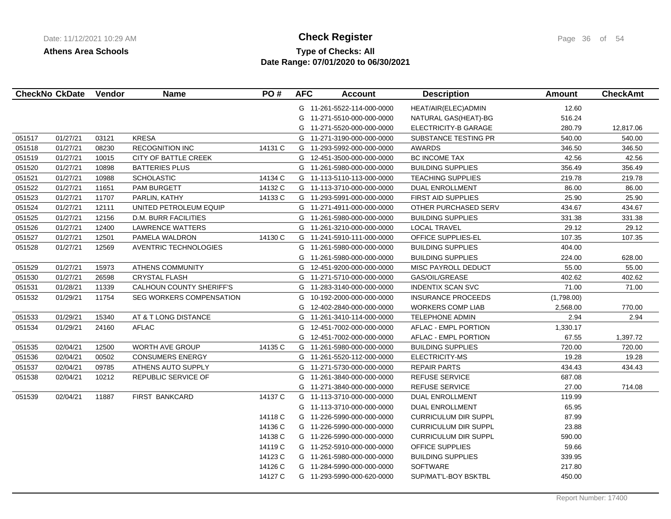# **Type of Checks: All Check Register Check Register Page 36 of 54 Date Range: 07/01/2020 to 06/30/2021**

|        | <b>CheckNo CkDate</b> | Vendor | <b>Name</b>                     | PO#     | <b>AFC</b> | <b>Account</b>             | <b>Description</b>          | <b>Amount</b> | <b>CheckAmt</b> |
|--------|-----------------------|--------|---------------------------------|---------|------------|----------------------------|-----------------------------|---------------|-----------------|
|        |                       |        |                                 |         |            | G 11-261-5522-114-000-0000 | HEAT/AIR(ELEC) ADMIN        | 12.60         |                 |
|        |                       |        |                                 |         |            | G 11-271-5510-000-000-0000 | NATURAL GAS(HEAT)-BG        | 516.24        |                 |
|        |                       |        |                                 |         |            | G 11-271-5520-000-000-0000 | ELECTRICITY-B GARAGE        | 280.79        | 12,817.06       |
| 051517 | 01/27/21              | 03121  | <b>KRESA</b>                    |         |            | G 11-271-3190-000-000-0000 | SUBSTANCE TESTING PR        | 540.00        | 540.00          |
| 051518 | 01/27/21              | 08230  | <b>RECOGNITION INC</b>          | 14131 C |            | G 11-293-5992-000-000-0000 | <b>AWARDS</b>               | 346.50        | 346.50          |
| 051519 | 01/27/21              | 10015  | <b>CITY OF BATTLE CREEK</b>     |         |            | G 12-451-3500-000-000-0000 | BC INCOME TAX               | 42.56         | 42.56           |
| 051520 | 01/27/21              | 10898  | <b>BATTERIES PLUS</b>           |         |            | G 11-261-5980-000-000-0000 | <b>BUILDING SUPPLIES</b>    | 356.49        | 356.49          |
| 051521 | 01/27/21              | 10988  | <b>SCHOLASTIC</b>               | 14134 C |            | G 11-113-5110-113-000-0000 | <b>TEACHING SUPPLIES</b>    | 219.78        | 219.78          |
| 051522 | 01/27/21              | 11651  | <b>PAM BURGETT</b>              | 14132 C |            | G 11-113-3710-000-000-0000 | DUAL ENROLLMENT             | 86.00         | 86.00           |
| 051523 | 01/27/21              | 11707  | PARLIN, KATHY                   | 14133 C |            | G 11-293-5991-000-000-0000 | <b>FIRST AID SUPPLIES</b>   | 25.90         | 25.90           |
| 051524 | 01/27/21              | 12111  | UNITED PETROLEUM EQUIP          |         |            | G 11-271-4911-000-000-0000 | OTHER PURCHASED SERV        | 434.67        | 434.67          |
| 051525 | 01/27/21              | 12156  | <b>D.M. BURR FACILITIES</b>     |         | G          | 11-261-5980-000-000-0000   | <b>BUILDING SUPPLIES</b>    | 331.38        | 331.38          |
| 051526 | 01/27/21              | 12400  | <b>LAWRENCE WATTERS</b>         |         |            | G 11-261-3210-000-000-0000 | <b>LOCAL TRAVEL</b>         | 29.12         | 29.12           |
| 051527 | 01/27/21              | 12501  | PAMELA WALDRON                  | 14130 C |            | G 11-241-5910-111-000-0000 | OFFICE SUPPLIES-EL          | 107.35        | 107.35          |
| 051528 | 01/27/21              | 12569  | <b>AVENTRIC TECHNOLOGIES</b>    |         |            | G 11-261-5980-000-000-0000 | <b>BUILDING SUPPLIES</b>    | 404.00        |                 |
|        |                       |        |                                 |         | G          | 11-261-5980-000-000-0000   | <b>BUILDING SUPPLIES</b>    | 224.00        | 628.00          |
| 051529 | 01/27/21              | 15973  | ATHENS COMMUNITY                |         |            | G 12-451-9200-000-000-0000 | MISC PAYROLL DEDUCT         | 55.00         | 55.00           |
| 051530 | 01/27/21              | 26598  | <b>CRYSTAL FLASH</b>            |         |            | G 11-271-5710-000-000-0000 | GAS/OIL/GREASE              | 402.62        | 402.62          |
| 051531 | 01/28/21              | 11339  | CALHOUN COUNTY SHERIFF'S        |         |            | G 11-283-3140-000-000-0000 | <b>INDENTIX SCAN SVC</b>    | 71.00         | 71.00           |
| 051532 | 01/29/21              | 11754  | <b>SEG WORKERS COMPENSATION</b> |         | G          | 10-192-2000-000-000-0000   | <b>INSURANCE PROCEEDS</b>   | (1,798.00)    |                 |
|        |                       |        |                                 |         | G          | 12-402-2840-000-000-0000   | <b>WORKERS COMP LIAB</b>    | 2,568.00      | 770.00          |
| 051533 | 01/29/21              | 15340  | AT & T LONG DISTANCE            |         |            | G 11-261-3410-114-000-0000 | <b>TELEPHONE ADMIN</b>      | 2.94          | 2.94            |
| 051534 | 01/29/21              | 24160  | <b>AFLAC</b>                    |         |            | G 12-451-7002-000-000-0000 | AFLAC - EMPL PORTION        | 1,330.17      |                 |
|        |                       |        |                                 |         | G          | 12-451-7002-000-000-0000   | AFLAC - EMPL PORTION        | 67.55         | 1,397.72        |
| 051535 | 02/04/21              | 12500  | <b>WORTH AVE GROUP</b>          | 14135 C |            | G 11-261-5980-000-000-0000 | <b>BUILDING SUPPLIES</b>    | 720.00        | 720.00          |
| 051536 | 02/04/21              | 00502  | <b>CONSUMERS ENERGY</b>         |         |            | G 11-261-5520-112-000-0000 | ELECTRICITY-MS              | 19.28         | 19.28           |
| 051537 | 02/04/21              | 09785  | ATHENS AUTO SUPPLY              |         |            | G 11-271-5730-000-000-0000 | <b>REPAIR PARTS</b>         | 434.43        | 434.43          |
| 051538 | 02/04/21              | 10212  | REPUBLIC SERVICE OF             |         |            | G 11-261-3840-000-000-0000 | <b>REFUSE SERVICE</b>       | 687.08        |                 |
|        |                       |        |                                 |         |            | G 11-271-3840-000-000-0000 | <b>REFUSE SERVICE</b>       | 27.00         | 714.08          |
| 051539 | 02/04/21              | 11887  | FIRST BANKCARD                  | 14137 C |            | G 11-113-3710-000-000-0000 | <b>DUAL ENROLLMENT</b>      | 119.99        |                 |
|        |                       |        |                                 |         |            | G 11-113-3710-000-000-0000 | <b>DUAL ENROLLMENT</b>      | 65.95         |                 |
|        |                       |        |                                 | 14118 C |            | G 11-226-5990-000-000-0000 | <b>CURRICULUM DIR SUPPL</b> | 87.99         |                 |
|        |                       |        |                                 | 14136 C |            | G 11-226-5990-000-000-0000 | CURRICULUM DIR SUPPL        | 23.88         |                 |
|        |                       |        |                                 | 14138 C |            | G 11-226-5990-000-000-0000 | <b>CURRICULUM DIR SUPPL</b> | 590.00        |                 |
|        |                       |        |                                 | 14119 C |            | G 11-252-5910-000-000-0000 | OFFICE SUPPLIES             | 59.66         |                 |
|        |                       |        |                                 | 14123 C |            | G 11-261-5980-000-000-0000 | <b>BUILDING SUPPLIES</b>    | 339.95        |                 |
|        |                       |        |                                 | 14126 C |            | G 11-284-5990-000-000-0000 | SOFTWARE                    | 217.80        |                 |
|        |                       |        |                                 | 14127 C |            | G 11-293-5990-000-620-0000 | SUP/MAT'L-BOY BSKTBL        | 450.00        |                 |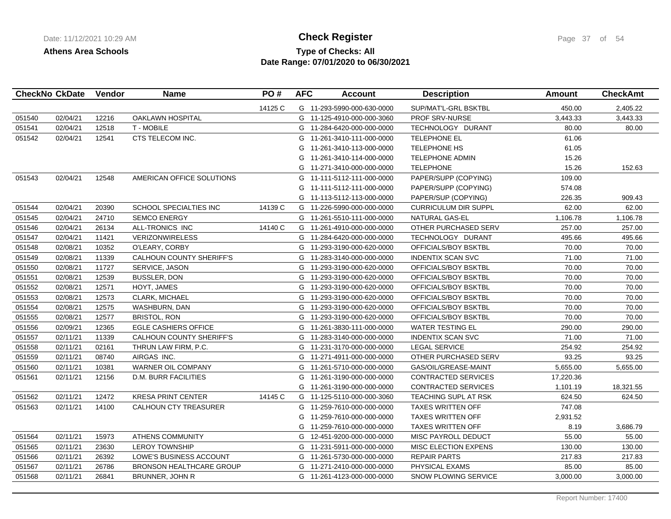# **Type of Checks: All Check Register Check Register Page 37 of 54 Date Range: 07/01/2020 to 06/30/2021**

| <b>CheckNo CkDate</b> |          | Vendor | <b>Name</b>                     | PO#     | <b>AFC</b> | <b>Account</b>             | <b>Description</b>          | Amount    | <b>CheckAmt</b> |
|-----------------------|----------|--------|---------------------------------|---------|------------|----------------------------|-----------------------------|-----------|-----------------|
|                       |          |        |                                 | 14125 C |            | G 11-293-5990-000-630-0000 | SUP/MAT'L-GRL BSKTBL        | 450.00    | 2,405.22        |
| 051540                | 02/04/21 | 12216  | <b>OAKLAWN HOSPITAL</b>         |         |            | G 11-125-4910-000-000-3060 | PROF SRV-NURSE              | 3,443.33  | 3,443.33        |
| 051541                | 02/04/21 | 12518  | <b>T-MOBILE</b>                 |         |            | G 11-284-6420-000-000-0000 | TECHNOLOGY DURANT           | 80.00     | 80.00           |
| 051542                | 02/04/21 | 12541  | CTS TELECOM INC.                |         |            | G 11-261-3410-111-000-0000 | <b>TELEPHONE EL</b>         | 61.06     |                 |
|                       |          |        |                                 |         | G          | 11-261-3410-113-000-0000   | <b>TELEPHONE HS</b>         | 61.05     |                 |
|                       |          |        |                                 |         | G          | 11-261-3410-114-000-0000   | <b>TELEPHONE ADMIN</b>      | 15.26     |                 |
|                       |          |        |                                 |         | G          | 11-271-3410-000-000-0000   | <b>TELEPHONE</b>            | 15.26     | 152.63          |
| 051543                | 02/04/21 | 12548  | AMERICAN OFFICE SOLUTIONS       |         | G          | 11-111-5112-111-000-0000   | PAPER/SUPP (COPYING)        | 109.00    |                 |
|                       |          |        |                                 |         | G          | 11-111-5112-111-000-0000   | PAPER/SUPP (COPYING)        | 574.08    |                 |
|                       |          |        |                                 |         |            | G 11-113-5112-113-000-0000 | PAPER/SUP (COPYING)         | 226.35    | 909.43          |
| 051544                | 02/04/21 | 20390  | SCHOOL SPECIALTIES INC          | 14139 C |            | G 11-226-5990-000-000-0000 | <b>CURRICULUM DIR SUPPL</b> | 62.00     | 62.00           |
| 051545                | 02/04/21 | 24710  | <b>SEMCO ENERGY</b>             |         |            | G 11-261-5510-111-000-0000 | NATURAL GAS-EL              | 1,106.78  | 1,106.78        |
| 051546                | 02/04/21 | 26134  | ALL-TRONICS INC                 | 14140 C |            | G 11-261-4910-000-000-0000 | OTHER PURCHASED SERV        | 257.00    | 257.00          |
| 051547                | 02/04/21 | 11421  | <b>VERIZONWIRELESS</b>          |         |            | G 11-284-6420-000-000-0000 | TECHNOLOGY DURANT           | 495.66    | 495.66          |
| 051548                | 02/08/21 | 10352  | O'LEARY, CORBY                  |         |            | G 11-293-3190-000-620-0000 | OFFICIALS/BOY BSKTBL        | 70.00     | 70.00           |
| 051549                | 02/08/21 | 11339  | CALHOUN COUNTY SHERIFF'S        |         |            | G 11-283-3140-000-000-0000 | <b>INDENTIX SCAN SVC</b>    | 71.00     | 71.00           |
| 051550                | 02/08/21 | 11727  | SERVICE, JASON                  |         |            | G 11-293-3190-000-620-0000 | OFFICIALS/BOY BSKTBL        | 70.00     | 70.00           |
| 051551                | 02/08/21 | 12539  | <b>BUSSLER, DON</b>             |         | G          | 11-293-3190-000-620-0000   | OFFICIALS/BOY BSKTBL        | 70.00     | 70.00           |
| 051552                | 02/08/21 | 12571  | HOYT, JAMES                     |         | G          | 11-293-3190-000-620-0000   | OFFICIALS/BOY BSKTBL        | 70.00     | 70.00           |
| 051553                | 02/08/21 | 12573  | CLARK, MICHAEL                  |         | G          | 11-293-3190-000-620-0000   | OFFICIALS/BOY BSKTBL        | 70.00     | 70.00           |
| 051554                | 02/08/21 | 12575  | WASHBURN, DAN                   |         |            | G 11-293-3190-000-620-0000 | OFFICIALS/BOY BSKTBL        | 70.00     | 70.00           |
| 051555                | 02/08/21 | 12577  | <b>BRISTOL, RON</b>             |         |            | G 11-293-3190-000-620-0000 | OFFICIALS/BOY BSKTBL        | 70.00     | 70.00           |
| 051556                | 02/09/21 | 12365  | <b>EGLE CASHIERS OFFICE</b>     |         |            | G 11-261-3830-111-000-0000 | <b>WATER TESTING EL</b>     | 290.00    | 290.00          |
| 051557                | 02/11/21 | 11339  | CALHOUN COUNTY SHERIFF'S        |         |            | G 11-283-3140-000-000-0000 | <b>INDENTIX SCAN SVC</b>    | 71.00     | 71.00           |
| 051558                | 02/11/21 | 02161  | THRUN LAW FIRM, P.C.            |         |            | G 11-231-3170-000-000-0000 | <b>LEGAL SERVICE</b>        | 254.92    | 254.92          |
| 051559                | 02/11/21 | 08740  | AIRGAS INC.                     |         |            | G 11-271-4911-000-000-0000 | OTHER PURCHASED SERV        | 93.25     | 93.25           |
| 051560                | 02/11/21 | 10381  | WARNER OIL COMPANY              |         | G          | 11-261-5710-000-000-0000   | GAS/OIL/GREASE-MAINT        | 5,655.00  | 5,655.00        |
| 051561                | 02/11/21 | 12156  | <b>D.M. BURR FACILITIES</b>     |         | G          | 11-261-3190-000-000-0000   | <b>CONTRACTED SERVICES</b>  | 17,220.36 |                 |
|                       |          |        |                                 |         | G          | 11-261-3190-000-000-0000   | <b>CONTRACTED SERVICES</b>  | 1,101.19  | 18,321.55       |
| 051562                | 02/11/21 | 12472  | <b>KRESA PRINT CENTER</b>       | 14145 C |            | G 11-125-5110-000-000-3060 | TEACHING SUPL AT RSK        | 624.50    | 624.50          |
| 051563                | 02/11/21 | 14100  | <b>CALHOUN CTY TREASURER</b>    |         |            | G 11-259-7610-000-000-0000 | <b>TAXES WRITTEN OFF</b>    | 747.08    |                 |
|                       |          |        |                                 |         | G          | 11-259-7610-000-000-0000   | <b>TAXES WRITTEN OFF</b>    | 2,931.52  |                 |
|                       |          |        |                                 |         | G          | 11-259-7610-000-000-0000   | <b>TAXES WRITTEN OFF</b>    | 8.19      | 3,686.79        |
| 051564                | 02/11/21 | 15973  | <b>ATHENS COMMUNITY</b>         |         | G          | 12-451-9200-000-000-0000   | MISC PAYROLL DEDUCT         | 55.00     | 55.00           |
| 051565                | 02/11/21 | 23630  | <b>LEROY TOWNSHIP</b>           |         |            | G 11-231-5911-000-000-0000 | MISC ELECTION EXPENS        | 130.00    | 130.00          |
| 051566                | 02/11/21 | 26392  | LOWE'S BUSINESS ACCOUNT         |         |            | G 11-261-5730-000-000-0000 | <b>REPAIR PARTS</b>         | 217.83    | 217.83          |
| 051567                | 02/11/21 | 26786  | <b>BRONSON HEALTHCARE GROUP</b> |         | G          | 11-271-2410-000-000-0000   | PHYSICAL EXAMS              | 85.00     | 85.00           |
| 051568                | 02/11/21 | 26841  | BRUNNER, JOHN R                 |         |            | G 11-261-4123-000-000-0000 | <b>SNOW PLOWING SERVICE</b> | 3,000.00  | 3,000.00        |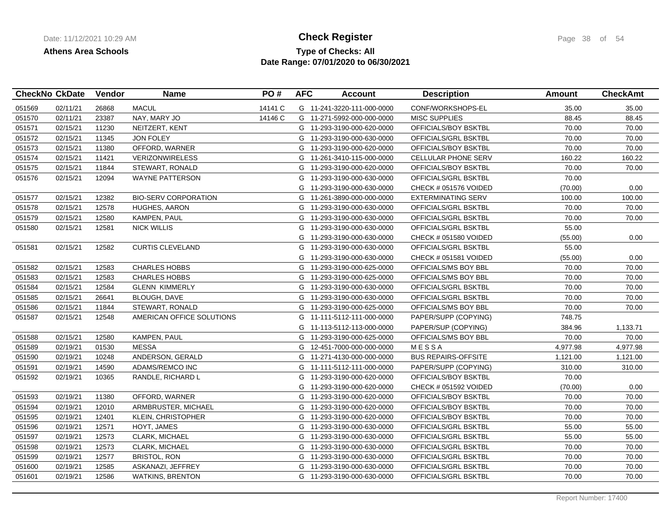## **Type of Checks: All Check Register Check Register Page 38 of 54 Date Range: 07/01/2020 to 06/30/2021**

|        | <b>CheckNo CkDate</b> | Vendor | <b>Name</b>                 | PO#     | <b>AFC</b> | <b>Account</b>             | <b>Description</b>         | <b>Amount</b> | <b>CheckAmt</b> |
|--------|-----------------------|--------|-----------------------------|---------|------------|----------------------------|----------------------------|---------------|-----------------|
| 051569 | 02/11/21              | 26868  | <b>MACUL</b>                | 14141 C |            | G 11-241-3220-111-000-0000 | CONF/WORKSHOPS-EL          | 35.00         | 35.00           |
| 051570 | 02/11/21              | 23387  | NAY, MARY JO                | 14146 C |            | G 11-271-5992-000-000-0000 | <b>MISC SUPPLIES</b>       | 88.45         | 88.45           |
| 051571 | 02/15/21              | 11230  | NEITZERT, KENT              |         |            | G 11-293-3190-000-620-0000 | OFFICIALS/BOY BSKTBL       | 70.00         | 70.00           |
| 051572 | 02/15/21              | 11345  | <b>JON FOLEY</b>            |         |            | G 11-293-3190-000-630-0000 | OFFICIALS/GRL BSKTBL       | 70.00         | 70.00           |
| 051573 | 02/15/21              | 11380  | OFFORD, WARNER              |         |            | G 11-293-3190-000-620-0000 | OFFICIALS/BOY BSKTBL       | 70.00         | 70.00           |
| 051574 | 02/15/21              | 11421  | <b>VERIZONWIRELESS</b>      |         |            | G 11-261-3410-115-000-0000 | <b>CELLULAR PHONE SERV</b> | 160.22        | 160.22          |
| 051575 | 02/15/21              | 11844  | STEWART, RONALD             |         |            | G 11-293-3190-000-620-0000 | OFFICIALS/BOY BSKTBL       | 70.00         | 70.00           |
| 051576 | 02/15/21              | 12094  | <b>WAYNE PATTERSON</b>      |         |            | G 11-293-3190-000-630-0000 | OFFICIALS/GRL BSKTBL       | 70.00         |                 |
|        |                       |        |                             |         |            | G 11-293-3190-000-630-0000 | CHECK # 051576 VOIDED      | (70.00)       | 0.00            |
| 051577 | 02/15/21              | 12382  | <b>BIO-SERV CORPORATION</b> |         |            | G 11-261-3890-000-000-0000 | <b>EXTERMINATING SERV</b>  | 100.00        | 100.00          |
| 051578 | 02/15/21              | 12578  | <b>HUGHES, AARON</b>        |         |            | G 11-293-3190-000-630-0000 | OFFICIALS/GRL BSKTBL       | 70.00         | 70.00           |
| 051579 | 02/15/21              | 12580  | KAMPEN, PAUL                |         | G          | 11-293-3190-000-630-0000   | OFFICIALS/GRL BSKTBL       | 70.00         | 70.00           |
| 051580 | 02/15/21              | 12581  | <b>NICK WILLIS</b>          |         | G          | 11-293-3190-000-630-0000   | OFFICIALS/GRL BSKTBL       | 55.00         |                 |
|        |                       |        |                             |         | G          | 11-293-3190-000-630-0000   | CHECK # 051580 VOIDED      | (55.00)       | 0.00            |
| 051581 | 02/15/21              | 12582  | <b>CURTIS CLEVELAND</b>     |         | G          | 11-293-3190-000-630-0000   | OFFICIALS/GRL BSKTBL       | 55.00         |                 |
|        |                       |        |                             |         | G          | 11-293-3190-000-630-0000   | CHECK # 051581 VOIDED      | (55.00)       | 0.00            |
| 051582 | 02/15/21              | 12583  | <b>CHARLES HOBBS</b>        |         |            | G 11-293-3190-000-625-0000 | OFFICIALS/MS BOY BBL       | 70.00         | 70.00           |
| 051583 | 02/15/21              | 12583  | <b>CHARLES HOBBS</b>        |         |            | G 11-293-3190-000-625-0000 | OFFICIALS/MS BOY BBL       | 70.00         | 70.00           |
| 051584 | 02/15/21              | 12584  | <b>GLENN KIMMERLY</b>       |         |            | G 11-293-3190-000-630-0000 | OFFICIALS/GRL BSKTBL       | 70.00         | 70.00           |
| 051585 | 02/15/21              | 26641  | <b>BLOUGH, DAVE</b>         |         |            | G 11-293-3190-000-630-0000 | OFFICIALS/GRL BSKTBL       | 70.00         | 70.00           |
| 051586 | 02/15/21              | 11844  | STEWART, RONALD             |         |            | G 11-293-3190-000-625-0000 | OFFICIALS/MS BOY BBL       | 70.00         | 70.00           |
| 051587 | 02/15/21              | 12548  | AMERICAN OFFICE SOLUTIONS   |         | G          | 11-111-5112-111-000-0000   | PAPER/SUPP (COPYING)       | 748.75        |                 |
|        |                       |        |                             |         |            | G 11-113-5112-113-000-0000 | PAPER/SUP (COPYING)        | 384.96        | 1,133.71        |
| 051588 | 02/15/21              | 12580  | KAMPEN, PAUL                |         |            | G 11-293-3190-000-625-0000 | OFFICIALS/MS BOY BBL       | 70.00         | 70.00           |
| 051589 | 02/19/21              | 01530  | <b>MESSA</b>                |         |            | G 12-451-7000-000-000-0000 | <b>MESSA</b>               | 4,977.98      | 4,977.98        |
| 051590 | 02/19/21              | 10248  | ANDERSON, GERALD            |         |            | G 11-271-4130-000-000-0000 | <b>BUS REPAIRS-OFFSITE</b> | 1,121.00      | 1,121.00        |
| 051591 | 02/19/21              | 14590  | ADAMS/REMCO INC             |         |            | G 11-111-5112-111-000-0000 | PAPER/SUPP (COPYING)       | 310.00        | 310.00          |
| 051592 | 02/19/21              | 10365  | RANDLE, RICHARD L           |         |            | G 11-293-3190-000-620-0000 | OFFICIALS/BOY BSKTBL       | 70.00         |                 |
|        |                       |        |                             |         | G          | 11-293-3190-000-620-0000   | CHECK # 051592 VOIDED      | (70.00)       | 0.00            |
| 051593 | 02/19/21              | 11380  | OFFORD, WARNER              |         |            | G 11-293-3190-000-620-0000 | OFFICIALS/BOY BSKTBL       | 70.00         | 70.00           |
| 051594 | 02/19/21              | 12010  | ARMBRUSTER, MICHAEL         |         |            | G 11-293-3190-000-620-0000 | OFFICIALS/BOY BSKTBL       | 70.00         | 70.00           |
| 051595 | 02/19/21              | 12401  | <b>KLEIN, CHRISTOPHER</b>   |         |            | G 11-293-3190-000-620-0000 | OFFICIALS/BOY BSKTBL       | 70.00         | 70.00           |
| 051596 | 02/19/21              | 12571  | HOYT, JAMES                 |         |            | G 11-293-3190-000-630-0000 | OFFICIALS/GRL BSKTBL       | 55.00         | 55.00           |
| 051597 | 02/19/21              | 12573  | CLARK, MICHAEL              |         |            | G 11-293-3190-000-630-0000 | OFFICIALS/GRL BSKTBL       | 55.00         | 55.00           |
| 051598 | 02/19/21              | 12573  | CLARK, MICHAEL              |         |            | G 11-293-3190-000-630-0000 | OFFICIALS/GRL BSKTBL       | 70.00         | 70.00           |
| 051599 | 02/19/21              | 12577  | <b>BRISTOL, RON</b>         |         |            | G 11-293-3190-000-630-0000 | OFFICIALS/GRL BSKTBL       | 70.00         | 70.00           |
| 051600 | 02/19/21              | 12585  | ASKANAZI, JEFFREY           |         |            | G 11-293-3190-000-630-0000 | OFFICIALS/GRL BSKTBL       | 70.00         | 70.00           |
| 051601 | 02/19/21              | 12586  | <b>WATKINS, BRENTON</b>     |         |            | G 11-293-3190-000-630-0000 | OFFICIALS/GRL BSKTBL       | 70.00         | 70.00           |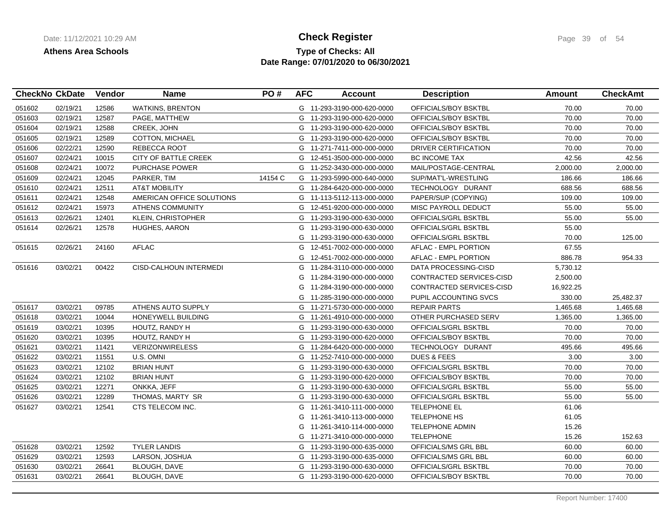## **Type of Checks: All Check Register Check Register Page 39 of 54 Date Range: 07/01/2020 to 06/30/2021**

|        | <b>CheckNo CkDate</b> | Vendor | <b>Name</b>                 | PO#     | <b>AFC</b> | <b>Account</b>             | <b>Description</b>       | <b>Amount</b> | <b>CheckAmt</b> |
|--------|-----------------------|--------|-----------------------------|---------|------------|----------------------------|--------------------------|---------------|-----------------|
| 051602 | 02/19/21              | 12586  | <b>WATKINS, BRENTON</b>     |         |            | G 11-293-3190-000-620-0000 | OFFICIALS/BOY BSKTBL     | 70.00         | 70.00           |
| 051603 | 02/19/21              | 12587  | PAGE, MATTHEW               |         |            | G 11-293-3190-000-620-0000 | OFFICIALS/BOY BSKTBL     | 70.00         | 70.00           |
| 051604 | 02/19/21              | 12588  | CREEK, JOHN                 |         |            | G 11-293-3190-000-620-0000 | OFFICIALS/BOY BSKTBL     | 70.00         | 70.00           |
| 051605 | 02/19/21              | 12589  | <b>COTTON, MICHAEL</b>      |         |            | G 11-293-3190-000-620-0000 | OFFICIALS/BOY BSKTBL     | 70.00         | 70.00           |
| 051606 | 02/22/21              | 12590  | REBECCA ROOT                |         |            | G 11-271-7411-000-000-0000 | DRIVER CERTIFICATION     | 70.00         | 70.00           |
| 051607 | 02/24/21              | 10015  | <b>CITY OF BATTLE CREEK</b> |         |            | G 12-451-3500-000-000-0000 | <b>BC INCOME TAX</b>     | 42.56         | 42.56           |
| 051608 | 02/24/21              | 10072  | <b>PURCHASE POWER</b>       |         |            | G 11-252-3430-000-000-0000 | MAIL/POSTAGE-CENTRAL     | 2,000.00      | 2,000.00        |
| 051609 | 02/24/21              | 12045  | PARKER, TIM                 | 14154 C |            | G 11-293-5990-000-640-0000 | SUP/MAT'L-WRESTLING      | 186.66        | 186.66          |
| 051610 | 02/24/21              | 12511  | <b>AT&amp;T MOBILITY</b>    |         |            | G 11-284-6420-000-000-0000 | TECHNOLOGY DURANT        | 688.56        | 688.56          |
| 051611 | 02/24/21              | 12548  | AMERICAN OFFICE SOLUTIONS   |         |            | G 11-113-5112-113-000-0000 | PAPER/SUP (COPYING)      | 109.00        | 109.00          |
| 051612 | 02/24/21              | 15973  | <b>ATHENS COMMUNITY</b>     |         |            | G 12-451-9200-000-000-0000 | MISC PAYROLL DEDUCT      | 55.00         | 55.00           |
| 051613 | 02/26/21              | 12401  | <b>KLEIN, CHRISTOPHER</b>   |         | G          | 11-293-3190-000-630-0000   | OFFICIALS/GRL BSKTBL     | 55.00         | 55.00           |
| 051614 | 02/26/21              | 12578  | HUGHES, AARON               |         | G          | 11-293-3190-000-630-0000   | OFFICIALS/GRL BSKTBL     | 55.00         |                 |
|        |                       |        |                             |         | G          | 11-293-3190-000-630-0000   | OFFICIALS/GRL BSKTBL     | 70.00         | 125.00          |
| 051615 | 02/26/21              | 24160  | <b>AFLAC</b>                |         |            | G 12-451-7002-000-000-0000 | AFLAC - EMPL PORTION     | 67.55         |                 |
|        |                       |        |                             |         | G          | 12-451-7002-000-000-0000   | AFLAC - EMPL PORTION     | 886.78        | 954.33          |
| 051616 | 03/02/21              | 00422  | CISD-CALHOUN INTERMEDI      |         |            | G 11-284-3110-000-000-0000 | DATA PROCESSING-CISD     | 5,730.12      |                 |
|        |                       |        |                             |         | G          | 11-284-3190-000-000-0000   | CONTRACTED SERVICES-CISD | 2,500.00      |                 |
|        |                       |        |                             |         |            | G 11-284-3190-000-000-0000 | CONTRACTED SERVICES-CISD | 16,922.25     |                 |
|        |                       |        |                             |         | G          | 11-285-3190-000-000-0000   | PUPIL ACCOUNTING SVCS    | 330.00        | 25,482.37       |
| 051617 | 03/02/21              | 09785  | ATHENS AUTO SUPPLY          |         |            | G 11-271-5730-000-000-0000 | <b>REPAIR PARTS</b>      | 1,465.68      | 1,465.68        |
| 051618 | 03/02/21              | 10044  | HONEYWELL BUILDING          |         |            | G 11-261-4910-000-000-0000 | OTHER PURCHASED SERV     | 1,365.00      | 1,365.00        |
| 051619 | 03/02/21              | 10395  | HOUTZ, RANDY H              |         |            | G 11-293-3190-000-630-0000 | OFFICIALS/GRL BSKTBL     | 70.00         | 70.00           |
| 051620 | 03/02/21              | 10395  | HOUTZ, RANDY H              |         |            | G 11-293-3190-000-620-0000 | OFFICIALS/BOY BSKTBL     | 70.00         | 70.00           |
| 051621 | 03/02/21              | 11421  | <b>VERIZONWIRELESS</b>      |         |            | G 11-284-6420-000-000-0000 | TECHNOLOGY DURANT        | 495.66        | 495.66          |
| 051622 | 03/02/21              | 11551  | U.S. OMNI                   |         |            | G 11-252-7410-000-000-0000 | <b>DUES &amp; FEES</b>   | 3.00          | 3.00            |
| 051623 | 03/02/21              | 12102  | <b>BRIAN HUNT</b>           |         |            | G 11-293-3190-000-630-0000 | OFFICIALS/GRL BSKTBL     | 70.00         | 70.00           |
| 051624 | 03/02/21              | 12102  | <b>BRIAN HUNT</b>           |         |            | G 11-293-3190-000-620-0000 | OFFICIALS/BOY BSKTBL     | 70.00         | 70.00           |
| 051625 | 03/02/21              | 12271  | ONKKA, JEFF                 |         |            | G 11-293-3190-000-630-0000 | OFFICIALS/GRL BSKTBL     | 55.00         | 55.00           |
| 051626 | 03/02/21              | 12289  | THOMAS, MARTY SR            |         |            | G 11-293-3190-000-630-0000 | OFFICIALS/GRL BSKTBL     | 55.00         | 55.00           |
| 051627 | 03/02/21              | 12541  | CTS TELECOM INC.            |         |            | G 11-261-3410-111-000-0000 | <b>TELEPHONE EL</b>      | 61.06         |                 |
|        |                       |        |                             |         |            | G 11-261-3410-113-000-0000 | <b>TELEPHONE HS</b>      | 61.05         |                 |
|        |                       |        |                             |         | G          | 11-261-3410-114-000-0000   | <b>TELEPHONE ADMIN</b>   | 15.26         |                 |
|        |                       |        |                             |         |            | G 11-271-3410-000-000-0000 | <b>TELEPHONE</b>         | 15.26         | 152.63          |
| 051628 | 03/02/21              | 12592  | <b>TYLER LANDIS</b>         |         |            | G 11-293-3190-000-635-0000 | OFFICIALS/MS GRL BBL     | 60.00         | 60.00           |
| 051629 | 03/02/21              | 12593  | LARSON, JOSHUA              |         |            | G 11-293-3190-000-635-0000 | OFFICIALS/MS GRL BBL     | 60.00         | 60.00           |
| 051630 | 03/02/21              | 26641  | <b>BLOUGH, DAVE</b>         |         |            | G 11-293-3190-000-630-0000 | OFFICIALS/GRL BSKTBL     | 70.00         | 70.00           |
| 051631 | 03/02/21              | 26641  | <b>BLOUGH, DAVE</b>         |         |            | G 11-293-3190-000-620-0000 | OFFICIALS/BOY BSKTBL     | 70.00         | 70.00           |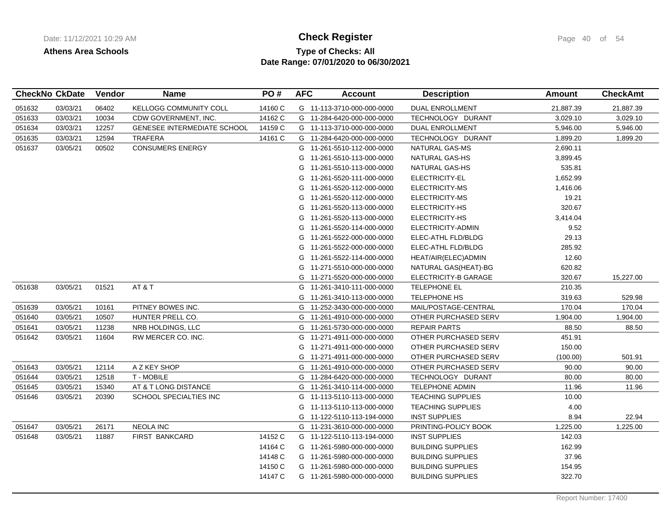## **Type of Checks: All Check Register Check Register Page 40 of 54 Date Range: 07/01/2020 to 06/30/2021**

|        | <b>CheckNo CkDate</b> | <b>Vendor</b> | <b>Name</b>                        | PO#     | <b>AFC</b> | <b>Account</b>             | <b>Description</b>       | Amount    | <b>CheckAmt</b> |
|--------|-----------------------|---------------|------------------------------------|---------|------------|----------------------------|--------------------------|-----------|-----------------|
| 051632 | 03/03/21              | 06402         | KELLOGG COMMUNITY COLL             | 14160 C |            | G 11-113-3710-000-000-0000 | <b>DUAL ENROLLMENT</b>   | 21,887.39 | 21,887.39       |
| 051633 | 03/03/21              | 10034         | CDW GOVERNMENT, INC.               | 14162 C |            | G 11-284-6420-000-000-0000 | TECHNOLOGY DURANT        | 3,029.10  | 3,029.10        |
| 051634 | 03/03/21              | 12257         | <b>GENESEE INTERMEDIATE SCHOOL</b> | 14159 C |            | G 11-113-3710-000-000-0000 | <b>DUAL ENROLLMENT</b>   | 5,946.00  | 5,946.00        |
| 051635 | 03/03/21              | 12594         | <b>TRAFERA</b>                     | 14161 C |            | G 11-284-6420-000-000-0000 | TECHNOLOGY DURANT        | 1,899.20  | 1,899.20        |
| 051637 | 03/05/21              | 00502         | <b>CONSUMERS ENERGY</b>            |         |            | G 11-261-5510-112-000-0000 | <b>NATURAL GAS-MS</b>    | 2,690.11  |                 |
|        |                       |               |                                    |         | G          | 11-261-5510-113-000-0000   | NATURAL GAS-HS           | 3,899.45  |                 |
|        |                       |               |                                    |         | G          | 11-261-5510-113-000-0000   | NATURAL GAS-HS           | 535.81    |                 |
|        |                       |               |                                    |         | G          | 11-261-5520-111-000-0000   | ELECTRICITY-EL           | 1,652.99  |                 |
|        |                       |               |                                    |         | G          | 11-261-5520-112-000-0000   | ELECTRICITY-MS           | 1,416.06  |                 |
|        |                       |               |                                    |         | G          | 11-261-5520-112-000-0000   | ELECTRICITY-MS           | 19.21     |                 |
|        |                       |               |                                    |         | G          | 11-261-5520-113-000-0000   | ELECTRICITY-HS           | 320.67    |                 |
|        |                       |               |                                    |         | G          | 11-261-5520-113-000-0000   | ELECTRICITY-HS           | 3,414.04  |                 |
|        |                       |               |                                    |         | G          | 11-261-5520-114-000-0000   | ELECTRICITY-ADMIN        | 9.52      |                 |
|        |                       |               |                                    |         | G          | 11-261-5522-000-000-0000   | ELEC-ATHL FLD/BLDG       | 29.13     |                 |
|        |                       |               |                                    |         | G          | 11-261-5522-000-000-0000   | ELEC-ATHL FLD/BLDG       | 285.92    |                 |
|        |                       |               |                                    |         | G          | 11-261-5522-114-000-0000   | HEAT/AIR(ELEC)ADMIN      | 12.60     |                 |
|        |                       |               |                                    |         | G          | 11-271-5510-000-000-0000   | NATURAL GAS(HEAT)-BG     | 620.82    |                 |
|        |                       |               |                                    |         | G          | 11-271-5520-000-000-0000   | ELECTRICITY-B GARAGE     | 320.67    | 15,227.00       |
| 051638 | 03/05/21              | 01521         | AT&T                               |         | G          | 11-261-3410-111-000-0000   | TELEPHONE EL             | 210.35    |                 |
|        |                       |               |                                    |         | G          | 11-261-3410-113-000-0000   | <b>TELEPHONE HS</b>      | 319.63    | 529.98          |
| 051639 | 03/05/21              | 10161         | PITNEY BOWES INC.                  |         | G          | 11-252-3430-000-000-0000   | MAIL/POSTAGE-CENTRAL     | 170.04    | 170.04          |
| 051640 | 03/05/21              | 10507         | HUNTER PRELL CO.                   |         | G          | 11-261-4910-000-000-0000   | OTHER PURCHASED SERV     | 1,904.00  | 1,904.00        |
| 051641 | 03/05/21              | 11238         | NRB HOLDINGS, LLC                  |         | G          | 11-261-5730-000-000-0000   | <b>REPAIR PARTS</b>      | 88.50     | 88.50           |
| 051642 | 03/05/21              | 11604         | RW MERCER CO. INC.                 |         | G          | 11-271-4911-000-000-0000   | OTHER PURCHASED SERV     | 451.91    |                 |
|        |                       |               |                                    |         | G          | 11-271-4911-000-000-0000   | OTHER PURCHASED SERV     | 150.00    |                 |
|        |                       |               |                                    |         | G          | 11-271-4911-000-000-0000   | OTHER PURCHASED SERV     | (100.00)  | 501.91          |
| 051643 | 03/05/21              | 12114         | A Z KEY SHOP                       |         | G          | 11-261-4910-000-000-0000   | OTHER PURCHASED SERV     | 90.00     | 90.00           |
| 051644 | 03/05/21              | 12518         | T - MOBILE                         |         |            | G 11-284-6420-000-000-0000 | TECHNOLOGY DURANT        | 80.00     | 80.00           |
| 051645 | 03/05/21              | 15340         | AT & T LONG DISTANCE               |         | G          | 11-261-3410-114-000-0000   | <b>TELEPHONE ADMIN</b>   | 11.96     | 11.96           |
| 051646 | 03/05/21              | 20390         | SCHOOL SPECIALTIES INC             |         | G          | 11-113-5110-113-000-0000   | <b>TEACHING SUPPLIES</b> | 10.00     |                 |
|        |                       |               |                                    |         | G          | 11-113-5110-113-000-0000   | <b>TEACHING SUPPLIES</b> | 4.00      |                 |
|        |                       |               |                                    |         | G          | 11-122-5110-113-194-0000   | <b>INST SUPPLIES</b>     | 8.94      | 22.94           |
| 051647 | 03/05/21              | 26171         | <b>NEOLA INC</b>                   |         | G          | 11-231-3610-000-000-0000   | PRINTING-POLICY BOOK     | 1,225.00  | 1,225.00        |
| 051648 | 03/05/21              | 11887         | <b>FIRST BANKCARD</b>              | 14152 C | G          | 11-122-5110-113-194-0000   | <b>INST SUPPLIES</b>     | 142.03    |                 |
|        |                       |               |                                    | 14164 C |            | G 11-261-5980-000-000-0000 | <b>BUILDING SUPPLIES</b> | 162.99    |                 |
|        |                       |               |                                    | 14148 C | G          | 11-261-5980-000-000-0000   | <b>BUILDING SUPPLIES</b> | 37.96     |                 |
|        |                       |               |                                    | 14150 C |            | G 11-261-5980-000-000-0000 | <b>BUILDING SUPPLIES</b> | 154.95    |                 |
|        |                       |               |                                    | 14147 C |            | G 11-261-5980-000-000-0000 | <b>BUILDING SUPPLIES</b> | 322.70    |                 |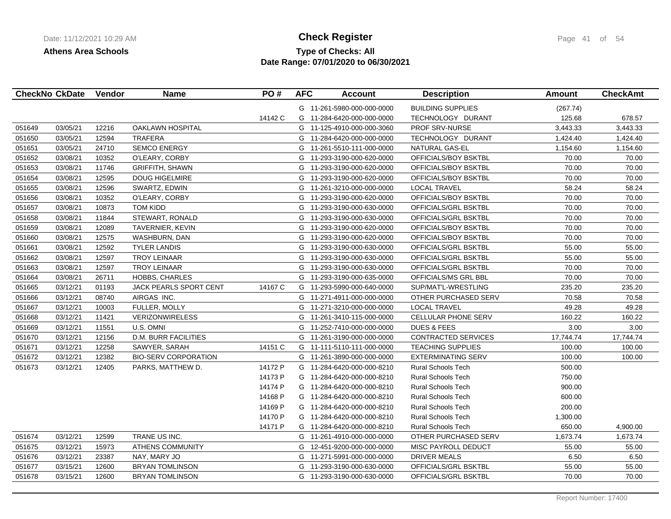# **Type of Checks: All Check Register Check Register Page 41 of 54 Date Range: 07/01/2020 to 06/30/2021**

|        | <b>CheckNo CkDate</b> | Vendor | <b>Name</b>                   | PO#     | <b>AFC</b> | <b>Account</b>             | <b>Description</b>         | Amount    | <b>CheckAmt</b> |
|--------|-----------------------|--------|-------------------------------|---------|------------|----------------------------|----------------------------|-----------|-----------------|
|        |                       |        |                               |         |            | G 11-261-5980-000-000-0000 | <b>BUILDING SUPPLIES</b>   | (267.74)  |                 |
|        |                       |        |                               | 14142 C |            | G 11-284-6420-000-000-0000 | TECHNOLOGY DURANT          | 125.68    | 678.57          |
| 051649 | 03/05/21              | 12216  | OAKLAWN HOSPITAL              |         | G          | 11-125-4910-000-000-3060   | PROF SRV-NURSE             | 3,443.33  | 3,443.33        |
| 051650 | 03/05/21              | 12594  | <b>TRAFERA</b>                |         | G          | 11-284-6420-000-000-0000   | TECHNOLOGY DURANT          | 1,424.40  | 1,424.40        |
| 051651 | 03/05/21              | 24710  | <b>SEMCO ENERGY</b>           |         | G          | 11-261-5510-111-000-0000   | NATURAL GAS-EL             | 1,154.60  | 1,154.60        |
| 051652 | 03/08/21              | 10352  | O'LEARY, CORBY                |         | G          | 11-293-3190-000-620-0000   | OFFICIALS/BOY BSKTBL       | 70.00     | 70.00           |
| 051653 | 03/08/21              | 11746  | <b>GRIFFITH, SHAWN</b>        |         | G          | 11-293-3190-000-620-0000   | OFFICIALS/BOY BSKTBL       | 70.00     | 70.00           |
| 051654 | 03/08/21              | 12595  | DOUG HIGELMIRE                |         | G          | 11-293-3190-000-620-0000   | OFFICIALS/BOY BSKTBL       | 70.00     | 70.00           |
| 051655 | 03/08/21              | 12596  | SWARTZ, EDWIN                 |         | G          | 11-261-3210-000-000-0000   | <b>LOCAL TRAVEL</b>        | 58.24     | 58.24           |
| 051656 | 03/08/21              | 10352  | O'LEARY, CORBY                |         | G          | 11-293-3190-000-620-0000   | OFFICIALS/BOY BSKTBL       | 70.00     | 70.00           |
| 051657 | 03/08/21              | 10873  | <b>TOM KIDD</b>               |         | G          | 11-293-3190-000-630-0000   | OFFICIALS/GRL BSKTBL       | 70.00     | 70.00           |
| 051658 | 03/08/21              | 11844  | STEWART, RONALD               |         | G          | 11-293-3190-000-630-0000   | OFFICIALS/GRL BSKTBL       | 70.00     | 70.00           |
| 051659 | 03/08/21              | 12089  | TAVERNIER, KEVIN              |         | G          | 11-293-3190-000-620-0000   | OFFICIALS/BOY BSKTBL       | 70.00     | 70.00           |
| 051660 | 03/08/21              | 12575  | WASHBURN, DAN                 |         | G          | 11-293-3190-000-620-0000   | OFFICIALS/BOY BSKTBL       | 70.00     | 70.00           |
| 051661 | 03/08/21              | 12592  | <b>TYLER LANDIS</b>           |         | G          | 11-293-3190-000-630-0000   | OFFICIALS/GRL BSKTBL       | 55.00     | 55.00           |
| 051662 | 03/08/21              | 12597  | <b>TROY LEINAAR</b>           |         | G          | 11-293-3190-000-630-0000   | OFFICIALS/GRL BSKTBL       | 55.00     | 55.00           |
| 051663 | 03/08/21              | 12597  | <b>TROY LEINAAR</b>           |         | G          | 11-293-3190-000-630-0000   | OFFICIALS/GRL BSKTBL       | 70.00     | 70.00           |
| 051664 | 03/08/21              | 26711  | <b>HOBBS, CHARLES</b>         |         | G          | 11-293-3190-000-635-0000   | OFFICIALS/MS GRL BBL       | 70.00     | 70.00           |
| 051665 | 03/12/21              | 01193  | <b>JACK PEARLS SPORT CENT</b> | 14167 C | G          | 11-293-5990-000-640-0000   | SUP/MAT'L-WRESTLING        | 235.20    | 235.20          |
| 051666 | 03/12/21              | 08740  | AIRGAS INC.                   |         |            | G 11-271-4911-000-000-0000 | OTHER PURCHASED SERV       | 70.58     | 70.58           |
| 051667 | 03/12/21              | 10003  | FULLER, MOLLY                 |         |            | G 11-271-3210-000-000-0000 | <b>LOCAL TRAVEL</b>        | 49.28     | 49.28           |
| 051668 | 03/12/21              | 11421  | <b>VERIZONWIRELESS</b>        |         | G          | 11-261-3410-115-000-0000   | CELLULAR PHONE SERV        | 160.22    | 160.22          |
| 051669 | 03/12/21              | 11551  | U.S. OMNI                     |         | G          | 11-252-7410-000-000-0000   | <b>DUES &amp; FEES</b>     | 3.00      | 3.00            |
| 051670 | 03/12/21              | 12156  | D.M. BURR FACILITIES          |         | G          | 11-261-3190-000-000-0000   | <b>CONTRACTED SERVICES</b> | 17,744.74 | 17,744.74       |
| 051671 | 03/12/21              | 12258  | SAWYER, SARAH                 | 14151 C |            | G 11-111-5110-111-000-0000 | <b>TEACHING SUPPLIES</b>   | 100.00    | 100.00          |
| 051672 | 03/12/21              | 12382  | <b>BIO-SERV CORPORATION</b>   |         | G          | 11-261-3890-000-000-0000   | <b>EXTERMINATING SERV</b>  | 100.00    | 100.00          |
| 051673 | 03/12/21              | 12405  | PARKS, MATTHEW D.             | 14172 P | G          | 11-284-6420-000-000-8210   | <b>Rural Schools Tech</b>  | 500.00    |                 |
|        |                       |        |                               | 14173 P | G          | 11-284-6420-000-000-8210   | Rural Schools Tech         | 750.00    |                 |
|        |                       |        |                               | 14174 P | G          | 11-284-6420-000-000-8210   | <b>Rural Schools Tech</b>  | 900.00    |                 |
|        |                       |        |                               | 14168 P | G          | 11-284-6420-000-000-8210   | <b>Rural Schools Tech</b>  | 600.00    |                 |
|        |                       |        |                               | 14169 P | G          | 11-284-6420-000-000-8210   | <b>Rural Schools Tech</b>  | 200.00    |                 |
|        |                       |        |                               | 14170 P | G          | 11-284-6420-000-000-8210   | <b>Rural Schools Tech</b>  | 1,300.00  |                 |
|        |                       |        |                               | 14171 P |            | G 11-284-6420-000-000-8210 | <b>Rural Schools Tech</b>  | 650.00    | 4,900.00        |
| 051674 | 03/12/21              | 12599  | TRANE US INC.                 |         |            | G 11-261-4910-000-000-0000 | OTHER PURCHASED SERV       | 1,673.74  | 1,673.74        |
| 051675 | 03/12/21              | 15973  | <b>ATHENS COMMUNITY</b>       |         | G          | 12-451-9200-000-000-0000   | MISC PAYROLL DEDUCT        | 55.00     | 55.00           |
| 051676 | 03/12/21              | 23387  | NAY, MARY JO                  |         | G          | 11-271-5991-000-000-0000   | <b>DRIVER MEALS</b>        | 6.50      | 6.50            |
| 051677 | 03/15/21              | 12600  | <b>BRYAN TOMLINSON</b>        |         | G          | 11-293-3190-000-630-0000   | OFFICIALS/GRL BSKTBL       | 55.00     | 55.00           |
| 051678 | 03/15/21              | 12600  | <b>BRYAN TOMLINSON</b>        |         |            | G 11-293-3190-000-630-0000 | OFFICIALS/GRL BSKTBL       | 70.00     | 70.00           |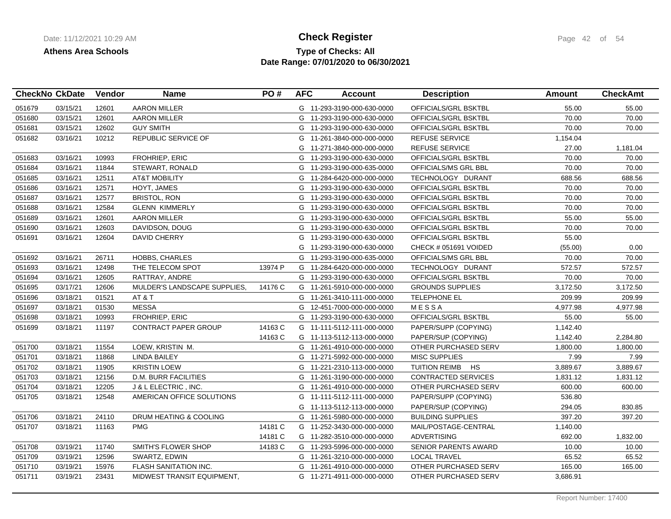## **Type of Checks: All Check Register Check Register Page 42 of 54 Date Range: 07/01/2020 to 06/30/2021**

| <b>CheckNo CkDate</b> |          | Vendor | <b>Name</b>                  | PO#     | <b>AFC</b> | <b>Account</b>             | <b>Description</b>          | <b>Amount</b> | <b>CheckAmt</b> |
|-----------------------|----------|--------|------------------------------|---------|------------|----------------------------|-----------------------------|---------------|-----------------|
| 051679                | 03/15/21 | 12601  | <b>AARON MILLER</b>          |         |            | G 11-293-3190-000-630-0000 | OFFICIALS/GRL BSKTBL        | 55.00         | 55.00           |
| 051680                | 03/15/21 | 12601  | <b>AARON MILLER</b>          |         |            | G 11-293-3190-000-630-0000 | OFFICIALS/GRL BSKTBL        | 70.00         | 70.00           |
| 051681                | 03/15/21 | 12602  | <b>GUY SMITH</b>             |         |            | G 11-293-3190-000-630-0000 | OFFICIALS/GRL BSKTBL        | 70.00         | 70.00           |
| 051682                | 03/16/21 | 10212  | <b>REPUBLIC SERVICE OF</b>   |         |            | G 11-261-3840-000-000-0000 | <b>REFUSE SERVICE</b>       | 1,154.04      |                 |
|                       |          |        |                              |         |            | G 11-271-3840-000-000-0000 | <b>REFUSE SERVICE</b>       | 27.00         | 1,181.04        |
| 051683                | 03/16/21 | 10993  | FROHRIEP, ERIC               |         |            | G 11-293-3190-000-630-0000 | OFFICIALS/GRL BSKTBL        | 70.00         | 70.00           |
| 051684                | 03/16/21 | 11844  | STEWART, RONALD              |         |            | G 11-293-3190-000-635-0000 | OFFICIALS/MS GRL BBL        | 70.00         | 70.00           |
| 051685                | 03/16/21 | 12511  | <b>AT&amp;T MOBILITY</b>     |         |            | G 11-284-6420-000-000-0000 | TECHNOLOGY DURANT           | 688.56        | 688.56          |
| 051686                | 03/16/21 | 12571  | HOYT, JAMES                  |         |            | G 11-293-3190-000-630-0000 | OFFICIALS/GRL BSKTBL        | 70.00         | 70.00           |
| 051687                | 03/16/21 | 12577  | <b>BRISTOL, RON</b>          |         |            | G 11-293-3190-000-630-0000 | OFFICIALS/GRL BSKTBL        | 70.00         | 70.00           |
| 051688                | 03/16/21 | 12584  | <b>GLENN KIMMERLY</b>        |         |            | G 11-293-3190-000-630-0000 | OFFICIALS/GRL BSKTBL        | 70.00         | 70.00           |
| 051689                | 03/16/21 | 12601  | <b>AARON MILLER</b>          |         | G          | 11-293-3190-000-630-0000   | OFFICIALS/GRL BSKTBL        | 55.00         | 55.00           |
| 051690                | 03/16/21 | 12603  | DAVIDSON, DOUG               |         | G          | 11-293-3190-000-630-0000   | OFFICIALS/GRL BSKTBL        | 70.00         | 70.00           |
| 051691                | 03/16/21 | 12604  | <b>DAVID CHERRY</b>          |         |            | G 11-293-3190-000-630-0000 | OFFICIALS/GRL BSKTBL        | 55.00         |                 |
|                       |          |        |                              |         | G          | 11-293-3190-000-630-0000   | CHECK # 051691 VOIDED       | (55.00)       | 0.00            |
| 051692                | 03/16/21 | 26711  | <b>HOBBS, CHARLES</b>        |         |            | G 11-293-3190-000-635-0000 | OFFICIALS/MS GRL BBL        | 70.00         | 70.00           |
| 051693                | 03/16/21 | 12498  | THE TELECOM SPOT             | 13974 P |            | G 11-284-6420-000-000-0000 | TECHNOLOGY DURANT           | 572.57        | 572.57          |
| 051694                | 03/16/21 | 12605  | RATTRAY, ANDRE               |         |            | G 11-293-3190-000-630-0000 | OFFICIALS/GRL BSKTBL        | 70.00         | 70.00           |
| 051695                | 03/17/21 | 12606  | MULDER'S LANDSCAPE SUPPLIES, | 14176 C |            | G 11-261-5910-000-000-0000 | <b>GROUNDS SUPPLIES</b>     | 3,172.50      | 3,172.50        |
| 051696                | 03/18/21 | 01521  | AT&T                         |         |            | G 11-261-3410-111-000-0000 | TELEPHONE EL                | 209.99        | 209.99          |
| 051697                | 03/18/21 | 01530  | <b>MESSA</b>                 |         |            | G 12-451-7000-000-000-0000 | MESSA                       | 4,977.98      | 4,977.98        |
| 051698                | 03/18/21 | 10993  | <b>FROHRIEP, ERIC</b>        |         |            | G 11-293-3190-000-630-0000 | OFFICIALS/GRL BSKTBL        | 55.00         | 55.00           |
| 051699                | 03/18/21 | 11197  | <b>CONTRACT PAPER GROUP</b>  | 14163 C |            | G 11-111-5112-111-000-0000 | PAPER/SUPP (COPYING)        | 1,142.40      |                 |
|                       |          |        |                              | 14163 C |            | G 11-113-5112-113-000-0000 | PAPER/SUP (COPYING)         | 1,142.40      | 2,284.80        |
| 051700                | 03/18/21 | 11554  | LOEW, KRISTIN M.             |         |            | G 11-261-4910-000-000-0000 | OTHER PURCHASED SERV        | 1,800.00      | 1,800.00        |
| 051701                | 03/18/21 | 11868  | <b>LINDA BAILEY</b>          |         |            | G 11-271-5992-000-000-0000 | <b>MISC SUPPLIES</b>        | 7.99          | 7.99            |
| 051702                | 03/18/21 | 11905  | <b>KRISTIN LOEW</b>          |         |            | G 11-221-2310-113-000-0000 | <b>TUITION REIMB HS</b>     | 3,889.67      | 3,889.67        |
| 051703                | 03/18/21 | 12156  | <b>D.M. BURR FACILITIES</b>  |         |            | G 11-261-3190-000-000-0000 | <b>CONTRACTED SERVICES</b>  | 1,831.12      | 1,831.12        |
| 051704                | 03/18/21 | 12205  | J & L ELECTRIC, INC.         |         | G          | 11-261-4910-000-000-0000   | OTHER PURCHASED SERV        | 600.00        | 600.00          |
| 051705                | 03/18/21 | 12548  | AMERICAN OFFICE SOLUTIONS    |         |            | G 11-111-5112-111-000-0000 | PAPER/SUPP (COPYING)        | 536.80        |                 |
|                       |          |        |                              |         |            | G 11-113-5112-113-000-0000 | PAPER/SUP (COPYING)         | 294.05        | 830.85          |
| 051706                | 03/18/21 | 24110  | DRUM HEATING & COOLING       |         |            | G 11-261-5980-000-000-0000 | <b>BUILDING SUPPLIES</b>    | 397.20        | 397.20          |
| 051707                | 03/18/21 | 11163  | <b>PMG</b>                   | 14181 C |            | G 11-252-3430-000-000-0000 | MAIL/POSTAGE-CENTRAL        | 1,140.00      |                 |
|                       |          |        |                              | 14181 C |            | G 11-282-3510-000-000-0000 | <b>ADVERTISING</b>          | 692.00        | 1,832.00        |
| 051708                | 03/19/21 | 11740  | SMITH'S FLOWER SHOP          | 14183 C |            | G 11-293-5996-000-000-0000 | <b>SENIOR PARENTS AWARD</b> | 10.00         | 10.00           |
| 051709                | 03/19/21 | 12596  | SWARTZ, EDWIN                |         |            | G 11-261-3210-000-000-0000 | <b>LOCAL TRAVEL</b>         | 65.52         | 65.52           |
| 051710                | 03/19/21 | 15976  | <b>FLASH SANITATION INC.</b> |         |            | G 11-261-4910-000-000-0000 | OTHER PURCHASED SERV        | 165.00        | 165.00          |
| 051711                | 03/19/21 | 23431  | MIDWEST TRANSIT EQUIPMENT,   |         |            | G 11-271-4911-000-000-0000 | OTHER PURCHASED SERV        | 3,686.91      |                 |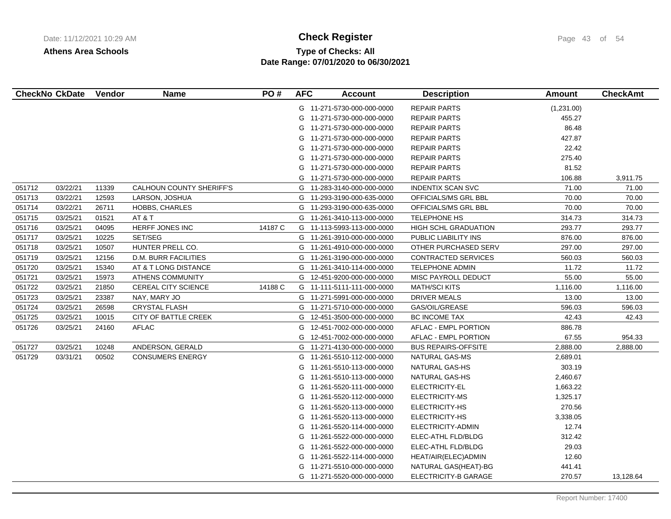# **Type of Checks: All Check Register Check Register Page 43 of 54 Date Range: 07/01/2020 to 06/30/2021**

|        | <b>CheckNo CkDate</b> | Vendor | <b>Name</b>                 | PO#     | <b>AFC</b> | <b>Account</b>             | <b>Description</b>          | Amount     | <b>CheckAmt</b> |
|--------|-----------------------|--------|-----------------------------|---------|------------|----------------------------|-----------------------------|------------|-----------------|
|        |                       |        |                             |         |            | G 11-271-5730-000-000-0000 | <b>REPAIR PARTS</b>         | (1,231.00) |                 |
|        |                       |        |                             |         |            | G 11-271-5730-000-000-0000 | <b>REPAIR PARTS</b>         | 455.27     |                 |
|        |                       |        |                             |         | G          | 11-271-5730-000-000-0000   | <b>REPAIR PARTS</b>         | 86.48      |                 |
|        |                       |        |                             |         | G.         | 11-271-5730-000-000-0000   | REPAIR PARTS                | 427.87     |                 |
|        |                       |        |                             |         | G          | 11-271-5730-000-000-0000   | REPAIR PARTS                | 22.42      |                 |
|        |                       |        |                             |         | G          | 11-271-5730-000-000-0000   | <b>REPAIR PARTS</b>         | 275.40     |                 |
|        |                       |        |                             |         | G          | 11-271-5730-000-000-0000   | <b>REPAIR PARTS</b>         | 81.52      |                 |
|        |                       |        |                             |         | G          | 11-271-5730-000-000-0000   | <b>REPAIR PARTS</b>         | 106.88     | 3,911.75        |
| 051712 | 03/22/21              | 11339  | CALHOUN COUNTY SHERIFF'S    |         | G          | 11-283-3140-000-000-0000   | <b>INDENTIX SCAN SVC</b>    | 71.00      | 71.00           |
| 051713 | 03/22/21              | 12593  | LARSON, JOSHUA              |         |            | G 11-293-3190-000-635-0000 | OFFICIALS/MS GRL BBL        | 70.00      | 70.00           |
| 051714 | 03/22/21              | 26711  | HOBBS, CHARLES              |         | G          | 11-293-3190-000-635-0000   | OFFICIALS/MS GRL BBL        | 70.00      | 70.00           |
| 051715 | 03/25/21              | 01521  | AT & T                      |         |            | G 11-261-3410-113-000-0000 | TELEPHONE HS                | 314.73     | 314.73          |
| 051716 | 03/25/21              | 04095  | <b>HERFF JONES INC</b>      | 14187 C |            | G 11-113-5993-113-000-0000 | <b>HIGH SCHL GRADUATION</b> | 293.77     | 293.77          |
| 051717 | 03/25/21              | 10225  | SET/SEG                     |         |            | G 11-261-3910-000-000-0000 | PUBLIC LIABILITY INS        | 876.00     | 876.00          |
| 051718 | 03/25/21              | 10507  | HUNTER PRELL CO.            |         | G          | 11-261-4910-000-000-0000   | OTHER PURCHASED SERV        | 297.00     | 297.00          |
| 051719 | 03/25/21              | 12156  | <b>D.M. BURR FACILITIES</b> |         | G          | 11-261-3190-000-000-0000   | <b>CONTRACTED SERVICES</b>  | 560.03     | 560.03          |
| 051720 | 03/25/21              | 15340  | AT & T LONG DISTANCE        |         | G          | 11-261-3410-114-000-0000   | TELEPHONE ADMIN             | 11.72      | 11.72           |
| 051721 | 03/25/21              | 15973  | <b>ATHENS COMMUNITY</b>     |         |            | G 12-451-9200-000-000-0000 | MISC PAYROLL DEDUCT         | 55.00      | 55.00           |
| 051722 | 03/25/21              | 21850  | <b>CEREAL CITY SCIENCE</b>  | 14188 C |            | G 11-111-5111-111-000-0000 | <b>MATH/SCI KITS</b>        | 1,116.00   | 1,116.00        |
| 051723 | 03/25/21              | 23387  | NAY, MARY JO                |         |            | G 11-271-5991-000-000-0000 | DRIVER MEALS                | 13.00      | 13.00           |
| 051724 | 03/25/21              | 26598  | <b>CRYSTAL FLASH</b>        |         | G          | 11-271-5710-000-000-0000   | GAS/OIL/GREASE              | 596.03     | 596.03          |
| 051725 | 03/25/21              | 10015  | CITY OF BATTLE CREEK        |         | G          | 12-451-3500-000-000-0000   | <b>BC INCOME TAX</b>        | 42.43      | 42.43           |
| 051726 | 03/25/21              | 24160  | <b>AFLAC</b>                |         | G          | 12-451-7002-000-000-0000   | <b>AFLAC - EMPL PORTION</b> | 886.78     |                 |
|        |                       |        |                             |         | G          | 12-451-7002-000-000-0000   | AFLAC - EMPL PORTION        | 67.55      | 954.33          |
| 051727 | 03/25/21              | 10248  | ANDERSON, GERALD            |         | G          | 11-271-4130-000-000-0000   | <b>BUS REPAIRS-OFFSITE</b>  | 2,888.00   | 2,888.00        |
| 051729 | 03/31/21              | 00502  | <b>CONSUMERS ENERGY</b>     |         | G          | 11-261-5510-112-000-0000   | <b>NATURAL GAS-MS</b>       | 2,689.01   |                 |
|        |                       |        |                             |         | G          | 11-261-5510-113-000-0000   | NATURAL GAS-HS              | 303.19     |                 |
|        |                       |        |                             |         | G          | 11-261-5510-113-000-0000   | NATURAL GAS-HS              | 2,460.67   |                 |
|        |                       |        |                             |         | G          | 11-261-5520-111-000-0000   | ELECTRICITY-EL              | 1,663.22   |                 |
|        |                       |        |                             |         | G          | 11-261-5520-112-000-0000   | ELECTRICITY-MS              | 1,325.17   |                 |
|        |                       |        |                             |         | G          | 11-261-5520-113-000-0000   | ELECTRICITY-HS              | 270.56     |                 |
|        |                       |        |                             |         | G          | 11-261-5520-113-000-0000   | ELECTRICITY-HS              | 3,338.05   |                 |
|        |                       |        |                             |         | G          | 11-261-5520-114-000-0000   | ELECTRICITY-ADMIN           | 12.74      |                 |
|        |                       |        |                             |         | G          | 11-261-5522-000-000-0000   | ELEC-ATHL FLD/BLDG          | 312.42     |                 |
|        |                       |        |                             |         | G          | 11-261-5522-000-000-0000   | ELEC-ATHL FLD/BLDG          | 29.03      |                 |
|        |                       |        |                             |         | G          | 11-261-5522-114-000-0000   | HEAT/AIR(ELEC)ADMIN         | 12.60      |                 |
|        |                       |        |                             |         | G          | 11-271-5510-000-000-0000   | NATURAL GAS(HEAT)-BG        | 441.41     |                 |
|        |                       |        |                             |         |            | G 11-271-5520-000-000-0000 | ELECTRICITY-B GARAGE        | 270.57     | 13,128.64       |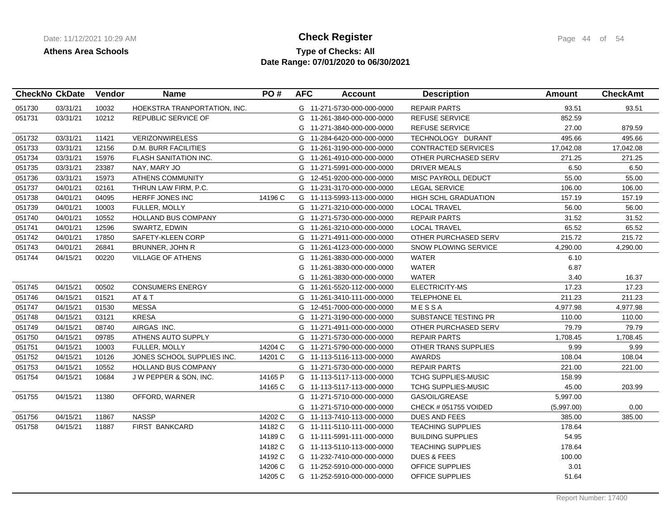## **Type of Checks: All Check Register Check Register Page 44 of 54 Date Range: 07/01/2020 to 06/30/2021**

|        | <b>CheckNo CkDate</b> | Vendor | <b>Name</b>                  | PO#     | <b>AFC</b> | <b>Account</b>             | <b>Description</b>         | <b>Amount</b> | <b>CheckAmt</b> |
|--------|-----------------------|--------|------------------------------|---------|------------|----------------------------|----------------------------|---------------|-----------------|
| 051730 | 03/31/21              | 10032  | HOEKSTRA TRANPORTATION, INC. |         |            | G 11-271-5730-000-000-0000 | <b>REPAIR PARTS</b>        | 93.51         | 93.51           |
| 051731 | 03/31/21              | 10212  | REPUBLIC SERVICE OF          |         |            | G 11-261-3840-000-000-0000 | <b>REFUSE SERVICE</b>      | 852.59        |                 |
|        |                       |        |                              |         |            | G 11-271-3840-000-000-0000 | <b>REFUSE SERVICE</b>      | 27.00         | 879.59          |
| 051732 | 03/31/21              | 11421  | <b>VERIZONWIRELESS</b>       |         |            | G 11-284-6420-000-000-0000 | TECHNOLOGY DURANT          | 495.66        | 495.66          |
| 051733 | 03/31/21              | 12156  | <b>D.M. BURR FACILITIES</b>  |         |            | G 11-261-3190-000-000-0000 | <b>CONTRACTED SERVICES</b> | 17,042.08     | 17,042.08       |
| 051734 | 03/31/21              | 15976  | FLASH SANITATION INC.        |         |            | G 11-261-4910-000-000-0000 | OTHER PURCHASED SERV       | 271.25        | 271.25          |
| 051735 | 03/31/21              | 23387  | NAY, MARY JO                 |         |            | G 11-271-5991-000-000-0000 | DRIVER MEALS               | 6.50          | 6.50            |
| 051736 | 03/31/21              | 15973  | ATHENS COMMUNITY             |         |            | G 12-451-9200-000-000-0000 | MISC PAYROLL DEDUCT        | 55.00         | 55.00           |
| 051737 | 04/01/21              | 02161  | THRUN LAW FIRM, P.C.         |         |            | G 11-231-3170-000-000-0000 | <b>LEGAL SERVICE</b>       | 106.00        | 106.00          |
| 051738 | 04/01/21              | 04095  | HERFF JONES INC              | 14196 C |            | G 11-113-5993-113-000-0000 | HIGH SCHL GRADUATION       | 157.19        | 157.19          |
| 051739 | 04/01/21              | 10003  | <b>FULLER, MOLLY</b>         |         |            | G 11-271-3210-000-000-0000 | <b>LOCAL TRAVEL</b>        | 56.00         | 56.00           |
| 051740 | 04/01/21              | 10552  | <b>HOLLAND BUS COMPANY</b>   |         |            | G 11-271-5730-000-000-0000 | <b>REPAIR PARTS</b>        | 31.52         | 31.52           |
| 051741 | 04/01/21              | 12596  | SWARTZ, EDWIN                |         |            | G 11-261-3210-000-000-0000 | <b>LOCAL TRAVEL</b>        | 65.52         | 65.52           |
| 051742 | 04/01/21              | 17850  | SAFETY-KLEEN CORP            |         |            | G 11-271-4911-000-000-0000 | OTHER PURCHASED SERV       | 215.72        | 215.72          |
| 051743 | 04/01/21              | 26841  | BRUNNER, JOHN R              |         |            | G 11-261-4123-000-000-0000 | SNOW PLOWING SERVICE       | 4,290.00      | 4,290.00        |
| 051744 | 04/15/21              | 00220  | VILLAGE OF ATHENS            |         |            | G 11-261-3830-000-000-0000 | <b>WATER</b>               | 6.10          |                 |
|        |                       |        |                              |         | G          | 11-261-3830-000-000-0000   | <b>WATER</b>               | 6.87          |                 |
|        |                       |        |                              |         |            | G 11-261-3830-000-000-0000 | <b>WATER</b>               | 3.40          | 16.37           |
| 051745 | 04/15/21              | 00502  | <b>CONSUMERS ENERGY</b>      |         |            | G 11-261-5520-112-000-0000 | ELECTRICITY-MS             | 17.23         | 17.23           |
| 051746 | 04/15/21              | 01521  | AT&T                         |         |            | G 11-261-3410-111-000-0000 | TELEPHONE EL               | 211.23        | 211.23          |
| 051747 | 04/15/21              | 01530  | <b>MESSA</b>                 |         |            | G 12-451-7000-000-000-0000 | MESSA                      | 4,977.98      | 4,977.98        |
| 051748 | 04/15/21              | 03121  | <b>KRESA</b>                 |         |            | G 11-271-3190-000-000-0000 | SUBSTANCE TESTING PR       | 110.00        | 110.00          |
| 051749 | 04/15/21              | 08740  | AIRGAS INC.                  |         |            | G 11-271-4911-000-000-0000 | OTHER PURCHASED SERV       | 79.79         | 79.79           |
| 051750 | 04/15/21              | 09785  | ATHENS AUTO SUPPLY           |         |            | G 11-271-5730-000-000-0000 | <b>REPAIR PARTS</b>        | 1,708.45      | 1,708.45        |
| 051751 | 04/15/21              | 10003  | <b>FULLER, MOLLY</b>         | 14204 C |            | G 11-271-5790-000-000-0000 | OTHER TRANS SUPPLIES       | 9.99          | 9.99            |
| 051752 | 04/15/21              | 10126  | JONES SCHOOL SUPPLIES INC.   | 14201 C |            | G 11-113-5116-113-000-0000 | <b>AWARDS</b>              | 108.04        | 108.04          |
| 051753 | 04/15/21              | 10552  | <b>HOLLAND BUS COMPANY</b>   |         |            | G 11-271-5730-000-000-0000 | <b>REPAIR PARTS</b>        | 221.00        | 221.00          |
| 051754 | 04/15/21              | 10684  | J W PEPPER & SON, INC.       | 14165 P |            | G 11-113-5117-113-000-0000 | <b>TCHG SUPPLIES-MUSIC</b> | 158.99        |                 |
|        |                       |        |                              | 14165 C |            | G 11-113-5117-113-000-0000 | TCHG SUPPLIES-MUSIC        | 45.00         | 203.99          |
| 051755 | 04/15/21              | 11380  | OFFORD, WARNER               |         |            | G 11-271-5710-000-000-0000 | GAS/OIL/GREASE             | 5,997.00      |                 |
|        |                       |        |                              |         |            | G 11-271-5710-000-000-0000 | CHECK # 051755 VOIDED      | (5,997.00)    | 0.00            |
| 051756 | 04/15/21              | 11867  | <b>NASSP</b>                 | 14202 C |            | G 11-113-7410-113-000-0000 | DUES AND FEES              | 385.00        | 385.00          |
| 051758 | 04/15/21              | 11887  | <b>FIRST BANKCARD</b>        | 14182 C |            | G 11-111-5110-111-000-0000 | <b>TEACHING SUPPLIES</b>   | 178.64        |                 |
|        |                       |        |                              | 14189 C |            | G 11-111-5991-111-000-0000 | <b>BUILDING SUPPLIES</b>   | 54.95         |                 |
|        |                       |        |                              | 14182 C |            | G 11-113-5110-113-000-0000 | <b>TEACHING SUPPLIES</b>   | 178.64        |                 |
|        |                       |        |                              | 14192 C |            | G 11-232-7410-000-000-0000 | <b>DUES &amp; FEES</b>     | 100.00        |                 |
|        |                       |        |                              | 14206 C |            | G 11-252-5910-000-000-0000 | OFFICE SUPPLIES            | 3.01          |                 |
|        |                       |        |                              | 14205 C |            | G 11-252-5910-000-000-0000 | OFFICE SUPPLIES            | 51.64         |                 |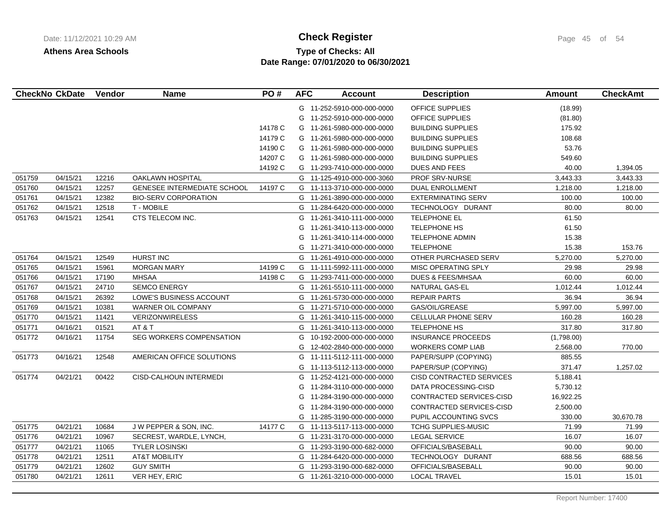# **Type of Checks: All 11/12/2021 10:20:20 AM Check Register** Page 45 of 54 **Date Range: 07/01/2020 to 06/30/2021**

|        | <b>CheckNo CkDate</b> | Vendor | <b>Name</b>                 | PO#     | <b>AFC</b> | <b>Account</b>             | <b>Description</b>           | Amount     | <b>CheckAmt</b> |
|--------|-----------------------|--------|-----------------------------|---------|------------|----------------------------|------------------------------|------------|-----------------|
|        |                       |        |                             |         |            | G 11-252-5910-000-000-0000 | OFFICE SUPPLIES              | (18.99)    |                 |
|        |                       |        |                             |         | G          | 11-252-5910-000-000-0000   | <b>OFFICE SUPPLIES</b>       | (81.80)    |                 |
|        |                       |        |                             | 14178 C | G          | 11-261-5980-000-000-0000   | <b>BUILDING SUPPLIES</b>     | 175.92     |                 |
|        |                       |        |                             | 14179 C | G          | 11-261-5980-000-000-0000   | <b>BUILDING SUPPLIES</b>     | 108.68     |                 |
|        |                       |        |                             | 14190 C | G          | 11-261-5980-000-000-0000   | <b>BUILDING SUPPLIES</b>     | 53.76      |                 |
|        |                       |        |                             | 14207 C | G          | 11-261-5980-000-000-0000   | <b>BUILDING SUPPLIES</b>     | 549.60     |                 |
|        |                       |        |                             | 14192 C | G          | 11-293-7410-000-000-0000   | <b>DUES AND FEES</b>         | 40.00      | 1,394.05        |
| 051759 | 04/15/21              | 12216  | OAKLAWN HOSPITAL            |         | G          | 11-125-4910-000-000-3060   | PROF SRV-NURSE               | 3,443.33   | 3,443.33        |
| 051760 | 04/15/21              | 12257  | GENESEE INTERMEDIATE SCHOOL | 14197 C | G          | 11-113-3710-000-000-0000   | <b>DUAL ENROLLMENT</b>       | 1,218.00   | 1,218.00        |
| 051761 | 04/15/21              | 12382  | <b>BIO-SERV CORPORATION</b> |         | G          | 11-261-3890-000-000-0000   | <b>EXTERMINATING SERV</b>    | 100.00     | 100.00          |
| 051762 | 04/15/21              | 12518  | <b>T-MOBILE</b>             |         | G          | 11-284-6420-000-000-0000   | TECHNOLOGY DURANT            | 80.00      | 80.00           |
| 051763 | 04/15/21              | 12541  | CTS TELECOM INC.            |         | G          | 11-261-3410-111-000-0000   | TELEPHONE EL                 | 61.50      |                 |
|        |                       |        |                             |         | G          | 11-261-3410-113-000-0000   | <b>TELEPHONE HS</b>          | 61.50      |                 |
|        |                       |        |                             |         | G          | 11-261-3410-114-000-0000   | <b>TELEPHONE ADMIN</b>       | 15.38      |                 |
|        |                       |        |                             |         | G          | 11-271-3410-000-000-0000   | <b>TELEPHONE</b>             | 15.38      | 153.76          |
| 051764 | 04/15/21              | 12549  | <b>HURST INC</b>            |         | G          | 11-261-4910-000-000-0000   | OTHER PURCHASED SERV         | 5,270.00   | 5,270.00        |
| 051765 | 04/15/21              | 15961  | <b>MORGAN MARY</b>          | 14199 C | G          | 11-111-5992-111-000-0000   | MISC OPERATING SPLY          | 29.98      | 29.98           |
| 051766 | 04/15/21              | 17190  | <b>MHSAA</b>                | 14198 C |            | G 11-293-7411-000-000-0000 | <b>DUES &amp; FEES/MHSAA</b> | 60.00      | 60.00           |
| 051767 | 04/15/21              | 24710  | <b>SEMCO ENERGY</b>         |         |            | G 11-261-5510-111-000-0000 | NATURAL GAS-EL               | 1,012.44   | 1,012.44        |
| 051768 | 04/15/21              | 26392  | LOWE'S BUSINESS ACCOUNT     |         |            | G 11-261-5730-000-000-0000 | <b>REPAIR PARTS</b>          | 36.94      | 36.94           |
| 051769 | 04/15/21              | 10381  | WARNER OIL COMPANY          |         | G          | 11-271-5710-000-000-0000   | GAS/OIL/GREASE               | 5,997.00   | 5,997.00        |
| 051770 | 04/15/21              | 11421  | <b>VERIZONWIRELESS</b>      |         | G          | 11-261-3410-115-000-0000   | CELLULAR PHONE SERV          | 160.28     | 160.28          |
| 051771 | 04/16/21              | 01521  | AT&T                        |         | G          | 11-261-3410-113-000-0000   | TELEPHONE HS                 | 317.80     | 317.80          |
| 051772 | 04/16/21              | 11754  | SEG WORKERS COMPENSATION    |         | G          | 10-192-2000-000-000-0000   | <b>INSURANCE PROCEEDS</b>    | (1,798.00) |                 |
|        |                       |        |                             |         | G          | 12-402-2840-000-000-0000   | <b>WORKERS COMP LIAB</b>     | 2,568.00   | 770.00          |
| 051773 | 04/16/21              | 12548  | AMERICAN OFFICE SOLUTIONS   |         | G          | 11-111-5112-111-000-0000   | PAPER/SUPP (COPYING)         | 885.55     |                 |
|        |                       |        |                             |         | G          | 11-113-5112-113-000-0000   | PAPER/SUP (COPYING)          | 371.47     | 1,257.02        |
| 051774 | 04/21/21              | 00422  | CISD-CALHOUN INTERMEDI      |         | G          | 11-252-4121-000-000-0000   | CISD CONTRACTED SERVICES     | 5,188.41   |                 |
|        |                       |        |                             |         | G          | 11-284-3110-000-000-0000   | <b>DATA PROCESSING-CISD</b>  | 5,730.12   |                 |
|        |                       |        |                             |         | G          | 11-284-3190-000-000-0000   | CONTRACTED SERVICES-CISD     | 16,922.25  |                 |
|        |                       |        |                             |         | G          | 11-284-3190-000-000-0000   | CONTRACTED SERVICES-CISD     | 2,500.00   |                 |
|        |                       |        |                             |         | G          | 11-285-3190-000-000-0000   | PUPIL ACCOUNTING SVCS        | 330.00     | 30,670.78       |
| 051775 | 04/21/21              | 10684  | J W PEPPER & SON, INC.      | 14177 C | G          | 11-113-5117-113-000-0000   | TCHG SUPPLIES-MUSIC          | 71.99      | 71.99           |
| 051776 | 04/21/21              | 10967  | SECREST, WARDLE, LYNCH,     |         |            | G 11-231-3170-000-000-0000 | <b>LEGAL SERVICE</b>         | 16.07      | 16.07           |
| 051777 | 04/21/21              | 11065  | <b>TYLER LOSINSKI</b>       |         | G          | 11-293-3190-000-682-0000   | OFFICIALS/BASEBALL           | 90.00      | 90.00           |
| 051778 | 04/21/21              | 12511  | <b>AT&amp;T MOBILITY</b>    |         | G          | 11-284-6420-000-000-0000   | TECHNOLOGY DURANT            | 688.56     | 688.56          |
| 051779 | 04/21/21              | 12602  | <b>GUY SMITH</b>            |         | G          | 11-293-3190-000-682-0000   | OFFICIALS/BASEBALL           | 90.00      | 90.00           |
| 051780 | 04/21/21              | 12611  | VER HEY, ERIC               |         | G          | 11-261-3210-000-000-0000   | <b>LOCAL TRAVEL</b>          | 15.01      | 15.01           |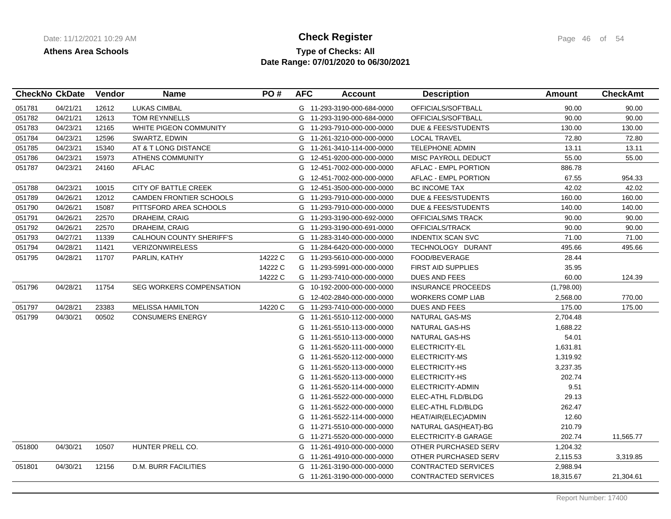## **Type of Checks: All 11/12/2021 10:20:20 AM Check Register** Page 46 of 54 **Date Range: 07/01/2020 to 06/30/2021**

|        | <b>CheckNo CkDate</b> | <b>Vendor</b> | <b>Name</b>                     | PO#     | <b>AFC</b> | <b>Account</b>             | <b>Description</b>             | Amount     | <b>CheckAmt</b> |
|--------|-----------------------|---------------|---------------------------------|---------|------------|----------------------------|--------------------------------|------------|-----------------|
| 051781 | 04/21/21              | 12612         | <b>LUKAS CIMBAL</b>             |         |            | G 11-293-3190-000-684-0000 | OFFICIALS/SOFTBALL             | 90.00      | 90.00           |
| 051782 | 04/21/21              | 12613         | TOM REYNNELLS                   |         |            | G 11-293-3190-000-684-0000 | OFFICIALS/SOFTBALL             | 90.00      | 90.00           |
| 051783 | 04/23/21              | 12165         | WHITE PIGEON COMMUNITY          |         |            | G 11-293-7910-000-000-0000 | <b>DUE &amp; FEES/STUDENTS</b> | 130.00     | 130.00          |
| 051784 | 04/23/21              | 12596         | SWARTZ, EDWIN                   |         |            | G 11-261-3210-000-000-0000 | <b>LOCAL TRAVEL</b>            | 72.80      | 72.80           |
| 051785 | 04/23/21              | 15340         | AT & T LONG DISTANCE            |         |            | G 11-261-3410-114-000-0000 | <b>TELEPHONE ADMIN</b>         | 13.11      | 13.11           |
| 051786 | 04/23/21              | 15973         | <b>ATHENS COMMUNITY</b>         |         |            | G 12-451-9200-000-000-0000 | MISC PAYROLL DEDUCT            | 55.00      | 55.00           |
| 051787 | 04/23/21              | 24160         | <b>AFLAC</b>                    |         | G          | 12-451-7002-000-000-0000   | AFLAC - EMPL PORTION           | 886.78     |                 |
|        |                       |               |                                 |         | G          | 12-451-7002-000-000-0000   | AFLAC - EMPL PORTION           | 67.55      | 954.33          |
| 051788 | 04/23/21              | 10015         | CITY OF BATTLE CREEK            |         | G          | 12-451-3500-000-000-0000   | <b>BC INCOME TAX</b>           | 42.02      | 42.02           |
| 051789 | 04/26/21              | 12012         | CAMDEN FRONTIER SCHOOLS         |         |            | G 11-293-7910-000-000-0000 | DUE & FEES/STUDENTS            | 160.00     | 160.00          |
| 051790 | 04/26/21              | 15087         | PITTSFORD AREA SCHOOLS          |         |            | G 11-293-7910-000-000-0000 | DUE & FEES/STUDENTS            | 140.00     | 140.00          |
| 051791 | 04/26/21              | 22570         | DRAHEIM, CRAIG                  |         |            | G 11-293-3190-000-692-0000 | OFFICIALS/MS TRACK             | 90.00      | 90.00           |
| 051792 | 04/26/21              | 22570         | DRAHEIM, CRAIG                  |         |            | G 11-293-3190-000-691-0000 | OFFICIALS/TRACK                | 90.00      | 90.00           |
| 051793 | 04/27/21              | 11339         | CALHOUN COUNTY SHERIFF'S        |         |            | G 11-283-3140-000-000-0000 | <b>INDENTIX SCAN SVC</b>       | 71.00      | 71.00           |
| 051794 | 04/28/21              | 11421         | <b>VERIZONWIRELESS</b>          |         |            | G 11-284-6420-000-000-0000 | TECHNOLOGY DURANT              | 495.66     | 495.66          |
| 051795 | 04/28/21              | 11707         | PARLIN, KATHY                   | 14222 C |            | G 11-293-5610-000-000-0000 | FOOD/BEVERAGE                  | 28.44      |                 |
|        |                       |               |                                 | 14222 C |            | G 11-293-5991-000-000-0000 | <b>FIRST AID SUPPLIES</b>      | 35.95      |                 |
|        |                       |               |                                 | 14222 C |            | G 11-293-7410-000-000-0000 | DUES AND FEES                  | 60.00      | 124.39          |
| 051796 | 04/28/21              | 11754         | <b>SEG WORKERS COMPENSATION</b> |         | G          | 10-192-2000-000-000-0000   | <b>INSURANCE PROCEEDS</b>      | (1,798.00) |                 |
|        |                       |               |                                 |         | G          | 12-402-2840-000-000-0000   | <b>WORKERS COMP LIAB</b>       | 2,568.00   | 770.00          |
| 051797 | 04/28/21              | 23383         | <b>MELISSA HAMILTON</b>         | 14220 C |            | G 11-293-7410-000-000-0000 | DUES AND FEES                  | 175.00     | 175.00          |
| 051799 | 04/30/21              | 00502         | <b>CONSUMERS ENERGY</b>         |         |            | G 11-261-5510-112-000-0000 | NATURAL GAS-MS                 | 2,704.48   |                 |
|        |                       |               |                                 |         | G          | 11-261-5510-113-000-0000   | <b>NATURAL GAS-HS</b>          | 1,688.22   |                 |
|        |                       |               |                                 |         | G          | 11-261-5510-113-000-0000   | NATURAL GAS-HS                 | 54.01      |                 |
|        |                       |               |                                 |         | G          | 11-261-5520-111-000-0000   | ELECTRICITY-EL                 | 1,631.81   |                 |
|        |                       |               |                                 |         | G          | 11-261-5520-112-000-0000   | ELECTRICITY-MS                 | 1,319.92   |                 |
|        |                       |               |                                 |         | G          | 11-261-5520-113-000-0000   | ELECTRICITY-HS                 | 3,237.35   |                 |
|        |                       |               |                                 |         | G          | 11-261-5520-113-000-0000   | ELECTRICITY-HS                 | 202.74     |                 |
|        |                       |               |                                 |         | G          | 11-261-5520-114-000-0000   | ELECTRICITY-ADMIN              | 9.51       |                 |
|        |                       |               |                                 |         | G          | 11-261-5522-000-000-0000   | ELEC-ATHL FLD/BLDG             | 29.13      |                 |
|        |                       |               |                                 |         | G          | 11-261-5522-000-000-0000   | ELEC-ATHL FLD/BLDG             | 262.47     |                 |
|        |                       |               |                                 |         | G          | 11-261-5522-114-000-0000   | HEAT/AIR(ELEC)ADMIN            | 12.60      |                 |
|        |                       |               |                                 |         | G          | 11-271-5510-000-000-0000   | NATURAL GAS(HEAT)-BG           | 210.79     |                 |
|        |                       |               |                                 |         |            | G 11-271-5520-000-000-0000 | ELECTRICITY-B GARAGE           | 202.74     | 11,565.77       |
| 051800 | 04/30/21              | 10507         | HUNTER PRELL CO.                |         | G          | 11-261-4910-000-000-0000   | OTHER PURCHASED SERV           | 1,204.32   |                 |
|        |                       |               |                                 |         |            | G 11-261-4910-000-000-0000 | OTHER PURCHASED SERV           | 2,115.53   | 3,319.85        |
| 051801 | 04/30/21              | 12156         | <b>D.M. BURR FACILITIES</b>     |         |            | G 11-261-3190-000-000-0000 | CONTRACTED SERVICES            | 2,988.94   |                 |
|        |                       |               |                                 |         |            | G 11-261-3190-000-000-0000 | <b>CONTRACTED SERVICES</b>     | 18,315.67  | 21,304.61       |
|        |                       |               |                                 |         |            |                            |                                |            |                 |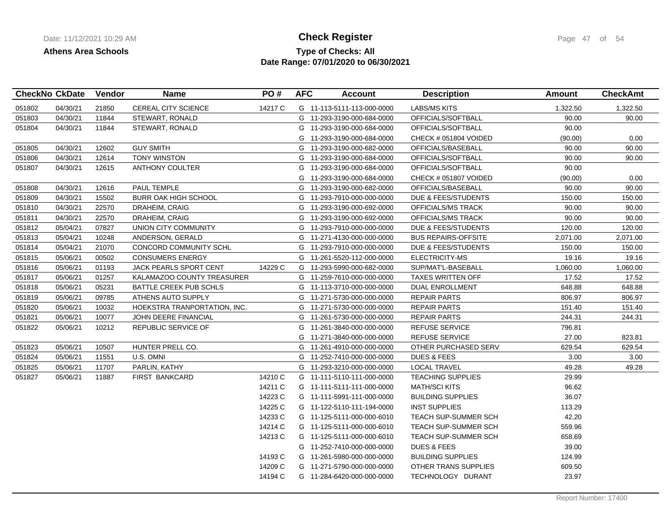## **Type of Checks: All Check Register Check Register Page 47 of 54 Date Range: 07/01/2020 to 06/30/2021**

| <b>CheckNo CkDate</b> |          | Vendor | Name                         | PO#     | <b>AFC</b> | <b>Account</b>             | <b>Description</b>             | <b>Amount</b> | <b>CheckAmt</b> |
|-----------------------|----------|--------|------------------------------|---------|------------|----------------------------|--------------------------------|---------------|-----------------|
| 051802                | 04/30/21 | 21850  | <b>CEREAL CITY SCIENCE</b>   | 14217 C |            | G 11-113-5111-113-000-0000 | <b>LABS/MS KITS</b>            | 1,322.50      | 1,322.50        |
| 051803                | 04/30/21 | 11844  | STEWART, RONALD              |         |            | G 11-293-3190-000-684-0000 | OFFICIALS/SOFTBALL             | 90.00         | 90.00           |
| 051804                | 04/30/21 | 11844  | STEWART, RONALD              |         |            | G 11-293-3190-000-684-0000 | OFFICIALS/SOFTBALL             | 90.00         |                 |
|                       |          |        |                              |         |            | G 11-293-3190-000-684-0000 | CHECK # 051804 VOIDED          | (90.00)       | 0.00            |
| 051805                | 04/30/21 | 12602  | <b>GUY SMITH</b>             |         |            | G 11-293-3190-000-682-0000 | OFFICIALS/BASEBALL             | 90.00         | 90.00           |
| 051806                | 04/30/21 | 12614  | <b>TONY WINSTON</b>          |         |            | G 11-293-3190-000-684-0000 | OFFICIALS/SOFTBALL             | 90.00         | 90.00           |
| 051807                | 04/30/21 | 12615  | <b>ANTHONY COULTER</b>       |         |            | G 11-293-3190-000-684-0000 | OFFICIALS/SOFTBALL             | 90.00         |                 |
|                       |          |        |                              |         |            | G 11-293-3190-000-684-0000 | CHECK # 051807 VOIDED          | (90.00)       | 0.00            |
| 051808                | 04/30/21 | 12616  | PAUL TEMPLE                  |         |            | G 11-293-3190-000-682-0000 | OFFICIALS/BASEBALL             | 90.00         | 90.00           |
| 051809                | 04/30/21 | 15502  | <b>BURR OAK HIGH SCHOOL</b>  |         |            | G 11-293-7910-000-000-0000 | <b>DUE &amp; FEES/STUDENTS</b> | 150.00        | 150.00          |
| 051810                | 04/30/21 | 22570  | DRAHEIM, CRAIG               |         |            | G 11-293-3190-000-692-0000 | OFFICIALS/MS TRACK             | 90.00         | 90.00           |
| 051811                | 04/30/21 | 22570  | DRAHEIM, CRAIG               |         |            | G 11-293-3190-000-692-0000 | OFFICIALS/MS TRACK             | 90.00         | 90.00           |
| 051812                | 05/04/21 | 07827  | UNION CITY COMMUNITY         |         | G          | 11-293-7910-000-000-0000   | DUE & FEES/STUDENTS            | 120.00        | 120.00          |
| 051813                | 05/04/21 | 10248  | ANDERSON, GERALD             |         |            | G 11-271-4130-000-000-0000 | <b>BUS REPAIRS-OFFSITE</b>     | 2,071.00      | 2,071.00        |
| 051814                | 05/04/21 | 21070  | CONCORD COMMUNITY SCHL       |         | G          | 11-293-7910-000-000-0000   | <b>DUE &amp; FEES/STUDENTS</b> | 150.00        | 150.00          |
| 051815                | 05/06/21 | 00502  | <b>CONSUMERS ENERGY</b>      |         |            | G 11-261-5520-112-000-0000 | ELECTRICITY-MS                 | 19.16         | 19.16           |
| 051816                | 05/06/21 | 01193  | JACK PEARLS SPORT CENT       | 14229 C |            | G 11-293-5990-000-682-0000 | SUP/MAT'L-BASEBALL             | 1,060.00      | 1,060.00        |
| 051817                | 05/06/21 | 01257  | KALAMAZOO COUNTY TREASURER   |         |            | G 11-259-7610-000-000-0000 | <b>TAXES WRITTEN OFF</b>       | 17.52         | 17.52           |
| 051818                | 05/06/21 | 05231  | BATTLE CREEK PUB SCHLS       |         |            | G 11-113-3710-000-000-0000 | DUAL ENROLLMENT                | 648.88        | 648.88          |
| 051819                | 05/06/21 | 09785  | ATHENS AUTO SUPPLY           |         |            | G 11-271-5730-000-000-0000 | <b>REPAIR PARTS</b>            | 806.97        | 806.97          |
| 051820                | 05/06/21 | 10032  | HOEKSTRA TRANPORTATION, INC. |         |            | G 11-271-5730-000-000-0000 | <b>REPAIR PARTS</b>            | 151.40        | 151.40          |
| 051821                | 05/06/21 | 10077  | <b>JOHN DEERE FINANCIAL</b>  |         |            | G 11-261-5730-000-000-0000 | <b>REPAIR PARTS</b>            | 244.31        | 244.31          |
| 051822                | 05/06/21 | 10212  | REPUBLIC SERVICE OF          |         | G          | 11-261-3840-000-000-0000   | <b>REFUSE SERVICE</b>          | 796.81        |                 |
|                       |          |        |                              |         |            | G 11-271-3840-000-000-0000 | <b>REFUSE SERVICE</b>          | 27.00         | 823.81          |
| 051823                | 05/06/21 | 10507  | HUNTER PRELL CO.             |         |            | G 11-261-4910-000-000-0000 | OTHER PURCHASED SERV           | 629.54        | 629.54          |
| 051824                | 05/06/21 | 11551  | U.S. OMNI                    |         |            | G 11-252-7410-000-000-0000 | <b>DUES &amp; FEES</b>         | 3.00          | 3.00            |
| 051825                | 05/06/21 | 11707  | PARLIN, KATHY                |         |            | G 11-293-3210-000-000-0000 | <b>LOCAL TRAVEL</b>            | 49.28         | 49.28           |
| 051827                | 05/06/21 | 11887  | <b>FIRST BANKCARD</b>        | 14210 C |            | G 11-111-5110-111-000-0000 | <b>TEACHING SUPPLIES</b>       | 29.99         |                 |
|                       |          |        |                              | 14211 C |            | G 11-111-5111-111-000-0000 | <b>MATH/SCI KITS</b>           | 96.62         |                 |
|                       |          |        |                              | 14223 C |            | G 11-111-5991-111-000-0000 | <b>BUILDING SUPPLIES</b>       | 36.07         |                 |
|                       |          |        |                              | 14225 C |            | G 11-122-5110-111-194-0000 | <b>INST SUPPLIES</b>           | 113.29        |                 |
|                       |          |        |                              | 14233 C |            | G 11-125-5111-000-000-6010 | <b>TEACH SUP-SUMMER SCH</b>    | 42.20         |                 |
|                       |          |        |                              | 14214 C |            | G 11-125-5111-000-000-6010 | TEACH SUP-SUMMER SCH           | 559.96        |                 |
|                       |          |        |                              | 14213 C |            | G 11-125-5111-000-000-6010 | <b>TEACH SUP-SUMMER SCH</b>    | 658.69        |                 |
|                       |          |        |                              |         |            | G 11-252-7410-000-000-0000 | <b>DUES &amp; FEES</b>         | 39.00         |                 |
|                       |          |        |                              | 14193 C |            | G 11-261-5980-000-000-0000 | <b>BUILDING SUPPLIES</b>       | 124.99        |                 |
|                       |          |        |                              | 14209 C |            | G 11-271-5790-000-000-0000 | OTHER TRANS SUPPLIES           | 609.50        |                 |
|                       |          |        |                              | 14194 C |            | G 11-284-6420-000-000-0000 | TECHNOLOGY DURANT              | 23.97         |                 |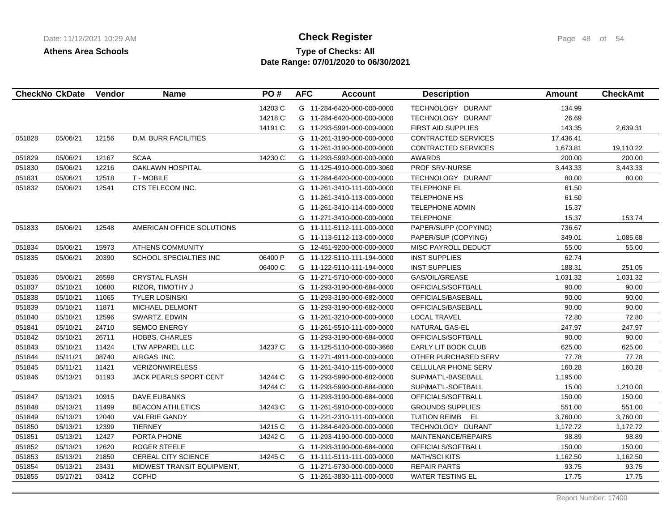## **Type of Checks: All Check Register Check Register Page 48 of 54 Date Range: 07/01/2020 to 06/30/2021**

| 14203 C<br>G 11-284-6420-000-000-0000<br>TECHNOLOGY DURANT<br>134.99<br>14218 C<br>TECHNOLOGY DURANT<br>26.69<br>G 11-284-6420-000-000-0000<br>14191 C<br><b>FIRST AID SUPPLIES</b><br>143.35<br>G 11-293-5991-000-000-0000<br>2,639.31<br>051828<br>12156<br><b>D.M. BURR FACILITIES</b><br><b>CONTRACTED SERVICES</b><br>05/06/21<br>G<br>11-261-3190-000-000-0000<br>17,436.41<br><b>CONTRACTED SERVICES</b><br>1,673.81<br>19,110.22<br>G 11-261-3190-000-000-0000<br><b>SCAA</b><br>14230 C<br>200.00<br>200.00<br>051829<br>05/06/21<br>12167<br>G 11-293-5992-000-000-0000<br><b>AWARDS</b><br><b>OAKLAWN HOSPITAL</b><br>051830<br>05/06/21<br>12216<br>PROF SRV-NURSE<br>3,443.33<br>3,443.33<br>G 11-125-4910-000-000-3060<br>051831<br><b>T-MOBILE</b><br>TECHNOLOGY DURANT<br>80.00<br>80.00<br>05/06/21<br>12518<br>G 11-284-6420-000-000-0000<br>CTS TELECOM INC.<br>051832<br>05/06/21<br>12541<br>TELEPHONE EL<br>61.50<br>11-261-3410-111-000-0000<br>G<br>11-261-3410-113-000-0000<br><b>TELEPHONE HS</b><br>61.50<br>G<br>G<br>11-261-3410-114-000-0000<br><b>TELEPHONE ADMIN</b><br>15.37<br>G<br>11-271-3410-000-000-0000<br><b>TELEPHONE</b><br>15.37<br>153.74<br>051833<br>05/06/21<br>12548<br>AMERICAN OFFICE SOLUTIONS<br>PAPER/SUPP (COPYING)<br>736.67<br>G<br>11-111-5112-111-000-0000<br>11-113-5112-113-000-0000<br>PAPER/SUP (COPYING)<br>349.01<br>1,085.68<br>G<br>051834<br>05/06/21<br>15973<br><b>ATHENS COMMUNITY</b><br>55.00<br>55.00<br>G 12-451-9200-000-000-0000<br>MISC PAYROLL DEDUCT<br>SCHOOL SPECIALTIES INC<br>06400 P<br>62.74<br>051835<br>05/06/21<br>20390<br>G 11-122-5110-111-194-0000<br><b>INST SUPPLIES</b><br>06400 C<br>188.31<br>251.05<br>G 11-122-5110-111-194-0000<br><b>INST SUPPLIES</b><br>051836<br>05/06/21<br>26598<br><b>CRYSTAL FLASH</b><br>G 11-271-5710-000-000-0000<br>GAS/OIL/GREASE<br>1,031.32<br>1,031.32<br>10680<br>051837<br>05/10/21<br>RIZOR, TIMOTHY J<br>11-293-3190-000-684-0000<br>OFFICIALS/SOFTBALL<br>90.00<br>90.00<br>G<br>90.00<br>051838<br>05/10/21<br>11065<br><b>TYLER LOSINSKI</b><br>G<br>11-293-3190-000-682-0000<br>OFFICIALS/BASEBALL<br>90.00<br>051839<br>05/10/21<br>11871<br>MICHAEL DELMONT<br>11-293-3190-000-682-0000<br>OFFICIALS/BASEBALL<br>90.00<br>90.00<br>G<br>72.80<br>72.80<br>051840<br>05/10/21<br>12596<br>SWARTZ, EDWIN<br>G 11-261-3210-000-000-0000<br><b>LOCAL TRAVEL</b><br>247.97<br>051841<br>05/10/21<br>24710<br><b>SEMCO ENERGY</b><br>G 11-261-5510-111-000-0000<br>NATURAL GAS-EL<br>247.97<br>90.00<br>051842<br>05/10/21<br>26711<br><b>HOBBS, CHARLES</b><br>G 11-293-3190-000-684-0000<br>OFFICIALS/SOFTBALL<br>90.00<br>11424<br>LTW APPAREL LLC<br>14237 C<br>625.00<br>625.00<br>051843<br>05/10/21<br>G 11-125-5110-000-000-3660<br>EARLY LIT BOOK CLUB<br>77.78<br>051844<br>08740<br>AIRGAS INC.<br>77.78<br>05/11/21<br>G 11-271-4911-000-000-0000<br>OTHER PURCHASED SERV<br>051845<br>05/11/21<br>11421<br><b>VERIZONWIRELESS</b><br>11-261-3410-115-000-0000<br>CELLULAR PHONE SERV<br>160.28<br>160.28<br>G<br>051846<br>05/13/21<br>01193<br><b>JACK PEARLS SPORT CENT</b><br>14244 C<br>G<br>11-293-5990-000-682-0000<br>SUP/MAT'L-BASEBALL<br>1,195.00<br>14244 C<br>G 11-293-5990-000-684-0000<br>SUP/MAT'L-SOFTBALL<br>15.00<br>1,210.00<br><b>DAVE EUBANKS</b><br>150.00<br>051847<br>05/13/21<br>10915<br>G 11-293-3190-000-684-0000<br>OFFICIALS/SOFTBALL<br>150.00<br>14243 C<br>551.00<br>051848<br>05/13/21<br>11499<br><b>BEACON ATHLETICS</b><br>G 11-261-5910-000-000-0000<br><b>GROUNDS SUPPLIES</b><br>551.00<br><b>VALERIE GANDY</b><br><b>TUITION REIMB</b><br>EL<br>051849<br>05/13/21<br>12040<br>G 11-221-2310-111-000-0000<br>3,760.00<br>3,760.00<br>051850<br>05/13/21<br>12399<br><b>TIERNEY</b><br>14215 C<br>G 11-284-6420-000-000-0000<br>TECHNOLOGY DURANT<br>1,172.72<br>1,172.72<br>12427<br>14242 C<br>051851<br>05/13/21<br>PORTA PHONE<br>G 11-293-4190-000-000-0000<br>MAINTENANCE/REPAIRS<br>98.89<br>98.89<br>051852<br>05/13/21<br>12620<br>ROGER STEELE<br>G 11-293-3190-000-684-0000<br>OFFICIALS/SOFTBALL<br>150.00<br>150.00<br><b>CEREAL CITY SCIENCE</b><br>14245 C<br><b>MATH/SCI KITS</b><br>1,162.50<br>1,162.50<br>051853<br>05/13/21<br>21850<br>G 11-111-5111-111-000-0000<br>051854<br>05/13/21<br>23431<br>MIDWEST TRANSIT EQUIPMENT,<br><b>REPAIR PARTS</b><br>93.75<br>93.75<br>G 11-271-5730-000-000-0000<br>051855<br>05/17/21<br>03412<br><b>CCPHD</b><br>G 11-261-3830-111-000-0000<br><b>WATER TESTING EL</b><br>17.75<br>17.75 | <b>CheckNo CkDate</b> | Vendor | <b>Name</b> | PO# | <b>AFC</b> | <b>Account</b> | <b>Description</b> | <b>Amount</b> | <b>CheckAmt</b> |
|---------------------------------------------------------------------------------------------------------------------------------------------------------------------------------------------------------------------------------------------------------------------------------------------------------------------------------------------------------------------------------------------------------------------------------------------------------------------------------------------------------------------------------------------------------------------------------------------------------------------------------------------------------------------------------------------------------------------------------------------------------------------------------------------------------------------------------------------------------------------------------------------------------------------------------------------------------------------------------------------------------------------------------------------------------------------------------------------------------------------------------------------------------------------------------------------------------------------------------------------------------------------------------------------------------------------------------------------------------------------------------------------------------------------------------------------------------------------------------------------------------------------------------------------------------------------------------------------------------------------------------------------------------------------------------------------------------------------------------------------------------------------------------------------------------------------------------------------------------------------------------------------------------------------------------------------------------------------------------------------------------------------------------------------------------------------------------------------------------------------------------------------------------------------------------------------------------------------------------------------------------------------------------------------------------------------------------------------------------------------------------------------------------------------------------------------------------------------------------------------------------------------------------------------------------------------------------------------------------------------------------------------------------------------------------------------------------------------------------------------------------------------------------------------------------------------------------------------------------------------------------------------------------------------------------------------------------------------------------------------------------------------------------------------------------------------------------------------------------------------------------------------------------------------------------------------------------------------------------------------------------------------------------------------------------------------------------------------------------------------------------------------------------------------------------------------------------------------------------------------------------------------------------------------------------------------------------------------------------------------------------------------------------------------------------------------------------------------------------------------------------------------------------------------------------------------------------------------------------------------------------------------------------------------------------------------------------------------------------------------------------------------------------------------------------------------------------------------------------------------------------------------------------------------------------------------------------------------------------------------------------------------------------------------------------------------------------------------------------------------------------------------------------------------------------------------------------------------------------------------------------------------------------------------------|-----------------------|--------|-------------|-----|------------|----------------|--------------------|---------------|-----------------|
|                                                                                                                                                                                                                                                                                                                                                                                                                                                                                                                                                                                                                                                                                                                                                                                                                                                                                                                                                                                                                                                                                                                                                                                                                                                                                                                                                                                                                                                                                                                                                                                                                                                                                                                                                                                                                                                                                                                                                                                                                                                                                                                                                                                                                                                                                                                                                                                                                                                                                                                                                                                                                                                                                                                                                                                                                                                                                                                                                                                                                                                                                                                                                                                                                                                                                                                                                                                                                                                                                                                                                                                                                                                                                                                                                                                                                                                                                                                                                                                                                                                                                                                                                                                                                                                                                                                                                                                                                                                                                                                                                   |                       |        |             |     |            |                |                    |               |                 |
|                                                                                                                                                                                                                                                                                                                                                                                                                                                                                                                                                                                                                                                                                                                                                                                                                                                                                                                                                                                                                                                                                                                                                                                                                                                                                                                                                                                                                                                                                                                                                                                                                                                                                                                                                                                                                                                                                                                                                                                                                                                                                                                                                                                                                                                                                                                                                                                                                                                                                                                                                                                                                                                                                                                                                                                                                                                                                                                                                                                                                                                                                                                                                                                                                                                                                                                                                                                                                                                                                                                                                                                                                                                                                                                                                                                                                                                                                                                                                                                                                                                                                                                                                                                                                                                                                                                                                                                                                                                                                                                                                   |                       |        |             |     |            |                |                    |               |                 |
|                                                                                                                                                                                                                                                                                                                                                                                                                                                                                                                                                                                                                                                                                                                                                                                                                                                                                                                                                                                                                                                                                                                                                                                                                                                                                                                                                                                                                                                                                                                                                                                                                                                                                                                                                                                                                                                                                                                                                                                                                                                                                                                                                                                                                                                                                                                                                                                                                                                                                                                                                                                                                                                                                                                                                                                                                                                                                                                                                                                                                                                                                                                                                                                                                                                                                                                                                                                                                                                                                                                                                                                                                                                                                                                                                                                                                                                                                                                                                                                                                                                                                                                                                                                                                                                                                                                                                                                                                                                                                                                                                   |                       |        |             |     |            |                |                    |               |                 |
|                                                                                                                                                                                                                                                                                                                                                                                                                                                                                                                                                                                                                                                                                                                                                                                                                                                                                                                                                                                                                                                                                                                                                                                                                                                                                                                                                                                                                                                                                                                                                                                                                                                                                                                                                                                                                                                                                                                                                                                                                                                                                                                                                                                                                                                                                                                                                                                                                                                                                                                                                                                                                                                                                                                                                                                                                                                                                                                                                                                                                                                                                                                                                                                                                                                                                                                                                                                                                                                                                                                                                                                                                                                                                                                                                                                                                                                                                                                                                                                                                                                                                                                                                                                                                                                                                                                                                                                                                                                                                                                                                   |                       |        |             |     |            |                |                    |               |                 |
|                                                                                                                                                                                                                                                                                                                                                                                                                                                                                                                                                                                                                                                                                                                                                                                                                                                                                                                                                                                                                                                                                                                                                                                                                                                                                                                                                                                                                                                                                                                                                                                                                                                                                                                                                                                                                                                                                                                                                                                                                                                                                                                                                                                                                                                                                                                                                                                                                                                                                                                                                                                                                                                                                                                                                                                                                                                                                                                                                                                                                                                                                                                                                                                                                                                                                                                                                                                                                                                                                                                                                                                                                                                                                                                                                                                                                                                                                                                                                                                                                                                                                                                                                                                                                                                                                                                                                                                                                                                                                                                                                   |                       |        |             |     |            |                |                    |               |                 |
|                                                                                                                                                                                                                                                                                                                                                                                                                                                                                                                                                                                                                                                                                                                                                                                                                                                                                                                                                                                                                                                                                                                                                                                                                                                                                                                                                                                                                                                                                                                                                                                                                                                                                                                                                                                                                                                                                                                                                                                                                                                                                                                                                                                                                                                                                                                                                                                                                                                                                                                                                                                                                                                                                                                                                                                                                                                                                                                                                                                                                                                                                                                                                                                                                                                                                                                                                                                                                                                                                                                                                                                                                                                                                                                                                                                                                                                                                                                                                                                                                                                                                                                                                                                                                                                                                                                                                                                                                                                                                                                                                   |                       |        |             |     |            |                |                    |               |                 |
|                                                                                                                                                                                                                                                                                                                                                                                                                                                                                                                                                                                                                                                                                                                                                                                                                                                                                                                                                                                                                                                                                                                                                                                                                                                                                                                                                                                                                                                                                                                                                                                                                                                                                                                                                                                                                                                                                                                                                                                                                                                                                                                                                                                                                                                                                                                                                                                                                                                                                                                                                                                                                                                                                                                                                                                                                                                                                                                                                                                                                                                                                                                                                                                                                                                                                                                                                                                                                                                                                                                                                                                                                                                                                                                                                                                                                                                                                                                                                                                                                                                                                                                                                                                                                                                                                                                                                                                                                                                                                                                                                   |                       |        |             |     |            |                |                    |               |                 |
|                                                                                                                                                                                                                                                                                                                                                                                                                                                                                                                                                                                                                                                                                                                                                                                                                                                                                                                                                                                                                                                                                                                                                                                                                                                                                                                                                                                                                                                                                                                                                                                                                                                                                                                                                                                                                                                                                                                                                                                                                                                                                                                                                                                                                                                                                                                                                                                                                                                                                                                                                                                                                                                                                                                                                                                                                                                                                                                                                                                                                                                                                                                                                                                                                                                                                                                                                                                                                                                                                                                                                                                                                                                                                                                                                                                                                                                                                                                                                                                                                                                                                                                                                                                                                                                                                                                                                                                                                                                                                                                                                   |                       |        |             |     |            |                |                    |               |                 |
|                                                                                                                                                                                                                                                                                                                                                                                                                                                                                                                                                                                                                                                                                                                                                                                                                                                                                                                                                                                                                                                                                                                                                                                                                                                                                                                                                                                                                                                                                                                                                                                                                                                                                                                                                                                                                                                                                                                                                                                                                                                                                                                                                                                                                                                                                                                                                                                                                                                                                                                                                                                                                                                                                                                                                                                                                                                                                                                                                                                                                                                                                                                                                                                                                                                                                                                                                                                                                                                                                                                                                                                                                                                                                                                                                                                                                                                                                                                                                                                                                                                                                                                                                                                                                                                                                                                                                                                                                                                                                                                                                   |                       |        |             |     |            |                |                    |               |                 |
|                                                                                                                                                                                                                                                                                                                                                                                                                                                                                                                                                                                                                                                                                                                                                                                                                                                                                                                                                                                                                                                                                                                                                                                                                                                                                                                                                                                                                                                                                                                                                                                                                                                                                                                                                                                                                                                                                                                                                                                                                                                                                                                                                                                                                                                                                                                                                                                                                                                                                                                                                                                                                                                                                                                                                                                                                                                                                                                                                                                                                                                                                                                                                                                                                                                                                                                                                                                                                                                                                                                                                                                                                                                                                                                                                                                                                                                                                                                                                                                                                                                                                                                                                                                                                                                                                                                                                                                                                                                                                                                                                   |                       |        |             |     |            |                |                    |               |                 |
|                                                                                                                                                                                                                                                                                                                                                                                                                                                                                                                                                                                                                                                                                                                                                                                                                                                                                                                                                                                                                                                                                                                                                                                                                                                                                                                                                                                                                                                                                                                                                                                                                                                                                                                                                                                                                                                                                                                                                                                                                                                                                                                                                                                                                                                                                                                                                                                                                                                                                                                                                                                                                                                                                                                                                                                                                                                                                                                                                                                                                                                                                                                                                                                                                                                                                                                                                                                                                                                                                                                                                                                                                                                                                                                                                                                                                                                                                                                                                                                                                                                                                                                                                                                                                                                                                                                                                                                                                                                                                                                                                   |                       |        |             |     |            |                |                    |               |                 |
|                                                                                                                                                                                                                                                                                                                                                                                                                                                                                                                                                                                                                                                                                                                                                                                                                                                                                                                                                                                                                                                                                                                                                                                                                                                                                                                                                                                                                                                                                                                                                                                                                                                                                                                                                                                                                                                                                                                                                                                                                                                                                                                                                                                                                                                                                                                                                                                                                                                                                                                                                                                                                                                                                                                                                                                                                                                                                                                                                                                                                                                                                                                                                                                                                                                                                                                                                                                                                                                                                                                                                                                                                                                                                                                                                                                                                                                                                                                                                                                                                                                                                                                                                                                                                                                                                                                                                                                                                                                                                                                                                   |                       |        |             |     |            |                |                    |               |                 |
|                                                                                                                                                                                                                                                                                                                                                                                                                                                                                                                                                                                                                                                                                                                                                                                                                                                                                                                                                                                                                                                                                                                                                                                                                                                                                                                                                                                                                                                                                                                                                                                                                                                                                                                                                                                                                                                                                                                                                                                                                                                                                                                                                                                                                                                                                                                                                                                                                                                                                                                                                                                                                                                                                                                                                                                                                                                                                                                                                                                                                                                                                                                                                                                                                                                                                                                                                                                                                                                                                                                                                                                                                                                                                                                                                                                                                                                                                                                                                                                                                                                                                                                                                                                                                                                                                                                                                                                                                                                                                                                                                   |                       |        |             |     |            |                |                    |               |                 |
|                                                                                                                                                                                                                                                                                                                                                                                                                                                                                                                                                                                                                                                                                                                                                                                                                                                                                                                                                                                                                                                                                                                                                                                                                                                                                                                                                                                                                                                                                                                                                                                                                                                                                                                                                                                                                                                                                                                                                                                                                                                                                                                                                                                                                                                                                                                                                                                                                                                                                                                                                                                                                                                                                                                                                                                                                                                                                                                                                                                                                                                                                                                                                                                                                                                                                                                                                                                                                                                                                                                                                                                                                                                                                                                                                                                                                                                                                                                                                                                                                                                                                                                                                                                                                                                                                                                                                                                                                                                                                                                                                   |                       |        |             |     |            |                |                    |               |                 |
|                                                                                                                                                                                                                                                                                                                                                                                                                                                                                                                                                                                                                                                                                                                                                                                                                                                                                                                                                                                                                                                                                                                                                                                                                                                                                                                                                                                                                                                                                                                                                                                                                                                                                                                                                                                                                                                                                                                                                                                                                                                                                                                                                                                                                                                                                                                                                                                                                                                                                                                                                                                                                                                                                                                                                                                                                                                                                                                                                                                                                                                                                                                                                                                                                                                                                                                                                                                                                                                                                                                                                                                                                                                                                                                                                                                                                                                                                                                                                                                                                                                                                                                                                                                                                                                                                                                                                                                                                                                                                                                                                   |                       |        |             |     |            |                |                    |               |                 |
|                                                                                                                                                                                                                                                                                                                                                                                                                                                                                                                                                                                                                                                                                                                                                                                                                                                                                                                                                                                                                                                                                                                                                                                                                                                                                                                                                                                                                                                                                                                                                                                                                                                                                                                                                                                                                                                                                                                                                                                                                                                                                                                                                                                                                                                                                                                                                                                                                                                                                                                                                                                                                                                                                                                                                                                                                                                                                                                                                                                                                                                                                                                                                                                                                                                                                                                                                                                                                                                                                                                                                                                                                                                                                                                                                                                                                                                                                                                                                                                                                                                                                                                                                                                                                                                                                                                                                                                                                                                                                                                                                   |                       |        |             |     |            |                |                    |               |                 |
|                                                                                                                                                                                                                                                                                                                                                                                                                                                                                                                                                                                                                                                                                                                                                                                                                                                                                                                                                                                                                                                                                                                                                                                                                                                                                                                                                                                                                                                                                                                                                                                                                                                                                                                                                                                                                                                                                                                                                                                                                                                                                                                                                                                                                                                                                                                                                                                                                                                                                                                                                                                                                                                                                                                                                                                                                                                                                                                                                                                                                                                                                                                                                                                                                                                                                                                                                                                                                                                                                                                                                                                                                                                                                                                                                                                                                                                                                                                                                                                                                                                                                                                                                                                                                                                                                                                                                                                                                                                                                                                                                   |                       |        |             |     |            |                |                    |               |                 |
|                                                                                                                                                                                                                                                                                                                                                                                                                                                                                                                                                                                                                                                                                                                                                                                                                                                                                                                                                                                                                                                                                                                                                                                                                                                                                                                                                                                                                                                                                                                                                                                                                                                                                                                                                                                                                                                                                                                                                                                                                                                                                                                                                                                                                                                                                                                                                                                                                                                                                                                                                                                                                                                                                                                                                                                                                                                                                                                                                                                                                                                                                                                                                                                                                                                                                                                                                                                                                                                                                                                                                                                                                                                                                                                                                                                                                                                                                                                                                                                                                                                                                                                                                                                                                                                                                                                                                                                                                                                                                                                                                   |                       |        |             |     |            |                |                    |               |                 |
|                                                                                                                                                                                                                                                                                                                                                                                                                                                                                                                                                                                                                                                                                                                                                                                                                                                                                                                                                                                                                                                                                                                                                                                                                                                                                                                                                                                                                                                                                                                                                                                                                                                                                                                                                                                                                                                                                                                                                                                                                                                                                                                                                                                                                                                                                                                                                                                                                                                                                                                                                                                                                                                                                                                                                                                                                                                                                                                                                                                                                                                                                                                                                                                                                                                                                                                                                                                                                                                                                                                                                                                                                                                                                                                                                                                                                                                                                                                                                                                                                                                                                                                                                                                                                                                                                                                                                                                                                                                                                                                                                   |                       |        |             |     |            |                |                    |               |                 |
|                                                                                                                                                                                                                                                                                                                                                                                                                                                                                                                                                                                                                                                                                                                                                                                                                                                                                                                                                                                                                                                                                                                                                                                                                                                                                                                                                                                                                                                                                                                                                                                                                                                                                                                                                                                                                                                                                                                                                                                                                                                                                                                                                                                                                                                                                                                                                                                                                                                                                                                                                                                                                                                                                                                                                                                                                                                                                                                                                                                                                                                                                                                                                                                                                                                                                                                                                                                                                                                                                                                                                                                                                                                                                                                                                                                                                                                                                                                                                                                                                                                                                                                                                                                                                                                                                                                                                                                                                                                                                                                                                   |                       |        |             |     |            |                |                    |               |                 |
|                                                                                                                                                                                                                                                                                                                                                                                                                                                                                                                                                                                                                                                                                                                                                                                                                                                                                                                                                                                                                                                                                                                                                                                                                                                                                                                                                                                                                                                                                                                                                                                                                                                                                                                                                                                                                                                                                                                                                                                                                                                                                                                                                                                                                                                                                                                                                                                                                                                                                                                                                                                                                                                                                                                                                                                                                                                                                                                                                                                                                                                                                                                                                                                                                                                                                                                                                                                                                                                                                                                                                                                                                                                                                                                                                                                                                                                                                                                                                                                                                                                                                                                                                                                                                                                                                                                                                                                                                                                                                                                                                   |                       |        |             |     |            |                |                    |               |                 |
|                                                                                                                                                                                                                                                                                                                                                                                                                                                                                                                                                                                                                                                                                                                                                                                                                                                                                                                                                                                                                                                                                                                                                                                                                                                                                                                                                                                                                                                                                                                                                                                                                                                                                                                                                                                                                                                                                                                                                                                                                                                                                                                                                                                                                                                                                                                                                                                                                                                                                                                                                                                                                                                                                                                                                                                                                                                                                                                                                                                                                                                                                                                                                                                                                                                                                                                                                                                                                                                                                                                                                                                                                                                                                                                                                                                                                                                                                                                                                                                                                                                                                                                                                                                                                                                                                                                                                                                                                                                                                                                                                   |                       |        |             |     |            |                |                    |               |                 |
|                                                                                                                                                                                                                                                                                                                                                                                                                                                                                                                                                                                                                                                                                                                                                                                                                                                                                                                                                                                                                                                                                                                                                                                                                                                                                                                                                                                                                                                                                                                                                                                                                                                                                                                                                                                                                                                                                                                                                                                                                                                                                                                                                                                                                                                                                                                                                                                                                                                                                                                                                                                                                                                                                                                                                                                                                                                                                                                                                                                                                                                                                                                                                                                                                                                                                                                                                                                                                                                                                                                                                                                                                                                                                                                                                                                                                                                                                                                                                                                                                                                                                                                                                                                                                                                                                                                                                                                                                                                                                                                                                   |                       |        |             |     |            |                |                    |               |                 |
|                                                                                                                                                                                                                                                                                                                                                                                                                                                                                                                                                                                                                                                                                                                                                                                                                                                                                                                                                                                                                                                                                                                                                                                                                                                                                                                                                                                                                                                                                                                                                                                                                                                                                                                                                                                                                                                                                                                                                                                                                                                                                                                                                                                                                                                                                                                                                                                                                                                                                                                                                                                                                                                                                                                                                                                                                                                                                                                                                                                                                                                                                                                                                                                                                                                                                                                                                                                                                                                                                                                                                                                                                                                                                                                                                                                                                                                                                                                                                                                                                                                                                                                                                                                                                                                                                                                                                                                                                                                                                                                                                   |                       |        |             |     |            |                |                    |               |                 |
|                                                                                                                                                                                                                                                                                                                                                                                                                                                                                                                                                                                                                                                                                                                                                                                                                                                                                                                                                                                                                                                                                                                                                                                                                                                                                                                                                                                                                                                                                                                                                                                                                                                                                                                                                                                                                                                                                                                                                                                                                                                                                                                                                                                                                                                                                                                                                                                                                                                                                                                                                                                                                                                                                                                                                                                                                                                                                                                                                                                                                                                                                                                                                                                                                                                                                                                                                                                                                                                                                                                                                                                                                                                                                                                                                                                                                                                                                                                                                                                                                                                                                                                                                                                                                                                                                                                                                                                                                                                                                                                                                   |                       |        |             |     |            |                |                    |               |                 |
|                                                                                                                                                                                                                                                                                                                                                                                                                                                                                                                                                                                                                                                                                                                                                                                                                                                                                                                                                                                                                                                                                                                                                                                                                                                                                                                                                                                                                                                                                                                                                                                                                                                                                                                                                                                                                                                                                                                                                                                                                                                                                                                                                                                                                                                                                                                                                                                                                                                                                                                                                                                                                                                                                                                                                                                                                                                                                                                                                                                                                                                                                                                                                                                                                                                                                                                                                                                                                                                                                                                                                                                                                                                                                                                                                                                                                                                                                                                                                                                                                                                                                                                                                                                                                                                                                                                                                                                                                                                                                                                                                   |                       |        |             |     |            |                |                    |               |                 |
|                                                                                                                                                                                                                                                                                                                                                                                                                                                                                                                                                                                                                                                                                                                                                                                                                                                                                                                                                                                                                                                                                                                                                                                                                                                                                                                                                                                                                                                                                                                                                                                                                                                                                                                                                                                                                                                                                                                                                                                                                                                                                                                                                                                                                                                                                                                                                                                                                                                                                                                                                                                                                                                                                                                                                                                                                                                                                                                                                                                                                                                                                                                                                                                                                                                                                                                                                                                                                                                                                                                                                                                                                                                                                                                                                                                                                                                                                                                                                                                                                                                                                                                                                                                                                                                                                                                                                                                                                                                                                                                                                   |                       |        |             |     |            |                |                    |               |                 |
|                                                                                                                                                                                                                                                                                                                                                                                                                                                                                                                                                                                                                                                                                                                                                                                                                                                                                                                                                                                                                                                                                                                                                                                                                                                                                                                                                                                                                                                                                                                                                                                                                                                                                                                                                                                                                                                                                                                                                                                                                                                                                                                                                                                                                                                                                                                                                                                                                                                                                                                                                                                                                                                                                                                                                                                                                                                                                                                                                                                                                                                                                                                                                                                                                                                                                                                                                                                                                                                                                                                                                                                                                                                                                                                                                                                                                                                                                                                                                                                                                                                                                                                                                                                                                                                                                                                                                                                                                                                                                                                                                   |                       |        |             |     |            |                |                    |               |                 |
|                                                                                                                                                                                                                                                                                                                                                                                                                                                                                                                                                                                                                                                                                                                                                                                                                                                                                                                                                                                                                                                                                                                                                                                                                                                                                                                                                                                                                                                                                                                                                                                                                                                                                                                                                                                                                                                                                                                                                                                                                                                                                                                                                                                                                                                                                                                                                                                                                                                                                                                                                                                                                                                                                                                                                                                                                                                                                                                                                                                                                                                                                                                                                                                                                                                                                                                                                                                                                                                                                                                                                                                                                                                                                                                                                                                                                                                                                                                                                                                                                                                                                                                                                                                                                                                                                                                                                                                                                                                                                                                                                   |                       |        |             |     |            |                |                    |               |                 |
|                                                                                                                                                                                                                                                                                                                                                                                                                                                                                                                                                                                                                                                                                                                                                                                                                                                                                                                                                                                                                                                                                                                                                                                                                                                                                                                                                                                                                                                                                                                                                                                                                                                                                                                                                                                                                                                                                                                                                                                                                                                                                                                                                                                                                                                                                                                                                                                                                                                                                                                                                                                                                                                                                                                                                                                                                                                                                                                                                                                                                                                                                                                                                                                                                                                                                                                                                                                                                                                                                                                                                                                                                                                                                                                                                                                                                                                                                                                                                                                                                                                                                                                                                                                                                                                                                                                                                                                                                                                                                                                                                   |                       |        |             |     |            |                |                    |               |                 |
|                                                                                                                                                                                                                                                                                                                                                                                                                                                                                                                                                                                                                                                                                                                                                                                                                                                                                                                                                                                                                                                                                                                                                                                                                                                                                                                                                                                                                                                                                                                                                                                                                                                                                                                                                                                                                                                                                                                                                                                                                                                                                                                                                                                                                                                                                                                                                                                                                                                                                                                                                                                                                                                                                                                                                                                                                                                                                                                                                                                                                                                                                                                                                                                                                                                                                                                                                                                                                                                                                                                                                                                                                                                                                                                                                                                                                                                                                                                                                                                                                                                                                                                                                                                                                                                                                                                                                                                                                                                                                                                                                   |                       |        |             |     |            |                |                    |               |                 |
|                                                                                                                                                                                                                                                                                                                                                                                                                                                                                                                                                                                                                                                                                                                                                                                                                                                                                                                                                                                                                                                                                                                                                                                                                                                                                                                                                                                                                                                                                                                                                                                                                                                                                                                                                                                                                                                                                                                                                                                                                                                                                                                                                                                                                                                                                                                                                                                                                                                                                                                                                                                                                                                                                                                                                                                                                                                                                                                                                                                                                                                                                                                                                                                                                                                                                                                                                                                                                                                                                                                                                                                                                                                                                                                                                                                                                                                                                                                                                                                                                                                                                                                                                                                                                                                                                                                                                                                                                                                                                                                                                   |                       |        |             |     |            |                |                    |               |                 |
|                                                                                                                                                                                                                                                                                                                                                                                                                                                                                                                                                                                                                                                                                                                                                                                                                                                                                                                                                                                                                                                                                                                                                                                                                                                                                                                                                                                                                                                                                                                                                                                                                                                                                                                                                                                                                                                                                                                                                                                                                                                                                                                                                                                                                                                                                                                                                                                                                                                                                                                                                                                                                                                                                                                                                                                                                                                                                                                                                                                                                                                                                                                                                                                                                                                                                                                                                                                                                                                                                                                                                                                                                                                                                                                                                                                                                                                                                                                                                                                                                                                                                                                                                                                                                                                                                                                                                                                                                                                                                                                                                   |                       |        |             |     |            |                |                    |               |                 |
|                                                                                                                                                                                                                                                                                                                                                                                                                                                                                                                                                                                                                                                                                                                                                                                                                                                                                                                                                                                                                                                                                                                                                                                                                                                                                                                                                                                                                                                                                                                                                                                                                                                                                                                                                                                                                                                                                                                                                                                                                                                                                                                                                                                                                                                                                                                                                                                                                                                                                                                                                                                                                                                                                                                                                                                                                                                                                                                                                                                                                                                                                                                                                                                                                                                                                                                                                                                                                                                                                                                                                                                                                                                                                                                                                                                                                                                                                                                                                                                                                                                                                                                                                                                                                                                                                                                                                                                                                                                                                                                                                   |                       |        |             |     |            |                |                    |               |                 |
|                                                                                                                                                                                                                                                                                                                                                                                                                                                                                                                                                                                                                                                                                                                                                                                                                                                                                                                                                                                                                                                                                                                                                                                                                                                                                                                                                                                                                                                                                                                                                                                                                                                                                                                                                                                                                                                                                                                                                                                                                                                                                                                                                                                                                                                                                                                                                                                                                                                                                                                                                                                                                                                                                                                                                                                                                                                                                                                                                                                                                                                                                                                                                                                                                                                                                                                                                                                                                                                                                                                                                                                                                                                                                                                                                                                                                                                                                                                                                                                                                                                                                                                                                                                                                                                                                                                                                                                                                                                                                                                                                   |                       |        |             |     |            |                |                    |               |                 |
|                                                                                                                                                                                                                                                                                                                                                                                                                                                                                                                                                                                                                                                                                                                                                                                                                                                                                                                                                                                                                                                                                                                                                                                                                                                                                                                                                                                                                                                                                                                                                                                                                                                                                                                                                                                                                                                                                                                                                                                                                                                                                                                                                                                                                                                                                                                                                                                                                                                                                                                                                                                                                                                                                                                                                                                                                                                                                                                                                                                                                                                                                                                                                                                                                                                                                                                                                                                                                                                                                                                                                                                                                                                                                                                                                                                                                                                                                                                                                                                                                                                                                                                                                                                                                                                                                                                                                                                                                                                                                                                                                   |                       |        |             |     |            |                |                    |               |                 |
|                                                                                                                                                                                                                                                                                                                                                                                                                                                                                                                                                                                                                                                                                                                                                                                                                                                                                                                                                                                                                                                                                                                                                                                                                                                                                                                                                                                                                                                                                                                                                                                                                                                                                                                                                                                                                                                                                                                                                                                                                                                                                                                                                                                                                                                                                                                                                                                                                                                                                                                                                                                                                                                                                                                                                                                                                                                                                                                                                                                                                                                                                                                                                                                                                                                                                                                                                                                                                                                                                                                                                                                                                                                                                                                                                                                                                                                                                                                                                                                                                                                                                                                                                                                                                                                                                                                                                                                                                                                                                                                                                   |                       |        |             |     |            |                |                    |               |                 |
|                                                                                                                                                                                                                                                                                                                                                                                                                                                                                                                                                                                                                                                                                                                                                                                                                                                                                                                                                                                                                                                                                                                                                                                                                                                                                                                                                                                                                                                                                                                                                                                                                                                                                                                                                                                                                                                                                                                                                                                                                                                                                                                                                                                                                                                                                                                                                                                                                                                                                                                                                                                                                                                                                                                                                                                                                                                                                                                                                                                                                                                                                                                                                                                                                                                                                                                                                                                                                                                                                                                                                                                                                                                                                                                                                                                                                                                                                                                                                                                                                                                                                                                                                                                                                                                                                                                                                                                                                                                                                                                                                   |                       |        |             |     |            |                |                    |               |                 |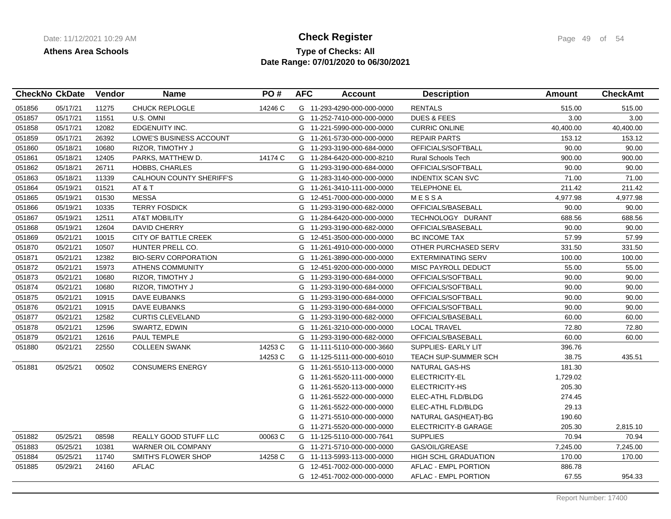## **Type of Checks: All Check Register Check Register Page 49 of 54 Date Range: 07/01/2020 to 06/30/2021**

|        | <b>CheckNo CkDate</b> | Vendor | <b>Name</b>                     | PO#     | <b>AFC</b> | <b>Account</b>             | <b>Description</b>          | Amount    | <b>CheckAmt</b> |
|--------|-----------------------|--------|---------------------------------|---------|------------|----------------------------|-----------------------------|-----------|-----------------|
| 051856 | 05/17/21              | 11275  | <b>CHUCK REPLOGLE</b>           | 14246 C |            | G 11-293-4290-000-000-0000 | <b>RENTALS</b>              | 515.00    | 515.00          |
| 051857 | 05/17/21              | 11551  | U.S. OMNI                       |         |            | G 11-252-7410-000-000-0000 | <b>DUES &amp; FEES</b>      | 3.00      | 3.00            |
| 051858 | 05/17/21              | 12082  | EDGENUITY INC.                  |         |            | G 11-221-5990-000-000-0000 | <b>CURRIC ONLINE</b>        | 40,400.00 | 40,400.00       |
| 051859 | 05/17/21              | 26392  | LOWE'S BUSINESS ACCOUNT         |         | G          | 11-261-5730-000-000-0000   | <b>REPAIR PARTS</b>         | 153.12    | 153.12          |
| 051860 | 05/18/21              | 10680  | RIZOR, TIMOTHY J                |         |            | G 11-293-3190-000-684-0000 | OFFICIALS/SOFTBALL          | 90.00     | 90.00           |
| 051861 | 05/18/21              | 12405  | PARKS, MATTHEW D.               | 14174 C |            | G 11-284-6420-000-000-8210 | <b>Rural Schools Tech</b>   | 900.00    | 900.00          |
| 051862 | 05/18/21              | 26711  | HOBBS, CHARLES                  |         |            | G 11-293-3190-000-684-0000 | OFFICIALS/SOFTBALL          | 90.00     | 90.00           |
| 051863 | 05/18/21              | 11339  | <b>CALHOUN COUNTY SHERIFF'S</b> |         | G          | 11-283-3140-000-000-0000   | <b>INDENTIX SCAN SVC</b>    | 71.00     | 71.00           |
| 051864 | 05/19/21              | 01521  | AT & T                          |         |            | G 11-261-3410-111-000-0000 | <b>TELEPHONE EL</b>         | 211.42    | 211.42          |
| 051865 | 05/19/21              | 01530  | <b>MESSA</b>                    |         |            | G 12-451-7000-000-000-0000 | MESSA                       | 4,977.98  | 4,977.98        |
| 051866 | 05/19/21              | 10335  | <b>TERRY FOSDICK</b>            |         | G          | 11-293-3190-000-682-0000   | OFFICIALS/BASEBALL          | 90.00     | 90.00           |
| 051867 | 05/19/21              | 12511  | <b>AT&amp;T MOBILITY</b>        |         | G          | 11-284-6420-000-000-0000   | TECHNOLOGY DURANT           | 688.56    | 688.56          |
| 051868 | 05/19/21              | 12604  | <b>DAVID CHERRY</b>             |         | G          | 11-293-3190-000-682-0000   | OFFICIALS/BASEBALL          | 90.00     | 90.00           |
| 051869 | 05/21/21              | 10015  | <b>CITY OF BATTLE CREEK</b>     |         | G          | 12-451-3500-000-000-0000   | <b>BC INCOME TAX</b>        | 57.99     | 57.99           |
| 051870 | 05/21/21              | 10507  | HUNTER PRELL CO.                |         | G          | 11-261-4910-000-000-0000   | OTHER PURCHASED SERV        | 331.50    | 331.50          |
| 051871 | 05/21/21              | 12382  | <b>BIO-SERV CORPORATION</b>     |         | G          | 11-261-3890-000-000-0000   | <b>EXTERMINATING SERV</b>   | 100.00    | 100.00          |
| 051872 | 05/21/21              | 15973  | <b>ATHENS COMMUNITY</b>         |         |            | G 12-451-9200-000-000-0000 | MISC PAYROLL DEDUCT         | 55.00     | 55.00           |
| 051873 | 05/21/21              | 10680  | RIZOR, TIMOTHY J                |         |            | G 11-293-3190-000-684-0000 | OFFICIALS/SOFTBALL          | 90.00     | 90.00           |
| 051874 | 05/21/21              | 10680  | RIZOR, TIMOTHY J                |         | G          | 11-293-3190-000-684-0000   | OFFICIALS/SOFTBALL          | 90.00     | 90.00           |
| 051875 | 05/21/21              | 10915  | <b>DAVE EUBANKS</b>             |         |            | G 11-293-3190-000-684-0000 | OFFICIALS/SOFTBALL          | 90.00     | 90.00           |
| 051876 | 05/21/21              | 10915  | <b>DAVE EUBANKS</b>             |         |            | G 11-293-3190-000-684-0000 | OFFICIALS/SOFTBALL          | 90.00     | 90.00           |
| 051877 | 05/21/21              | 12582  | <b>CURTIS CLEVELAND</b>         |         |            | G 11-293-3190-000-682-0000 | OFFICIALS/BASEBALL          | 60.00     | 60.00           |
| 051878 | 05/21/21              | 12596  | SWARTZ, EDWIN                   |         |            | G 11-261-3210-000-000-0000 | <b>LOCAL TRAVEL</b>         | 72.80     | 72.80           |
| 051879 | 05/21/21              | 12616  | PAUL TEMPLE                     |         |            | G 11-293-3190-000-682-0000 | OFFICIALS/BASEBALL          | 60.00     | 60.00           |
| 051880 | 05/21/21              | 22550  | <b>COLLEEN SWANK</b>            | 14253 C |            | G 11-111-5110-000-000-3660 | SUPPLIES- EARLY LIT         | 396.76    |                 |
|        |                       |        |                                 | 14253 C |            | G 11-125-5111-000-000-6010 | <b>TEACH SUP-SUMMER SCH</b> | 38.75     | 435.51          |
| 051881 | 05/25/21              | 00502  | <b>CONSUMERS ENERGY</b>         |         |            | G 11-261-5510-113-000-0000 | NATURAL GAS-HS              | 181.30    |                 |
|        |                       |        |                                 |         | G          | 11-261-5520-111-000-0000   | ELECTRICITY-EL              | 1,729.02  |                 |
|        |                       |        |                                 |         | G          | 11-261-5520-113-000-0000   | ELECTRICITY-HS              | 205.30    |                 |
|        |                       |        |                                 |         | G          | 11-261-5522-000-000-0000   | ELEC-ATHL FLD/BLDG          | 274.45    |                 |
|        |                       |        |                                 |         | G          | 11-261-5522-000-000-0000   | ELEC-ATHL FLD/BLDG          | 29.13     |                 |
|        |                       |        |                                 |         | G          | 11-271-5510-000-000-0000   | NATURAL GAS (HEAT)-BG       | 190.60    |                 |
|        |                       |        |                                 |         |            | G 11-271-5520-000-000-0000 | ELECTRICITY-B GARAGE        | 205.30    | 2,815.10        |
| 051882 | 05/25/21              | 08598  | <b>REALLY GOOD STUFF LLC</b>    | 00063 C |            | G 11-125-5110-000-000-7641 | <b>SUPPLIES</b>             | 70.94     | 70.94           |
| 051883 | 05/25/21              | 10381  | WARNER OIL COMPANY              |         |            | G 11-271-5710-000-000-0000 | GAS/OIL/GREASE              | 7,245.00  | 7,245.00        |
| 051884 | 05/25/21              | 11740  | SMITH'S FLOWER SHOP             | 14258 C |            | G 11-113-5993-113-000-0000 | <b>HIGH SCHL GRADUATION</b> | 170.00    | 170.00          |
| 051885 | 05/29/21              | 24160  | <b>AFLAC</b>                    |         |            | G 12-451-7002-000-000-0000 | AFLAC - EMPL PORTION        | 886.78    |                 |
|        |                       |        |                                 |         |            | G 12-451-7002-000-000-0000 | AFLAC - EMPL PORTION        | 67.55     | 954.33          |
|        |                       |        |                                 |         |            |                            |                             |           |                 |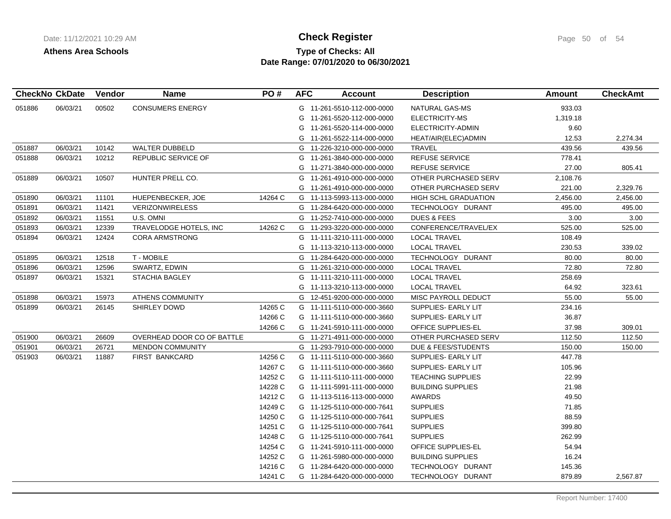# **Type of Checks: All Check Register Check Register Page 50 of 54 Date Range: 07/01/2020 to 06/30/2021**

|        | <b>CheckNo CkDate</b> | Vendor | <b>Name</b>                | PO#     | <b>AFC</b> | <b>Account</b>             | <b>Description</b>          | <b>Amount</b> | <b>CheckAmt</b> |
|--------|-----------------------|--------|----------------------------|---------|------------|----------------------------|-----------------------------|---------------|-----------------|
| 051886 | 06/03/21              | 00502  | <b>CONSUMERS ENERGY</b>    |         |            | G 11-261-5510-112-000-0000 | NATURAL GAS-MS              | 933.03        |                 |
|        |                       |        |                            |         |            | G 11-261-5520-112-000-0000 | ELECTRICITY-MS              | 1,319.18      |                 |
|        |                       |        |                            |         |            | G 11-261-5520-114-000-0000 | ELECTRICITY-ADMIN           | 9.60          |                 |
|        |                       |        |                            |         | G          | 11-261-5522-114-000-0000   | HEAT/AIR(ELEC)ADMIN         | 12.53         | 2,274.34        |
| 051887 | 06/03/21              | 10142  | WALTER DUBBELD             |         |            | G 11-226-3210-000-000-0000 | <b>TRAVEL</b>               | 439.56        | 439.56          |
| 051888 | 06/03/21              | 10212  | REPUBLIC SERVICE OF        |         |            | G 11-261-3840-000-000-0000 | REFUSE SERVICE              | 778.41        |                 |
|        |                       |        |                            |         |            | G 11-271-3840-000-000-0000 | <b>REFUSE SERVICE</b>       | 27.00         | 805.41          |
| 051889 | 06/03/21              | 10507  | HUNTER PRELL CO.           |         | G          | 11-261-4910-000-000-0000   | OTHER PURCHASED SERV        | 2,108.76      |                 |
|        |                       |        |                            |         |            | G 11-261-4910-000-000-0000 | OTHER PURCHASED SERV        | 221.00        | 2,329.76        |
| 051890 | 06/03/21              | 11101  | HUEPENBECKER, JOE          | 14264 C |            | G 11-113-5993-113-000-0000 | <b>HIGH SCHL GRADUATION</b> | 2,456.00      | 2,456.00        |
| 051891 | 06/03/21              | 11421  | <b>VERIZONWIRELESS</b>     |         |            | G 11-284-6420-000-000-0000 | TECHNOLOGY DURANT           | 495.00        | 495.00          |
| 051892 | 06/03/21              | 11551  | U.S. OMNI                  |         |            | G 11-252-7410-000-000-0000 | <b>DUES &amp; FEES</b>      | 3.00          | 3.00            |
| 051893 | 06/03/21              | 12339  | TRAVELODGE HOTELS, INC     | 14262 C | G          | 11-293-3220-000-000-0000   | CONFERENCE/TRAVEL/EX        | 525.00        | 525.00          |
| 051894 | 06/03/21              | 12424  | <b>CORA ARMSTRONG</b>      |         |            | G 11-111-3210-111-000-0000 | <b>LOCAL TRAVEL</b>         | 108.49        |                 |
|        |                       |        |                            |         |            | G 11-113-3210-113-000-0000 | <b>LOCAL TRAVEL</b>         | 230.53        | 339.02          |
| 051895 | 06/03/21              | 12518  | T - MOBILE                 |         |            | G 11-284-6420-000-000-0000 | TECHNOLOGY DURANT           | 80.00         | 80.00           |
| 051896 | 06/03/21              | 12596  | SWARTZ, EDWIN              |         |            | G 11-261-3210-000-000-0000 | <b>LOCAL TRAVEL</b>         | 72.80         | 72.80           |
| 051897 | 06/03/21              | 15321  | STACHIA BAGLEY             |         |            | G 11-111-3210-111-000-0000 | <b>LOCAL TRAVEL</b>         | 258.69        |                 |
|        |                       |        |                            |         |            | G 11-113-3210-113-000-0000 | <b>LOCAL TRAVEL</b>         | 64.92         | 323.61          |
| 051898 | 06/03/21              | 15973  | <b>ATHENS COMMUNITY</b>    |         |            | G 12-451-9200-000-000-0000 | MISC PAYROLL DEDUCT         | 55.00         | 55.00           |
| 051899 | 06/03/21              | 26145  | SHIRLEY DOWD               | 14265 C |            | G 11-111-5110-000-000-3660 | SUPPLIES- EARLY LIT         | 234.16        |                 |
|        |                       |        |                            | 14266 C |            | G 11-111-5110-000-000-3660 | SUPPLIES- EARLY LIT         | 36.87         |                 |
|        |                       |        |                            | 14266 C |            | G 11-241-5910-111-000-0000 | OFFICE SUPPLIES-EL          | 37.98         | 309.01          |
| 051900 | 06/03/21              | 26609  | OVERHEAD DOOR CO OF BATTLE |         |            | G 11-271-4911-000-000-0000 | OTHER PURCHASED SERV        | 112.50        | 112.50          |
| 051901 | 06/03/21              | 26721  | MENDON COMMUNITY           |         |            | G 11-293-7910-000-000-0000 | DUE & FEES/STUDENTS         | 150.00        | 150.00          |
| 051903 | 06/03/21              | 11887  | <b>FIRST BANKCARD</b>      | 14256 C |            | G 11-111-5110-000-000-3660 | SUPPLIES- EARLY LIT         | 447.78        |                 |
|        |                       |        |                            | 14267 C |            | G 11-111-5110-000-000-3660 | SUPPLIES- EARLY LIT         | 105.96        |                 |
|        |                       |        |                            | 14252 C |            | G 11-111-5110-111-000-0000 | <b>TEACHING SUPPLIES</b>    | 22.99         |                 |
|        |                       |        |                            | 14228 C |            | G 11-111-5991-111-000-0000 | <b>BUILDING SUPPLIES</b>    | 21.98         |                 |
|        |                       |        |                            | 14212 C |            | G 11-113-5116-113-000-0000 | <b>AWARDS</b>               | 49.50         |                 |
|        |                       |        |                            | 14249 C |            | G 11-125-5110-000-000-7641 | <b>SUPPLIES</b>             | 71.85         |                 |
|        |                       |        |                            | 14250 C |            | G 11-125-5110-000-000-7641 | <b>SUPPLIES</b>             | 88.59         |                 |
|        |                       |        |                            | 14251 C |            | G 11-125-5110-000-000-7641 | <b>SUPPLIES</b>             | 399.80        |                 |
|        |                       |        |                            | 14248 C |            | G 11-125-5110-000-000-7641 | <b>SUPPLIES</b>             | 262.99        |                 |
|        |                       |        |                            | 14254 C |            | G 11-241-5910-111-000-0000 | OFFICE SUPPLIES-EL          | 54.94         |                 |
|        |                       |        |                            | 14252 C |            | G 11-261-5980-000-000-0000 | <b>BUILDING SUPPLIES</b>    | 16.24         |                 |
|        |                       |        |                            | 14216 C |            | G 11-284-6420-000-000-0000 | TECHNOLOGY DURANT           | 145.36        |                 |
|        |                       |        |                            | 14241 C |            | G 11-284-6420-000-000-0000 | TECHNOLOGY DURANT           | 879.89        | 2,567.87        |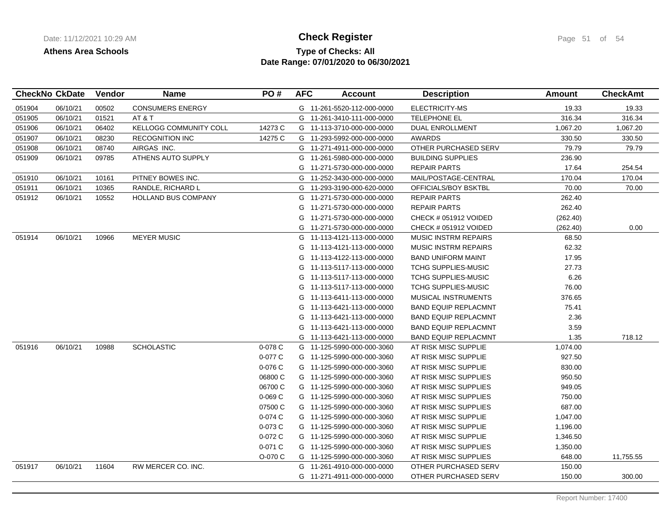## **Type of Checks: All Check Register Check Register Page 51 of 54 Date Range: 07/01/2020 to 06/30/2021**

| <b>CONSUMERS ENERGY</b><br>06/10/21<br>00502<br>G 11-261-5520-112-000-0000<br>ELECTRICITY-MS<br>19.33<br>19.33<br>051904<br>01521<br>AT&T<br>316.34<br>316.34<br>051905<br>06/10/21<br>G 11-261-3410-111-000-0000<br><b>TELEPHONE EL</b><br>06402<br><b>KELLOGG COMMUNITY COLL</b><br>14273 C<br>1,067.20<br>1,067.20<br>051906<br>06/10/21<br>G 11-113-3710-000-000-0000<br><b>DUAL ENROLLMENT</b><br>08230<br><b>RECOGNITION INC</b><br>14275 C<br>051907<br>06/10/21<br>G 11-293-5992-000-000-0000<br>AWARDS<br>330.50<br>330.50<br>AIRGAS INC.<br>OTHER PURCHASED SERV<br>051908<br>06/10/21<br>08740<br>G 11-271-4911-000-000-0000<br>79.79<br>79.79<br>051909<br>06/10/21<br>09785<br>ATHENS AUTO SUPPLY<br>G<br>11-261-5980-000-000-0000<br><b>BUILDING SUPPLIES</b><br>236.90<br>G 11-271-5730-000-000-0000<br><b>REPAIR PARTS</b><br>17.64<br>254.54<br>170.04<br>06/10/21<br>PITNEY BOWES INC.<br>11-252-3430-000-000-0000<br>MAIL/POSTAGE-CENTRAL<br>170.04<br>051910<br>10161<br>G<br>051911<br>06/10/21<br>10365<br>RANDLE, RICHARD L<br>G 11-293-3190-000-620-0000<br>OFFICIALS/BOY BSKTBL<br>70.00<br>70.00<br>051912<br>10552<br>262.40<br>06/10/21<br><b>HOLLAND BUS COMPANY</b><br>G 11-271-5730-000-000-0000<br><b>REPAIR PARTS</b><br>262.40<br>G<br>11-271-5730-000-000-0000<br><b>REPAIR PARTS</b><br>(262.40)<br>G<br>11-271-5730-000-000-0000<br>CHECK # 051912 VOIDED<br>0.00<br>G<br>11-271-5730-000-000-0000<br>(262.40)<br>CHECK # 051912 VOIDED<br>06/10/21<br>10966<br><b>MEYER MUSIC</b><br>051914<br>G 11-113-4121-113-000-0000<br><b>MUSIC INSTRM REPAIRS</b><br>68.50<br><b>MUSIC INSTRM REPAIRS</b><br>62.32<br>G 11-113-4121-113-000-0000<br>G 11-113-4122-113-000-0000<br><b>BAND UNIFORM MAINT</b><br>17.95<br><b>TCHG SUPPLIES-MUSIC</b><br>27.73<br>G 11-113-5117-113-000-0000<br>6.26<br>G 11-113-5117-113-000-0000<br><b>TCHG SUPPLIES-MUSIC</b><br>76.00<br>G 11-113-5117-113-000-0000<br><b>TCHG SUPPLIES-MUSIC</b><br>11-113-6411-113-000-0000<br>MUSICAL INSTRUMENTS<br>376.65<br>G<br>G<br>11-113-6421-113-000-0000<br><b>BAND EQUIP REPLACMNT</b><br>75.41<br>2.36<br>G 11-113-6421-113-000-0000<br><b>BAND EQUIP REPLACMNT</b><br>3.59<br>G 11-113-6421-113-000-0000<br><b>BAND EQUIP REPLACMNT</b><br>1.35<br>718.12<br>G 11-113-6421-113-000-0000<br><b>BAND EQUIP REPLACMNT</b><br>051916<br>06/10/21<br>10988<br><b>SCHOLASTIC</b><br>$0-078C$<br>AT RISK MISC SUPPLIE<br>1,074.00<br>G 11-125-5990-000-000-3060<br>0-077 C<br>927.50<br>G 11-125-5990-000-000-3060<br>AT RISK MISC SUPPLIE<br>0-076 C<br>G 11-125-5990-000-000-3060<br>AT RISK MISC SUPPLIE<br>830.00<br>06800 C<br>G 11-125-5990-000-000-3060<br>AT RISK MISC SUPPLIES<br>950.50<br>06700 C<br>G 11-125-5990-000-000-3060<br>AT RISK MISC SUPPLIES<br>949.05<br>$0-069C$<br>AT RISK MISC SUPPLIES<br>750.00<br>G 11-125-5990-000-000-3060<br>07500 C<br>687.00<br>G 11-125-5990-000-000-3060<br>AT RISK MISC SUPPLIES<br>0-074 C<br>G 11-125-5990-000-000-3060<br>AT RISK MISC SUPPLIE<br>1,047.00<br>0-073 C<br>G 11-125-5990-000-000-3060<br>AT RISK MISC SUPPLIE<br>1,196.00<br>0-072 C<br>G 11-125-5990-000-000-3060<br>AT RISK MISC SUPPLIE<br>1,346.50<br>0-071 C<br>G 11-125-5990-000-000-3060<br>AT RISK MISC SUPPLIES<br>1,350.00<br>O-070 C<br>648.00<br>11,755.55<br>G 11-125-5990-000-000-3060<br>AT RISK MISC SUPPLIES<br>051917<br>06/10/21<br>11604<br>RW MERCER CO. INC.<br>150.00<br>G 11-261-4910-000-000-0000<br>OTHER PURCHASED SERV<br>300.00<br>G 11-271-4911-000-000-0000<br>OTHER PURCHASED SERV<br>150.00 | <b>CheckNo CkDate</b> | Vendor | <b>Name</b> | PO# | <b>AFC</b> | <b>Account</b> | <b>Description</b> | <b>Amount</b> | <b>CheckAmt</b> |
|-----------------------------------------------------------------------------------------------------------------------------------------------------------------------------------------------------------------------------------------------------------------------------------------------------------------------------------------------------------------------------------------------------------------------------------------------------------------------------------------------------------------------------------------------------------------------------------------------------------------------------------------------------------------------------------------------------------------------------------------------------------------------------------------------------------------------------------------------------------------------------------------------------------------------------------------------------------------------------------------------------------------------------------------------------------------------------------------------------------------------------------------------------------------------------------------------------------------------------------------------------------------------------------------------------------------------------------------------------------------------------------------------------------------------------------------------------------------------------------------------------------------------------------------------------------------------------------------------------------------------------------------------------------------------------------------------------------------------------------------------------------------------------------------------------------------------------------------------------------------------------------------------------------------------------------------------------------------------------------------------------------------------------------------------------------------------------------------------------------------------------------------------------------------------------------------------------------------------------------------------------------------------------------------------------------------------------------------------------------------------------------------------------------------------------------------------------------------------------------------------------------------------------------------------------------------------------------------------------------------------------------------------------------------------------------------------------------------------------------------------------------------------------------------------------------------------------------------------------------------------------------------------------------------------------------------------------------------------------------------------------------------------------------------------------------------------------------------------------------------------------------------------------------------------------------------------------------------------------------------------------------------------------------------------------------------------------------------------------------------------------------------------------------------------------------------------------------------------------------------------------------------------------------------------------------|-----------------------|--------|-------------|-----|------------|----------------|--------------------|---------------|-----------------|
|                                                                                                                                                                                                                                                                                                                                                                                                                                                                                                                                                                                                                                                                                                                                                                                                                                                                                                                                                                                                                                                                                                                                                                                                                                                                                                                                                                                                                                                                                                                                                                                                                                                                                                                                                                                                                                                                                                                                                                                                                                                                                                                                                                                                                                                                                                                                                                                                                                                                                                                                                                                                                                                                                                                                                                                                                                                                                                                                                                                                                                                                                                                                                                                                                                                                                                                                                                                                                                                                                                                                                           |                       |        |             |     |            |                |                    |               |                 |
|                                                                                                                                                                                                                                                                                                                                                                                                                                                                                                                                                                                                                                                                                                                                                                                                                                                                                                                                                                                                                                                                                                                                                                                                                                                                                                                                                                                                                                                                                                                                                                                                                                                                                                                                                                                                                                                                                                                                                                                                                                                                                                                                                                                                                                                                                                                                                                                                                                                                                                                                                                                                                                                                                                                                                                                                                                                                                                                                                                                                                                                                                                                                                                                                                                                                                                                                                                                                                                                                                                                                                           |                       |        |             |     |            |                |                    |               |                 |
|                                                                                                                                                                                                                                                                                                                                                                                                                                                                                                                                                                                                                                                                                                                                                                                                                                                                                                                                                                                                                                                                                                                                                                                                                                                                                                                                                                                                                                                                                                                                                                                                                                                                                                                                                                                                                                                                                                                                                                                                                                                                                                                                                                                                                                                                                                                                                                                                                                                                                                                                                                                                                                                                                                                                                                                                                                                                                                                                                                                                                                                                                                                                                                                                                                                                                                                                                                                                                                                                                                                                                           |                       |        |             |     |            |                |                    |               |                 |
|                                                                                                                                                                                                                                                                                                                                                                                                                                                                                                                                                                                                                                                                                                                                                                                                                                                                                                                                                                                                                                                                                                                                                                                                                                                                                                                                                                                                                                                                                                                                                                                                                                                                                                                                                                                                                                                                                                                                                                                                                                                                                                                                                                                                                                                                                                                                                                                                                                                                                                                                                                                                                                                                                                                                                                                                                                                                                                                                                                                                                                                                                                                                                                                                                                                                                                                                                                                                                                                                                                                                                           |                       |        |             |     |            |                |                    |               |                 |
|                                                                                                                                                                                                                                                                                                                                                                                                                                                                                                                                                                                                                                                                                                                                                                                                                                                                                                                                                                                                                                                                                                                                                                                                                                                                                                                                                                                                                                                                                                                                                                                                                                                                                                                                                                                                                                                                                                                                                                                                                                                                                                                                                                                                                                                                                                                                                                                                                                                                                                                                                                                                                                                                                                                                                                                                                                                                                                                                                                                                                                                                                                                                                                                                                                                                                                                                                                                                                                                                                                                                                           |                       |        |             |     |            |                |                    |               |                 |
|                                                                                                                                                                                                                                                                                                                                                                                                                                                                                                                                                                                                                                                                                                                                                                                                                                                                                                                                                                                                                                                                                                                                                                                                                                                                                                                                                                                                                                                                                                                                                                                                                                                                                                                                                                                                                                                                                                                                                                                                                                                                                                                                                                                                                                                                                                                                                                                                                                                                                                                                                                                                                                                                                                                                                                                                                                                                                                                                                                                                                                                                                                                                                                                                                                                                                                                                                                                                                                                                                                                                                           |                       |        |             |     |            |                |                    |               |                 |
|                                                                                                                                                                                                                                                                                                                                                                                                                                                                                                                                                                                                                                                                                                                                                                                                                                                                                                                                                                                                                                                                                                                                                                                                                                                                                                                                                                                                                                                                                                                                                                                                                                                                                                                                                                                                                                                                                                                                                                                                                                                                                                                                                                                                                                                                                                                                                                                                                                                                                                                                                                                                                                                                                                                                                                                                                                                                                                                                                                                                                                                                                                                                                                                                                                                                                                                                                                                                                                                                                                                                                           |                       |        |             |     |            |                |                    |               |                 |
|                                                                                                                                                                                                                                                                                                                                                                                                                                                                                                                                                                                                                                                                                                                                                                                                                                                                                                                                                                                                                                                                                                                                                                                                                                                                                                                                                                                                                                                                                                                                                                                                                                                                                                                                                                                                                                                                                                                                                                                                                                                                                                                                                                                                                                                                                                                                                                                                                                                                                                                                                                                                                                                                                                                                                                                                                                                                                                                                                                                                                                                                                                                                                                                                                                                                                                                                                                                                                                                                                                                                                           |                       |        |             |     |            |                |                    |               |                 |
|                                                                                                                                                                                                                                                                                                                                                                                                                                                                                                                                                                                                                                                                                                                                                                                                                                                                                                                                                                                                                                                                                                                                                                                                                                                                                                                                                                                                                                                                                                                                                                                                                                                                                                                                                                                                                                                                                                                                                                                                                                                                                                                                                                                                                                                                                                                                                                                                                                                                                                                                                                                                                                                                                                                                                                                                                                                                                                                                                                                                                                                                                                                                                                                                                                                                                                                                                                                                                                                                                                                                                           |                       |        |             |     |            |                |                    |               |                 |
|                                                                                                                                                                                                                                                                                                                                                                                                                                                                                                                                                                                                                                                                                                                                                                                                                                                                                                                                                                                                                                                                                                                                                                                                                                                                                                                                                                                                                                                                                                                                                                                                                                                                                                                                                                                                                                                                                                                                                                                                                                                                                                                                                                                                                                                                                                                                                                                                                                                                                                                                                                                                                                                                                                                                                                                                                                                                                                                                                                                                                                                                                                                                                                                                                                                                                                                                                                                                                                                                                                                                                           |                       |        |             |     |            |                |                    |               |                 |
|                                                                                                                                                                                                                                                                                                                                                                                                                                                                                                                                                                                                                                                                                                                                                                                                                                                                                                                                                                                                                                                                                                                                                                                                                                                                                                                                                                                                                                                                                                                                                                                                                                                                                                                                                                                                                                                                                                                                                                                                                                                                                                                                                                                                                                                                                                                                                                                                                                                                                                                                                                                                                                                                                                                                                                                                                                                                                                                                                                                                                                                                                                                                                                                                                                                                                                                                                                                                                                                                                                                                                           |                       |        |             |     |            |                |                    |               |                 |
|                                                                                                                                                                                                                                                                                                                                                                                                                                                                                                                                                                                                                                                                                                                                                                                                                                                                                                                                                                                                                                                                                                                                                                                                                                                                                                                                                                                                                                                                                                                                                                                                                                                                                                                                                                                                                                                                                                                                                                                                                                                                                                                                                                                                                                                                                                                                                                                                                                                                                                                                                                                                                                                                                                                                                                                                                                                                                                                                                                                                                                                                                                                                                                                                                                                                                                                                                                                                                                                                                                                                                           |                       |        |             |     |            |                |                    |               |                 |
|                                                                                                                                                                                                                                                                                                                                                                                                                                                                                                                                                                                                                                                                                                                                                                                                                                                                                                                                                                                                                                                                                                                                                                                                                                                                                                                                                                                                                                                                                                                                                                                                                                                                                                                                                                                                                                                                                                                                                                                                                                                                                                                                                                                                                                                                                                                                                                                                                                                                                                                                                                                                                                                                                                                                                                                                                                                                                                                                                                                                                                                                                                                                                                                                                                                                                                                                                                                                                                                                                                                                                           |                       |        |             |     |            |                |                    |               |                 |
|                                                                                                                                                                                                                                                                                                                                                                                                                                                                                                                                                                                                                                                                                                                                                                                                                                                                                                                                                                                                                                                                                                                                                                                                                                                                                                                                                                                                                                                                                                                                                                                                                                                                                                                                                                                                                                                                                                                                                                                                                                                                                                                                                                                                                                                                                                                                                                                                                                                                                                                                                                                                                                                                                                                                                                                                                                                                                                                                                                                                                                                                                                                                                                                                                                                                                                                                                                                                                                                                                                                                                           |                       |        |             |     |            |                |                    |               |                 |
|                                                                                                                                                                                                                                                                                                                                                                                                                                                                                                                                                                                                                                                                                                                                                                                                                                                                                                                                                                                                                                                                                                                                                                                                                                                                                                                                                                                                                                                                                                                                                                                                                                                                                                                                                                                                                                                                                                                                                                                                                                                                                                                                                                                                                                                                                                                                                                                                                                                                                                                                                                                                                                                                                                                                                                                                                                                                                                                                                                                                                                                                                                                                                                                                                                                                                                                                                                                                                                                                                                                                                           |                       |        |             |     |            |                |                    |               |                 |
|                                                                                                                                                                                                                                                                                                                                                                                                                                                                                                                                                                                                                                                                                                                                                                                                                                                                                                                                                                                                                                                                                                                                                                                                                                                                                                                                                                                                                                                                                                                                                                                                                                                                                                                                                                                                                                                                                                                                                                                                                                                                                                                                                                                                                                                                                                                                                                                                                                                                                                                                                                                                                                                                                                                                                                                                                                                                                                                                                                                                                                                                                                                                                                                                                                                                                                                                                                                                                                                                                                                                                           |                       |        |             |     |            |                |                    |               |                 |
|                                                                                                                                                                                                                                                                                                                                                                                                                                                                                                                                                                                                                                                                                                                                                                                                                                                                                                                                                                                                                                                                                                                                                                                                                                                                                                                                                                                                                                                                                                                                                                                                                                                                                                                                                                                                                                                                                                                                                                                                                                                                                                                                                                                                                                                                                                                                                                                                                                                                                                                                                                                                                                                                                                                                                                                                                                                                                                                                                                                                                                                                                                                                                                                                                                                                                                                                                                                                                                                                                                                                                           |                       |        |             |     |            |                |                    |               |                 |
|                                                                                                                                                                                                                                                                                                                                                                                                                                                                                                                                                                                                                                                                                                                                                                                                                                                                                                                                                                                                                                                                                                                                                                                                                                                                                                                                                                                                                                                                                                                                                                                                                                                                                                                                                                                                                                                                                                                                                                                                                                                                                                                                                                                                                                                                                                                                                                                                                                                                                                                                                                                                                                                                                                                                                                                                                                                                                                                                                                                                                                                                                                                                                                                                                                                                                                                                                                                                                                                                                                                                                           |                       |        |             |     |            |                |                    |               |                 |
|                                                                                                                                                                                                                                                                                                                                                                                                                                                                                                                                                                                                                                                                                                                                                                                                                                                                                                                                                                                                                                                                                                                                                                                                                                                                                                                                                                                                                                                                                                                                                                                                                                                                                                                                                                                                                                                                                                                                                                                                                                                                                                                                                                                                                                                                                                                                                                                                                                                                                                                                                                                                                                                                                                                                                                                                                                                                                                                                                                                                                                                                                                                                                                                                                                                                                                                                                                                                                                                                                                                                                           |                       |        |             |     |            |                |                    |               |                 |
|                                                                                                                                                                                                                                                                                                                                                                                                                                                                                                                                                                                                                                                                                                                                                                                                                                                                                                                                                                                                                                                                                                                                                                                                                                                                                                                                                                                                                                                                                                                                                                                                                                                                                                                                                                                                                                                                                                                                                                                                                                                                                                                                                                                                                                                                                                                                                                                                                                                                                                                                                                                                                                                                                                                                                                                                                                                                                                                                                                                                                                                                                                                                                                                                                                                                                                                                                                                                                                                                                                                                                           |                       |        |             |     |            |                |                    |               |                 |
|                                                                                                                                                                                                                                                                                                                                                                                                                                                                                                                                                                                                                                                                                                                                                                                                                                                                                                                                                                                                                                                                                                                                                                                                                                                                                                                                                                                                                                                                                                                                                                                                                                                                                                                                                                                                                                                                                                                                                                                                                                                                                                                                                                                                                                                                                                                                                                                                                                                                                                                                                                                                                                                                                                                                                                                                                                                                                                                                                                                                                                                                                                                                                                                                                                                                                                                                                                                                                                                                                                                                                           |                       |        |             |     |            |                |                    |               |                 |
|                                                                                                                                                                                                                                                                                                                                                                                                                                                                                                                                                                                                                                                                                                                                                                                                                                                                                                                                                                                                                                                                                                                                                                                                                                                                                                                                                                                                                                                                                                                                                                                                                                                                                                                                                                                                                                                                                                                                                                                                                                                                                                                                                                                                                                                                                                                                                                                                                                                                                                                                                                                                                                                                                                                                                                                                                                                                                                                                                                                                                                                                                                                                                                                                                                                                                                                                                                                                                                                                                                                                                           |                       |        |             |     |            |                |                    |               |                 |
|                                                                                                                                                                                                                                                                                                                                                                                                                                                                                                                                                                                                                                                                                                                                                                                                                                                                                                                                                                                                                                                                                                                                                                                                                                                                                                                                                                                                                                                                                                                                                                                                                                                                                                                                                                                                                                                                                                                                                                                                                                                                                                                                                                                                                                                                                                                                                                                                                                                                                                                                                                                                                                                                                                                                                                                                                                                                                                                                                                                                                                                                                                                                                                                                                                                                                                                                                                                                                                                                                                                                                           |                       |        |             |     |            |                |                    |               |                 |
|                                                                                                                                                                                                                                                                                                                                                                                                                                                                                                                                                                                                                                                                                                                                                                                                                                                                                                                                                                                                                                                                                                                                                                                                                                                                                                                                                                                                                                                                                                                                                                                                                                                                                                                                                                                                                                                                                                                                                                                                                                                                                                                                                                                                                                                                                                                                                                                                                                                                                                                                                                                                                                                                                                                                                                                                                                                                                                                                                                                                                                                                                                                                                                                                                                                                                                                                                                                                                                                                                                                                                           |                       |        |             |     |            |                |                    |               |                 |
|                                                                                                                                                                                                                                                                                                                                                                                                                                                                                                                                                                                                                                                                                                                                                                                                                                                                                                                                                                                                                                                                                                                                                                                                                                                                                                                                                                                                                                                                                                                                                                                                                                                                                                                                                                                                                                                                                                                                                                                                                                                                                                                                                                                                                                                                                                                                                                                                                                                                                                                                                                                                                                                                                                                                                                                                                                                                                                                                                                                                                                                                                                                                                                                                                                                                                                                                                                                                                                                                                                                                                           |                       |        |             |     |            |                |                    |               |                 |
|                                                                                                                                                                                                                                                                                                                                                                                                                                                                                                                                                                                                                                                                                                                                                                                                                                                                                                                                                                                                                                                                                                                                                                                                                                                                                                                                                                                                                                                                                                                                                                                                                                                                                                                                                                                                                                                                                                                                                                                                                                                                                                                                                                                                                                                                                                                                                                                                                                                                                                                                                                                                                                                                                                                                                                                                                                                                                                                                                                                                                                                                                                                                                                                                                                                                                                                                                                                                                                                                                                                                                           |                       |        |             |     |            |                |                    |               |                 |
|                                                                                                                                                                                                                                                                                                                                                                                                                                                                                                                                                                                                                                                                                                                                                                                                                                                                                                                                                                                                                                                                                                                                                                                                                                                                                                                                                                                                                                                                                                                                                                                                                                                                                                                                                                                                                                                                                                                                                                                                                                                                                                                                                                                                                                                                                                                                                                                                                                                                                                                                                                                                                                                                                                                                                                                                                                                                                                                                                                                                                                                                                                                                                                                                                                                                                                                                                                                                                                                                                                                                                           |                       |        |             |     |            |                |                    |               |                 |
|                                                                                                                                                                                                                                                                                                                                                                                                                                                                                                                                                                                                                                                                                                                                                                                                                                                                                                                                                                                                                                                                                                                                                                                                                                                                                                                                                                                                                                                                                                                                                                                                                                                                                                                                                                                                                                                                                                                                                                                                                                                                                                                                                                                                                                                                                                                                                                                                                                                                                                                                                                                                                                                                                                                                                                                                                                                                                                                                                                                                                                                                                                                                                                                                                                                                                                                                                                                                                                                                                                                                                           |                       |        |             |     |            |                |                    |               |                 |
|                                                                                                                                                                                                                                                                                                                                                                                                                                                                                                                                                                                                                                                                                                                                                                                                                                                                                                                                                                                                                                                                                                                                                                                                                                                                                                                                                                                                                                                                                                                                                                                                                                                                                                                                                                                                                                                                                                                                                                                                                                                                                                                                                                                                                                                                                                                                                                                                                                                                                                                                                                                                                                                                                                                                                                                                                                                                                                                                                                                                                                                                                                                                                                                                                                                                                                                                                                                                                                                                                                                                                           |                       |        |             |     |            |                |                    |               |                 |
|                                                                                                                                                                                                                                                                                                                                                                                                                                                                                                                                                                                                                                                                                                                                                                                                                                                                                                                                                                                                                                                                                                                                                                                                                                                                                                                                                                                                                                                                                                                                                                                                                                                                                                                                                                                                                                                                                                                                                                                                                                                                                                                                                                                                                                                                                                                                                                                                                                                                                                                                                                                                                                                                                                                                                                                                                                                                                                                                                                                                                                                                                                                                                                                                                                                                                                                                                                                                                                                                                                                                                           |                       |        |             |     |            |                |                    |               |                 |
|                                                                                                                                                                                                                                                                                                                                                                                                                                                                                                                                                                                                                                                                                                                                                                                                                                                                                                                                                                                                                                                                                                                                                                                                                                                                                                                                                                                                                                                                                                                                                                                                                                                                                                                                                                                                                                                                                                                                                                                                                                                                                                                                                                                                                                                                                                                                                                                                                                                                                                                                                                                                                                                                                                                                                                                                                                                                                                                                                                                                                                                                                                                                                                                                                                                                                                                                                                                                                                                                                                                                                           |                       |        |             |     |            |                |                    |               |                 |
|                                                                                                                                                                                                                                                                                                                                                                                                                                                                                                                                                                                                                                                                                                                                                                                                                                                                                                                                                                                                                                                                                                                                                                                                                                                                                                                                                                                                                                                                                                                                                                                                                                                                                                                                                                                                                                                                                                                                                                                                                                                                                                                                                                                                                                                                                                                                                                                                                                                                                                                                                                                                                                                                                                                                                                                                                                                                                                                                                                                                                                                                                                                                                                                                                                                                                                                                                                                                                                                                                                                                                           |                       |        |             |     |            |                |                    |               |                 |
|                                                                                                                                                                                                                                                                                                                                                                                                                                                                                                                                                                                                                                                                                                                                                                                                                                                                                                                                                                                                                                                                                                                                                                                                                                                                                                                                                                                                                                                                                                                                                                                                                                                                                                                                                                                                                                                                                                                                                                                                                                                                                                                                                                                                                                                                                                                                                                                                                                                                                                                                                                                                                                                                                                                                                                                                                                                                                                                                                                                                                                                                                                                                                                                                                                                                                                                                                                                                                                                                                                                                                           |                       |        |             |     |            |                |                    |               |                 |
|                                                                                                                                                                                                                                                                                                                                                                                                                                                                                                                                                                                                                                                                                                                                                                                                                                                                                                                                                                                                                                                                                                                                                                                                                                                                                                                                                                                                                                                                                                                                                                                                                                                                                                                                                                                                                                                                                                                                                                                                                                                                                                                                                                                                                                                                                                                                                                                                                                                                                                                                                                                                                                                                                                                                                                                                                                                                                                                                                                                                                                                                                                                                                                                                                                                                                                                                                                                                                                                                                                                                                           |                       |        |             |     |            |                |                    |               |                 |
|                                                                                                                                                                                                                                                                                                                                                                                                                                                                                                                                                                                                                                                                                                                                                                                                                                                                                                                                                                                                                                                                                                                                                                                                                                                                                                                                                                                                                                                                                                                                                                                                                                                                                                                                                                                                                                                                                                                                                                                                                                                                                                                                                                                                                                                                                                                                                                                                                                                                                                                                                                                                                                                                                                                                                                                                                                                                                                                                                                                                                                                                                                                                                                                                                                                                                                                                                                                                                                                                                                                                                           |                       |        |             |     |            |                |                    |               |                 |
|                                                                                                                                                                                                                                                                                                                                                                                                                                                                                                                                                                                                                                                                                                                                                                                                                                                                                                                                                                                                                                                                                                                                                                                                                                                                                                                                                                                                                                                                                                                                                                                                                                                                                                                                                                                                                                                                                                                                                                                                                                                                                                                                                                                                                                                                                                                                                                                                                                                                                                                                                                                                                                                                                                                                                                                                                                                                                                                                                                                                                                                                                                                                                                                                                                                                                                                                                                                                                                                                                                                                                           |                       |        |             |     |            |                |                    |               |                 |
|                                                                                                                                                                                                                                                                                                                                                                                                                                                                                                                                                                                                                                                                                                                                                                                                                                                                                                                                                                                                                                                                                                                                                                                                                                                                                                                                                                                                                                                                                                                                                                                                                                                                                                                                                                                                                                                                                                                                                                                                                                                                                                                                                                                                                                                                                                                                                                                                                                                                                                                                                                                                                                                                                                                                                                                                                                                                                                                                                                                                                                                                                                                                                                                                                                                                                                                                                                                                                                                                                                                                                           |                       |        |             |     |            |                |                    |               |                 |
|                                                                                                                                                                                                                                                                                                                                                                                                                                                                                                                                                                                                                                                                                                                                                                                                                                                                                                                                                                                                                                                                                                                                                                                                                                                                                                                                                                                                                                                                                                                                                                                                                                                                                                                                                                                                                                                                                                                                                                                                                                                                                                                                                                                                                                                                                                                                                                                                                                                                                                                                                                                                                                                                                                                                                                                                                                                                                                                                                                                                                                                                                                                                                                                                                                                                                                                                                                                                                                                                                                                                                           |                       |        |             |     |            |                |                    |               |                 |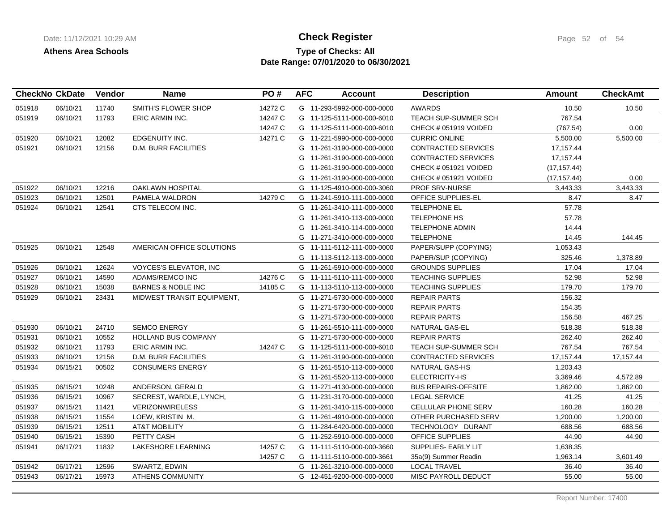## **Type of Checks: All Check Register Check Register Page 52 of 54 Date Range: 07/01/2020 to 06/30/2021**

|        | <b>CheckNo CkDate</b> | Vendor | <b>Name</b>                   | PO#     | <b>AFC</b> | <b>Account</b>             | <b>Description</b>          | <b>Amount</b> | <b>CheckAmt</b> |
|--------|-----------------------|--------|-------------------------------|---------|------------|----------------------------|-----------------------------|---------------|-----------------|
| 051918 | 06/10/21              | 11740  | <b>SMITH'S FLOWER SHOP</b>    | 14272 C |            | G 11-293-5992-000-000-0000 | <b>AWARDS</b>               | 10.50         | 10.50           |
| 051919 | 06/10/21              | 11793  | ERIC ARMIN INC.               | 14247 C |            | G 11-125-5111-000-000-6010 | <b>TEACH SUP-SUMMER SCH</b> | 767.54        |                 |
|        |                       |        |                               | 14247 C |            | G 11-125-5111-000-000-6010 | CHECK # 051919 VOIDED       | (767.54)      | 0.00            |
| 051920 | 06/10/21              | 12082  | <b>EDGENUITY INC.</b>         | 14271 C |            | G 11-221-5990-000-000-0000 | <b>CURRIC ONLINE</b>        | 5,500.00      | 5,500.00        |
| 051921 | 06/10/21              | 12156  | <b>D.M. BURR FACILITIES</b>   |         |            | G 11-261-3190-000-000-0000 | <b>CONTRACTED SERVICES</b>  | 17,157.44     |                 |
|        |                       |        |                               |         |            | G 11-261-3190-000-000-0000 | <b>CONTRACTED SERVICES</b>  | 17,157.44     |                 |
|        |                       |        |                               |         |            | G 11-261-3190-000-000-0000 | CHECK # 051921 VOIDED       | (17, 157.44)  |                 |
|        |                       |        |                               |         |            | G 11-261-3190-000-000-0000 | CHECK # 051921 VOIDED       | (17, 157.44)  | 0.00            |
| 051922 | 06/10/21              | 12216  | <b>OAKLAWN HOSPITAL</b>       |         |            | G 11-125-4910-000-000-3060 | <b>PROF SRV-NURSE</b>       | 3,443.33      | 3,443.33        |
| 051923 | 06/10/21              | 12501  | PAMELA WALDRON                | 14279 C |            | G 11-241-5910-111-000-0000 | OFFICE SUPPLIES-EL          | 8.47          | 8.47            |
| 051924 | 06/10/21              | 12541  | CTS TELECOM INC.              |         |            | G 11-261-3410-111-000-0000 | <b>TELEPHONE EL</b>         | 57.78         |                 |
|        |                       |        |                               |         |            | G 11-261-3410-113-000-0000 | TELEPHONE HS                | 57.78         |                 |
|        |                       |        |                               |         |            | G 11-261-3410-114-000-0000 | <b>TELEPHONE ADMIN</b>      | 14.44         |                 |
|        |                       |        |                               |         |            | G 11-271-3410-000-000-0000 | <b>TELEPHONE</b>            | 14.45         | 144.45          |
| 051925 | 06/10/21              | 12548  | AMERICAN OFFICE SOLUTIONS     |         |            | G 11-111-5112-111-000-0000 | PAPER/SUPP (COPYING)        | 1,053.43      |                 |
|        |                       |        |                               |         |            | G 11-113-5112-113-000-0000 | PAPER/SUP (COPYING)         | 325.46        | 1,378.89        |
| 051926 | 06/10/21              | 12624  | <b>VOYCES'S ELEVATOR, INC</b> |         |            | G 11-261-5910-000-000-0000 | <b>GROUNDS SUPPLIES</b>     | 17.04         | 17.04           |
| 051927 | 06/10/21              | 14590  | ADAMS/REMCO INC               | 14276 C |            | G 11-111-5110-111-000-0000 | <b>TEACHING SUPPLIES</b>    | 52.98         | 52.98           |
| 051928 | 06/10/21              | 15038  | <b>BARNES &amp; NOBLE INC</b> | 14185 C |            | G 11-113-5110-113-000-0000 | <b>TEACHING SUPPLIES</b>    | 179.70        | 179.70          |
| 051929 | 06/10/21              | 23431  | MIDWEST TRANSIT EQUIPMENT,    |         |            | G 11-271-5730-000-000-0000 | <b>REPAIR PARTS</b>         | 156.32        |                 |
|        |                       |        |                               |         |            | G 11-271-5730-000-000-0000 | <b>REPAIR PARTS</b>         | 154.35        |                 |
|        |                       |        |                               |         | G          | 11-271-5730-000-000-0000   | <b>REPAIR PARTS</b>         | 156.58        | 467.25          |
| 051930 | 06/10/21              | 24710  | <b>SEMCO ENERGY</b>           |         |            | G 11-261-5510-111-000-0000 | NATURAL GAS-EL              | 518.38        | 518.38          |
| 051931 | 06/10/21              | 10552  | <b>HOLLAND BUS COMPANY</b>    |         |            | G 11-271-5730-000-000-0000 | <b>REPAIR PARTS</b>         | 262.40        | 262.40          |
| 051932 | 06/10/21              | 11793  | ERIC ARMIN INC.               | 14247 C |            | G 11-125-5111-000-000-6010 | <b>TEACH SUP-SUMMER SCH</b> | 767.54        | 767.54          |
| 051933 | 06/10/21              | 12156  | <b>D.M. BURR FACILITIES</b>   |         |            | G 11-261-3190-000-000-0000 | <b>CONTRACTED SERVICES</b>  | 17,157.44     | 17, 157. 44     |
| 051934 | 06/15/21              | 00502  | <b>CONSUMERS ENERGY</b>       |         | G          | 11-261-5510-113-000-0000   | NATURAL GAS-HS              | 1,203.43      |                 |
|        |                       |        |                               |         | G          | 11-261-5520-113-000-0000   | ELECTRICITY-HS              | 3,369.46      | 4,572.89        |
| 051935 | 06/15/21              | 10248  | ANDERSON, GERALD              |         |            | G 11-271-4130-000-000-0000 | <b>BUS REPAIRS-OFFSITE</b>  | 1,862.00      | 1,862.00        |
| 051936 | 06/15/21              | 10967  | SECREST, WARDLE, LYNCH,       |         |            | G 11-231-3170-000-000-0000 | <b>LEGAL SERVICE</b>        | 41.25         | 41.25           |
| 051937 | 06/15/21              | 11421  | <b>VERIZONWIRELESS</b>        |         |            | G 11-261-3410-115-000-0000 | CELLULAR PHONE SERV         | 160.28        | 160.28          |
| 051938 | 06/15/21              | 11554  | LOEW, KRISTIN M.              |         |            | G 11-261-4910-000-000-0000 | OTHER PURCHASED SERV        | 1,200.00      | 1,200.00        |
| 051939 | 06/15/21              | 12511  | <b>AT&amp;T MOBILITY</b>      |         |            | G 11-284-6420-000-000-0000 | TECHNOLOGY DURANT           | 688.56        | 688.56          |
| 051940 | 06/15/21              | 15390  | PETTY CASH                    |         |            | G 11-252-5910-000-000-0000 | <b>OFFICE SUPPLIES</b>      | 44.90         | 44.90           |
| 051941 | 06/17/21              | 11832  | LAKESHORE LEARNING            | 14257 C |            | G 11-111-5110-000-000-3660 | SUPPLIES- EARLY LIT         | 1,638.35      |                 |
|        |                       |        |                               | 14257 C |            | G 11-111-5110-000-000-3661 | 35a(9) Summer Readin        | 1,963.14      | 3,601.49        |
| 051942 | 06/17/21              | 12596  | SWARTZ, EDWIN                 |         |            | G 11-261-3210-000-000-0000 | <b>LOCAL TRAVEL</b>         | 36.40         | 36.40           |
| 051943 | 06/17/21              | 15973  | <b>ATHENS COMMUNITY</b>       |         |            | G 12-451-9200-000-000-0000 | MISC PAYROLL DEDUCT         | 55.00         | 55.00           |
|        |                       |        |                               |         |            |                            |                             |               |                 |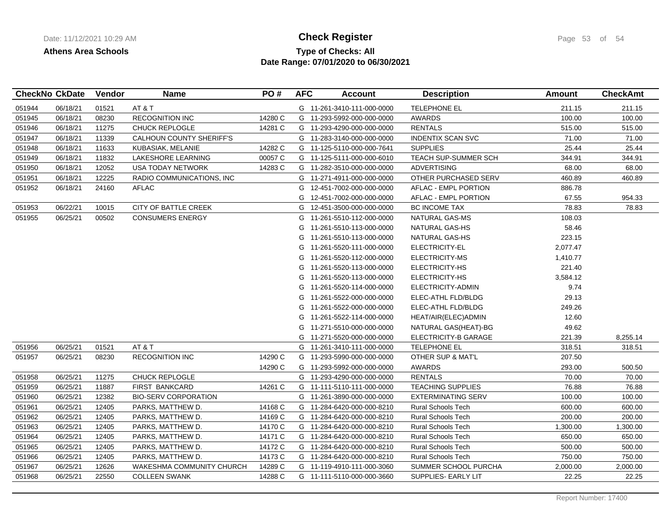## **Type of Checks: All 11/12/2021 10:20:20 AM Check Register** Page 53 of 54 **Date Range: 07/01/2020 to 06/30/2021**

|        | <b>CheckNo CkDate</b> | Vendor | <b>Name</b>                 | PO#     | <b>AFC</b> | <b>Account</b>             | <b>Description</b>          | <b>Amount</b> | <b>CheckAmt</b> |
|--------|-----------------------|--------|-----------------------------|---------|------------|----------------------------|-----------------------------|---------------|-----------------|
| 051944 | 06/18/21              | 01521  | AT & T                      |         |            | G 11-261-3410-111-000-0000 | <b>TELEPHONE EL</b>         | 211.15        | 211.15          |
| 051945 | 06/18/21              | 08230  | <b>RECOGNITION INC</b>      | 14280 C |            | G 11-293-5992-000-000-0000 | <b>AWARDS</b>               | 100.00        | 100.00          |
| 051946 | 06/18/21              | 11275  | <b>CHUCK REPLOGLE</b>       | 14281 C |            | G 11-293-4290-000-000-0000 | <b>RENTALS</b>              | 515.00        | 515.00          |
| 051947 | 06/18/21              | 11339  | CALHOUN COUNTY SHERIFF'S    |         |            | G 11-283-3140-000-000-0000 | <b>INDENTIX SCAN SVC</b>    | 71.00         | 71.00           |
| 051948 | 06/18/21              | 11633  | KUBASIAK, MELANIE           | 14282 C |            | G 11-125-5110-000-000-7641 | <b>SUPPLIES</b>             | 25.44         | 25.44           |
| 051949 | 06/18/21              | 11832  | LAKESHORE LEARNING          | 00057 C |            | G 11-125-5111-000-000-6010 | <b>TEACH SUP-SUMMER SCH</b> | 344.91        | 344.91          |
| 051950 | 06/18/21              | 12052  | <b>USA TODAY NETWORK</b>    | 14283 C |            | G 11-282-3510-000-000-0000 | <b>ADVERTISING</b>          | 68.00         | 68.00           |
| 051951 | 06/18/21              | 12225  | RADIO COMMUNICATIONS, INC.  |         |            | G 11-271-4911-000-000-0000 | OTHER PURCHASED SERV        | 460.89        | 460.89          |
| 051952 | 06/18/21              | 24160  | <b>AFLAC</b>                |         | G          | 12-451-7002-000-000-0000   | AFLAC - EMPL PORTION        | 886.78        |                 |
|        |                       |        |                             |         | G          | 12-451-7002-000-000-0000   | AFLAC - EMPL PORTION        | 67.55         | 954.33          |
| 051953 | 06/22/21              | 10015  | CITY OF BATTLE CREEK        |         | G          | 12-451-3500-000-000-0000   | <b>BC INCOME TAX</b>        | 78.83         | 78.83           |
| 051955 | 06/25/21              | 00502  | <b>CONSUMERS ENERGY</b>     |         | G          | 11-261-5510-112-000-0000   | NATURAL GAS-MS              | 108.03        |                 |
|        |                       |        |                             |         | G          | 11-261-5510-113-000-0000   | NATURAL GAS-HS              | 58.46         |                 |
|        |                       |        |                             |         | G          | 11-261-5510-113-000-0000   | NATURAL GAS-HS              | 223.15        |                 |
|        |                       |        |                             |         | G          | 11-261-5520-111-000-0000   | ELECTRICITY-EL              | 2,077.47      |                 |
|        |                       |        |                             |         | G          | 11-261-5520-112-000-0000   | ELECTRICITY-MS              | 1,410.77      |                 |
|        |                       |        |                             |         | G          | 11-261-5520-113-000-0000   | ELECTRICITY-HS              | 221.40        |                 |
|        |                       |        |                             |         | G          | 11-261-5520-113-000-0000   | ELECTRICITY-HS              | 3,584.12      |                 |
|        |                       |        |                             |         | G          | 11-261-5520-114-000-0000   | ELECTRICITY-ADMIN           | 9.74          |                 |
|        |                       |        |                             |         | G          | 11-261-5522-000-000-0000   | ELEC-ATHL FLD/BLDG          | 29.13         |                 |
|        |                       |        |                             |         | G          | 11-261-5522-000-000-0000   | ELEC-ATHL FLD/BLDG          | 249.26        |                 |
|        |                       |        |                             |         | G          | 11-261-5522-114-000-0000   | HEAT/AIR(ELEC)ADMIN         | 12.60         |                 |
|        |                       |        |                             |         | G          | 11-271-5510-000-000-0000   | NATURAL GAS(HEAT)-BG        | 49.62         |                 |
|        |                       |        |                             |         | G          | 11-271-5520-000-000-0000   | ELECTRICITY-B GARAGE        | 221.39        | 8,255.14        |
| 051956 | 06/25/21              | 01521  | AT&T                        |         |            | G 11-261-3410-111-000-0000 | TELEPHONE EL                | 318.51        | 318.51          |
| 051957 | 06/25/21              | 08230  | <b>RECOGNITION INC</b>      | 14290 C |            | G 11-293-5990-000-000-0000 | OTHER SUP & MAT'L           | 207.50        |                 |
|        |                       |        |                             | 14290 C |            | G 11-293-5992-000-000-0000 | <b>AWARDS</b>               | 293.00        | 500.50          |
| 051958 | 06/25/21              | 11275  | <b>CHUCK REPLOGLE</b>       |         |            | G 11-293-4290-000-000-0000 | <b>RENTALS</b>              | 70.00         | 70.00           |
| 051959 | 06/25/21              | 11887  | <b>FIRST BANKCARD</b>       | 14261 C |            | G 11-111-5110-111-000-0000 | <b>TEACHING SUPPLIES</b>    | 76.88         | 76.88           |
| 051960 | 06/25/21              | 12382  | <b>BIO-SERV CORPORATION</b> |         |            | G 11-261-3890-000-000-0000 | <b>EXTERMINATING SERV</b>   | 100.00        | 100.00          |
| 051961 | 06/25/21              | 12405  | PARKS, MATTHEW D.           | 14168 C |            | G 11-284-6420-000-000-8210 | <b>Rural Schools Tech</b>   | 600.00        | 600.00          |
| 051962 | 06/25/21              | 12405  | PARKS, MATTHEW D.           | 14169 C |            | G 11-284-6420-000-000-8210 | <b>Rural Schools Tech</b>   | 200.00        | 200.00          |
| 051963 | 06/25/21              | 12405  | PARKS, MATTHEW D.           | 14170 C |            | G 11-284-6420-000-000-8210 | <b>Rural Schools Tech</b>   | 1,300.00      | 1,300.00        |
| 051964 | 06/25/21              | 12405  | PARKS, MATTHEW D.           | 14171 C |            | G 11-284-6420-000-000-8210 | <b>Rural Schools Tech</b>   | 650.00        | 650.00          |
| 051965 | 06/25/21              | 12405  | PARKS, MATTHEW D.           | 14172 C |            | G 11-284-6420-000-000-8210 | Rural Schools Tech          | 500.00        | 500.00          |
| 051966 | 06/25/21              | 12405  | PARKS, MATTHEW D.           | 14173 C |            | G 11-284-6420-000-000-8210 | Rural Schools Tech          | 750.00        | 750.00          |
| 051967 | 06/25/21              | 12626  | WAKESHMA COMMUNITY CHURCH   | 14289 C |            | G 11-119-4910-111-000-3060 | SUMMER SCHOOL PURCHA        | 2,000.00      | 2,000.00        |
| 051968 | 06/25/21              | 22550  | <b>COLLEEN SWANK</b>        | 14288 C |            | G 11-111-5110-000-000-3660 | SUPPLIES- EARLY LIT         | 22.25         | 22.25           |
|        |                       |        |                             |         |            |                            |                             |               |                 |